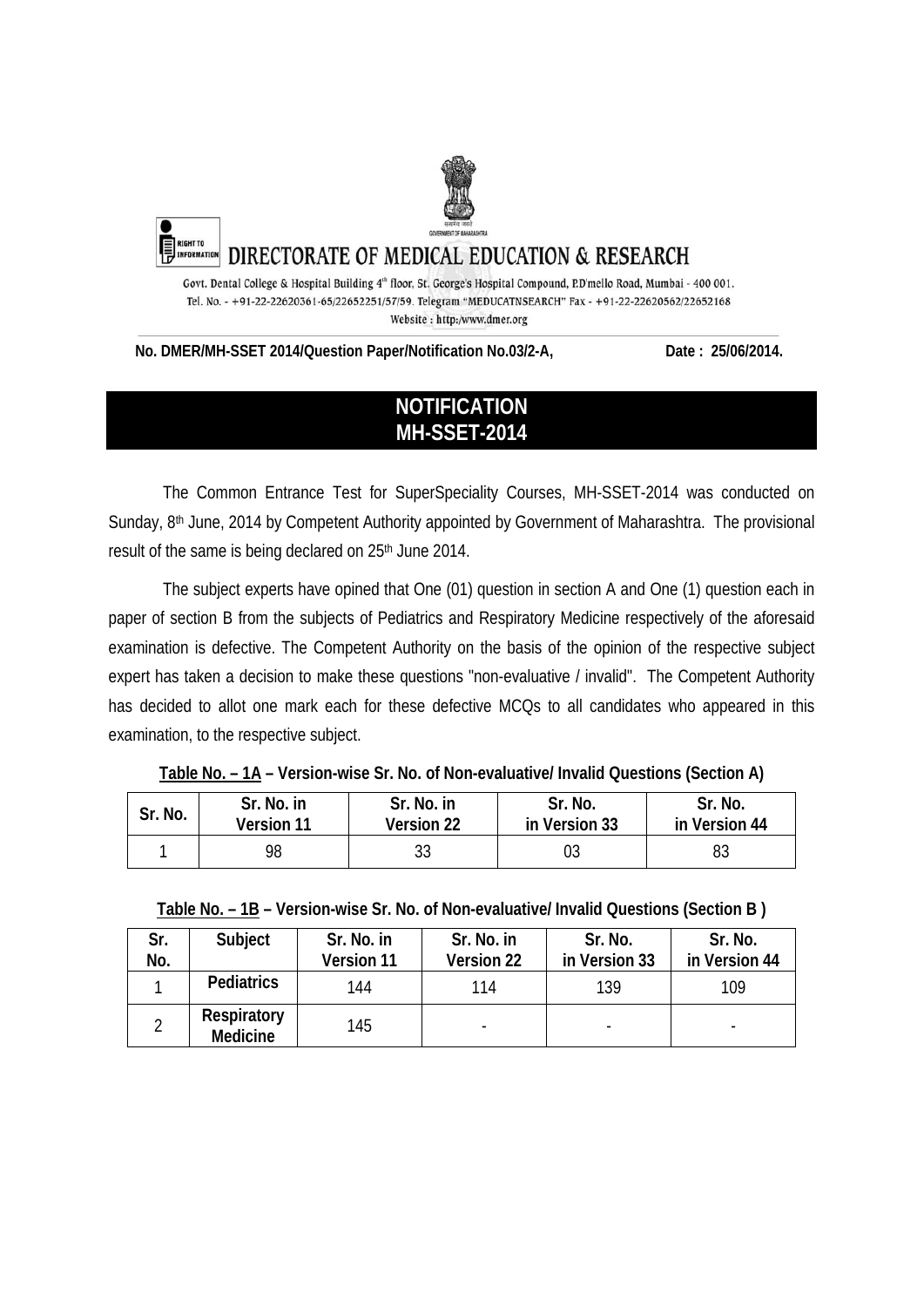

No. DMER/MH-SSET 2014/Question Paper/Notification No.03/2-A, Date: 25/06/2014.

# **NOTIFICATION MH-SSET-2014**

The Common Entrance Test for SuperSpeciality Courses, MH-SSET-2014 was conducted on Sunday, 8<sup>th</sup> June, 2014 by Competent Authority appointed by Government of Maharashtra. The provisional result of the same is being declared on 25<sup>th</sup> June 2014.

The subject experts have opined that One (01) question in section A and One (1) question each in paper of section B from the subjects of Pediatrics and Respiratory Medicine respectively of the aforesaid examination is defective. The Competent Authority on the basis of the opinion of the respective subject expert has taken a decision to make these questions "non-evaluative / invalid". The Competent Authority has decided to allot one mark each for these defective MCQs to all candidates who appeared in this examination, to the respective subject.

| Sr. No. | Sr. No. in        | Sr. No. in | Sr. No.       | Sr. No.       |
|---------|-------------------|------------|---------------|---------------|
|         | <b>Version 11</b> | Version 22 | in Version 33 | in Version 44 |
|         | 98                |            | U3            | 83            |

**Table No. – 1A – Version-wise Sr. No. of Non-evaluative/ Invalid Questions (Section A)** 

**Table No. – 1B – Version-wise Sr. No. of Non-evaluative/ Invalid Questions (Section B )** 

| Sr. | Subject                        | Sr. No. in | Sr. No. in | Sr. No.       | Sr. No.       |
|-----|--------------------------------|------------|------------|---------------|---------------|
| No. |                                | Version 11 | Version 22 | in Version 33 | in Version 44 |
|     | Pediatrics                     | 144        | 114        | 139           | 109           |
|     | Respiratory<br><b>Medicine</b> | 145        |            |               |               |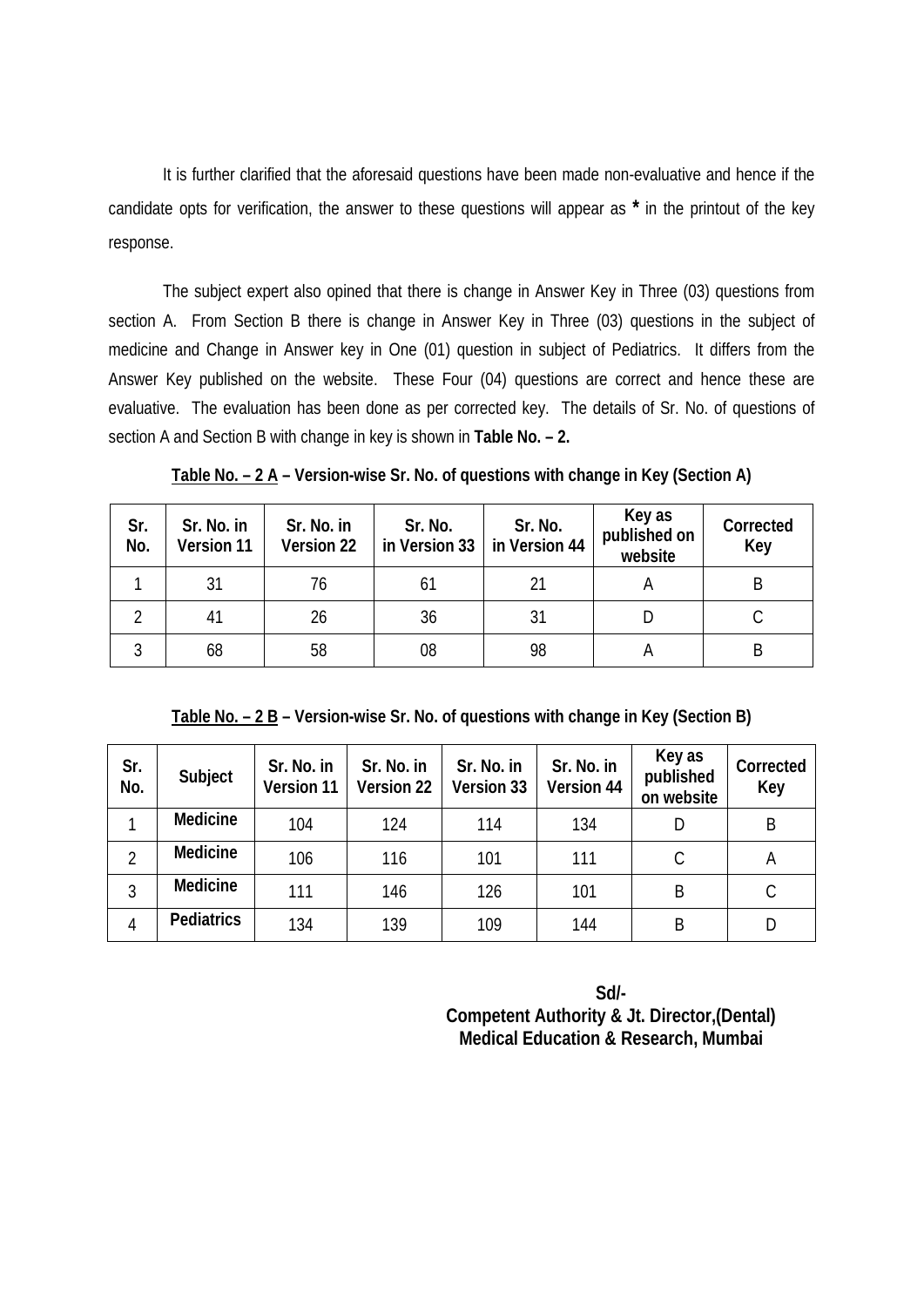It is further clarified that the aforesaid questions have been made non-evaluative and hence if the candidate opts for verification, the answer to these questions will appear as **\*** in the printout of the key response.

 The subject expert also opined that there is change in Answer Key in Three (03) questions from section A. From Section B there is change in Answer Key in Three (03) questions in the subject of medicine and Change in Answer key in One (01) question in subject of Pediatrics. It differs from the Answer Key published on the website. These Four (04) questions are correct and hence these are evaluative. The evaluation has been done as per corrected key. The details of Sr. No. of questions of section A and Section B with change in key is shown in **Table No. – 2.** 

**Table No. – 2 A – Version-wise Sr. No. of questions with change in Key (Section A)** 

| Sr.<br>No. | Sr. No. in<br>Version 11 | Sr. No. in<br>Version 22 | Sr. No.<br>in Version 33 | Sr. No.<br>in Version 44 | Key as<br>published on<br>website | Corrected<br>Key |
|------------|--------------------------|--------------------------|--------------------------|--------------------------|-----------------------------------|------------------|
|            | 31                       | 76                       | 61                       | 21                       |                                   |                  |
|            | 41                       | 26                       | 36                       | 31                       |                                   |                  |
|            | 68                       | 58                       | 08                       | 98                       |                                   |                  |

**Table No. – 2 B – Version-wise Sr. No. of questions with change in Key (Section B)** 

| Sr.<br>No.     | Subject           | Sr. No. in<br>Version 11 | Sr. No. in<br>Version 22 | Sr. No. in<br><b>Version 33</b> | Sr. No. in<br>Version 44 | Key as<br>published<br>on website | Corrected<br>Key |
|----------------|-------------------|--------------------------|--------------------------|---------------------------------|--------------------------|-----------------------------------|------------------|
|                | Medicine          | 104                      | 124                      | 114                             | 134                      | D                                 | B                |
| $\overline{2}$ | Medicine          | 106                      | 116                      | 101                             | 111                      | С                                 | A                |
| 3              | Medicine          | 111                      | 146                      | 126                             | 101                      | B                                 | C                |
| 4              | <b>Pediatrics</b> | 134                      | 139                      | 109                             | 144                      | Β                                 | D                |

**Sd/- Competent Authority & Jt. Director,(Dental) Medical Education & Research, Mumbai**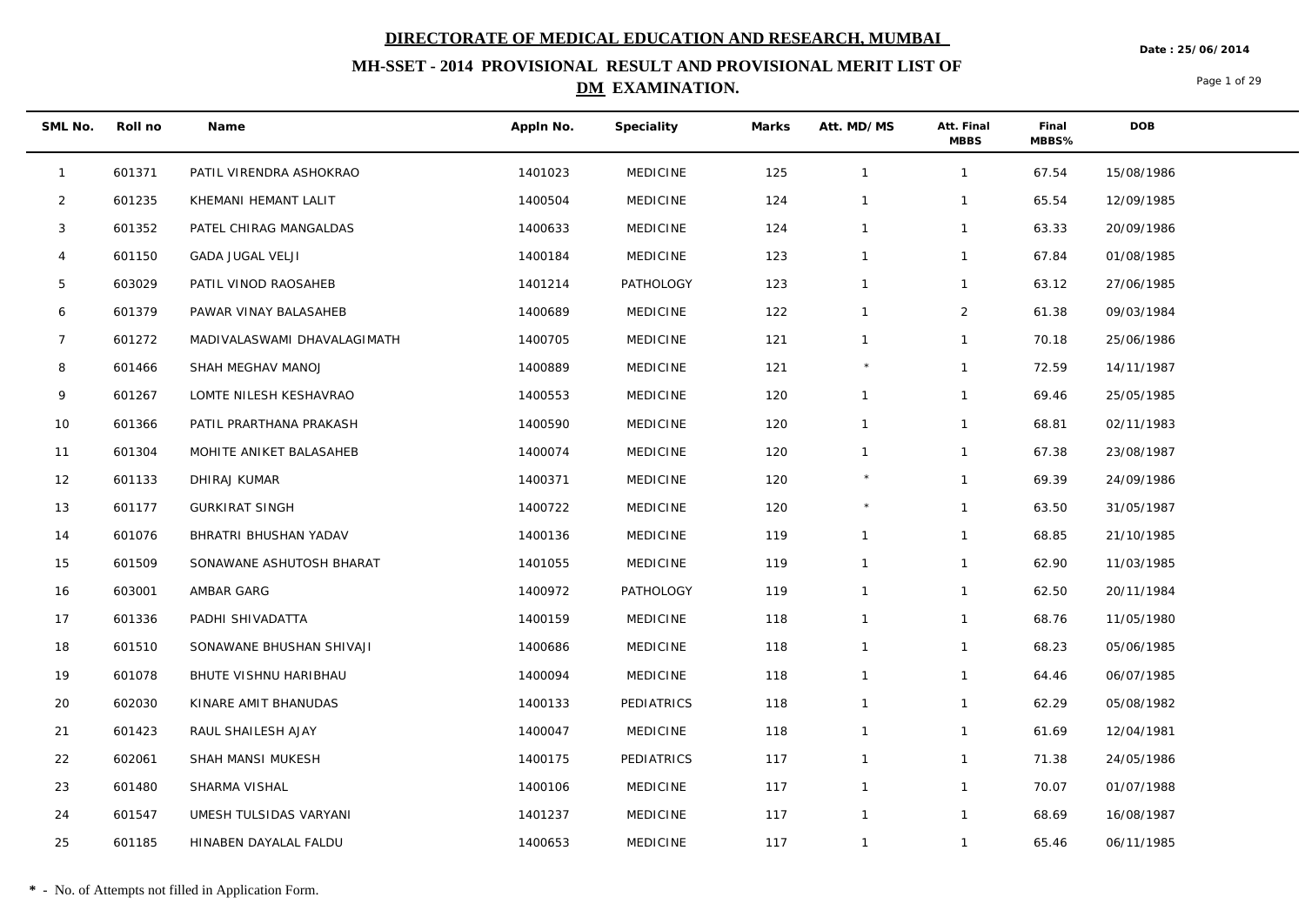**Date : 25/06/2014**

## **MH-SSET - 2014 PROVISIONAL RESULT AND PROVISIONAL MERIT LIST OF DM EXAMINATION.**

Page 1 of 29

| SML No.        | Roll no | Name                        | Appln No. | Speciality      | Marks | Att. MD/MS     | Att. Final<br><b>MBBS</b> | Final<br>MBBS% | <b>DOB</b> |
|----------------|---------|-----------------------------|-----------|-----------------|-------|----------------|---------------------------|----------------|------------|
| $\mathbf{1}$   | 601371  | PATIL VIRENDRA ASHOKRAO     | 1401023   | MEDICINE        | 125   | $\mathbf{1}$   | $\mathbf{1}$              | 67.54          | 15/08/1986 |
| $\overline{2}$ | 601235  | KHEMANI HEMANT LALIT        | 1400504   | <b>MEDICINE</b> | 124   | $\mathbf{1}$   | $\mathbf{1}$              | 65.54          | 12/09/1985 |
| 3              | 601352  | PATEL CHIRAG MANGALDAS      | 1400633   | <b>MEDICINE</b> | 124   | $\mathbf{1}$   | $\mathbf{1}$              | 63.33          | 20/09/1986 |
| $\overline{4}$ | 601150  | <b>GADA JUGAL VELJI</b>     | 1400184   | <b>MEDICINE</b> | 123   | $\mathbf{1}$   | $\mathbf{1}$              | 67.84          | 01/08/1985 |
| 5              | 603029  | PATIL VINOD RAOSAHEB        | 1401214   | PATHOLOGY       | 123   | $\mathbf{1}$   | $\mathbf{1}$              | 63.12          | 27/06/1985 |
| 6              | 601379  | PAWAR VINAY BALASAHEB       | 1400689   | <b>MEDICINE</b> | 122   | $\mathbf{1}$   | $\overline{2}$            | 61.38          | 09/03/1984 |
| $\overline{7}$ | 601272  | MADIVALASWAMI DHAVALAGIMATH | 1400705   | <b>MEDICINE</b> | 121   | $\mathbf{1}$   | $\mathbf{1}$              | 70.18          | 25/06/1986 |
| 8              | 601466  | SHAH MEGHAV MANOJ           | 1400889   | <b>MEDICINE</b> | 121   |                | $\mathbf{1}$              | 72.59          | 14/11/1987 |
| 9              | 601267  | LOMTE NILESH KESHAVRAO      | 1400553   | <b>MEDICINE</b> | 120   | $\mathbf{1}$   | $\mathbf{1}$              | 69.46          | 25/05/1985 |
| 10             | 601366  | PATIL PRARTHANA PRAKASH     | 1400590   | <b>MEDICINE</b> | 120   | $\mathbf{1}$   | $\mathbf{1}$              | 68.81          | 02/11/1983 |
| 11             | 601304  | MOHITE ANIKET BALASAHEB     | 1400074   | <b>MEDICINE</b> | 120   | $\mathbf{1}$   | $\mathbf{1}$              | 67.38          | 23/08/1987 |
| 12             | 601133  | DHIRAJ KUMAR                | 1400371   | <b>MEDICINE</b> | 120   | $^{\star}$     | $\mathbf{1}$              | 69.39          | 24/09/1986 |
| 13             | 601177  | <b>GURKIRAT SINGH</b>       | 1400722   | <b>MEDICINE</b> | 120   |                | $\mathbf{1}$              | 63.50          | 31/05/1987 |
| 14             | 601076  | BHRATRI BHUSHAN YADAV       | 1400136   | <b>MEDICINE</b> | 119   | $\mathbf{1}$   | $\mathbf{1}$              | 68.85          | 21/10/1985 |
| 15             | 601509  | SONAWANE ASHUTOSH BHARAT    | 1401055   | <b>MEDICINE</b> | 119   | $\mathbf{1}$   | $\mathbf{1}$              | 62.90          | 11/03/1985 |
| 16             | 603001  | AMBAR GARG                  | 1400972   | PATHOLOGY       | 119   | $\mathbf{1}$   | $\mathbf{1}$              | 62.50          | 20/11/1984 |
| 17             | 601336  | PADHI SHIVADATTA            | 1400159   | <b>MEDICINE</b> | 118   | $\mathbf{1}$   | $\mathbf{1}$              | 68.76          | 11/05/1980 |
| 18             | 601510  | SONAWANE BHUSHAN SHIVAJI    | 1400686   | <b>MEDICINE</b> | 118   | $\mathbf{1}$   | $\mathbf{1}$              | 68.23          | 05/06/1985 |
| 19             | 601078  | BHUTE VISHNU HARIBHAU       | 1400094   | <b>MEDICINE</b> | 118   | $\mathbf{1}$   | $\mathbf{1}$              | 64.46          | 06/07/1985 |
| 20             | 602030  | KINARE AMIT BHANUDAS        | 1400133   | PEDIATRICS      | 118   | $\mathbf{1}$   | $\mathbf{1}$              | 62.29          | 05/08/1982 |
| 21             | 601423  | RAUL SHAILESH AJAY          | 1400047   | <b>MEDICINE</b> | 118   | $\mathbf{1}$   | $\mathbf{1}$              | 61.69          | 12/04/1981 |
| 22             | 602061  | SHAH MANSI MUKESH           | 1400175   | PEDIATRICS      | 117   | $\mathbf{1}$   | $\mathbf{1}$              | 71.38          | 24/05/1986 |
| 23             | 601480  | SHARMA VISHAL               | 1400106   | <b>MEDICINE</b> | 117   | $\mathbf{1}$   | $\mathbf{1}$              | 70.07          | 01/07/1988 |
| 24             | 601547  | UMESH TULSIDAS VARYANI      | 1401237   | <b>MEDICINE</b> | 117   | $\overline{1}$ | $\mathbf{1}$              | 68.69          | 16/08/1987 |
| 25             | 601185  | HINABEN DAYALAL FALDU       | 1400653   | <b>MEDICINE</b> | 117   | $\mathbf{1}$   | $\mathbf{1}$              | 65.46          | 06/11/1985 |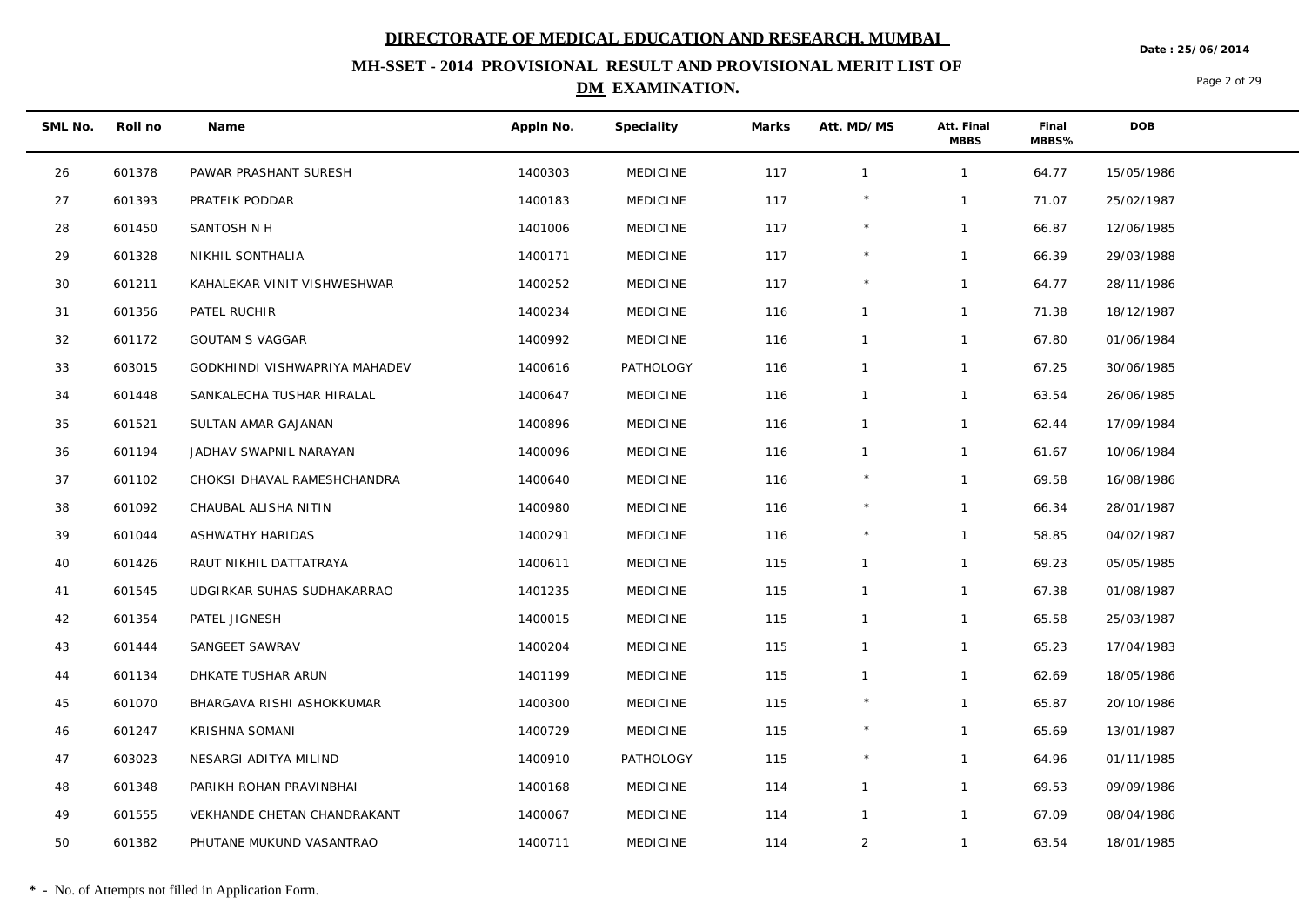**Date : 25/06/2014**

## **MH-SSET - 2014 PROVISIONAL RESULT AND PROVISIONAL MERIT LIST OF DM EXAMINATION.**

Page 2 of 29

| SML No. | Roll no | Name                          | Appln No. | Speciality      | Marks | Att. MD/MS     | Att. Final<br><b>MBBS</b> | Final<br>MBBS% | <b>DOB</b> |  |
|---------|---------|-------------------------------|-----------|-----------------|-------|----------------|---------------------------|----------------|------------|--|
| 26      | 601378  | PAWAR PRASHANT SURESH         | 1400303   | <b>MEDICINE</b> | 117   | $\overline{1}$ | $\mathbf{1}$              | 64.77          | 15/05/1986 |  |
| 27      | 601393  | PRATEIK PODDAR                | 1400183   | <b>MEDICINE</b> | 117   |                | $\mathbf{1}$              | 71.07          | 25/02/1987 |  |
| 28      | 601450  | SANTOSH N H                   | 1401006   | <b>MEDICINE</b> | 117   | $\star$        | $\mathbf{1}$              | 66.87          | 12/06/1985 |  |
| 29      | 601328  | NIKHIL SONTHALIA              | 1400171   | <b>MEDICINE</b> | 117   |                | $\mathbf{1}$              | 66.39          | 29/03/1988 |  |
| 30      | 601211  | KAHALEKAR VINIT VISHWESHWAR   | 1400252   | <b>MEDICINE</b> | 117   |                | $\mathbf{1}$              | 64.77          | 28/11/1986 |  |
| 31      | 601356  | PATEL RUCHIR                  | 1400234   | <b>MEDICINE</b> | 116   | $\mathbf{1}$   | $\mathbf{1}$              | 71.38          | 18/12/1987 |  |
| 32      | 601172  | <b>GOUTAM S VAGGAR</b>        | 1400992   | <b>MEDICINE</b> | 116   | $\overline{1}$ | $\mathbf{1}$              | 67.80          | 01/06/1984 |  |
| 33      | 603015  | GODKHINDI VISHWAPRIYA MAHADEV | 1400616   | PATHOLOGY       | 116   | $\mathbf{1}$   | $\mathbf{1}$              | 67.25          | 30/06/1985 |  |
| 34      | 601448  | SANKALECHA TUSHAR HIRALAL     | 1400647   | <b>MEDICINE</b> | 116   | $\mathbf{1}$   | $\mathbf{1}$              | 63.54          | 26/06/1985 |  |
| 35      | 601521  | SULTAN AMAR GAJANAN           | 1400896   | <b>MEDICINE</b> | 116   | $\mathbf{1}$   | $\mathbf{1}$              | 62.44          | 17/09/1984 |  |
| 36      | 601194  | JADHAV SWAPNIL NARAYAN        | 1400096   | <b>MEDICINE</b> | 116   | $\mathbf{1}$   | $\mathbf{1}$              | 61.67          | 10/06/1984 |  |
| 37      | 601102  | CHOKSI DHAVAL RAMESHCHANDRA   | 1400640   | <b>MEDICINE</b> | 116   | $\star$        | $\mathbf{1}$              | 69.58          | 16/08/1986 |  |
| 38      | 601092  | CHAUBAL ALISHA NITIN          | 1400980   | <b>MEDICINE</b> | 116   | $^{\star}$     | $\mathbf{1}$              | 66.34          | 28/01/1987 |  |
| 39      | 601044  | ASHWATHY HARIDAS              | 1400291   | <b>MEDICINE</b> | 116   |                | $\mathbf{1}$              | 58.85          | 04/02/1987 |  |
| 40      | 601426  | RAUT NIKHIL DATTATRAYA        | 1400611   | <b>MEDICINE</b> | 115   | $\overline{1}$ | $\mathbf{1}$              | 69.23          | 05/05/1985 |  |
| 41      | 601545  | UDGIRKAR SUHAS SUDHAKARRAO    | 1401235   | <b>MEDICINE</b> | 115   | $\mathbf{1}$   | $\mathbf{1}$              | 67.38          | 01/08/1987 |  |
| 42      | 601354  | PATEL JIGNESH                 | 1400015   | <b>MEDICINE</b> | 115   | $\mathbf{1}$   | $\mathbf{1}$              | 65.58          | 25/03/1987 |  |
| 43      | 601444  | SANGEET SAWRAV                | 1400204   | <b>MEDICINE</b> | 115   | $\mathbf{1}$   | $\mathbf{1}$              | 65.23          | 17/04/1983 |  |
| 44      | 601134  | DHKATE TUSHAR ARUN            | 1401199   | <b>MEDICINE</b> | 115   | $\mathbf{1}$   | $\mathbf{1}$              | 62.69          | 18/05/1986 |  |
| 45      | 601070  | BHARGAVA RISHI ASHOKKUMAR     | 1400300   | <b>MEDICINE</b> | 115   |                | $\mathbf{1}$              | 65.87          | 20/10/1986 |  |
| 46      | 601247  | KRISHNA SOMANI                | 1400729   | <b>MEDICINE</b> | 115   | $\star$        | $\mathbf{1}$              | 65.69          | 13/01/1987 |  |
| 47      | 603023  | NESARGI ADITYA MILIND         | 1400910   | PATHOLOGY       | 115   |                | $\mathbf{1}$              | 64.96          | 01/11/1985 |  |
| 48      | 601348  | PARIKH ROHAN PRAVINBHAI       | 1400168   | <b>MEDICINE</b> | 114   | $\mathbf{1}$   | $\mathbf{1}$              | 69.53          | 09/09/1986 |  |
| 49      | 601555  | VEKHANDE CHETAN CHANDRAKANT   | 1400067   | <b>MEDICINE</b> | 114   | $\mathbf{1}$   | $\mathbf{1}$              | 67.09          | 08/04/1986 |  |
| 50      | 601382  | PHUTANE MUKUND VASANTRAO      | 1400711   | <b>MEDICINE</b> | 114   | $\overline{2}$ | $\mathbf{1}$              | 63.54          | 18/01/1985 |  |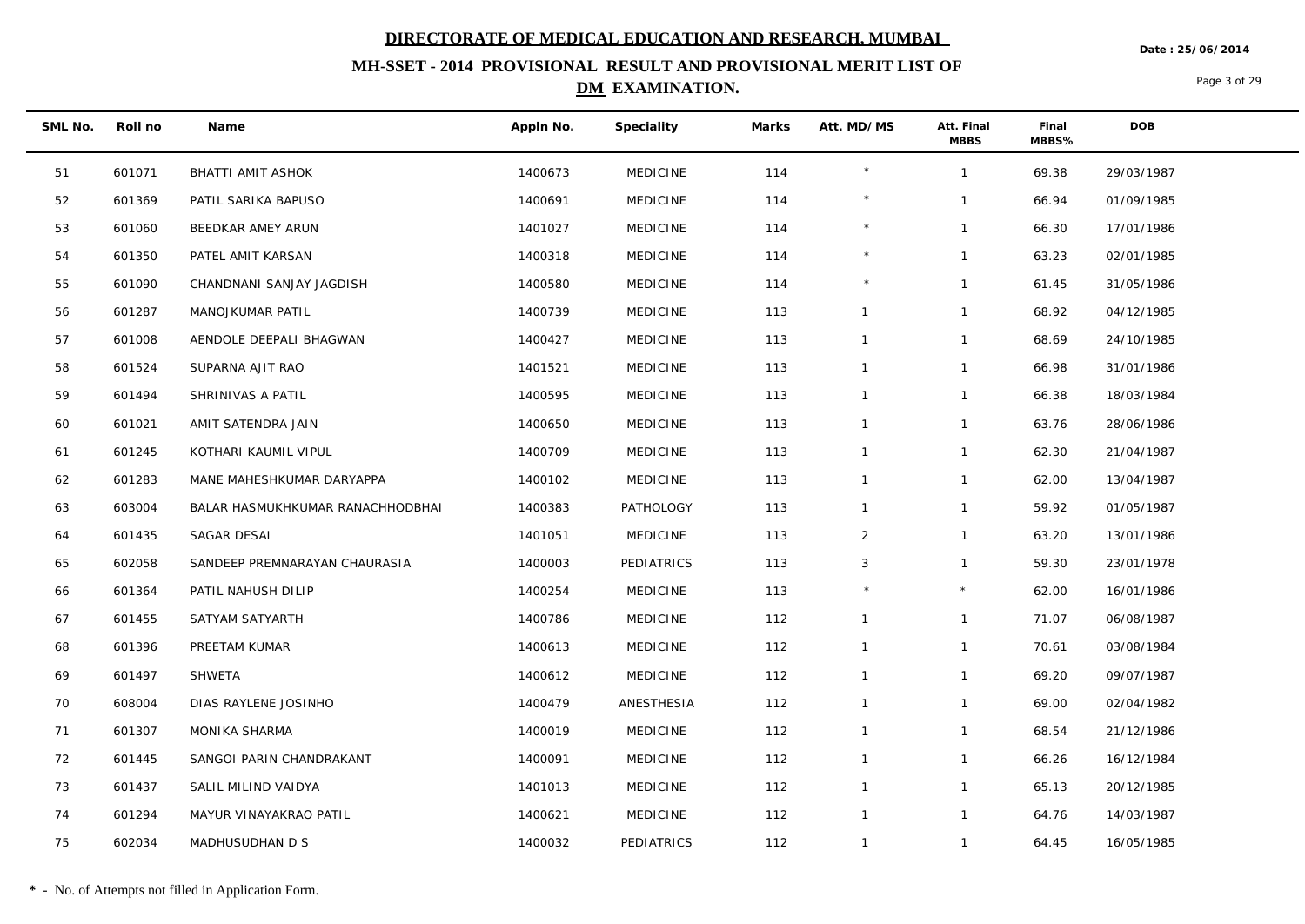**MH-SSET - 2014 PROVISIONAL RESULT AND PROVISIONAL MERIT LIST OF** 

### **DM EXAMINATION.**

Page 3 of 29

**Date : 25/06/2014**

| SML No. | Roll no | Name                             | Appln No. | Speciality      | Marks | Att. MD/MS     | Att. Final<br><b>MBBS</b> | Final<br>MBBS% | <b>DOB</b> |
|---------|---------|----------------------------------|-----------|-----------------|-------|----------------|---------------------------|----------------|------------|
| 51      | 601071  | BHATTI AMIT ASHOK                | 1400673   | MEDICINE        | 114   | $\star$        | $\mathbf{1}$              | 69.38          | 29/03/1987 |
| 52      | 601369  | PATIL SARIKA BAPUSO              | 1400691   | <b>MEDICINE</b> | 114   | $\star$        | $\mathbf{1}$              | 66.94          | 01/09/1985 |
| 53      | 601060  | BEEDKAR AMEY ARUN                | 1401027   | <b>MEDICINE</b> | 114   | $^{\star}$     | $\mathbf{1}$              | 66.30          | 17/01/1986 |
| 54      | 601350  | PATEL AMIT KARSAN                | 1400318   | <b>MEDICINE</b> | 114   | $\star$        | $\mathbf{1}$              | 63.23          | 02/01/1985 |
| 55      | 601090  | CHANDNANI SANJAY JAGDISH         | 1400580   | <b>MEDICINE</b> | 114   |                | $\mathbf{1}$              | 61.45          | 31/05/1986 |
| 56      | 601287  | MANOJKUMAR PATIL                 | 1400739   | <b>MEDICINE</b> | 113   | $\mathbf{1}$   | $\mathbf{1}$              | 68.92          | 04/12/1985 |
| 57      | 601008  | AENDOLE DEEPALI BHAGWAN          | 1400427   | <b>MEDICINE</b> | 113   | $\mathbf{1}$   | $\mathbf{1}$              | 68.69          | 24/10/1985 |
| 58      | 601524  | SUPARNA AJIT RAO                 | 1401521   | <b>MEDICINE</b> | 113   | $\mathbf{1}$   | $\mathbf{1}$              | 66.98          | 31/01/1986 |
| 59      | 601494  | SHRINIVAS A PATIL                | 1400595   | <b>MEDICINE</b> | 113   | $\mathbf{1}$   | $\mathbf{1}$              | 66.38          | 18/03/1984 |
| 60      | 601021  | AMIT SATENDRA JAIN               | 1400650   | <b>MEDICINE</b> | 113   | $\mathbf{1}$   | $\mathbf{1}$              | 63.76          | 28/06/1986 |
| 61      | 601245  | KOTHARI KAUMIL VIPUL             | 1400709   | <b>MEDICINE</b> | 113   | $\mathbf{1}$   | $\mathbf{1}$              | 62.30          | 21/04/1987 |
| 62      | 601283  | MANE MAHESHKUMAR DARYAPPA        | 1400102   | <b>MEDICINE</b> | 113   | $\mathbf{1}$   | $\mathbf{1}$              | 62.00          | 13/04/1987 |
| 63      | 603004  | BALAR HASMUKHKUMAR RANACHHODBHAI | 1400383   | PATHOLOGY       | 113   | $\mathbf{1}$   | $\mathbf{1}$              | 59.92          | 01/05/1987 |
| 64      | 601435  | SAGAR DESAI                      | 1401051   | <b>MEDICINE</b> | 113   | $\overline{2}$ | $\mathbf{1}$              | 63.20          | 13/01/1986 |
| 65      | 602058  | SANDEEP PREMNARAYAN CHAURASIA    | 1400003   | PEDIATRICS      | 113   | 3              | $\mathbf{1}$              | 59.30          | 23/01/1978 |
| 66      | 601364  | PATIL NAHUSH DILIP               | 1400254   | <b>MEDICINE</b> | 113   |                | $\star$                   | 62.00          | 16/01/1986 |
| 67      | 601455  | SATYAM SATYARTH                  | 1400786   | <b>MEDICINE</b> | 112   | $\mathbf{1}$   | $\mathbf{1}$              | 71.07          | 06/08/1987 |
| 68      | 601396  | PREETAM KUMAR                    | 1400613   | <b>MEDICINE</b> | 112   | $\mathbf{1}$   | $\mathbf{1}$              | 70.61          | 03/08/1984 |
| 69      | 601497  | SHWETA                           | 1400612   | <b>MEDICINE</b> | 112   | $\mathbf{1}$   | $\mathbf{1}$              | 69.20          | 09/07/1987 |
| 70      | 608004  | DIAS RAYLENE JOSINHO             | 1400479   | ANESTHESIA      | 112   | $\mathbf{1}$   | $\mathbf{1}$              | 69.00          | 02/04/1982 |
| 71      | 601307  | MONIKA SHARMA                    | 1400019   | <b>MEDICINE</b> | 112   | $\mathbf{1}$   | $\mathbf{1}$              | 68.54          | 21/12/1986 |
| 72      | 601445  | SANGOI PARIN CHANDRAKANT         | 1400091   | <b>MEDICINE</b> | 112   | $\mathbf{1}$   | $\mathbf{1}$              | 66.26          | 16/12/1984 |
| 73      | 601437  | SALIL MILIND VAIDYA              | 1401013   | <b>MEDICINE</b> | 112   | $\mathbf{1}$   | $\mathbf{1}$              | 65.13          | 20/12/1985 |
| 74      | 601294  | MAYUR VINAYAKRAO PATIL           | 1400621   | <b>MEDICINE</b> | 112   | $\mathbf{1}$   | $\mathbf{1}$              | 64.76          | 14/03/1987 |
| 75      | 602034  | MADHUSUDHAN D S                  | 1400032   | PEDIATRICS      | 112   | $\mathbf{1}$   | $\mathbf{1}$              | 64.45          | 16/05/1985 |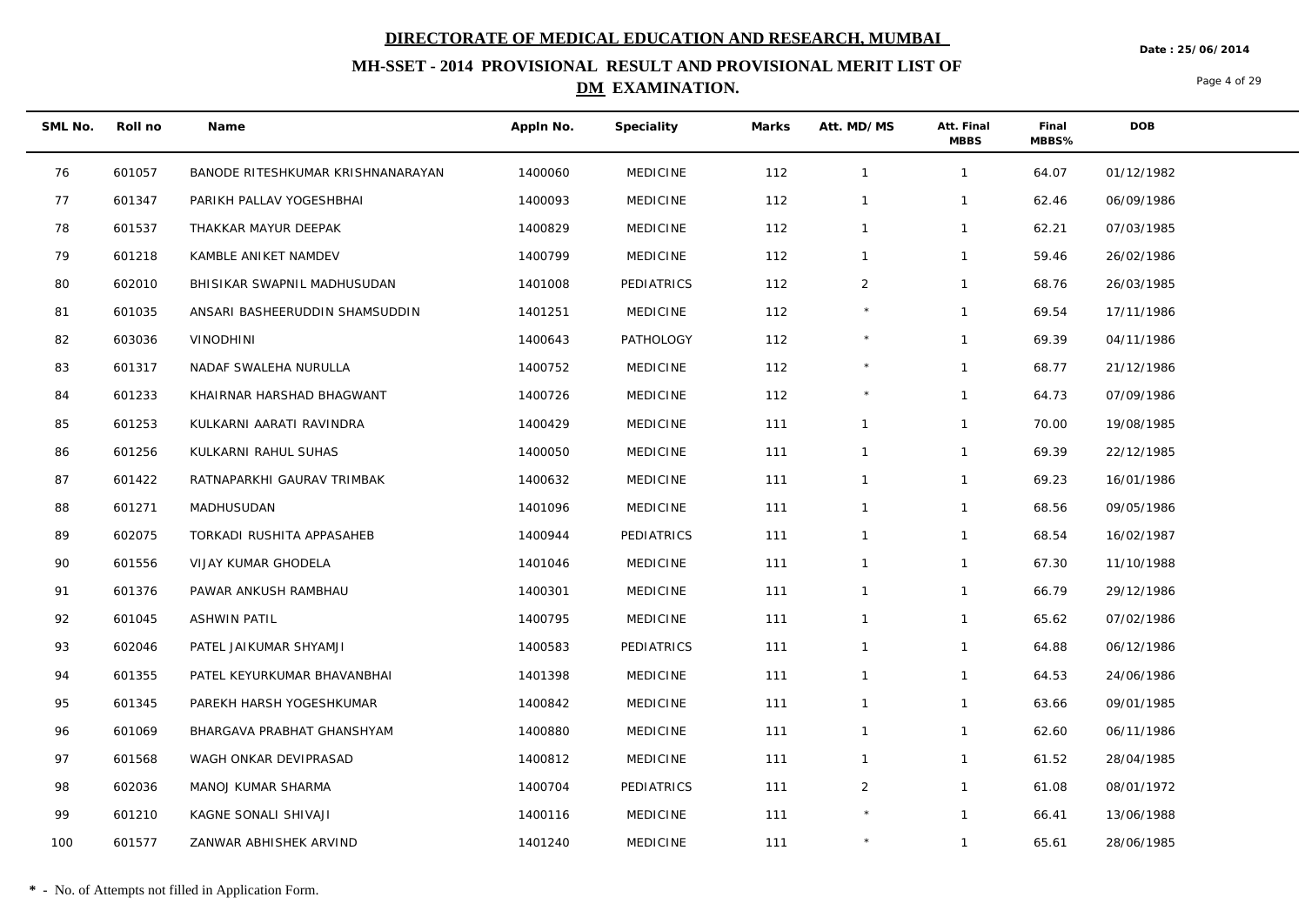**Date : 25/06/2014**

## **MH-SSET - 2014 PROVISIONAL RESULT AND PROVISIONAL MERIT LIST OF DM EXAMINATION.**

Page 4 of 29

| SML No. | Roll no | Name                              | Appln No. | Speciality       | Marks | Att. MD/MS     | Att. Final<br><b>MBBS</b> | Final<br>MBBS% | <b>DOB</b> |  |
|---------|---------|-----------------------------------|-----------|------------------|-------|----------------|---------------------------|----------------|------------|--|
| 76      | 601057  | BANODE RITESHKUMAR KRISHNANARAYAN | 1400060   | <b>MEDICINE</b>  | 112   | $\overline{1}$ | $\mathbf{1}$              | 64.07          | 01/12/1982 |  |
| 77      | 601347  | PARIKH PALLAV YOGESHBHAI          | 1400093   | <b>MEDICINE</b>  | 112   | $\mathbf{1}$   | $\mathbf{1}$              | 62.46          | 06/09/1986 |  |
| 78      | 601537  | THAKKAR MAYUR DEEPAK              | 1400829   | <b>MEDICINE</b>  | 112   | $\overline{1}$ | $\mathbf{1}$              | 62.21          | 07/03/1985 |  |
| 79      | 601218  | KAMBLE ANIKET NAMDEV              | 1400799   | <b>MEDICINE</b>  | 112   | $\overline{1}$ | $\mathbf{1}$              | 59.46          | 26/02/1986 |  |
| 80      | 602010  | BHISIKAR SWAPNIL MADHUSUDAN       | 1401008   | PEDIATRICS       | 112   | $\overline{2}$ | $\mathbf{1}$              | 68.76          | 26/03/1985 |  |
| 81      | 601035  | ANSARI BASHEERUDDIN SHAMSUDDIN    | 1401251   | <b>MEDICINE</b>  | 112   | $^{\star}$     | $\mathbf{1}$              | 69.54          | 17/11/1986 |  |
| 82      | 603036  | <b>VINODHINI</b>                  | 1400643   | <b>PATHOLOGY</b> | 112   | $\star$        | $\mathbf{1}$              | 69.39          | 04/11/1986 |  |
| 83      | 601317  | NADAF SWALEHA NURULLA             | 1400752   | <b>MEDICINE</b>  | 112   |                | $\mathbf{1}$              | 68.77          | 21/12/1986 |  |
| 84      | 601233  | KHAIRNAR HARSHAD BHAGWANT         | 1400726   | <b>MEDICINE</b>  | 112   | $\star$        | $\mathbf{1}$              | 64.73          | 07/09/1986 |  |
| 85      | 601253  | KULKARNI AARATI RAVINDRA          | 1400429   | <b>MEDICINE</b>  | 111   | $\mathbf{1}$   | $\mathbf{1}$              | 70.00          | 19/08/1985 |  |
| 86      | 601256  | KULKARNI RAHUL SUHAS              | 1400050   | <b>MEDICINE</b>  | 111   | $\overline{1}$ | $\mathbf{1}$              | 69.39          | 22/12/1985 |  |
| 87      | 601422  | RATNAPARKHI GAURAV TRIMBAK        | 1400632   | <b>MEDICINE</b>  | 111   | $\overline{1}$ | $\mathbf{1}$              | 69.23          | 16/01/1986 |  |
| 88      | 601271  | MADHUSUDAN                        | 1401096   | <b>MEDICINE</b>  | 111   | $\overline{1}$ | $\mathbf{1}$              | 68.56          | 09/05/1986 |  |
| 89      | 602075  | TORKADI RUSHITA APPASAHEB         | 1400944   | PEDIATRICS       | 111   | $\overline{1}$ | $\mathbf{1}$              | 68.54          | 16/02/1987 |  |
| 90      | 601556  | VIJAY KUMAR GHODELA               | 1401046   | <b>MEDICINE</b>  | 111   | $\overline{1}$ | $\mathbf{1}$              | 67.30          | 11/10/1988 |  |
| 91      | 601376  | PAWAR ANKUSH RAMBHAU              | 1400301   | <b>MEDICINE</b>  | 111   | $\overline{1}$ | $\mathbf{1}$              | 66.79          | 29/12/1986 |  |
| 92      | 601045  | ASHWIN PATIL                      | 1400795   | <b>MEDICINE</b>  | 111   | $\overline{1}$ | $\mathbf{1}$              | 65.62          | 07/02/1986 |  |
| 93      | 602046  | PATEL JAIKUMAR SHYAMJI            | 1400583   | PEDIATRICS       | 111   | $\overline{1}$ | $\mathbf{1}$              | 64.88          | 06/12/1986 |  |
| 94      | 601355  | PATEL KEYURKUMAR BHAVANBHAI       | 1401398   | <b>MEDICINE</b>  | 111   | $\mathbf{1}$   | $\mathbf{1}$              | 64.53          | 24/06/1986 |  |
| 95      | 601345  | PAREKH HARSH YOGESHKUMAR          | 1400842   | <b>MEDICINE</b>  | 111   | $\mathbf{1}$   | $\mathbf{1}$              | 63.66          | 09/01/1985 |  |
| 96      | 601069  | BHARGAVA PRABHAT GHANSHYAM        | 1400880   | <b>MEDICINE</b>  | 111   | $\overline{1}$ | $\mathbf{1}$              | 62.60          | 06/11/1986 |  |
| 97      | 601568  | WAGH ONKAR DEVIPRASAD             | 1400812   | <b>MEDICINE</b>  | 111   | $\mathbf{1}$   | $\mathbf{1}$              | 61.52          | 28/04/1985 |  |
| 98      | 602036  | MANOJ KUMAR SHARMA                | 1400704   | PEDIATRICS       | 111   | $\overline{2}$ | $\mathbf{1}$              | 61.08          | 08/01/1972 |  |
| 99      | 601210  | KAGNE SONALI SHIVAJI              | 1400116   | <b>MEDICINE</b>  | 111   | $^{\star}$     | $\mathbf{1}$              | 66.41          | 13/06/1988 |  |
| 100     | 601577  | ZANWAR ABHISHEK ARVIND            | 1401240   | <b>MEDICINE</b>  | 111   | $\ast$         | $\mathbf{1}$              | 65.61          | 28/06/1985 |  |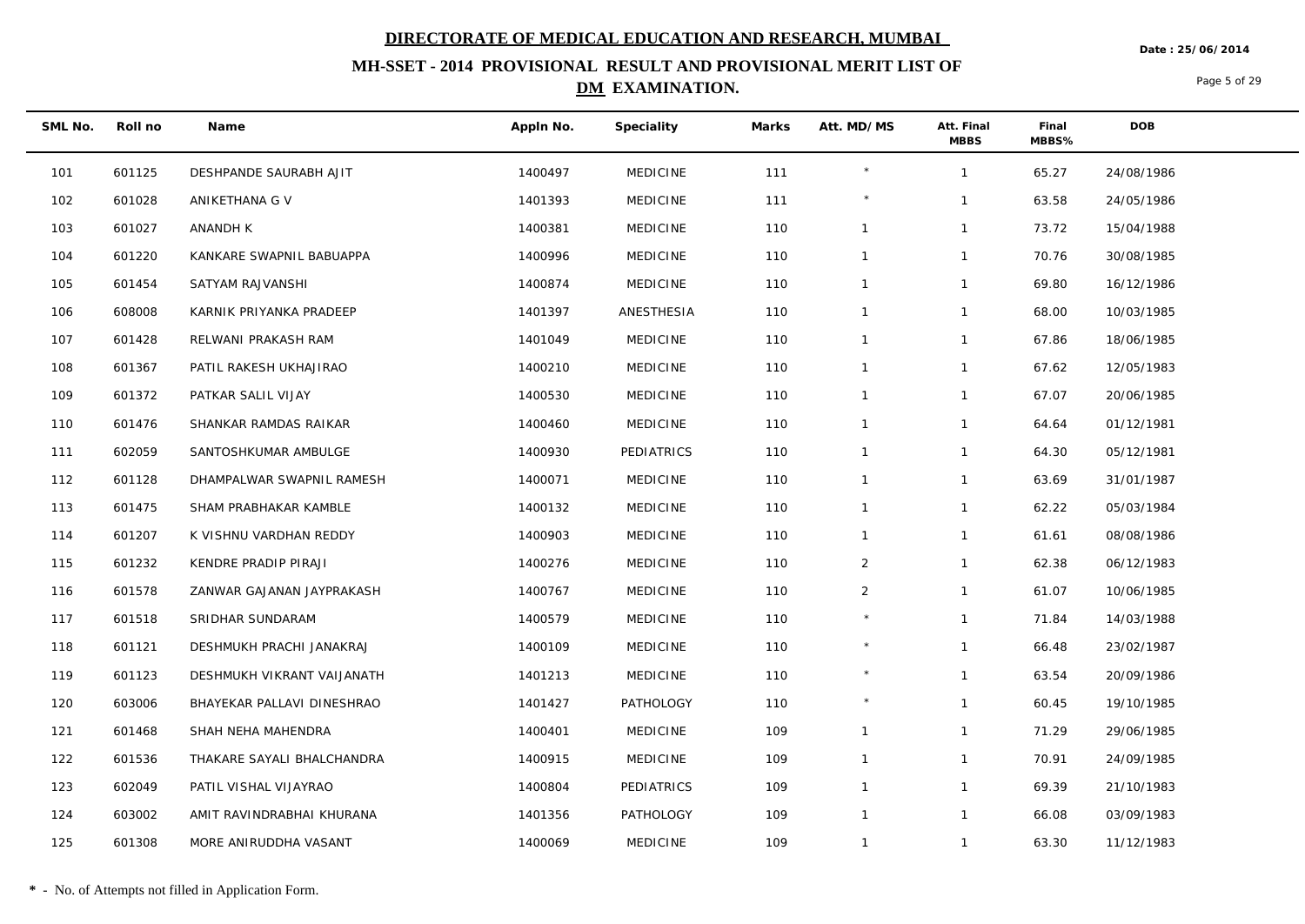**Date : 25/06/2014**

## **MH-SSET - 2014 PROVISIONAL RESULT AND PROVISIONAL MERIT LIST OF DM EXAMINATION.**

Page 5 of 29

| SML No. | Roll no | Name                       | Appln No. | Speciality       | Marks | Att. MD/MS     | Att. Final<br><b>MBBS</b> | Final<br>MBBS% | <b>DOB</b> |
|---------|---------|----------------------------|-----------|------------------|-------|----------------|---------------------------|----------------|------------|
| 101     | 601125  | DESHPANDE SAURABH AJIT     | 1400497   | <b>MEDICINE</b>  | 111   | $^{\star}$     | $\mathbf{1}$              | 65.27          | 24/08/1986 |
| 102     | 601028  | ANIKETHANA G V             | 1401393   | <b>MEDICINE</b>  | 111   | $^{\star}$     | $\mathbf{1}$              | 63.58          | 24/05/1986 |
| 103     | 601027  | ANANDH K                   | 1400381   | <b>MEDICINE</b>  | 110   | $\mathbf{1}$   | $\mathbf{1}$              | 73.72          | 15/04/1988 |
| 104     | 601220  | KANKARE SWAPNIL BABUAPPA   | 1400996   | <b>MEDICINE</b>  | 110   | $\overline{1}$ | $\mathbf{1}$              | 70.76          | 30/08/1985 |
| 105     | 601454  | SATYAM RAJVANSHI           | 1400874   | <b>MEDICINE</b>  | 110   | $\mathbf{1}$   | $\mathbf{1}$              | 69.80          | 16/12/1986 |
| 106     | 608008  | KARNIK PRIYANKA PRADEEP    | 1401397   | ANESTHESIA       | 110   | $\overline{1}$ | $\mathbf{1}$              | 68.00          | 10/03/1985 |
| 107     | 601428  | RELWANI PRAKASH RAM        | 1401049   | <b>MEDICINE</b>  | 110   | $\mathbf{1}$   | $\mathbf{1}$              | 67.86          | 18/06/1985 |
| 108     | 601367  | PATIL RAKESH UKHAJIRAO     | 1400210   | <b>MEDICINE</b>  | 110   | $\overline{1}$ | $\mathbf{1}$              | 67.62          | 12/05/1983 |
| 109     | 601372  | PATKAR SALIL VIJAY         | 1400530   | <b>MEDICINE</b>  | 110   | $\mathbf{1}$   | $\mathbf{1}$              | 67.07          | 20/06/1985 |
| 110     | 601476  | SHANKAR RAMDAS RAIKAR      | 1400460   | <b>MEDICINE</b>  | 110   | $\overline{1}$ | $\mathbf{1}$              | 64.64          | 01/12/1981 |
| 111     | 602059  | SANTOSHKUMAR AMBULGE       | 1400930   | PEDIATRICS       | 110   | $\mathbf{1}$   | $\mathbf{1}$              | 64.30          | 05/12/1981 |
| 112     | 601128  | DHAMPALWAR SWAPNIL RAMESH  | 1400071   | <b>MEDICINE</b>  | 110   | $\overline{1}$ | $\mathbf{1}$              | 63.69          | 31/01/1987 |
| 113     | 601475  | SHAM PRABHAKAR KAMBLE      | 1400132   | <b>MEDICINE</b>  | 110   | $\overline{1}$ | $\mathbf{1}$              | 62.22          | 05/03/1984 |
| 114     | 601207  | K VISHNU VARDHAN REDDY     | 1400903   | <b>MEDICINE</b>  | 110   | $\mathbf{1}$   | $\mathbf{1}$              | 61.61          | 08/08/1986 |
| 115     | 601232  | KENDRE PRADIP PIRAJI       | 1400276   | <b>MEDICINE</b>  | 110   | $\overline{2}$ | $\mathbf{1}$              | 62.38          | 06/12/1983 |
| 116     | 601578  | ZANWAR GAJANAN JAYPRAKASH  | 1400767   | <b>MEDICINE</b>  | 110   | $\overline{2}$ | $\mathbf{1}$              | 61.07          | 10/06/1985 |
| 117     | 601518  | SRIDHAR SUNDARAM           | 1400579   | <b>MEDICINE</b>  | 110   | $\star$        | $\mathbf{1}$              | 71.84          | 14/03/1988 |
| 118     | 601121  | DESHMUKH PRACHI JANAKRAJ   | 1400109   | <b>MEDICINE</b>  | 110   | $^{\star}$     | $\mathbf{1}$              | 66.48          | 23/02/1987 |
| 119     | 601123  | DESHMUKH VIKRANT VAIJANATH | 1401213   | <b>MEDICINE</b>  | 110   | $\star$        | $\mathbf{1}$              | 63.54          | 20/09/1986 |
| 120     | 603006  | BHAYEKAR PALLAVI DINESHRAO | 1401427   | <b>PATHOLOGY</b> | 110   |                | $\mathbf{1}$              | 60.45          | 19/10/1985 |
| 121     | 601468  | SHAH NEHA MAHENDRA         | 1400401   | <b>MEDICINE</b>  | 109   | $\overline{1}$ | $\mathbf{1}$              | 71.29          | 29/06/1985 |
| 122     | 601536  | THAKARE SAYALI BHALCHANDRA | 1400915   | <b>MEDICINE</b>  | 109   | $\overline{1}$ | $\mathbf{1}$              | 70.91          | 24/09/1985 |
| 123     | 602049  | PATIL VISHAL VIJAYRAO      | 1400804   | PEDIATRICS       | 109   | $\mathbf{1}$   | $\mathbf{1}$              | 69.39          | 21/10/1983 |
| 124     | 603002  | AMIT RAVINDRABHAI KHURANA  | 1401356   | <b>PATHOLOGY</b> | 109   | $\overline{1}$ | $\mathbf{1}$              | 66.08          | 03/09/1983 |
| 125     | 601308  | MORE ANIRUDDHA VASANT      | 1400069   | <b>MEDICINE</b>  | 109   | $\overline{1}$ | $\mathbf{1}$              | 63.30          | 11/12/1983 |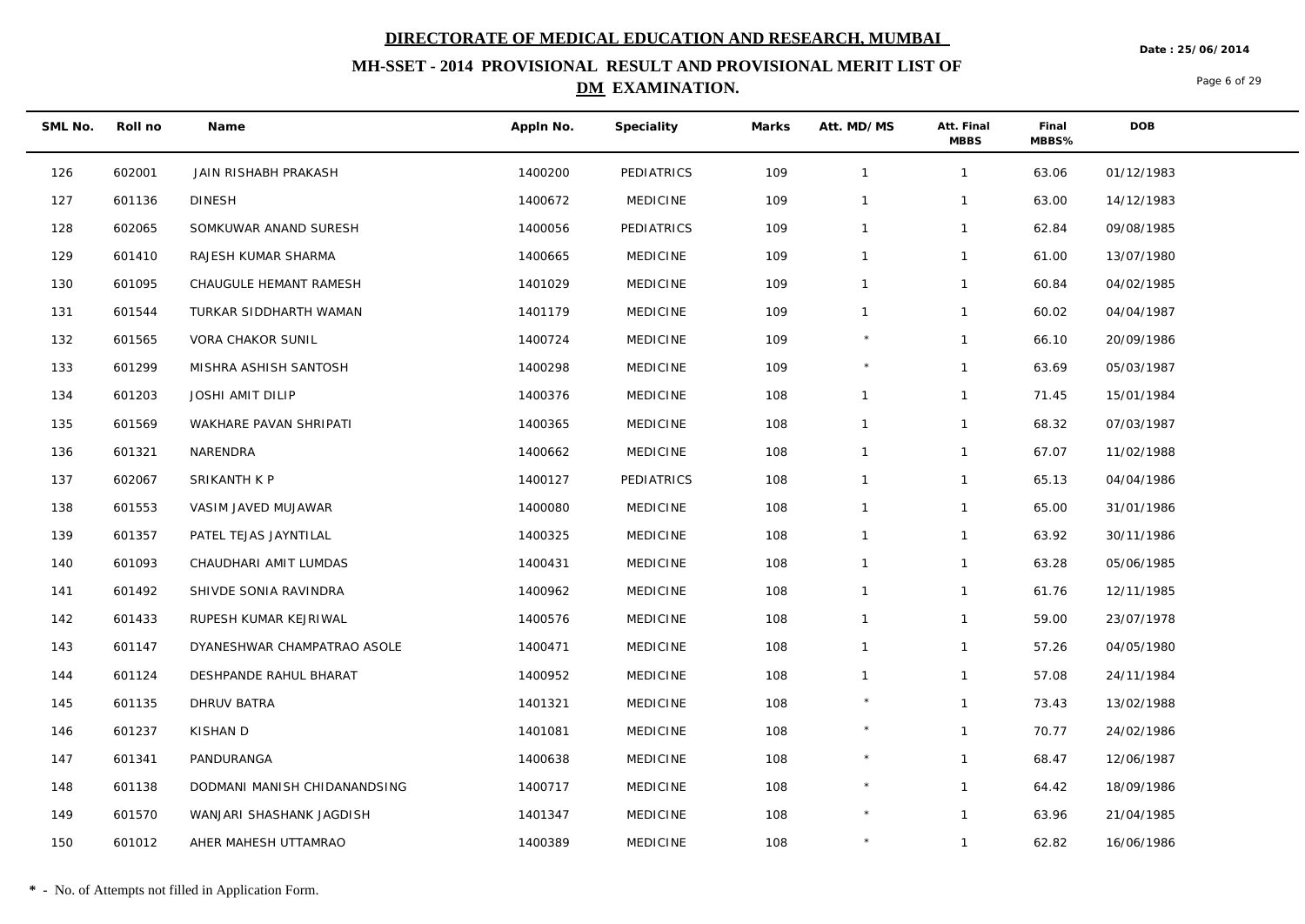**Date : 25/06/2014**

## **MH-SSET - 2014 PROVISIONAL RESULT AND PROVISIONAL MERIT LIST OF DM EXAMINATION.**

Page 6 of 29

| SML No. | Roll no | Name                         | Appln No. | Speciality      | Marks | Att. MD/MS     | Att. Final<br><b>MBBS</b> | Final<br>MBBS% | DOB        |
|---------|---------|------------------------------|-----------|-----------------|-------|----------------|---------------------------|----------------|------------|
| 126     | 602001  | JAIN RISHABH PRAKASH         | 1400200   | PEDIATRICS      | 109   | $\mathbf{1}$   | $\mathbf{1}$              | 63.06          | 01/12/1983 |
| 127     | 601136  | <b>DINESH</b>                | 1400672   | <b>MEDICINE</b> | 109   | $\mathbf{1}$   | $\mathbf{1}$              | 63.00          | 14/12/1983 |
| 128     | 602065  | SOMKUWAR ANAND SURESH        | 1400056   | PEDIATRICS      | 109   | $\mathbf{1}$   | $\mathbf{1}$              | 62.84          | 09/08/1985 |
| 129     | 601410  | RAJESH KUMAR SHARMA          | 1400665   | <b>MEDICINE</b> | 109   | $\overline{1}$ | $\mathbf{1}$              | 61.00          | 13/07/1980 |
| 130     | 601095  | CHAUGULE HEMANT RAMESH       | 1401029   | <b>MEDICINE</b> | 109   | $\mathbf{1}$   | $\mathbf{1}$              | 60.84          | 04/02/1985 |
| 131     | 601544  | TURKAR SIDDHARTH WAMAN       | 1401179   | <b>MEDICINE</b> | 109   | $\mathbf{1}$   | $\mathbf{1}$              | 60.02          | 04/04/1987 |
| 132     | 601565  | VORA CHAKOR SUNIL            | 1400724   | <b>MEDICINE</b> | 109   | $\star$        | $\mathbf{1}$              | 66.10          | 20/09/1986 |
| 133     | 601299  | MISHRA ASHISH SANTOSH        | 1400298   | <b>MEDICINE</b> | 109   | $^{\star}$     | $\mathbf{1}$              | 63.69          | 05/03/1987 |
| 134     | 601203  | <b>JOSHI AMIT DILIP</b>      | 1400376   | <b>MEDICINE</b> | 108   | $\mathbf{1}$   | $\mathbf{1}$              | 71.45          | 15/01/1984 |
| 135     | 601569  | WAKHARE PAVAN SHRIPATI       | 1400365   | <b>MEDICINE</b> | 108   | $\mathbf{1}$   | $\mathbf{1}$              | 68.32          | 07/03/1987 |
| 136     | 601321  | NARENDRA                     | 1400662   | <b>MEDICINE</b> | 108   | $\mathbf{1}$   | $\mathbf{1}$              | 67.07          | 11/02/1988 |
| 137     | 602067  | SRIKANTH K P                 | 1400127   | PEDIATRICS      | 108   | $\overline{1}$ | $\mathbf{1}$              | 65.13          | 04/04/1986 |
| 138     | 601553  | VASIM JAVED MUJAWAR          | 1400080   | <b>MEDICINE</b> | 108   | $\mathbf{1}$   | $\mathbf{1}$              | 65.00          | 31/01/1986 |
| 139     | 601357  | PATEL TEJAS JAYNTILAL        | 1400325   | <b>MEDICINE</b> | 108   | $\mathbf{1}$   | $\mathbf{1}$              | 63.92          | 30/11/1986 |
| 140     | 601093  | CHAUDHARI AMIT LUMDAS        | 1400431   | <b>MEDICINE</b> | 108   | $\mathbf{1}$   | $\mathbf{1}$              | 63.28          | 05/06/1985 |
| 141     | 601492  | SHIVDE SONIA RAVINDRA        | 1400962   | <b>MEDICINE</b> | 108   | $\mathbf{1}$   | $\mathbf{1}$              | 61.76          | 12/11/1985 |
| 142     | 601433  | RUPESH KUMAR KEJRIWAL        | 1400576   | <b>MEDICINE</b> | 108   | $\mathbf{1}$   | $\mathbf{1}$              | 59.00          | 23/07/1978 |
| 143     | 601147  | DYANESHWAR CHAMPATRAO ASOLE  | 1400471   | <b>MEDICINE</b> | 108   | $\mathbf{1}$   | $\mathbf{1}$              | 57.26          | 04/05/1980 |
| 144     | 601124  | DESHPANDE RAHUL BHARAT       | 1400952   | <b>MEDICINE</b> | 108   | $\mathbf{1}$   | $\mathbf{1}$              | 57.08          | 24/11/1984 |
| 145     | 601135  | DHRUV BATRA                  | 1401321   | <b>MEDICINE</b> | 108   | $\star$        | $\mathbf{1}$              | 73.43          | 13/02/1988 |
| 146     | 601237  | KISHAN D                     | 1401081   | <b>MEDICINE</b> | 108   | $\star$        | $\mathbf{1}$              | 70.77          | 24/02/1986 |
| 147     | 601341  | PANDURANGA                   | 1400638   | <b>MEDICINE</b> | 108   |                | $\mathbf{1}$              | 68.47          | 12/06/1987 |
| 148     | 601138  | DODMANI MANISH CHIDANANDSING | 1400717   | <b>MEDICINE</b> | 108   | $^{\star}$     | $\mathbf{1}$              | 64.42          | 18/09/1986 |
| 149     | 601570  | WANJARI SHASHANK JAGDISH     | 1401347   | <b>MEDICINE</b> | 108   | $\star$        | $\mathbf{1}$              | 63.96          | 21/04/1985 |
| 150     | 601012  | AHER MAHESH UTTAMRAO         | 1400389   | <b>MEDICINE</b> | 108   | $\star$        | $\mathbf{1}$              | 62.82          | 16/06/1986 |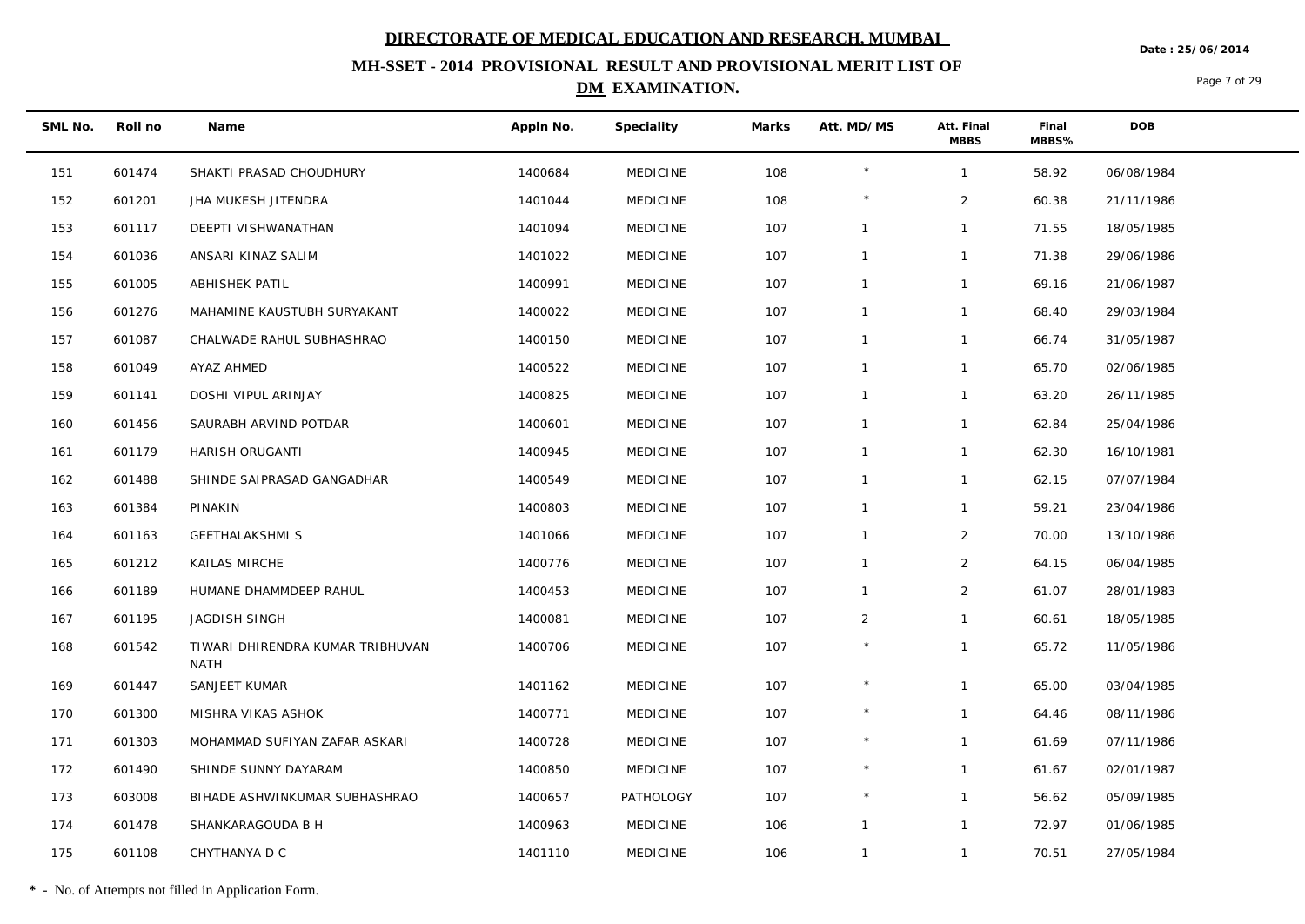**Date : 25/06/2014**

## **MH-SSET - 2014 PROVISIONAL RESULT AND PROVISIONAL MERIT LIST OF DM EXAMINATION.**

Page 7 of 29

| SML No. | Roll no | Name                                            | Appln No. | Speciality      | Marks | Att. MD/MS     | Att. Final<br><b>MBBS</b> | Final<br>MBBS% | DOB        |
|---------|---------|-------------------------------------------------|-----------|-----------------|-------|----------------|---------------------------|----------------|------------|
| 151     | 601474  | SHAKTI PRASAD CHOUDHURY                         | 1400684   | <b>MEDICINE</b> | 108   | $\star$        | $\mathbf{1}$              | 58.92          | 06/08/1984 |
| 152     | 601201  | JHA MUKESH JITENDRA                             | 1401044   | <b>MEDICINE</b> | 108   | $\star$        | $\overline{2}$            | 60.38          | 21/11/1986 |
| 153     | 601117  | DEEPTI VISHWANATHAN                             | 1401094   | <b>MEDICINE</b> | 107   | $\mathbf{1}$   | $\mathbf{1}$              | 71.55          | 18/05/1985 |
| 154     | 601036  | ANSARI KINAZ SALIM                              | 1401022   | <b>MEDICINE</b> | 107   | $\mathbf{1}$   | $\mathbf{1}$              | 71.38          | 29/06/1986 |
| 155     | 601005  | ABHISHEK PATIL                                  | 1400991   | <b>MEDICINE</b> | 107   | $\mathbf{1}$   | $\mathbf{1}$              | 69.16          | 21/06/1987 |
| 156     | 601276  | MAHAMINE KAUSTUBH SURYAKANT                     | 1400022   | <b>MEDICINE</b> | 107   | $\mathbf{1}$   | $\mathbf{1}$              | 68.40          | 29/03/1984 |
| 157     | 601087  | CHALWADE RAHUL SUBHASHRAO                       | 1400150   | <b>MEDICINE</b> | 107   | $\mathbf{1}$   | $\mathbf{1}$              | 66.74          | 31/05/1987 |
| 158     | 601049  | AYAZ AHMED                                      | 1400522   | <b>MEDICINE</b> | 107   | $\mathbf{1}$   | $\mathbf{1}$              | 65.70          | 02/06/1985 |
| 159     | 601141  | DOSHI VIPUL ARINJAY                             | 1400825   | <b>MEDICINE</b> | 107   | $\mathbf{1}$   | $\mathbf{1}$              | 63.20          | 26/11/1985 |
| 160     | 601456  | SAURABH ARVIND POTDAR                           | 1400601   | <b>MEDICINE</b> | 107   | $\mathbf{1}$   | $\mathbf{1}$              | 62.84          | 25/04/1986 |
| 161     | 601179  | HARISH ORUGANTI                                 | 1400945   | <b>MEDICINE</b> | 107   | $\mathbf{1}$   | $\mathbf{1}$              | 62.30          | 16/10/1981 |
| 162     | 601488  | SHINDE SAIPRASAD GANGADHAR                      | 1400549   | <b>MEDICINE</b> | 107   | $\mathbf{1}$   | $\mathbf{1}$              | 62.15          | 07/07/1984 |
| 163     | 601384  | PINAKIN                                         | 1400803   | <b>MEDICINE</b> | 107   | $\mathbf{1}$   | $\mathbf{1}$              | 59.21          | 23/04/1986 |
| 164     | 601163  | <b>GEETHALAKSHMI S</b>                          | 1401066   | <b>MEDICINE</b> | 107   | $\mathbf{1}$   | $\overline{2}$            | 70.00          | 13/10/1986 |
| 165     | 601212  | KAILAS MIRCHE                                   | 1400776   | <b>MEDICINE</b> | 107   | $\mathbf{1}$   | $\overline{2}$            | 64.15          | 06/04/1985 |
| 166     | 601189  | HUMANE DHAMMDEEP RAHUL                          | 1400453   | <b>MEDICINE</b> | 107   | $\mathbf{1}$   | $\overline{2}$            | 61.07          | 28/01/1983 |
| 167     | 601195  | JAGDISH SINGH                                   | 1400081   | <b>MEDICINE</b> | 107   | $\overline{2}$ | $\mathbf{1}$              | 60.61          | 18/05/1985 |
| 168     | 601542  | TIWARI DHIRENDRA KUMAR TRIBHUVAN<br><b>NATH</b> | 1400706   | <b>MEDICINE</b> | 107   | $\star$        | $\mathbf{1}$              | 65.72          | 11/05/1986 |
| 169     | 601447  | SANJEET KUMAR                                   | 1401162   | <b>MEDICINE</b> | 107   | $\star$        | $\mathbf{1}$              | 65.00          | 03/04/1985 |
| 170     | 601300  | MISHRA VIKAS ASHOK                              | 1400771   | <b>MEDICINE</b> | 107   | $\star$        | $\mathbf{1}$              | 64.46          | 08/11/1986 |
| 171     | 601303  | MOHAMMAD SUFIYAN ZAFAR ASKARI                   | 1400728   | <b>MEDICINE</b> | 107   | $\star$        | $\mathbf{1}$              | 61.69          | 07/11/1986 |
| 172     | 601490  | SHINDE SUNNY DAYARAM                            | 1400850   | <b>MEDICINE</b> | 107   | $\star$        | $\mathbf{1}$              | 61.67          | 02/01/1987 |
| 173     | 603008  | BIHADE ASHWINKUMAR SUBHASHRAO                   | 1400657   | PATHOLOGY       | 107   | $\star$        | $\mathbf{1}$              | 56.62          | 05/09/1985 |
| 174     | 601478  | SHANKARAGOUDA B H                               | 1400963   | <b>MEDICINE</b> | 106   | $\mathbf{1}$   | $\mathbf{1}$              | 72.97          | 01/06/1985 |
| 175     | 601108  | CHYTHANYA D C                                   | 1401110   | <b>MEDICINE</b> | 106   | $\mathbf{1}$   | $\mathbf{1}$              | 70.51          | 27/05/1984 |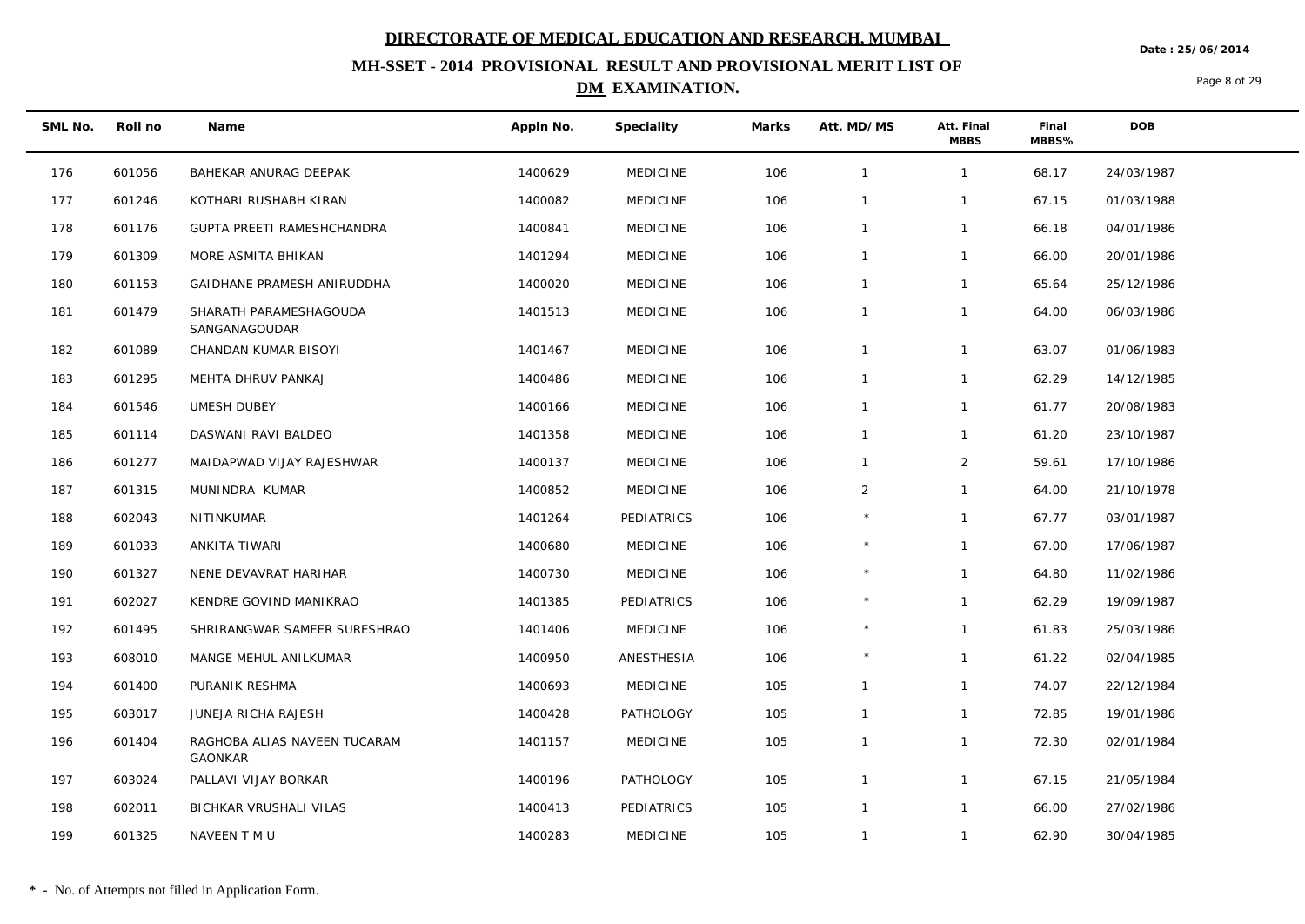**Date : 25/06/2014**

## **MH-SSET - 2014 PROVISIONAL RESULT AND PROVISIONAL MERIT LIST OF DM EXAMINATION.**

Page 8 of 29

| SML No. | Roll no | Name                                           | Appln No. | Speciality       | Marks | Att. MD/MS     | Att. Final<br><b>MBBS</b> | Final<br>MBBS% | DOB        |  |
|---------|---------|------------------------------------------------|-----------|------------------|-------|----------------|---------------------------|----------------|------------|--|
| 176     | 601056  | BAHEKAR ANURAG DEEPAK                          | 1400629   | <b>MEDICINE</b>  | 106   | $\overline{1}$ | $\mathbf{1}$              | 68.17          | 24/03/1987 |  |
| 177     | 601246  | KOTHARI RUSHABH KIRAN                          | 1400082   | <b>MEDICINE</b>  | 106   | $\mathbf{1}$   | $\mathbf{1}$              | 67.15          | 01/03/1988 |  |
| 178     | 601176  | GUPTA PREETI RAMESHCHANDRA                     | 1400841   | <b>MEDICINE</b>  | 106   | $\overline{1}$ | $\mathbf{1}$              | 66.18          | 04/01/1986 |  |
| 179     | 601309  | MORE ASMITA BHIKAN                             | 1401294   | <b>MEDICINE</b>  | 106   | $\overline{1}$ | $\mathbf{1}$              | 66.00          | 20/01/1986 |  |
| 180     | 601153  | GAIDHANE PRAMESH ANIRUDDHA                     | 1400020   | <b>MEDICINE</b>  | 106   | $\mathbf{1}$   | $\mathbf{1}$              | 65.64          | 25/12/1986 |  |
| 181     | 601479  | SHARATH PARAMESHAGOUDA<br>SANGANAGOUDAR        | 1401513   | <b>MEDICINE</b>  | 106   | $\mathbf{1}$   | $\mathbf{1}$              | 64.00          | 06/03/1986 |  |
| 182     | 601089  | CHANDAN KUMAR BISOYI                           | 1401467   | <b>MEDICINE</b>  | 106   | $\overline{1}$ | $\mathbf{1}$              | 63.07          | 01/06/1983 |  |
| 183     | 601295  | MEHTA DHRUV PANKAJ                             | 1400486   | <b>MEDICINE</b>  | 106   | $\mathbf 1$    | $\mathbf{1}$              | 62.29          | 14/12/1985 |  |
| 184     | 601546  | UMESH DUBEY                                    | 1400166   | <b>MEDICINE</b>  | 106   | $\mathbf{1}$   | $\mathbf{1}$              | 61.77          | 20/08/1983 |  |
| 185     | 601114  | DASWANI RAVI BALDEO                            | 1401358   | <b>MEDICINE</b>  | 106   | $\mathbf{1}$   | $\mathbf{1}$              | 61.20          | 23/10/1987 |  |
| 186     | 601277  | MAIDAPWAD VIJAY RAJESHWAR                      | 1400137   | <b>MEDICINE</b>  | 106   | $\mathbf{1}$   | $\overline{2}$            | 59.61          | 17/10/1986 |  |
| 187     | 601315  | MUNINDRA KUMAR                                 | 1400852   | <b>MEDICINE</b>  | 106   | $\overline{2}$ | $\mathbf{1}$              | 64.00          | 21/10/1978 |  |
| 188     | 602043  | NITINKUMAR                                     | 1401264   | PEDIATRICS       | 106   |                | $\mathbf{1}$              | 67.77          | 03/01/1987 |  |
| 189     | 601033  | ANKITA TIWARI                                  | 1400680   | <b>MEDICINE</b>  | 106   | $\star$        | $\mathbf{1}$              | 67.00          | 17/06/1987 |  |
| 190     | 601327  | NENE DEVAVRAT HARIHAR                          | 1400730   | <b>MEDICINE</b>  | 106   | $\star$        | $\mathbf{1}$              | 64.80          | 11/02/1986 |  |
| 191     | 602027  | KENDRE GOVIND MANIKRAO                         | 1401385   | PEDIATRICS       | 106   | $\star$        | $\mathbf{1}$              | 62.29          | 19/09/1987 |  |
| 192     | 601495  | SHRIRANGWAR SAMEER SURESHRAO                   | 1401406   | <b>MEDICINE</b>  | 106   |                | $\mathbf{1}$              | 61.83          | 25/03/1986 |  |
| 193     | 608010  | MANGE MEHUL ANILKUMAR                          | 1400950   | ANESTHESIA       | 106   |                | $\mathbf{1}$              | 61.22          | 02/04/1985 |  |
| 194     | 601400  | PURANIK RESHMA                                 | 1400693   | <b>MEDICINE</b>  | 105   | $\overline{1}$ | $\mathbf{1}$              | 74.07          | 22/12/1984 |  |
| 195     | 603017  | JUNEJA RICHA RAJESH                            | 1400428   | <b>PATHOLOGY</b> | 105   | $\mathbf{1}$   | $\mathbf{1}$              | 72.85          | 19/01/1986 |  |
| 196     | 601404  | RAGHOBA ALIAS NAVEEN TUCARAM<br><b>GAONKAR</b> | 1401157   | <b>MEDICINE</b>  | 105   | $\mathbf{1}$   | $\mathbf{1}$              | 72.30          | 02/01/1984 |  |
| 197     | 603024  | PALLAVI VIJAY BORKAR                           | 1400196   | PATHOLOGY        | 105   | $\overline{1}$ | $\mathbf{1}$              | 67.15          | 21/05/1984 |  |
| 198     | 602011  | BICHKAR VRUSHALI VILAS                         | 1400413   | PEDIATRICS       | 105   | $\overline{1}$ | $\mathbf{1}$              | 66.00          | 27/02/1986 |  |
| 199     | 601325  | NAVEEN T M U                                   | 1400283   | <b>MEDICINE</b>  | 105   | $\overline{1}$ | $\mathbf{1}$              | 62.90          | 30/04/1985 |  |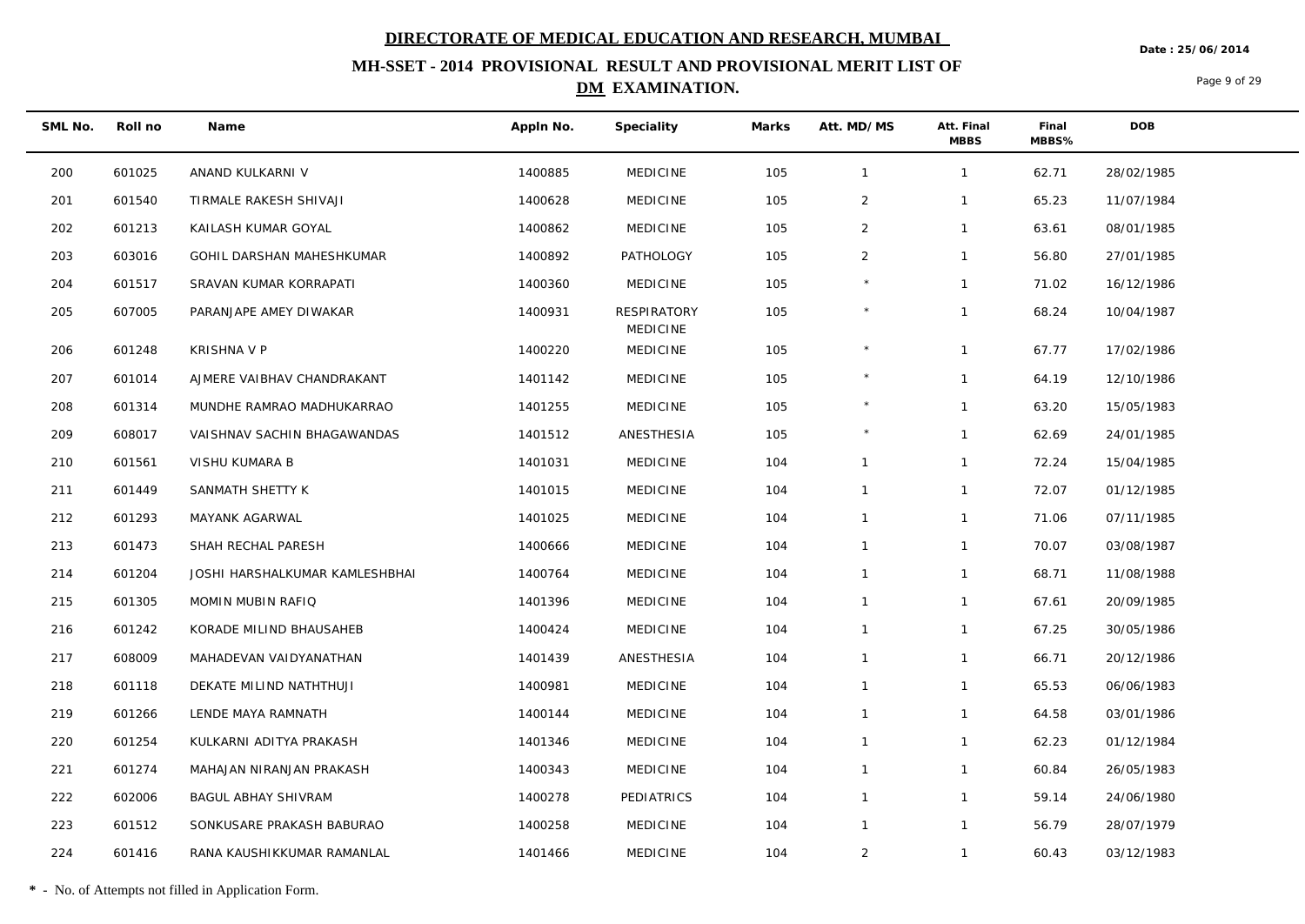**Date : 25/06/2014**

## **MH-SSET - 2014 PROVISIONAL RESULT AND PROVISIONAL MERIT LIST OF DM EXAMINATION.**

Page 9 of 29

| SML No. | Roll no | Name                           | Appln No. | Speciality                     | Marks | Att. MD/MS     | Att. Final<br><b>MBBS</b> | Final<br>MBBS% | DOB        |
|---------|---------|--------------------------------|-----------|--------------------------------|-------|----------------|---------------------------|----------------|------------|
| 200     | 601025  | ANAND KULKARNI V               | 1400885   | <b>MEDICINE</b>                | 105   | $\mathbf{1}$   | $\mathbf{1}$              | 62.71          | 28/02/1985 |
| 201     | 601540  | TIRMALE RAKESH SHIVAJI         | 1400628   | <b>MEDICINE</b>                | 105   | $\overline{2}$ | $\mathbf{1}$              | 65.23          | 11/07/1984 |
| 202     | 601213  | KAILASH KUMAR GOYAL            | 1400862   | <b>MEDICINE</b>                | 105   | 2              | $\mathbf{1}$              | 63.61          | 08/01/1985 |
| 203     | 603016  | GOHIL DARSHAN MAHESHKUMAR      | 1400892   | PATHOLOGY                      | 105   | $\overline{2}$ | $\mathbf{1}$              | 56.80          | 27/01/1985 |
| 204     | 601517  | SRAVAN KUMAR KORRAPATI         | 1400360   | <b>MEDICINE</b>                | 105   |                | $\mathbf{1}$              | 71.02          | 16/12/1986 |
| 205     | 607005  | PARANJAPE AMEY DIWAKAR         | 1400931   | RESPIRATORY<br><b>MEDICINE</b> | 105   |                | $\mathbf{1}$              | 68.24          | 10/04/1987 |
| 206     | 601248  | <b>KRISHNA V P</b>             | 1400220   | <b>MEDICINE</b>                | 105   | $\star$        | $\mathbf{1}$              | 67.77          | 17/02/1986 |
| 207     | 601014  | AJMERE VAIBHAV CHANDRAKANT     | 1401142   | <b>MEDICINE</b>                | 105   |                | $\mathbf{1}$              | 64.19          | 12/10/1986 |
| 208     | 601314  | MUNDHE RAMRAO MADHUKARRAO      | 1401255   | <b>MEDICINE</b>                | 105   | $\star$        | $\mathbf{1}$              | 63.20          | 15/05/1983 |
| 209     | 608017  | VAISHNAV SACHIN BHAGAWANDAS    | 1401512   | ANESTHESIA                     | 105   |                | $\mathbf{1}$              | 62.69          | 24/01/1985 |
| 210     | 601561  | VISHU KUMARA B                 | 1401031   | <b>MEDICINE</b>                | 104   | $\mathbf{1}$   | $\mathbf{1}$              | 72.24          | 15/04/1985 |
| 211     | 601449  | SANMATH SHETTY K               | 1401015   | <b>MEDICINE</b>                | 104   | $\mathbf{1}$   | $\mathbf{1}$              | 72.07          | 01/12/1985 |
| 212     | 601293  | MAYANK AGARWAL                 | 1401025   | <b>MEDICINE</b>                | 104   | $\mathbf{1}$   | $\mathbf{1}$              | 71.06          | 07/11/1985 |
| 213     | 601473  | SHAH RECHAL PARESH             | 1400666   | <b>MEDICINE</b>                | 104   | $\mathbf{1}$   | $\mathbf{1}$              | 70.07          | 03/08/1987 |
| 214     | 601204  | JOSHI HARSHALKUMAR KAMLESHBHAI | 1400764   | <b>MEDICINE</b>                | 104   | $\mathbf{1}$   | $\mathbf{1}$              | 68.71          | 11/08/1988 |
| 215     | 601305  | MOMIN MUBIN RAFIQ              | 1401396   | <b>MEDICINE</b>                | 104   | $\mathbf{1}$   | $\mathbf{1}$              | 67.61          | 20/09/1985 |
| 216     | 601242  | KORADE MILIND BHAUSAHEB        | 1400424   | <b>MEDICINE</b>                | 104   | $\mathbf{1}$   | $\mathbf{1}$              | 67.25          | 30/05/1986 |
| 217     | 608009  | MAHADEVAN VAIDYANATHAN         | 1401439   | ANESTHESIA                     | 104   | $\mathbf{1}$   | $\mathbf{1}$              | 66.71          | 20/12/1986 |
| 218     | 601118  | DEKATE MILIND NATHTHUJI        | 1400981   | <b>MEDICINE</b>                | 104   | $\mathbf{1}$   | $\mathbf{1}$              | 65.53          | 06/06/1983 |
| 219     | 601266  | LENDE MAYA RAMNATH             | 1400144   | <b>MEDICINE</b>                | 104   | $\mathbf{1}$   | $\mathbf{1}$              | 64.58          | 03/01/1986 |
| 220     | 601254  | KULKARNI ADITYA PRAKASH        | 1401346   | <b>MEDICINE</b>                | 104   | $\mathbf{1}$   | $\mathbf{1}$              | 62.23          | 01/12/1984 |
| 221     | 601274  | MAHAJAN NIRANJAN PRAKASH       | 1400343   | <b>MEDICINE</b>                | 104   | $\mathbf{1}$   | $\mathbf{1}$              | 60.84          | 26/05/1983 |
| 222     | 602006  | <b>BAGUL ABHAY SHIVRAM</b>     | 1400278   | PEDIATRICS                     | 104   | $\mathbf{1}$   | $\mathbf{1}$              | 59.14          | 24/06/1980 |
| 223     | 601512  | SONKUSARE PRAKASH BABURAO      | 1400258   | <b>MEDICINE</b>                | 104   | $\mathbf{1}$   | $\mathbf{1}$              | 56.79          | 28/07/1979 |
| 224     | 601416  | RANA KAUSHIKKUMAR RAMANLAL     | 1401466   | <b>MEDICINE</b>                | 104   | $\overline{2}$ | $\mathbf{1}$              | 60.43          | 03/12/1983 |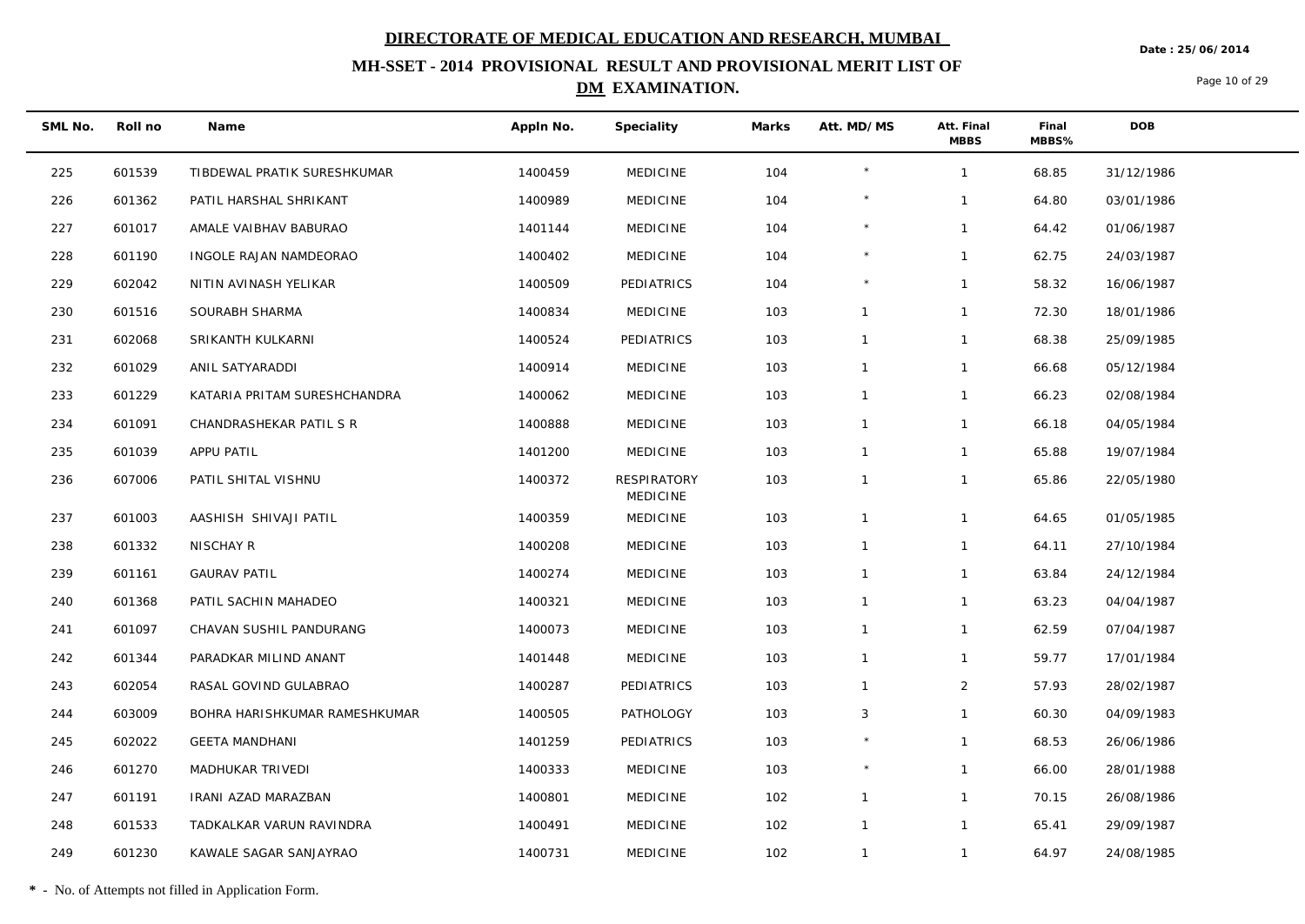**Date : 25/06/2014**

## **MH-SSET - 2014 PROVISIONAL RESULT AND PROVISIONAL MERIT LIST OF DM EXAMINATION.**

Page 10 of 29

| SML No. | Roll no | Name                          | Appln No. | Speciality              | Marks | Att. MD/MS   | Att. Final<br><b>MBBS</b> | Final<br>MBBS% | <b>DOB</b> |
|---------|---------|-------------------------------|-----------|-------------------------|-------|--------------|---------------------------|----------------|------------|
| 225     | 601539  | TIBDEWAL PRATIK SURESHKUMAR   | 1400459   | <b>MEDICINE</b>         | 104   | $\star$      | $\mathbf{1}$              | 68.85          | 31/12/1986 |
| 226     | 601362  | PATIL HARSHAL SHRIKANT        | 1400989   | <b>MEDICINE</b>         | 104   | $\star$      | $\mathbf{1}$              | 64.80          | 03/01/1986 |
| 227     | 601017  | AMALE VAIBHAV BABURAO         | 1401144   | <b>MEDICINE</b>         | 104   |              | $\mathbf{1}$              | 64.42          | 01/06/1987 |
| 228     | 601190  | INGOLE RAJAN NAMDEORAO        | 1400402   | <b>MEDICINE</b>         | 104   | $\star$      | $\mathbf{1}$              | 62.75          | 24/03/1987 |
| 229     | 602042  | NITIN AVINASH YELIKAR         | 1400509   | PEDIATRICS              | 104   |              | $\mathbf{1}$              | 58.32          | 16/06/1987 |
| 230     | 601516  | SOURABH SHARMA                | 1400834   | <b>MEDICINE</b>         | 103   | $\mathbf{1}$ | $\mathbf{1}$              | 72.30          | 18/01/1986 |
| 231     | 602068  | SRIKANTH KULKARNI             | 1400524   | PEDIATRICS              | 103   | $\mathbf{1}$ | $\mathbf{1}$              | 68.38          | 25/09/1985 |
| 232     | 601029  | ANIL SATYARADDI               | 1400914   | <b>MEDICINE</b>         | 103   | $\mathbf{1}$ | $\mathbf{1}$              | 66.68          | 05/12/1984 |
| 233     | 601229  | KATARIA PRITAM SURESHCHANDRA  | 1400062   | <b>MEDICINE</b>         | 103   | $\mathbf{1}$ | $\mathbf{1}$              | 66.23          | 02/08/1984 |
| 234     | 601091  | CHANDRASHEKAR PATIL S R       | 1400888   | <b>MEDICINE</b>         | 103   | $\mathbf{1}$ | $\mathbf{1}$              | 66.18          | 04/05/1984 |
| 235     | 601039  | APPU PATIL                    | 1401200   | <b>MEDICINE</b>         | 103   | $\mathbf{1}$ | $\mathbf{1}$              | 65.88          | 19/07/1984 |
| 236     | 607006  | PATIL SHITAL VISHNU           | 1400372   | RESPIRATORY<br>MEDICINE | 103   | $\mathbf{1}$ | $\mathbf{1}$              | 65.86          | 22/05/1980 |
| 237     | 601003  | AASHISH SHIVAJI PATIL         | 1400359   | <b>MEDICINE</b>         | 103   | $\mathbf{1}$ | $\mathbf{1}$              | 64.65          | 01/05/1985 |
| 238     | 601332  | NISCHAY R                     | 1400208   | <b>MEDICINE</b>         | 103   | $\mathbf{1}$ | $\mathbf{1}$              | 64.11          | 27/10/1984 |
| 239     | 601161  | <b>GAURAV PATIL</b>           | 1400274   | <b>MEDICINE</b>         | 103   | $\mathbf{1}$ | $\mathbf{1}$              | 63.84          | 24/12/1984 |
| 240     | 601368  | PATIL SACHIN MAHADEO          | 1400321   | <b>MEDICINE</b>         | 103   | $\mathbf{1}$ | $\mathbf{1}$              | 63.23          | 04/04/1987 |
| 241     | 601097  | CHAVAN SUSHIL PANDURANG       | 1400073   | <b>MEDICINE</b>         | 103   | $\mathbf{1}$ | $\mathbf{1}$              | 62.59          | 07/04/1987 |
| 242     | 601344  | PARADKAR MILIND ANANT         | 1401448   | <b>MEDICINE</b>         | 103   | $\mathbf{1}$ | $\mathbf{1}$              | 59.77          | 17/01/1984 |
| 243     | 602054  | RASAL GOVIND GULABRAO         | 1400287   | PEDIATRICS              | 103   | $\mathbf{1}$ | $\overline{2}$            | 57.93          | 28/02/1987 |
| 244     | 603009  | BOHRA HARISHKUMAR RAMESHKUMAR | 1400505   | PATHOLOGY               | 103   | 3            | $\mathbf{1}$              | 60.30          | 04/09/1983 |
| 245     | 602022  | <b>GEETA MANDHANI</b>         | 1401259   | PEDIATRICS              | 103   |              | $\mathbf{1}$              | 68.53          | 26/06/1986 |
| 246     | 601270  | MADHUKAR TRIVEDI              | 1400333   | <b>MEDICINE</b>         | 103   |              | $\mathbf{1}$              | 66.00          | 28/01/1988 |
| 247     | 601191  | IRANI AZAD MARAZBAN           | 1400801   | <b>MEDICINE</b>         | 102   | $\mathbf{1}$ | $\mathbf{1}$              | 70.15          | 26/08/1986 |
| 248     | 601533  | TADKALKAR VARUN RAVINDRA      | 1400491   | <b>MEDICINE</b>         | 102   | $\mathbf{1}$ | $\mathbf{1}$              | 65.41          | 29/09/1987 |
| 249     | 601230  | KAWALE SAGAR SANJAYRAO        | 1400731   | <b>MEDICINE</b>         | 102   | $\mathbf{1}$ | $\mathbf{1}$              | 64.97          | 24/08/1985 |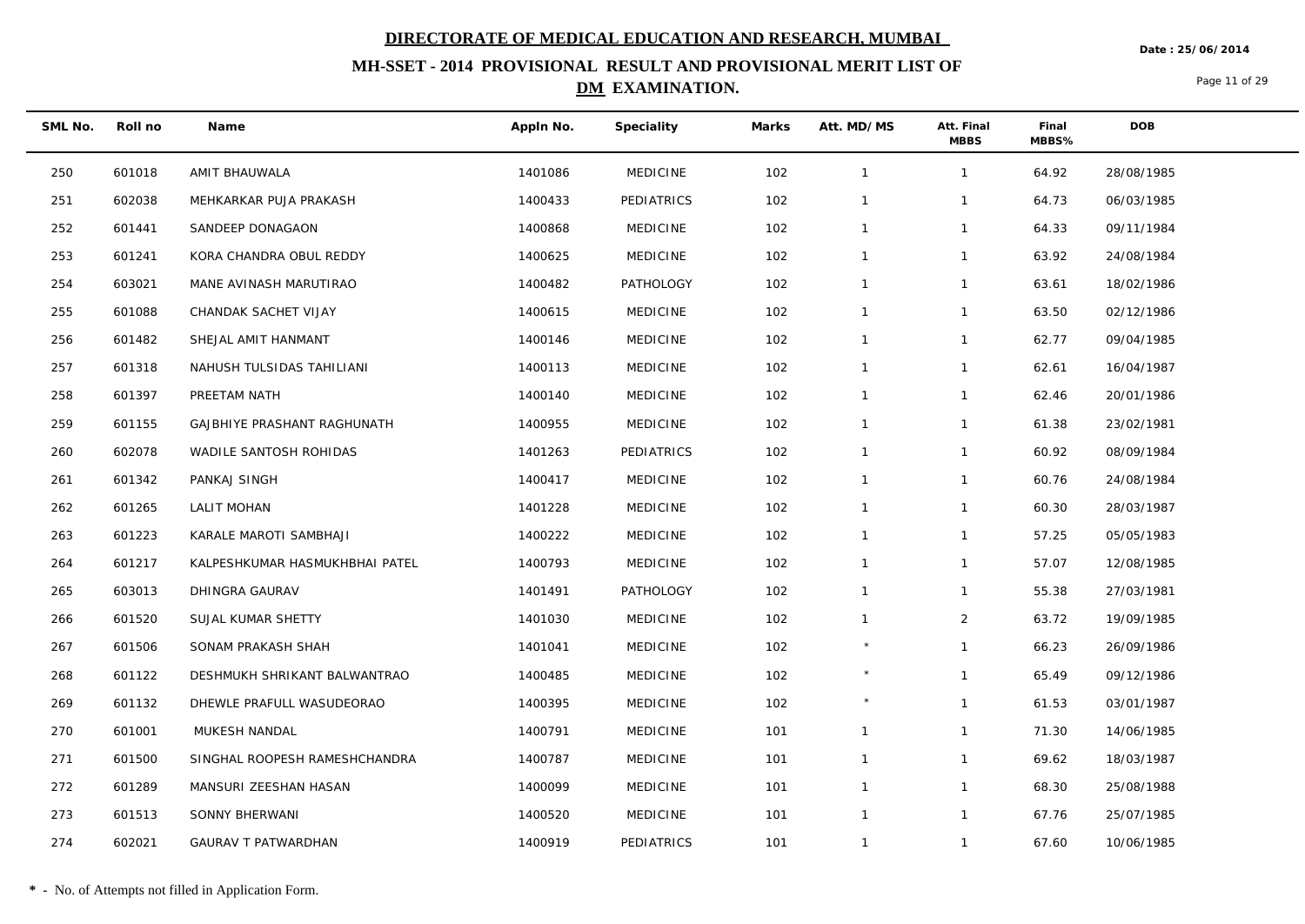**Date : 25/06/2014**

## **MH-SSET - 2014 PROVISIONAL RESULT AND PROVISIONAL MERIT LIST OF DM EXAMINATION.**

Page 11 of 29

| SML No. | Roll no | Name                           | Appln No. | Speciality       | Marks | Att. MD/MS   | Att. Final<br><b>MBBS</b> | Final<br>MBBS% | <b>DOB</b> |
|---------|---------|--------------------------------|-----------|------------------|-------|--------------|---------------------------|----------------|------------|
| 250     | 601018  | AMIT BHAUWALA                  | 1401086   | <b>MEDICINE</b>  | 102   | $\mathbf{1}$ | $\mathbf{1}$              | 64.92          | 28/08/1985 |
| 251     | 602038  | MEHKARKAR PUJA PRAKASH         | 1400433   | PEDIATRICS       | 102   | $\mathbf{1}$ | $\mathbf{1}$              | 64.73          | 06/03/1985 |
| 252     | 601441  | SANDEEP DONAGAON               | 1400868   | <b>MEDICINE</b>  | 102   | $\mathbf{1}$ | $\mathbf{1}$              | 64.33          | 09/11/1984 |
| 253     | 601241  | KORA CHANDRA OBUL REDDY        | 1400625   | <b>MEDICINE</b>  | 102   | $\mathbf{1}$ | $\mathbf{1}$              | 63.92          | 24/08/1984 |
| 254     | 603021  | MANE AVINASH MARUTIRAO         | 1400482   | PATHOLOGY        | 102   | $\mathbf{1}$ | $\mathbf{1}$              | 63.61          | 18/02/1986 |
| 255     | 601088  | CHANDAK SACHET VIJAY           | 1400615   | <b>MEDICINE</b>  | 102   | $\mathbf{1}$ | $\mathbf{1}$              | 63.50          | 02/12/1986 |
| 256     | 601482  | SHEJAL AMIT HANMANT            | 1400146   | <b>MEDICINE</b>  | 102   | $\mathbf{1}$ | $\mathbf{1}$              | 62.77          | 09/04/1985 |
| 257     | 601318  | NAHUSH TULSIDAS TAHILIANI      | 1400113   | <b>MEDICINE</b>  | 102   | $\mathbf{1}$ | $\mathbf{1}$              | 62.61          | 16/04/1987 |
| 258     | 601397  | PREETAM NATH                   | 1400140   | <b>MEDICINE</b>  | 102   | $\mathbf{1}$ | $\mathbf{1}$              | 62.46          | 20/01/1986 |
| 259     | 601155  | GAJBHIYE PRASHANT RAGHUNATH    | 1400955   | <b>MEDICINE</b>  | 102   | $\mathbf{1}$ | $\mathbf{1}$              | 61.38          | 23/02/1981 |
| 260     | 602078  | WADILE SANTOSH ROHIDAS         | 1401263   | PEDIATRICS       | 102   | $\mathbf{1}$ | $\mathbf{1}$              | 60.92          | 08/09/1984 |
| 261     | 601342  | PANKAJ SINGH                   | 1400417   | <b>MEDICINE</b>  | 102   | $\mathbf{1}$ | $\mathbf{1}$              | 60.76          | 24/08/1984 |
| 262     | 601265  | LALIT MOHAN                    | 1401228   | <b>MEDICINE</b>  | 102   | $\mathbf{1}$ | $\mathbf{1}$              | 60.30          | 28/03/1987 |
| 263     | 601223  | KARALE MAROTI SAMBHAJI         | 1400222   | <b>MEDICINE</b>  | 102   | $\mathbf{1}$ | $\mathbf{1}$              | 57.25          | 05/05/1983 |
| 264     | 601217  | KALPESHKUMAR HASMUKHBHAI PATEL | 1400793   | <b>MEDICINE</b>  | 102   | $\mathbf{1}$ | $\mathbf{1}$              | 57.07          | 12/08/1985 |
| 265     | 603013  | DHINGRA GAURAV                 | 1401491   | <b>PATHOLOGY</b> | 102   | $\mathbf{1}$ | $\mathbf{1}$              | 55.38          | 27/03/1981 |
| 266     | 601520  | SUJAL KUMAR SHETTY             | 1401030   | <b>MEDICINE</b>  | 102   | $\mathbf{1}$ | $\overline{2}$            | 63.72          | 19/09/1985 |
| 267     | 601506  | SONAM PRAKASH SHAH             | 1401041   | <b>MEDICINE</b>  | 102   | $\star$      | $\mathbf{1}$              | 66.23          | 26/09/1986 |
| 268     | 601122  | DESHMUKH SHRIKANT BALWANTRAO   | 1400485   | <b>MEDICINE</b>  | 102   | $\star$      | $\mathbf{1}$              | 65.49          | 09/12/1986 |
| 269     | 601132  | DHEWLE PRAFULL WASUDEORAO      | 1400395   | <b>MEDICINE</b>  | 102   |              | $\mathbf{1}$              | 61.53          | 03/01/1987 |
| 270     | 601001  | MUKESH NANDAL                  | 1400791   | <b>MEDICINE</b>  | 101   | $\mathbf{1}$ | $\mathbf{1}$              | 71.30          | 14/06/1985 |
| 271     | 601500  | SINGHAL ROOPESH RAMESHCHANDRA  | 1400787   | <b>MEDICINE</b>  | 101   | $\mathbf{1}$ | $\mathbf{1}$              | 69.62          | 18/03/1987 |
| 272     | 601289  | MANSURI ZEESHAN HASAN          | 1400099   | <b>MEDICINE</b>  | 101   | $\mathbf{1}$ | $\mathbf{1}$              | 68.30          | 25/08/1988 |
| 273     | 601513  | SONNY BHERWANI                 | 1400520   | <b>MEDICINE</b>  | 101   | $\mathbf{1}$ | $\mathbf{1}$              | 67.76          | 25/07/1985 |
| 274     | 602021  | <b>GAURAV T PATWARDHAN</b>     | 1400919   | PEDIATRICS       | 101   | $\mathbf{1}$ | $\mathbf{1}$              | 67.60          | 10/06/1985 |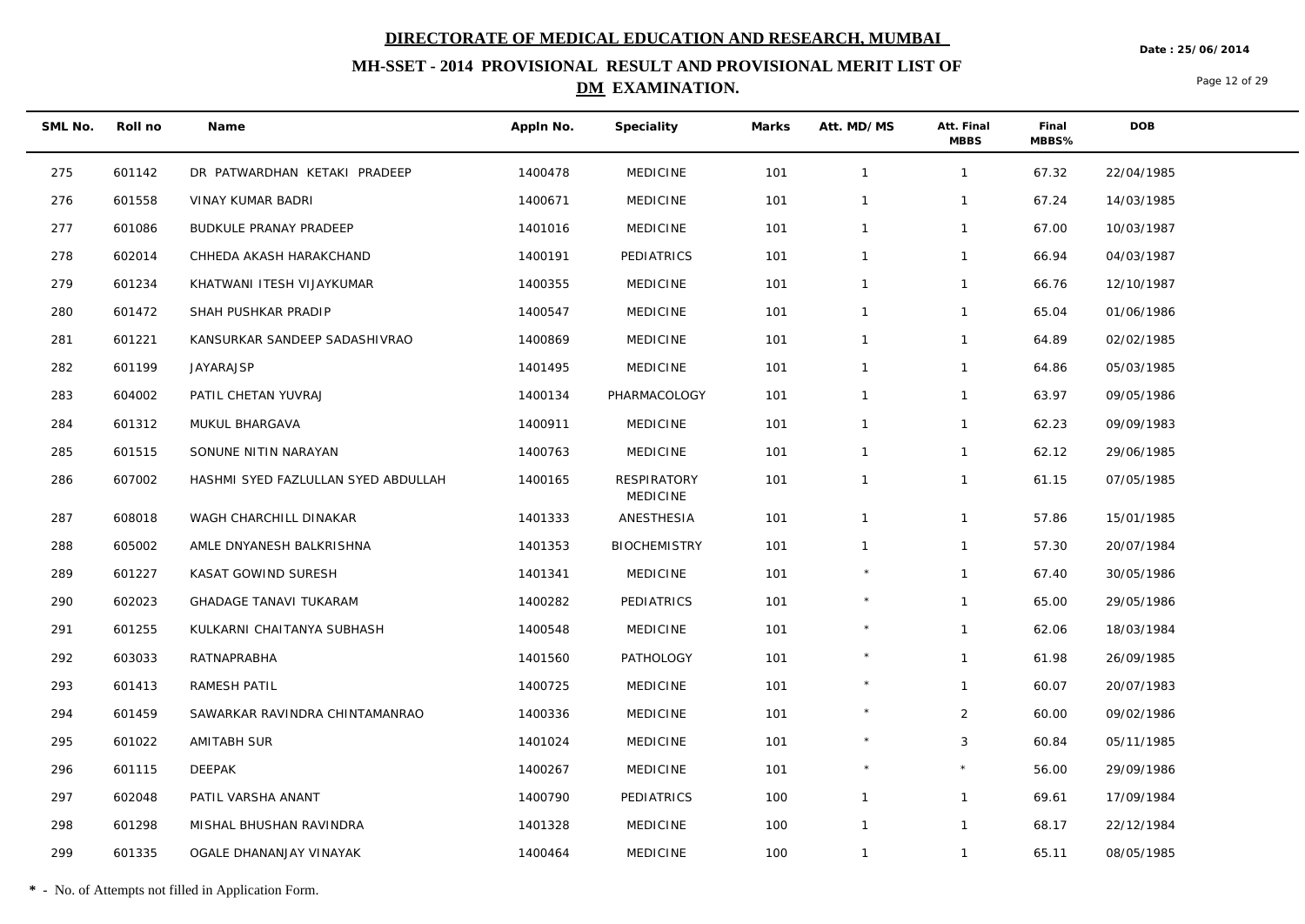**Date : 25/06/2014**

## **MH-SSET - 2014 PROVISIONAL RESULT AND PROVISIONAL MERIT LIST OF DM EXAMINATION.**

Page 12 of 29

| SML No. | Roll no | Name                                | Appln No. | Speciality                            | Marks | Att. MD/MS   | Att. Final<br><b>MBBS</b> | Final<br>MBBS% | <b>DOB</b> |
|---------|---------|-------------------------------------|-----------|---------------------------------------|-------|--------------|---------------------------|----------------|------------|
| 275     | 601142  | DR PATWARDHAN KETAKI PRADEEP        | 1400478   | <b>MEDICINE</b>                       | 101   | $\mathbf{1}$ | $\mathbf{1}$              | 67.32          | 22/04/1985 |
| 276     | 601558  | VINAY KUMAR BADRI                   | 1400671   | <b>MEDICINE</b>                       | 101   | $\mathbf{1}$ | $\mathbf{1}$              | 67.24          | 14/03/1985 |
| 277     | 601086  | BUDKULE PRANAY PRADEEP              | 1401016   | <b>MEDICINE</b>                       | 101   | $\mathbf{1}$ | $\mathbf{1}$              | 67.00          | 10/03/1987 |
| 278     | 602014  | CHHEDA AKASH HARAKCHAND             | 1400191   | PEDIATRICS                            | 101   | $\mathbf{1}$ | $\mathbf{1}$              | 66.94          | 04/03/1987 |
| 279     | 601234  | KHATWANI ITESH VIJAYKUMAR           | 1400355   | <b>MEDICINE</b>                       | 101   | $\mathbf{1}$ | $\mathbf{1}$              | 66.76          | 12/10/1987 |
| 280     | 601472  | SHAH PUSHKAR PRADIP                 | 1400547   | <b>MEDICINE</b>                       | 101   | $\mathbf{1}$ | $\mathbf{1}$              | 65.04          | 01/06/1986 |
| 281     | 601221  | KANSURKAR SANDEEP SADASHIVRAO       | 1400869   | <b>MEDICINE</b>                       | 101   | $\mathbf{1}$ | $\mathbf{1}$              | 64.89          | 02/02/1985 |
| 282     | 601199  | JAYARAJSP                           | 1401495   | <b>MEDICINE</b>                       | 101   | $\mathbf{1}$ | $\mathbf{1}$              | 64.86          | 05/03/1985 |
| 283     | 604002  | PATIL CHETAN YUVRAJ                 | 1400134   | PHARMACOLOGY                          | 101   | $\mathbf{1}$ | $\mathbf{1}$              | 63.97          | 09/05/1986 |
| 284     | 601312  | MUKUL BHARGAVA                      | 1400911   | <b>MEDICINE</b>                       | 101   | $\mathbf{1}$ | $\mathbf{1}$              | 62.23          | 09/09/1983 |
| 285     | 601515  | SONUNE NITIN NARAYAN                | 1400763   | <b>MEDICINE</b>                       | 101   | $\mathbf{1}$ | $\mathbf{1}$              | 62.12          | 29/06/1985 |
| 286     | 607002  | HASHMI SYED FAZLULLAN SYED ABDULLAH | 1400165   | <b>RESPIRATORY</b><br><b>MEDICINE</b> | 101   | $\mathbf{1}$ | $\mathbf{1}$              | 61.15          | 07/05/1985 |
| 287     | 608018  | WAGH CHARCHILL DINAKAR              | 1401333   | ANESTHESIA                            | 101   | $\mathbf{1}$ | $\mathbf{1}$              | 57.86          | 15/01/1985 |
| 288     | 605002  | AMLE DNYANESH BALKRISHNA            | 1401353   | <b>BIOCHEMISTRY</b>                   | 101   | $\mathbf{1}$ | $\mathbf{1}$              | 57.30          | 20/07/1984 |
| 289     | 601227  | KASAT GOWIND SURESH                 | 1401341   | <b>MEDICINE</b>                       | 101   | $\star$      | $\mathbf{1}$              | 67.40          | 30/05/1986 |
| 290     | 602023  | <b>GHADAGE TANAVI TUKARAM</b>       | 1400282   | PEDIATRICS                            | 101   | $\star$      | $\mathbf{1}$              | 65.00          | 29/05/1986 |
| 291     | 601255  | KULKARNI CHAITANYA SUBHASH          | 1400548   | <b>MEDICINE</b>                       | 101   |              | $\mathbf{1}$              | 62.06          | 18/03/1984 |
| 292     | 603033  | RATNAPRABHA                         | 1401560   | <b>PATHOLOGY</b>                      | 101   |              | $\mathbf{1}$              | 61.98          | 26/09/1985 |
| 293     | 601413  | RAMESH PATIL                        | 1400725   | <b>MEDICINE</b>                       | 101   | $\star$      | $\mathbf{1}$              | 60.07          | 20/07/1983 |
| 294     | 601459  | SAWARKAR RAVINDRA CHINTAMANRAO      | 1400336   | <b>MEDICINE</b>                       | 101   |              | $\overline{2}$            | 60.00          | 09/02/1986 |
| 295     | 601022  | <b>AMITABH SUR</b>                  | 1401024   | <b>MEDICINE</b>                       | 101   | $\star$      | 3                         | 60.84          | 05/11/1985 |
| 296     | 601115  | DEEPAK                              | 1400267   | <b>MEDICINE</b>                       | 101   |              |                           | 56.00          | 29/09/1986 |
| 297     | 602048  | PATIL VARSHA ANANT                  | 1400790   | PEDIATRICS                            | 100   | $\mathbf{1}$ | $\mathbf{1}$              | 69.61          | 17/09/1984 |
| 298     | 601298  | MISHAL BHUSHAN RAVINDRA             | 1401328   | <b>MEDICINE</b>                       | 100   | $\mathbf{1}$ | $\mathbf{1}$              | 68.17          | 22/12/1984 |
| 299     | 601335  | OGALE DHANANJAY VINAYAK             | 1400464   | <b>MEDICINE</b>                       | 100   | $\mathbf{1}$ | $\mathbf{1}$              | 65.11          | 08/05/1985 |

**\*** - No. of Attempts not filled in Application Form.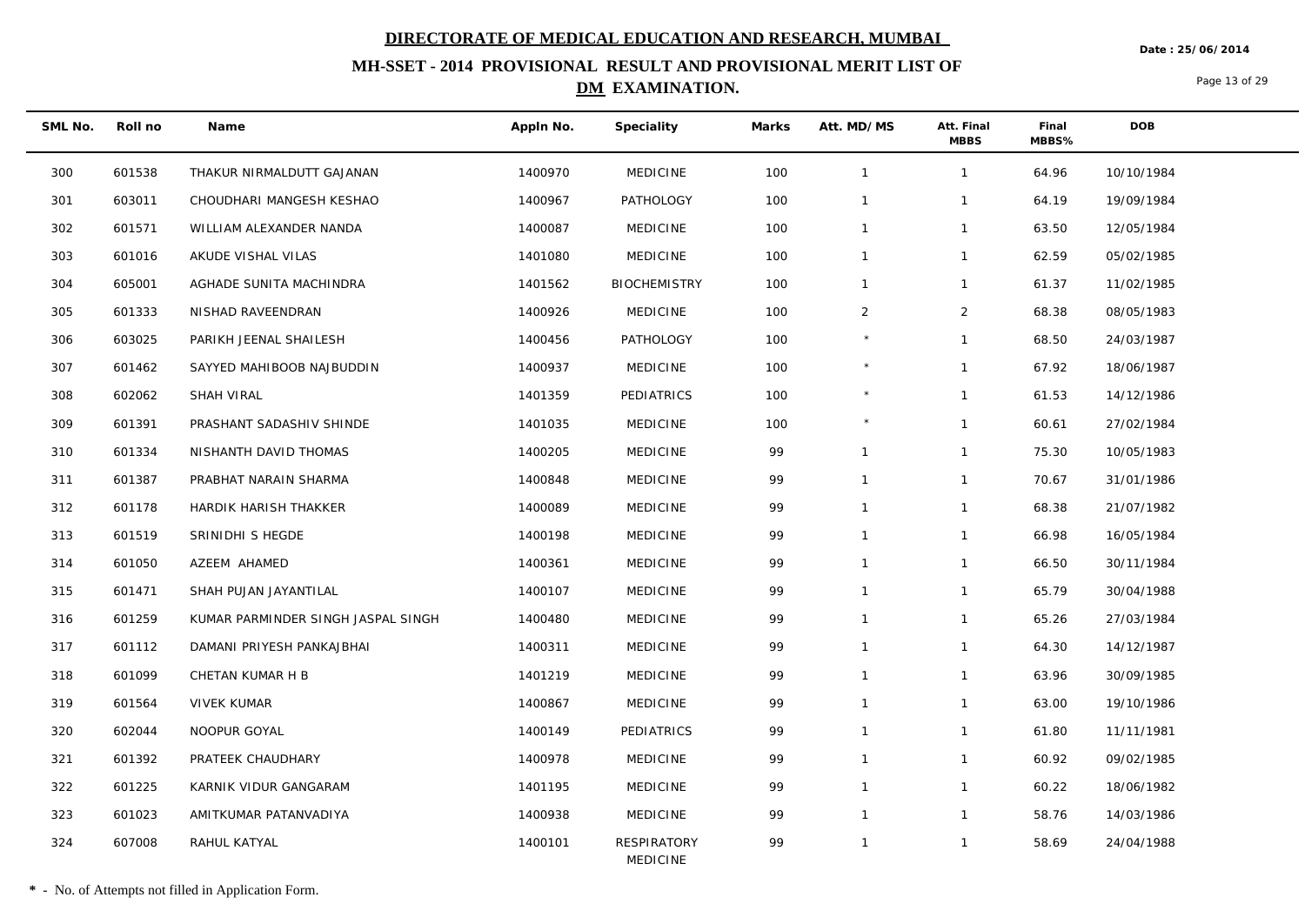**Date : 25/06/2014**

## **MH-SSET - 2014 PROVISIONAL RESULT AND PROVISIONAL MERIT LIST OF DM EXAMINATION.**

Page 13 of 29

| SML No. | Roll no | Name                               | Appln No. | Speciality                     | Marks | Att. MD/MS   | Att. Final<br><b>MBBS</b> | Final<br>MBBS% | <b>DOB</b> |
|---------|---------|------------------------------------|-----------|--------------------------------|-------|--------------|---------------------------|----------------|------------|
| 300     | 601538  | THAKUR NIRMALDUTT GAJANAN          | 1400970   | <b>MEDICINE</b>                | 100   | $\mathbf{1}$ | $\mathbf{1}$              | 64.96          | 10/10/1984 |
| 301     | 603011  | CHOUDHARI MANGESH KESHAO           | 1400967   | PATHOLOGY                      | 100   | $\mathbf{1}$ | $\mathbf{1}$              | 64.19          | 19/09/1984 |
| 302     | 601571  | WILLIAM ALEXANDER NANDA            | 1400087   | <b>MEDICINE</b>                | 100   | $\mathbf{1}$ | $\mathbf{1}$              | 63.50          | 12/05/1984 |
| 303     | 601016  | AKUDE VISHAL VILAS                 | 1401080   | <b>MEDICINE</b>                | 100   | $\mathbf{1}$ | $\mathbf{1}$              | 62.59          | 05/02/1985 |
| 304     | 605001  | AGHADE SUNITA MACHINDRA            | 1401562   | <b>BIOCHEMISTRY</b>            | 100   | $\mathbf{1}$ | $\mathbf{1}$              | 61.37          | 11/02/1985 |
| 305     | 601333  | NISHAD RAVEENDRAN                  | 1400926   | <b>MEDICINE</b>                | 100   | 2            | 2                         | 68.38          | 08/05/1983 |
| 306     | 603025  | PARIKH JEENAL SHAILESH             | 1400456   | PATHOLOGY                      | 100   | $\star$      | $\mathbf{1}$              | 68.50          | 24/03/1987 |
| 307     | 601462  | SAYYED MAHIBOOB NAJBUDDIN          | 1400937   | <b>MEDICINE</b>                | 100   |              | $\mathbf{1}$              | 67.92          | 18/06/1987 |
| 308     | 602062  | SHAH VIRAL                         | 1401359   | PEDIATRICS                     | 100   | $\star$      | $\mathbf{1}$              | 61.53          | 14/12/1986 |
| 309     | 601391  | PRASHANT SADASHIV SHINDE           | 1401035   | <b>MEDICINE</b>                | 100   |              | $\mathbf{1}$              | 60.61          | 27/02/1984 |
| 310     | 601334  | NISHANTH DAVID THOMAS              | 1400205   | <b>MEDICINE</b>                | 99    | $\mathbf{1}$ | $\mathbf{1}$              | 75.30          | 10/05/1983 |
| 311     | 601387  | PRABHAT NARAIN SHARMA              | 1400848   | <b>MEDICINE</b>                | 99    | $\mathbf{1}$ | $\mathbf{1}$              | 70.67          | 31/01/1986 |
| 312     | 601178  | HARDIK HARISH THAKKER              | 1400089   | <b>MEDICINE</b>                | 99    | $\mathbf{1}$ | $\mathbf{1}$              | 68.38          | 21/07/1982 |
| 313     | 601519  | SRINIDHI S HEGDE                   | 1400198   | <b>MEDICINE</b>                | 99    | $\mathbf{1}$ | $\mathbf{1}$              | 66.98          | 16/05/1984 |
| 314     | 601050  | AZEEM AHAMED                       | 1400361   | <b>MEDICINE</b>                | 99    | $\mathbf{1}$ | $\mathbf{1}$              | 66.50          | 30/11/1984 |
| 315     | 601471  | SHAH PUJAN JAYANTILAL              | 1400107   | <b>MEDICINE</b>                | 99    | $\mathbf{1}$ | $\mathbf{1}$              | 65.79          | 30/04/1988 |
| 316     | 601259  | KUMAR PARMINDER SINGH JASPAL SINGH | 1400480   | <b>MEDICINE</b>                | 99    | $\mathbf{1}$ | $\mathbf{1}$              | 65.26          | 27/03/1984 |
| 317     | 601112  | DAMANI PRIYESH PANKAJBHAI          | 1400311   | <b>MEDICINE</b>                | 99    | $\mathbf{1}$ | $\mathbf{1}$              | 64.30          | 14/12/1987 |
| 318     | 601099  | CHETAN KUMAR H B                   | 1401219   | <b>MEDICINE</b>                | 99    | $\mathbf{1}$ | $\mathbf{1}$              | 63.96          | 30/09/1985 |
| 319     | 601564  | <b>VIVEK KUMAR</b>                 | 1400867   | <b>MEDICINE</b>                | 99    | $\mathbf{1}$ | $\mathbf{1}$              | 63.00          | 19/10/1986 |
| 320     | 602044  | NOOPUR GOYAL                       | 1400149   | PEDIATRICS                     | 99    | $\mathbf{1}$ | $\mathbf{1}$              | 61.80          | 11/11/1981 |
| 321     | 601392  | PRATEEK CHAUDHARY                  | 1400978   | <b>MEDICINE</b>                | 99    | $\mathbf{1}$ | $\mathbf{1}$              | 60.92          | 09/02/1985 |
| 322     | 601225  | KARNIK VIDUR GANGARAM              | 1401195   | <b>MEDICINE</b>                | 99    | $\mathbf{1}$ | $\mathbf{1}$              | 60.22          | 18/06/1982 |
| 323     | 601023  | AMITKUMAR PATANVADIYA              | 1400938   | <b>MEDICINE</b>                | 99    | $\mathbf{1}$ | $\mathbf{1}$              | 58.76          | 14/03/1986 |
| 324     | 607008  | RAHUL KATYAL                       | 1400101   | RESPIRATORY<br><b>MEDICINE</b> | 99    | $\mathbf{1}$ | $\mathbf{1}$              | 58.69          | 24/04/1988 |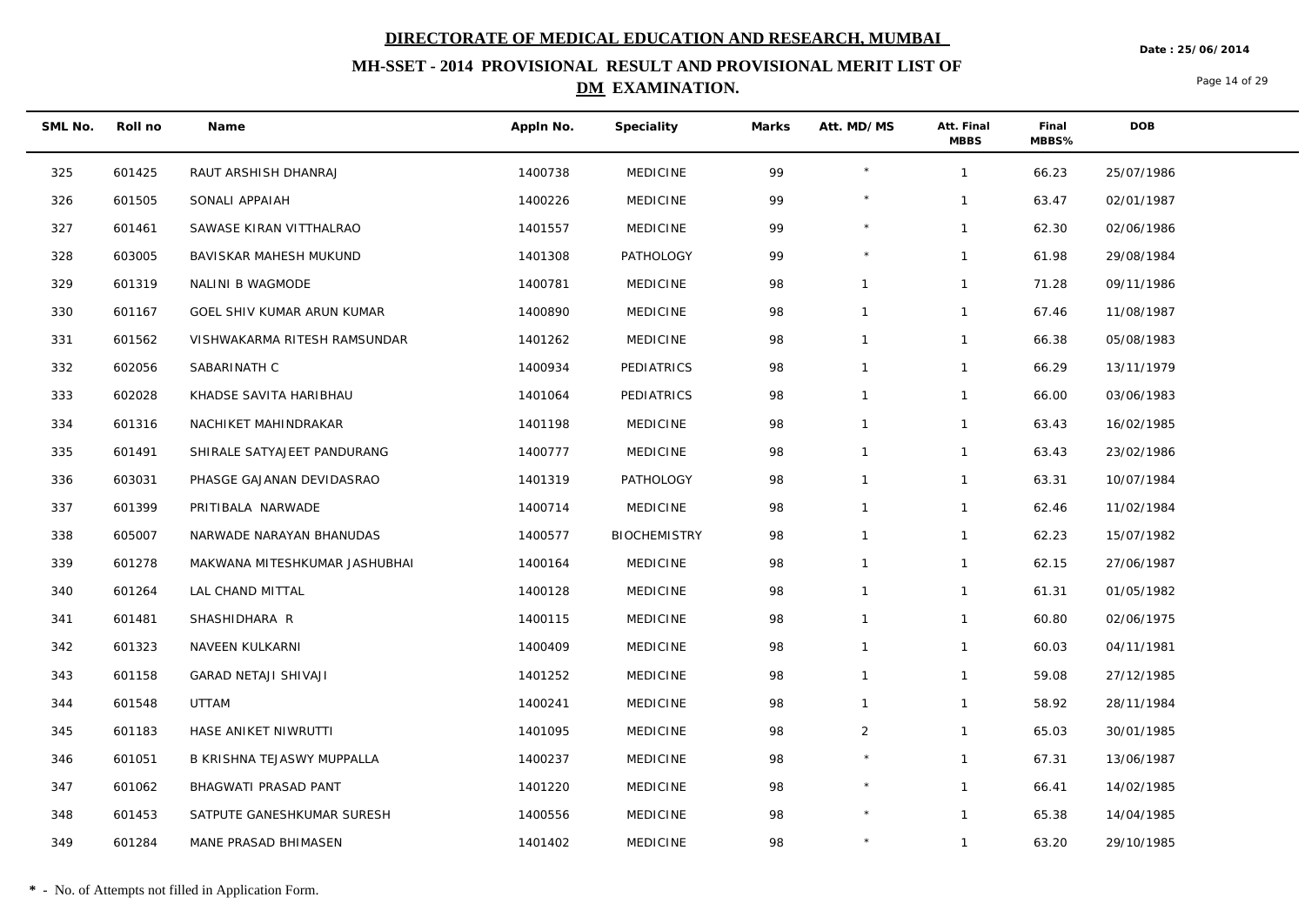**Date : 25/06/2014**

## **MH-SSET - 2014 PROVISIONAL RESULT AND PROVISIONAL MERIT LIST OF DM EXAMINATION.**

Page 14 of 29

| SML No. | Roll no | Name                          | Appln No. | Speciality          | Marks | Att. MD/MS     | Att. Final<br><b>MBBS</b> | Final<br>MBBS% | <b>DOB</b> |
|---------|---------|-------------------------------|-----------|---------------------|-------|----------------|---------------------------|----------------|------------|
| 325     | 601425  | RAUT ARSHISH DHANRAJ          | 1400738   | <b>MEDICINE</b>     | 99    | $\star$        | $\mathbf{1}$              | 66.23          | 25/07/1986 |
| 326     | 601505  | SONALI APPAIAH                | 1400226   | <b>MEDICINE</b>     | 99    |                | $\mathbf{1}$              | 63.47          | 02/01/1987 |
| 327     | 601461  | SAWASE KIRAN VITTHALRAO       | 1401557   | <b>MEDICINE</b>     | 99    | $\star$        | $\mathbf{1}$              | 62.30          | 02/06/1986 |
| 328     | 603005  | BAVISKAR MAHESH MUKUND        | 1401308   | <b>PATHOLOGY</b>    | 99    | $\star$        | $\mathbf{1}$              | 61.98          | 29/08/1984 |
| 329     | 601319  | NALINI B WAGMODE              | 1400781   | <b>MEDICINE</b>     | 98    | $\mathbf{1}$   | $\mathbf{1}$              | 71.28          | 09/11/1986 |
| 330     | 601167  | GOEL SHIV KUMAR ARUN KUMAR    | 1400890   | <b>MEDICINE</b>     | 98    | $\mathbf{1}$   | $\mathbf{1}$              | 67.46          | 11/08/1987 |
| 331     | 601562  | VISHWAKARMA RITESH RAMSUNDAR  | 1401262   | <b>MEDICINE</b>     | 98    | $\mathbf{1}$   | $\mathbf{1}$              | 66.38          | 05/08/1983 |
| 332     | 602056  | SABARINATH C                  | 1400934   | PEDIATRICS          | 98    | $\mathbf{1}$   | $\mathbf{1}$              | 66.29          | 13/11/1979 |
| 333     | 602028  | KHADSE SAVITA HARIBHAU        | 1401064   | PEDIATRICS          | 98    | $\mathbf{1}$   | $\mathbf{1}$              | 66.00          | 03/06/1983 |
| 334     | 601316  | NACHIKET MAHINDRAKAR          | 1401198   | <b>MEDICINE</b>     | 98    | $\mathbf{1}$   | $\mathbf{1}$              | 63.43          | 16/02/1985 |
| 335     | 601491  | SHIRALE SATYAJEET PANDURANG   | 1400777   | <b>MEDICINE</b>     | 98    | $\mathbf{1}$   | $\mathbf{1}$              | 63.43          | 23/02/1986 |
| 336     | 603031  | PHASGE GAJANAN DEVIDASRAO     | 1401319   | PATHOLOGY           | 98    | $\mathbf{1}$   | $\mathbf{1}$              | 63.31          | 10/07/1984 |
| 337     | 601399  | PRITIBALA NARWADE             | 1400714   | <b>MEDICINE</b>     | 98    | $\mathbf{1}$   | $\mathbf{1}$              | 62.46          | 11/02/1984 |
| 338     | 605007  | NARWADE NARAYAN BHANUDAS      | 1400577   | <b>BIOCHEMISTRY</b> | 98    | $\mathbf{1}$   | $\mathbf{1}$              | 62.23          | 15/07/1982 |
| 339     | 601278  | MAKWANA MITESHKUMAR JASHUBHAI | 1400164   | <b>MEDICINE</b>     | 98    | $\mathbf{1}$   | $\mathbf{1}$              | 62.15          | 27/06/1987 |
| 340     | 601264  | LAL CHAND MITTAL              | 1400128   | <b>MEDICINE</b>     | 98    | $\mathbf{1}$   | $\mathbf{1}$              | 61.31          | 01/05/1982 |
| 341     | 601481  | SHASHIDHARA R                 | 1400115   | <b>MEDICINE</b>     | 98    | $\mathbf{1}$   | $\mathbf{1}$              | 60.80          | 02/06/1975 |
| 342     | 601323  | NAVEEN KULKARNI               | 1400409   | <b>MEDICINE</b>     | 98    | $\mathbf{1}$   | $\mathbf{1}$              | 60.03          | 04/11/1981 |
| 343     | 601158  | <b>GARAD NETAJI SHIVAJI</b>   | 1401252   | <b>MEDICINE</b>     | 98    | $\mathbf{1}$   | $\mathbf{1}$              | 59.08          | 27/12/1985 |
| 344     | 601548  | UTTAM                         | 1400241   | <b>MEDICINE</b>     | 98    | $\mathbf{1}$   | $\mathbf{1}$              | 58.92          | 28/11/1984 |
| 345     | 601183  | HASE ANIKET NIWRUTTI          | 1401095   | <b>MEDICINE</b>     | 98    | $\overline{2}$ | $\mathbf{1}$              | 65.03          | 30/01/1985 |
| 346     | 601051  | B KRISHNA TEJASWY MUPPALLA    | 1400237   | <b>MEDICINE</b>     | 98    |                | $\mathbf{1}$              | 67.31          | 13/06/1987 |
| 347     | 601062  | BHAGWATI PRASAD PANT          | 1401220   | <b>MEDICINE</b>     | 98    | $\star$        | $\mathbf{1}$              | 66.41          | 14/02/1985 |
| 348     | 601453  | SATPUTE GANESHKUMAR SURESH    | 1400556   | <b>MEDICINE</b>     | 98    | $\star$        | $\mathbf{1}$              | 65.38          | 14/04/1985 |
| 349     | 601284  | MANE PRASAD BHIMASEN          | 1401402   | <b>MEDICINE</b>     | 98    | $\star$        | $\mathbf{1}$              | 63.20          | 29/10/1985 |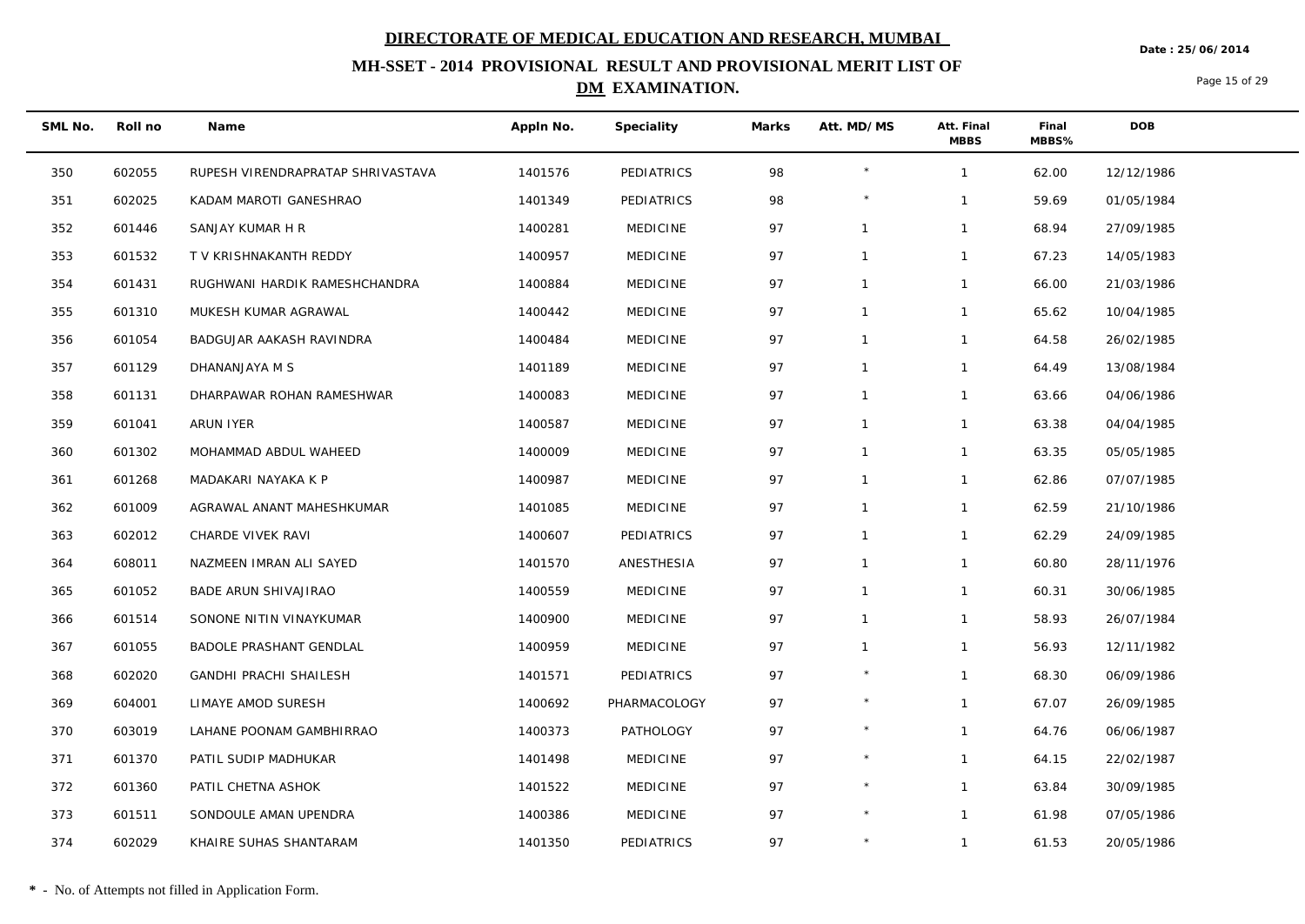**Date : 25/06/2014**

## **MH-SSET - 2014 PROVISIONAL RESULT AND PROVISIONAL MERIT LIST OF DM EXAMINATION.**

Page 15 of 29

| SML No. | Roll no | Name                              | Appln No. | Speciality      | Marks | Att. MD/MS     | Att. Final<br><b>MBBS</b> | Final<br>MBBS% | DOB        |
|---------|---------|-----------------------------------|-----------|-----------------|-------|----------------|---------------------------|----------------|------------|
| 350     | 602055  | RUPESH VIRENDRAPRATAP SHRIVASTAVA | 1401576   | PEDIATRICS      | 98    |                | $\mathbf{1}$              | 62.00          | 12/12/1986 |
| 351     | 602025  | KADAM MAROTI GANESHRAO            | 1401349   | PEDIATRICS      | 98    |                | 1                         | 59.69          | 01/05/1984 |
| 352     | 601446  | SANJAY KUMAR H R                  | 1400281   | <b>MEDICINE</b> | 97    | $\overline{1}$ | $\mathbf{1}$              | 68.94          | 27/09/1985 |
| 353     | 601532  | T V KRISHNAKANTH REDDY            | 1400957   | <b>MEDICINE</b> | 97    | $\mathbf{1}$   | $\mathbf{1}$              | 67.23          | 14/05/1983 |
| 354     | 601431  | RUGHWANI HARDIK RAMESHCHANDRA     | 1400884   | <b>MEDICINE</b> | 97    | $\overline{1}$ | $\mathbf{1}$              | 66.00          | 21/03/1986 |
| 355     | 601310  | MUKESH KUMAR AGRAWAL              | 1400442   | <b>MEDICINE</b> | 97    | $\overline{1}$ | $\mathbf{1}$              | 65.62          | 10/04/1985 |
| 356     | 601054  | BADGUJAR AAKASH RAVINDRA          | 1400484   | <b>MEDICINE</b> | 97    | $\mathbf 1$    | $\mathbf{1}$              | 64.58          | 26/02/1985 |
| 357     | 601129  | DHANANJAYA M S                    | 1401189   | <b>MEDICINE</b> | 97    | $\overline{1}$ | $\mathbf{1}$              | 64.49          | 13/08/1984 |
| 358     | 601131  | DHARPAWAR ROHAN RAMESHWAR         | 1400083   | <b>MEDICINE</b> | 97    | $\overline{1}$ | $\mathbf{1}$              | 63.66          | 04/06/1986 |
| 359     | 601041  | ARUN IYER                         | 1400587   | <b>MEDICINE</b> | 97    | $\mathbf{1}$   | $\mathbf{1}$              | 63.38          | 04/04/1985 |
| 360     | 601302  | MOHAMMAD ABDUL WAHEED             | 1400009   | <b>MEDICINE</b> | 97    | $\mathbf{1}$   | $\mathbf{1}$              | 63.35          | 05/05/1985 |
| 361     | 601268  | MADAKARI NAYAKA K P               | 1400987   | <b>MEDICINE</b> | 97    | $\mathbf 1$    | $\mathbf{1}$              | 62.86          | 07/07/1985 |
| 362     | 601009  | AGRAWAL ANANT MAHESHKUMAR         | 1401085   | <b>MEDICINE</b> | 97    | $\overline{1}$ | $\mathbf{1}$              | 62.59          | 21/10/1986 |
| 363     | 602012  | CHARDE VIVEK RAVI                 | 1400607   | PEDIATRICS      | 97    | $\mathbf{1}$   | 1                         | 62.29          | 24/09/1985 |
| 364     | 608011  | NAZMEEN IMRAN ALI SAYED           | 1401570   | ANESTHESIA      | 97    | $\mathbf{1}$   | $\mathbf{1}$              | 60.80          | 28/11/1976 |
| 365     | 601052  | BADE ARUN SHIVAJIRAO              | 1400559   | <b>MEDICINE</b> | 97    | $\mathbf{1}$   | $\mathbf{1}$              | 60.31          | 30/06/1985 |
| 366     | 601514  | SONONE NITIN VINAYKUMAR           | 1400900   | <b>MEDICINE</b> | 97    | $\mathbf 1$    | $\mathbf{1}$              | 58.93          | 26/07/1984 |
| 367     | 601055  | BADOLE PRASHANT GENDLAL           | 1400959   | <b>MEDICINE</b> | 97    | $\overline{1}$ | $\mathbf{1}$              | 56.93          | 12/11/1982 |
| 368     | 602020  | GANDHI PRACHI SHAILESH            | 1401571   | PEDIATRICS      | 97    | $\star$        | $\mathbf{1}$              | 68.30          | 06/09/1986 |
| 369     | 604001  | LIMAYE AMOD SURESH                | 1400692   | PHARMACOLOGY    | 97    |                | $\mathbf{1}$              | 67.07          | 26/09/1985 |
| 370     | 603019  | LAHANE POONAM GAMBHIRRAO          | 1400373   | PATHOLOGY       | 97    |                | $\mathbf{1}$              | 64.76          | 06/06/1987 |
| 371     | 601370  | PATIL SUDIP MADHUKAR              | 1401498   | <b>MEDICINE</b> | 97    |                | $\mathbf{1}$              | 64.15          | 22/02/1987 |
| 372     | 601360  | PATIL CHETNA ASHOK                | 1401522   | <b>MEDICINE</b> | 97    | $\star$        | $\mathbf{1}$              | 63.84          | 30/09/1985 |
| 373     | 601511  | SONDOULE AMAN UPENDRA             | 1400386   | <b>MEDICINE</b> | 97    | $\star$        | $\mathbf{1}$              | 61.98          | 07/05/1986 |
| 374     | 602029  | KHAIRE SUHAS SHANTARAM            | 1401350   | PEDIATRICS      | 97    |                | $\mathbf{1}$              | 61.53          | 20/05/1986 |

 $\overline{\phantom{0}}$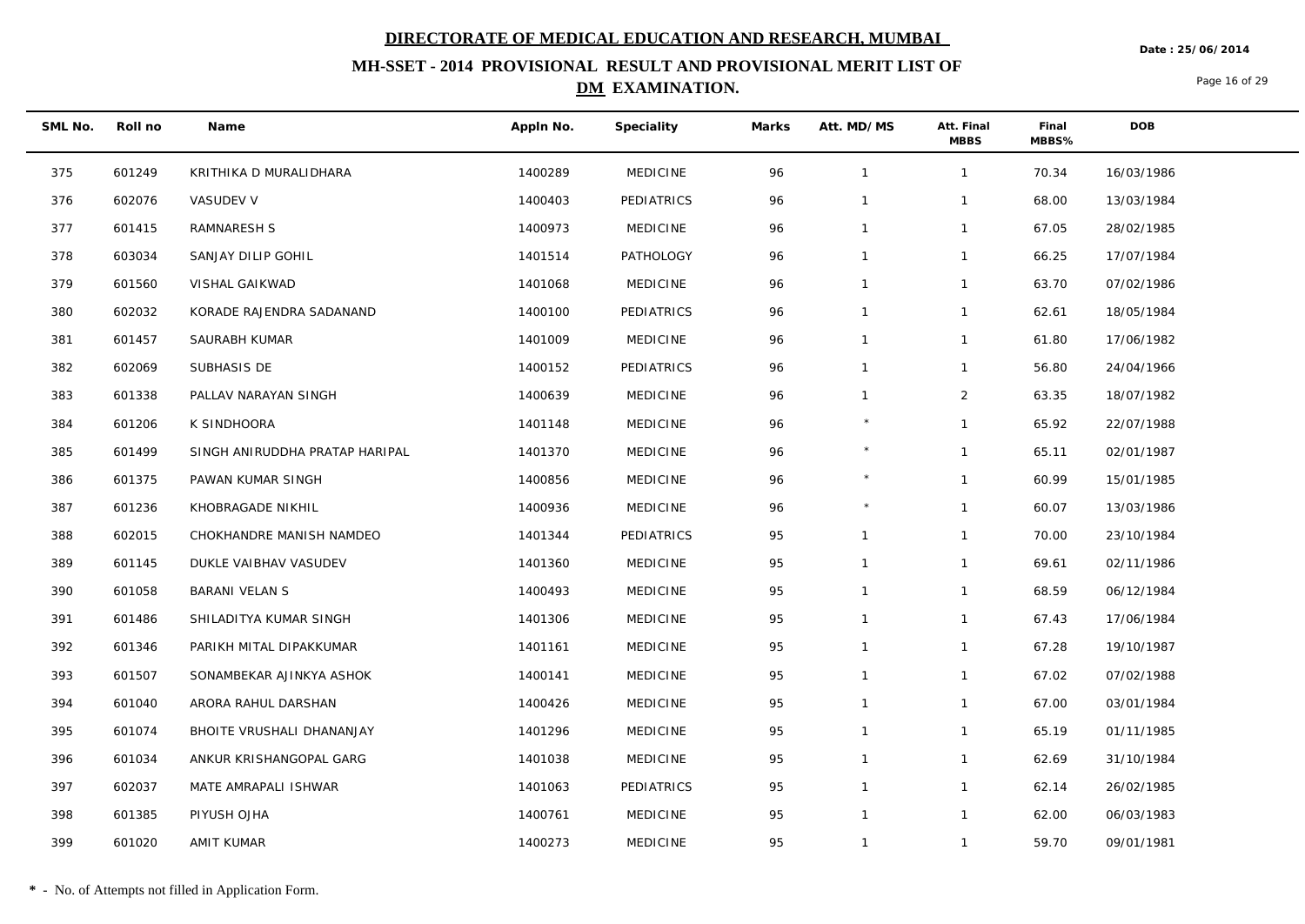**Date : 25/06/2014**

## **MH-SSET - 2014 PROVISIONAL RESULT AND PROVISIONAL MERIT LIST OF DM EXAMINATION.**

Page 16 of 29

| SML No. | Roll no | Name                           | Appln No. | Speciality      | Marks | Att. MD/MS     | Att. Final<br><b>MBBS</b> | Final<br>MBBS% | DOB        |
|---------|---------|--------------------------------|-----------|-----------------|-------|----------------|---------------------------|----------------|------------|
| 375     | 601249  | KRITHIKA D MURALIDHARA         | 1400289   | <b>MEDICINE</b> | 96    | $\overline{1}$ | $\mathbf{1}$              | 70.34          | 16/03/1986 |
| 376     | 602076  | VASUDEV V                      | 1400403   | PEDIATRICS      | 96    | $\mathbf 1$    | 1                         | 68.00          | 13/03/1984 |
| 377     | 601415  | RAMNARESH S                    | 1400973   | <b>MEDICINE</b> | 96    | $\overline{1}$ | $\mathbf{1}$              | 67.05          | 28/02/1985 |
| 378     | 603034  | SANJAY DILIP GOHIL             | 1401514   | PATHOLOGY       | 96    | $\overline{1}$ | $\mathbf{1}$              | 66.25          | 17/07/1984 |
| 379     | 601560  | VISHAL GAIKWAD                 | 1401068   | <b>MEDICINE</b> | 96    | $\overline{1}$ | $\mathbf{1}$              | 63.70          | 07/02/1986 |
| 380     | 602032  | KORADE RAJENDRA SADANAND       | 1400100   | PEDIATRICS      | 96    | $\overline{1}$ | $\mathbf{1}$              | 62.61          | 18/05/1984 |
| 381     | 601457  | SAURABH KUMAR                  | 1401009   | <b>MEDICINE</b> | 96    | $\mathbf{1}$   | $\mathbf{1}$              | 61.80          | 17/06/1982 |
| 382     | 602069  | SUBHASIS DE                    | 1400152   | PEDIATRICS      | 96    | $\overline{1}$ | $\mathbf{1}$              | 56.80          | 24/04/1966 |
| 383     | 601338  | PALLAV NARAYAN SINGH           | 1400639   | <b>MEDICINE</b> | 96    | $\overline{1}$ | $\overline{2}$            | 63.35          | 18/07/1982 |
| 384     | 601206  | K SINDHOORA                    | 1401148   | <b>MEDICINE</b> | 96    |                | $\mathbf{1}$              | 65.92          | 22/07/1988 |
| 385     | 601499  | SINGH ANIRUDDHA PRATAP HARIPAL | 1401370   | <b>MEDICINE</b> | 96    |                | $\mathbf{1}$              | 65.11          | 02/01/1987 |
| 386     | 601375  | PAWAN KUMAR SINGH              | 1400856   | <b>MEDICINE</b> | 96    |                | $\mathbf{1}$              | 60.99          | 15/01/1985 |
| 387     | 601236  | KHOBRAGADE NIKHIL              | 1400936   | <b>MEDICINE</b> | 96    |                | $\mathbf{1}$              | 60.07          | 13/03/1986 |
| 388     | 602015  | CHOKHANDRE MANISH NAMDEO       | 1401344   | PEDIATRICS      | 95    | $\overline{1}$ | $\mathbf{1}$              | 70.00          | 23/10/1984 |
| 389     | 601145  | DUKLE VAIBHAV VASUDEV          | 1401360   | <b>MEDICINE</b> | 95    | $\mathbf{1}$   | $\mathbf{1}$              | 69.61          | 02/11/1986 |
| 390     | 601058  | <b>BARANI VELAN S</b>          | 1400493   | <b>MEDICINE</b> | 95    | $\overline{1}$ | $\mathbf{1}$              | 68.59          | 06/12/1984 |
| 391     | 601486  | SHILADITYA KUMAR SINGH         | 1401306   | <b>MEDICINE</b> | 95    | $\mathbf 1$    | $\mathbf{1}$              | 67.43          | 17/06/1984 |
| 392     | 601346  | PARIKH MITAL DIPAKKUMAR        | 1401161   | <b>MEDICINE</b> | 95    | $\overline{1}$ | $\mathbf{1}$              | 67.28          | 19/10/1987 |
| 393     | 601507  | SONAMBEKAR AJINKYA ASHOK       | 1400141   | <b>MEDICINE</b> | 95    | $\mathbf 1$    | $\mathbf{1}$              | 67.02          | 07/02/1988 |
| 394     | 601040  | ARORA RAHUL DARSHAN            | 1400426   | <b>MEDICINE</b> | 95    | $\overline{1}$ | $\mathbf{1}$              | 67.00          | 03/01/1984 |
| 395     | 601074  | BHOITE VRUSHALI DHANANJAY      | 1401296   | <b>MEDICINE</b> | 95    | $\overline{1}$ | $\mathbf{1}$              | 65.19          | 01/11/1985 |
| 396     | 601034  | ANKUR KRISHANGOPAL GARG        | 1401038   | <b>MEDICINE</b> | 95    | $\mathbf 1$    | $\mathbf{1}$              | 62.69          | 31/10/1984 |
| 397     | 602037  | MATE AMRAPALI ISHWAR           | 1401063   | PEDIATRICS      | 95    | $\overline{1}$ | $\mathbf{1}$              | 62.14          | 26/02/1985 |
| 398     | 601385  | PIYUSH OJHA                    | 1400761   | <b>MEDICINE</b> | 95    | $\mathbf{1}$   | $\mathbf{1}$              | 62.00          | 06/03/1983 |
| 399     | 601020  | AMIT KUMAR                     | 1400273   | <b>MEDICINE</b> | 95    | $\overline{1}$ | $\mathbf{1}$              | 59.70          | 09/01/1981 |

 $\overline{\phantom{a}}$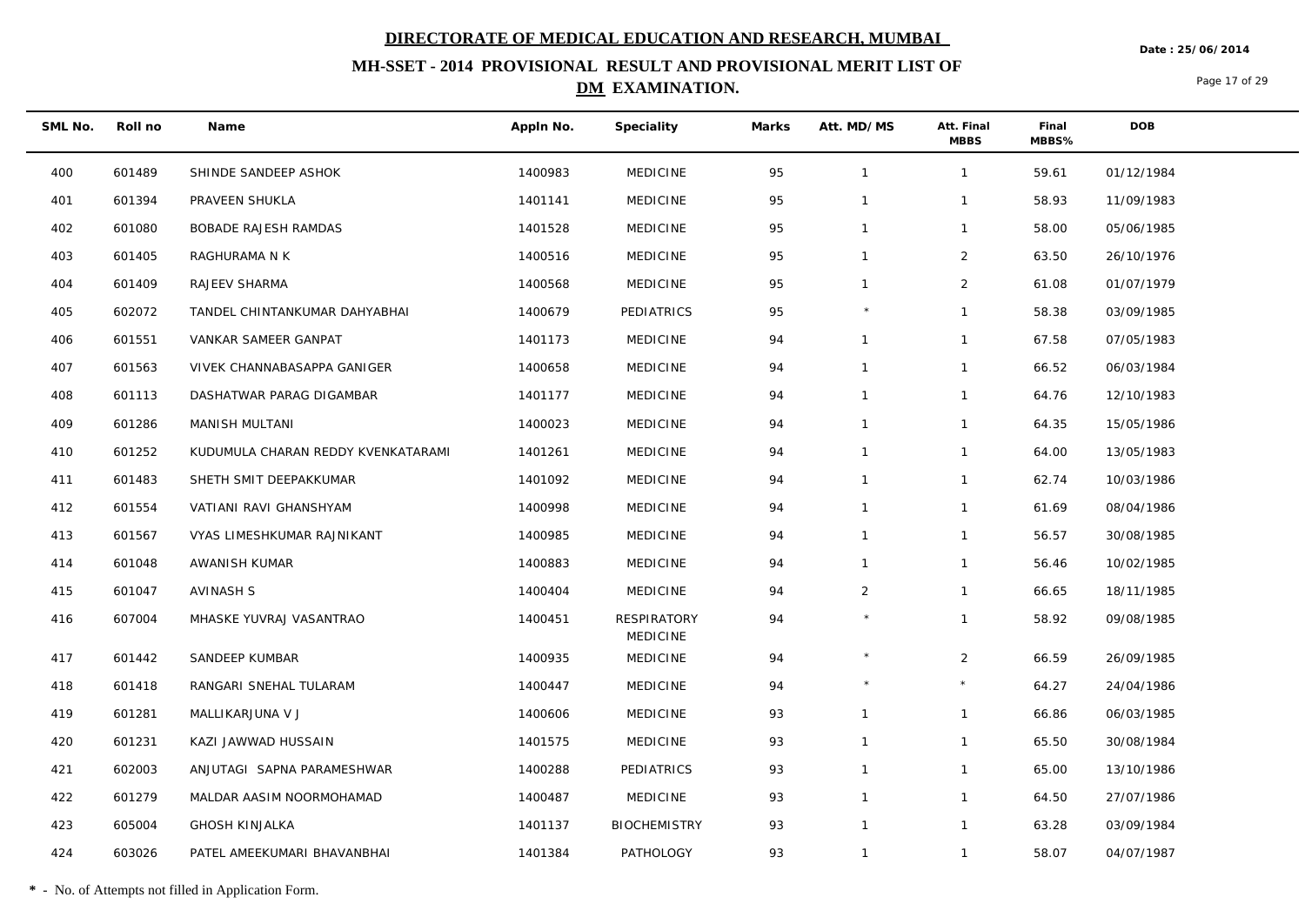**Date : 25/06/2014**

## **MH-SSET - 2014 PROVISIONAL RESULT AND PROVISIONAL MERIT LIST OF DM EXAMINATION.**

Page 17 of 29

| SML No. | Roll no | Name                               | Appln No. | Speciality                            | Marks | Att. MD/MS     | Att. Final<br><b>MBBS</b> | Final<br>MBBS% | DOB        |
|---------|---------|------------------------------------|-----------|---------------------------------------|-------|----------------|---------------------------|----------------|------------|
| 400     | 601489  | SHINDE SANDEEP ASHOK               | 1400983   | MEDICINE                              | 95    | $\overline{1}$ | $\mathbf{1}$              | 59.61          | 01/12/1984 |
| 401     | 601394  | PRAVEEN SHUKLA                     | 1401141   | <b>MEDICINE</b>                       | 95    | $\overline{1}$ | $\mathbf{1}$              | 58.93          | 11/09/1983 |
| 402     | 601080  | <b>BOBADE RAJESH RAMDAS</b>        | 1401528   | <b>MEDICINE</b>                       | 95    | $\mathbf{1}$   | $\mathbf{1}$              | 58.00          | 05/06/1985 |
| 403     | 601405  | RAGHURAMA N K                      | 1400516   | <b>MEDICINE</b>                       | 95    | $\mathbf{1}$   | $\overline{2}$            | 63.50          | 26/10/1976 |
| 404     | 601409  | RAJEEV SHARMA                      | 1400568   | <b>MEDICINE</b>                       | 95    | $\mathbf 1$    | $\overline{2}$            | 61.08          | 01/07/1979 |
| 405     | 602072  | TANDEL CHINTANKUMAR DAHYABHAI      | 1400679   | PEDIATRICS                            | 95    |                | $\mathbf{1}$              | 58.38          | 03/09/1985 |
| 406     | 601551  | VANKAR SAMEER GANPAT               | 1401173   | <b>MEDICINE</b>                       | 94    | $\mathbf{1}$   | $\mathbf{1}$              | 67.58          | 07/05/1983 |
| 407     | 601563  | VIVEK CHANNABASAPPA GANIGER        | 1400658   | <b>MEDICINE</b>                       | 94    | $\mathbf{1}$   | $\mathbf{1}$              | 66.52          | 06/03/1984 |
| 408     | 601113  | DASHATWAR PARAG DIGAMBAR           | 1401177   | <b>MEDICINE</b>                       | 94    | $\mathbf{1}$   | $\mathbf{1}$              | 64.76          | 12/10/1983 |
| 409     | 601286  | MANISH MULTANI                     | 1400023   | <b>MEDICINE</b>                       | 94    | $\mathbf{1}$   | $\mathbf{1}$              | 64.35          | 15/05/1986 |
| 410     | 601252  | KUDUMULA CHARAN REDDY KVENKATARAMI | 1401261   | <b>MEDICINE</b>                       | 94    | $\mathbf{1}$   | $\mathbf{1}$              | 64.00          | 13/05/1983 |
| 411     | 601483  | SHETH SMIT DEEPAKKUMAR             | 1401092   | <b>MEDICINE</b>                       | 94    | $\mathbf 1$    | $\mathbf{1}$              | 62.74          | 10/03/1986 |
| 412     | 601554  | VATIANI RAVI GHANSHYAM             | 1400998   | <b>MEDICINE</b>                       | 94    | $\mathbf{1}$   | $\mathbf{1}$              | 61.69          | 08/04/1986 |
| 413     | 601567  | VYAS LIMESHKUMAR RAJNIKANT         | 1400985   | <b>MEDICINE</b>                       | 94    | $\mathbf{1}$   | $\mathbf{1}$              | 56.57          | 30/08/1985 |
| 414     | 601048  | AWANISH KUMAR                      | 1400883   | <b>MEDICINE</b>                       | 94    | $\mathbf{1}$   | $\mathbf{1}$              | 56.46          | 10/02/1985 |
| 415     | 601047  | AVINASH S                          | 1400404   | <b>MEDICINE</b>                       | 94    | $\overline{2}$ | $\mathbf{1}$              | 66.65          | 18/11/1985 |
| 416     | 607004  | MHASKE YUVRAJ VASANTRAO            | 1400451   | <b>RESPIRATORY</b><br><b>MEDICINE</b> | 94    |                | $\mathbf{1}$              | 58.92          | 09/08/1985 |
| 417     | 601442  | SANDEEP KUMBAR                     | 1400935   | <b>MEDICINE</b>                       | 94    | $\star$        | $\overline{2}$            | 66.59          | 26/09/1985 |
| 418     | 601418  | RANGARI SNEHAL TULARAM             | 1400447   | <b>MEDICINE</b>                       | 94    |                | $\star$                   | 64.27          | 24/04/1986 |
| 419     | 601281  | MALLIKARJUNA V J                   | 1400606   | <b>MEDICINE</b>                       | 93    | $\mathbf{1}$   | $\mathbf{1}$              | 66.86          | 06/03/1985 |
| 420     | 601231  | KAZI JAWWAD HUSSAIN                | 1401575   | <b>MEDICINE</b>                       | 93    | $\mathbf{1}$   | $\mathbf{1}$              | 65.50          | 30/08/1984 |
| 421     | 602003  | ANJUTAGI SAPNA PARAMESHWAR         | 1400288   | PEDIATRICS                            | 93    | $\mathbf 1$    | $\mathbf{1}$              | 65.00          | 13/10/1986 |
| 422     | 601279  | MALDAR AASIM NOORMOHAMAD           | 1400487   | <b>MEDICINE</b>                       | 93    | $\overline{1}$ | $\mathbf{1}$              | 64.50          | 27/07/1986 |
| 423     | 605004  | <b>GHOSH KINJALKA</b>              | 1401137   | <b>BIOCHEMISTRY</b>                   | 93    | $\mathbf{1}$   | $\mathbf{1}$              | 63.28          | 03/09/1984 |
| 424     | 603026  | PATEL AMEEKUMARI BHAVANBHAI        | 1401384   | PATHOLOGY                             | 93    | $\mathbf{1}$   | $\mathbf{1}$              | 58.07          | 04/07/1987 |

**\*** - No. of Attempts not filled in Application Form.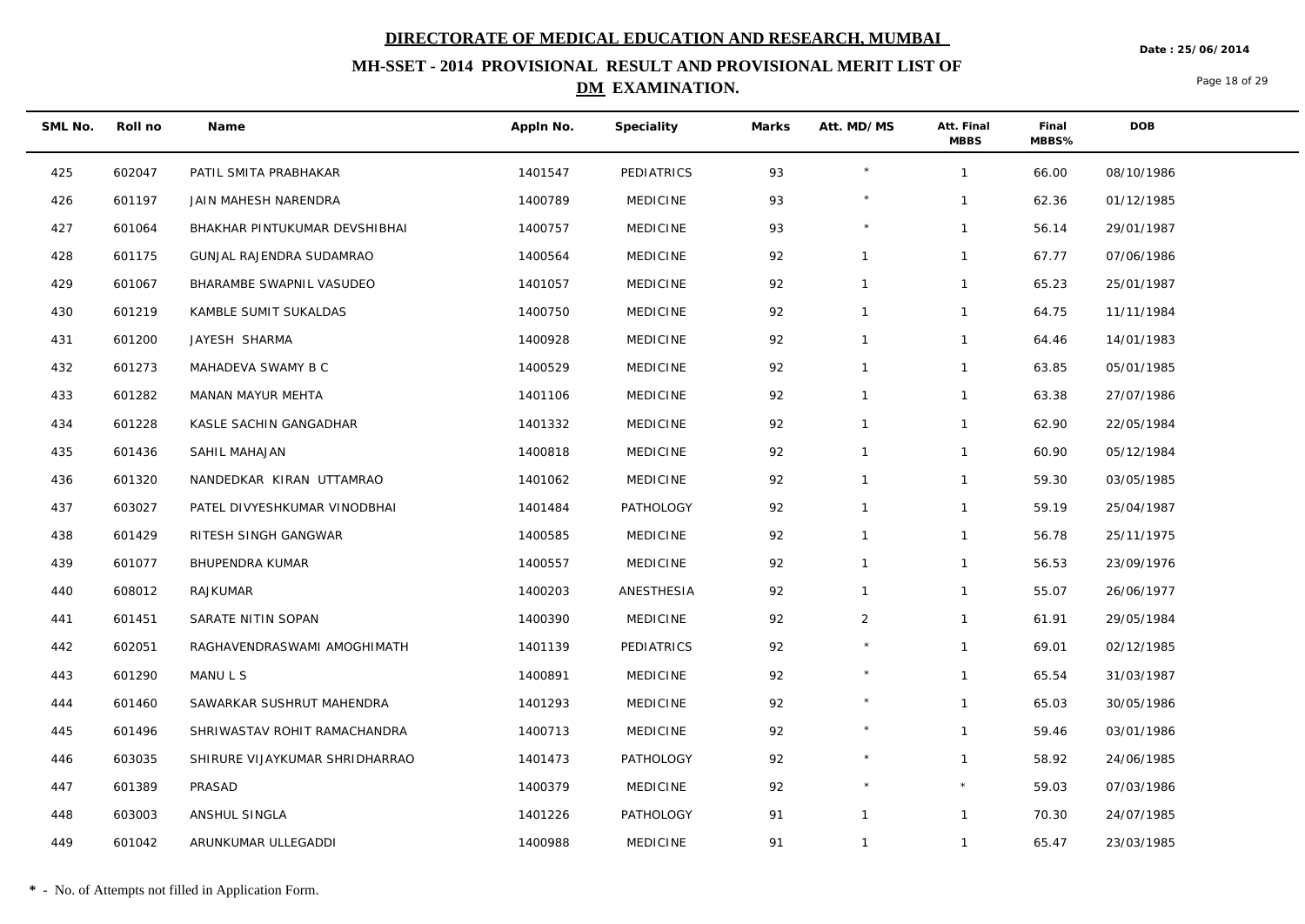**Date : 25/06/2014**

## **MH-SSET - 2014 PROVISIONAL RESULT AND PROVISIONAL MERIT LIST OF DM EXAMINATION.**

Page 18 of 29

| SML No. | Roll no | Name                           | Appln No. | Speciality      | Marks | Att. MD/MS   | Att. Final<br><b>MBBS</b> | Final<br>MBBS% | <b>DOB</b> |
|---------|---------|--------------------------------|-----------|-----------------|-------|--------------|---------------------------|----------------|------------|
| 425     | 602047  | PATIL SMITA PRABHAKAR          | 1401547   | PEDIATRICS      | 93    | $\star$      | $\mathbf{1}$              | 66.00          | 08/10/1986 |
| 426     | 601197  | JAIN MAHESH NARENDRA           | 1400789   | <b>MEDICINE</b> | 93    | $\star$      | $\mathbf{1}$              | 62.36          | 01/12/1985 |
| 427     | 601064  | BHAKHAR PINTUKUMAR DEVSHIBHAI  | 1400757   | <b>MEDICINE</b> | 93    | $\star$      | $\mathbf{1}$              | 56.14          | 29/01/1987 |
| 428     | 601175  | GUNJAL RAJENDRA SUDAMRAO       | 1400564   | <b>MEDICINE</b> | 92    | $\mathbf{1}$ | $\mathbf{1}$              | 67.77          | 07/06/1986 |
| 429     | 601067  | BHARAMBE SWAPNIL VASUDEO       | 1401057   | <b>MEDICINE</b> | 92    | $\mathbf{1}$ | $\mathbf{1}$              | 65.23          | 25/01/1987 |
| 430     | 601219  | KAMBLE SUMIT SUKALDAS          | 1400750   | <b>MEDICINE</b> | 92    | $\mathbf{1}$ | $\mathbf{1}$              | 64.75          | 11/11/1984 |
| 431     | 601200  | JAYESH SHARMA                  | 1400928   | <b>MEDICINE</b> | 92    | $\mathbf{1}$ | $\mathbf{1}$              | 64.46          | 14/01/1983 |
| 432     | 601273  | MAHADEVA SWAMY B C             | 1400529   | <b>MEDICINE</b> | 92    | $\mathbf{1}$ | $\mathbf{1}$              | 63.85          | 05/01/1985 |
| 433     | 601282  | MANAN MAYUR MEHTA              | 1401106   | <b>MEDICINE</b> | 92    | $\mathbf{1}$ | $\mathbf{1}$              | 63.38          | 27/07/1986 |
| 434     | 601228  | KASLE SACHIN GANGADHAR         | 1401332   | <b>MEDICINE</b> | 92    |              | $\mathbf{1}$              | 62.90          | 22/05/1984 |
| 435     | 601436  | SAHIL MAHAJAN                  | 1400818   | <b>MEDICINE</b> | 92    | $\mathbf{1}$ | $\mathbf{1}$              | 60.90          | 05/12/1984 |
| 436     | 601320  | NANDEDKAR KIRAN UTTAMRAO       | 1401062   | <b>MEDICINE</b> | 92    | $\mathbf{1}$ | $\mathbf{1}$              | 59.30          | 03/05/1985 |
| 437     | 603027  | PATEL DIVYESHKUMAR VINODBHAI   | 1401484   | PATHOLOGY       | 92    | $\mathbf{1}$ | $\mathbf{1}$              | 59.19          | 25/04/1987 |
| 438     | 601429  | RITESH SINGH GANGWAR           | 1400585   | <b>MEDICINE</b> | 92    | $\mathbf{1}$ | $\mathbf{1}$              | 56.78          | 25/11/1975 |
| 439     | 601077  | <b>BHUPENDRA KUMAR</b>         | 1400557   | <b>MEDICINE</b> | 92    | $\mathbf{1}$ | $\mathbf{1}$              | 56.53          | 23/09/1976 |
| 440     | 608012  | RAJKUMAR                       | 1400203   | ANESTHESIA      | 92    | $\mathbf{1}$ | $\mathbf{1}$              | 55.07          | 26/06/1977 |
| 441     | 601451  | SARATE NITIN SOPAN             | 1400390   | <b>MEDICINE</b> | 92    | 2            | $\mathbf{1}$              | 61.91          | 29/05/1984 |
| 442     | 602051  | RAGHAVENDRASWAMI AMOGHIMATH    | 1401139   | PEDIATRICS      | 92    | $\star$      | $\mathbf{1}$              | 69.01          | 02/12/1985 |
| 443     | 601290  | MANU L S                       | 1400891   | <b>MEDICINE</b> | 92    | $\star$      | $\mathbf{1}$              | 65.54          | 31/03/1987 |
| 444     | 601460  | SAWARKAR SUSHRUT MAHENDRA      | 1401293   | <b>MEDICINE</b> | 92    |              | $\mathbf{1}$              | 65.03          | 30/05/1986 |
| 445     | 601496  | SHRIWASTAV ROHIT RAMACHANDRA   | 1400713   | <b>MEDICINE</b> | 92    | $\star$      | $\mathbf{1}$              | 59.46          | 03/01/1986 |
| 446     | 603035  | SHIRURE VIJAYKUMAR SHRIDHARRAO | 1401473   | PATHOLOGY       | 92    |              | $\mathbf{1}$              | 58.92          | 24/06/1985 |
| 447     | 601389  | PRASAD                         | 1400379   | <b>MEDICINE</b> | 92    | $\star$      | $\star$                   | 59.03          | 07/03/1986 |
| 448     | 603003  | ANSHUL SINGLA                  | 1401226   | PATHOLOGY       | 91    | $\mathbf{1}$ | $\mathbf{1}$              | 70.30          | 24/07/1985 |
| 449     | 601042  | ARUNKUMAR ULLEGADDI            | 1400988   | <b>MEDICINE</b> | 91    | $\mathbf{1}$ | $\mathbf{1}$              | 65.47          | 23/03/1985 |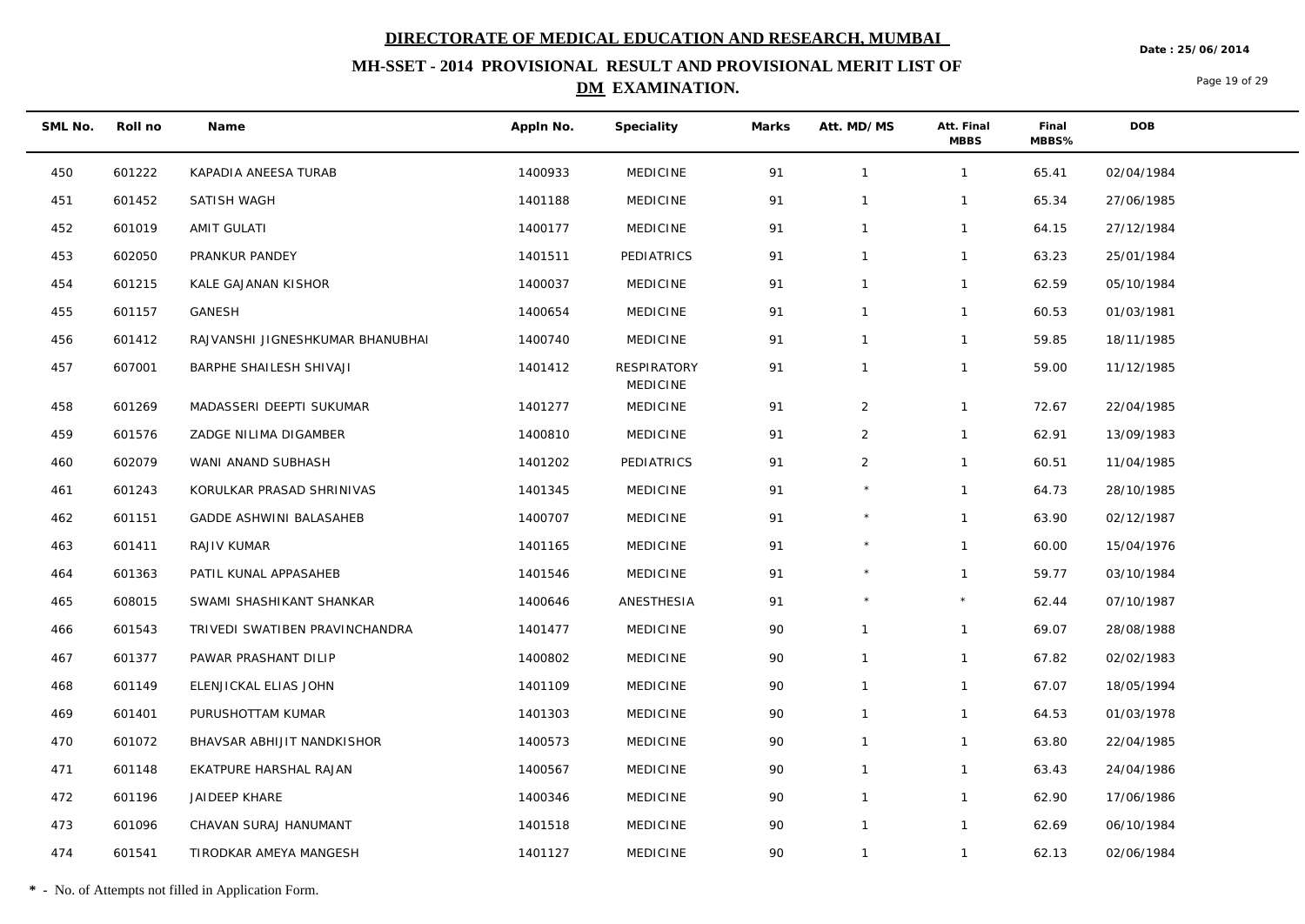**Date : 25/06/2014**

## **MH-SSET - 2014 PROVISIONAL RESULT AND PROVISIONAL MERIT LIST OF DM EXAMINATION.**

Page 19 of 29

| SML No. | Roll no | Name                             | Appln No. | Speciality                     | Marks | Att. MD/MS     | Att. Final<br><b>MBBS</b> | Final<br>MBBS% | <b>DOB</b> |
|---------|---------|----------------------------------|-----------|--------------------------------|-------|----------------|---------------------------|----------------|------------|
| 450     | 601222  | KAPADIA ANEESA TURAB             | 1400933   | <b>MEDICINE</b>                | 91    | $\mathbf{1}$   | $\mathbf{1}$              | 65.41          | 02/04/1984 |
| 451     | 601452  | SATISH WAGH                      | 1401188   | <b>MEDICINE</b>                | 91    | $\mathbf{1}$   | $\mathbf{1}$              | 65.34          | 27/06/1985 |
| 452     | 601019  | <b>AMIT GULATI</b>               | 1400177   | <b>MEDICINE</b>                | 91    | $\mathbf{1}$   | $\mathbf{1}$              | 64.15          | 27/12/1984 |
| 453     | 602050  | PRANKUR PANDEY                   | 1401511   | PEDIATRICS                     | 91    | $\mathbf{1}$   | $\mathbf{1}$              | 63.23          | 25/01/1984 |
| 454     | 601215  | KALE GAJANAN KISHOR              | 1400037   | <b>MEDICINE</b>                | 91    | $\mathbf{1}$   | $\mathbf{1}$              | 62.59          | 05/10/1984 |
| 455     | 601157  | GANESH                           | 1400654   | <b>MEDICINE</b>                | 91    | $\mathbf{1}$   | $\mathbf{1}$              | 60.53          | 01/03/1981 |
| 456     | 601412  | RAJVANSHI JIGNESHKUMAR BHANUBHAI | 1400740   | <b>MEDICINE</b>                | 91    | $\mathbf{1}$   | $\mathbf{1}$              | 59.85          | 18/11/1985 |
| 457     | 607001  | BARPHE SHAILESH SHIVAJI          | 1401412   | <b>RESPIRATORY</b><br>MEDICINE | 91    | $\mathbf{1}$   | $\mathbf{1}$              | 59.00          | 11/12/1985 |
| 458     | 601269  | MADASSERI DEEPTI SUKUMAR         | 1401277   | <b>MEDICINE</b>                | 91    | $\overline{2}$ | $\mathbf{1}$              | 72.67          | 22/04/1985 |
| 459     | 601576  | ZADGE NILIMA DIGAMBER            | 1400810   | <b>MEDICINE</b>                | 91    | $\overline{2}$ | $\mathbf{1}$              | 62.91          | 13/09/1983 |
| 460     | 602079  | WANI ANAND SUBHASH               | 1401202   | PEDIATRICS                     | 91    | $\overline{2}$ | $\mathbf{1}$              | 60.51          | 11/04/1985 |
| 461     | 601243  | KORULKAR PRASAD SHRINIVAS        | 1401345   | <b>MEDICINE</b>                | 91    |                | $\mathbf{1}$              | 64.73          | 28/10/1985 |
| 462     | 601151  | GADDE ASHWINI BALASAHEB          | 1400707   | <b>MEDICINE</b>                | 91    | $\star$        | $\mathbf{1}$              | 63.90          | 02/12/1987 |
| 463     | 601411  | RAJIV KUMAR                      | 1401165   | <b>MEDICINE</b>                | 91    | $\star$        | $\mathbf{1}$              | 60.00          | 15/04/1976 |
| 464     | 601363  | PATIL KUNAL APPASAHEB            | 1401546   | <b>MEDICINE</b>                | 91    | $\star$        | $\mathbf{1}$              | 59.77          | 03/10/1984 |
| 465     | 608015  | SWAMI SHASHIKANT SHANKAR         | 1400646   | ANESTHESIA                     | 91    | $\star$        | $\star$                   | 62.44          | 07/10/1987 |
| 466     | 601543  | TRIVEDI SWATIBEN PRAVINCHANDRA   | 1401477   | <b>MEDICINE</b>                | 90    | $\mathbf{1}$   | $\mathbf{1}$              | 69.07          | 28/08/1988 |
| 467     | 601377  | PAWAR PRASHANT DILIP             | 1400802   | <b>MEDICINE</b>                | 90    | $\mathbf{1}$   | $\mathbf{1}$              | 67.82          | 02/02/1983 |
| 468     | 601149  | ELENJICKAL ELIAS JOHN            | 1401109   | <b>MEDICINE</b>                | 90    | $\mathbf{1}$   | $\mathbf{1}$              | 67.07          | 18/05/1994 |
| 469     | 601401  | PURUSHOTTAM KUMAR                | 1401303   | <b>MEDICINE</b>                | 90    | $\mathbf{1}$   | $\mathbf{1}$              | 64.53          | 01/03/1978 |
| 470     | 601072  | BHAVSAR ABHIJIT NANDKISHOR       | 1400573   | <b>MEDICINE</b>                | 90    | $\mathbf{1}$   | $\mathbf{1}$              | 63.80          | 22/04/1985 |
| 471     | 601148  | EKATPURE HARSHAL RAJAN           | 1400567   | <b>MEDICINE</b>                | 90    | $\mathbf{1}$   | $\mathbf{1}$              | 63.43          | 24/04/1986 |
| 472     | 601196  | JAIDEEP KHARE                    | 1400346   | <b>MEDICINE</b>                | 90    | $\mathbf{1}$   | $\mathbf{1}$              | 62.90          | 17/06/1986 |
| 473     | 601096  | CHAVAN SURAJ HANUMANT            | 1401518   | <b>MEDICINE</b>                | 90    | $\mathbf{1}$   | $\mathbf{1}$              | 62.69          | 06/10/1984 |
| 474     | 601541  | TIRODKAR AMEYA MANGESH           | 1401127   | <b>MEDICINE</b>                | 90    | $\mathbf{1}$   | $\mathbf{1}$              | 62.13          | 02/06/1984 |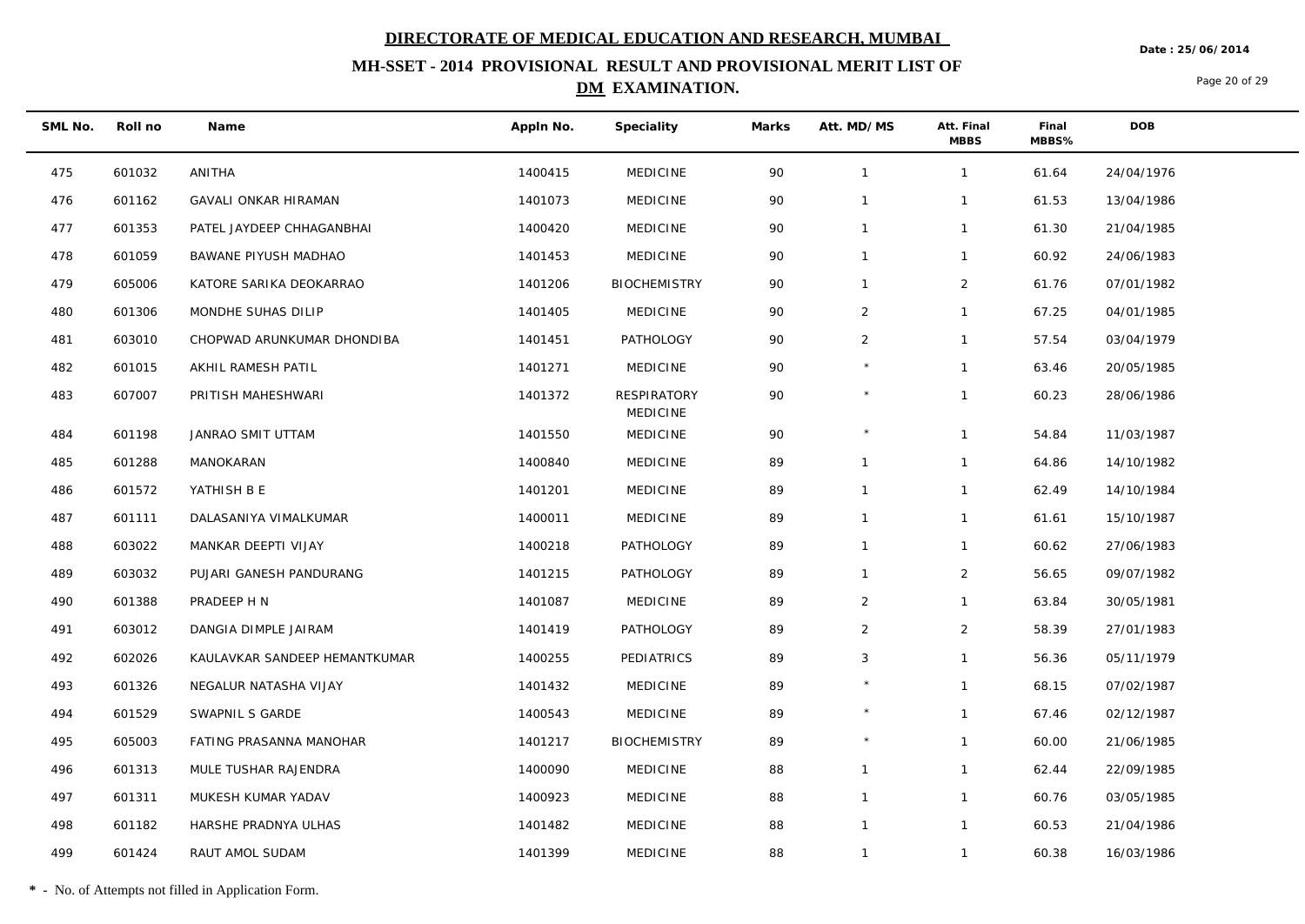**Date : 25/06/2014**

## **MH-SSET - 2014 PROVISIONAL RESULT AND PROVISIONAL MERIT LIST OF DM EXAMINATION.**

Page 20 of 29

| SML No. | Roll no | Name                          | Appln No. | Speciality                            | Marks | Att. MD/MS     | Att. Final<br><b>MBBS</b> | Final<br>MBBS% | DOB        |
|---------|---------|-------------------------------|-----------|---------------------------------------|-------|----------------|---------------------------|----------------|------------|
| 475     | 601032  | ANITHA                        | 1400415   | <b>MEDICINE</b>                       | 90    | $\overline{1}$ | $\mathbf{1}$              | 61.64          | 24/04/1976 |
| 476     | 601162  | <b>GAVALI ONKAR HIRAMAN</b>   | 1401073   | <b>MEDICINE</b>                       | 90    | $\overline{1}$ | $\mathbf{1}$              | 61.53          | 13/04/1986 |
| 477     | 601353  | PATEL JAYDEEP CHHAGANBHAI     | 1400420   | <b>MEDICINE</b>                       | 90    | $\mathbf{1}$   | $\mathbf{1}$              | 61.30          | 21/04/1985 |
| 478     | 601059  | BAWANE PIYUSH MADHAO          | 1401453   | <b>MEDICINE</b>                       | 90    | $\overline{1}$ | $\mathbf{1}$              | 60.92          | 24/06/1983 |
| 479     | 605006  | KATORE SARIKA DEOKARRAO       | 1401206   | <b>BIOCHEMISTRY</b>                   | 90    | $\mathbf{1}$   | $\overline{2}$            | 61.76          | 07/01/1982 |
| 480     | 601306  | MONDHE SUHAS DILIP            | 1401405   | <b>MEDICINE</b>                       | 90    | $\overline{2}$ | $\mathbf{1}$              | 67.25          | 04/01/1985 |
| 481     | 603010  | CHOPWAD ARUNKUMAR DHONDIBA    | 1401451   | PATHOLOGY                             | 90    | $\overline{2}$ | $\mathbf{1}$              | 57.54          | 03/04/1979 |
| 482     | 601015  | AKHIL RAMESH PATIL            | 1401271   | <b>MEDICINE</b>                       | 90    |                | $\mathbf{1}$              | 63.46          | 20/05/1985 |
| 483     | 607007  | PRITISH MAHESHWARI            | 1401372   | <b>RESPIRATORY</b><br><b>MEDICINE</b> | 90    | $\star$        | $\mathbf{1}$              | 60.23          | 28/06/1986 |
| 484     | 601198  | JANRAO SMIT UTTAM             | 1401550   | MEDICINE                              | 90    | $\star$        | $\mathbf{1}$              | 54.84          | 11/03/1987 |
| 485     | 601288  | MANOKARAN                     | 1400840   | <b>MEDICINE</b>                       | 89    | $\mathbf{1}$   | $\mathbf{1}$              | 64.86          | 14/10/1982 |
| 486     | 601572  | YATHISH B E                   | 1401201   | <b>MEDICINE</b>                       | 89    | $\overline{1}$ | $\mathbf{1}$              | 62.49          | 14/10/1984 |
| 487     | 601111  | DALASANIYA VIMALKUMAR         | 1400011   | <b>MEDICINE</b>                       | 89    | $\overline{1}$ | $\mathbf{1}$              | 61.61          | 15/10/1987 |
| 488     | 603022  | MANKAR DEEPTI VIJAY           | 1400218   | PATHOLOGY                             | 89    | $\overline{1}$ | $\mathbf{1}$              | 60.62          | 27/06/1983 |
| 489     | 603032  | PUJARI GANESH PANDURANG       | 1401215   | PATHOLOGY                             | 89    | $\overline{1}$ | $\overline{2}$            | 56.65          | 09/07/1982 |
| 490     | 601388  | PRADEEP H N                   | 1401087   | <b>MEDICINE</b>                       | 89    | $\overline{2}$ | $\mathbf{1}$              | 63.84          | 30/05/1981 |
| 491     | 603012  | DANGIA DIMPLE JAIRAM          | 1401419   | PATHOLOGY                             | 89    | $\overline{2}$ | $\overline{2}$            | 58.39          | 27/01/1983 |
| 492     | 602026  | KAULAVKAR SANDEEP HEMANTKUMAR | 1400255   | PEDIATRICS                            | 89    | 3              | $\mathbf{1}$              | 56.36          | 05/11/1979 |
| 493     | 601326  | NEGALUR NATASHA VIJAY         | 1401432   | <b>MEDICINE</b>                       | 89    | $\star$        | $\mathbf{1}$              | 68.15          | 07/02/1987 |
| 494     | 601529  | SWAPNIL S GARDE               | 1400543   | <b>MEDICINE</b>                       | 89    | $\star$        | $\mathbf{1}$              | 67.46          | 02/12/1987 |
| 495     | 605003  | FATING PRASANNA MANOHAR       | 1401217   | <b>BIOCHEMISTRY</b>                   | 89    | $\star$        | $\mathbf{1}$              | 60.00          | 21/06/1985 |
| 496     | 601313  | MULE TUSHAR RAJENDRA          | 1400090   | <b>MEDICINE</b>                       | 88    | $\overline{1}$ | $\mathbf{1}$              | 62.44          | 22/09/1985 |
| 497     | 601311  | MUKESH KUMAR YADAV            | 1400923   | <b>MEDICINE</b>                       | 88    | $\overline{1}$ | $\mathbf{1}$              | 60.76          | 03/05/1985 |
| 498     | 601182  | HARSHE PRADNYA ULHAS          | 1401482   | <b>MEDICINE</b>                       | 88    | $\mathbf{1}$   | $\mathbf{1}$              | 60.53          | 21/04/1986 |
| 499     | 601424  | RAUT AMOL SUDAM               | 1401399   | <b>MEDICINE</b>                       | 88    | $\overline{1}$ | $\mathbf{1}$              | 60.38          | 16/03/1986 |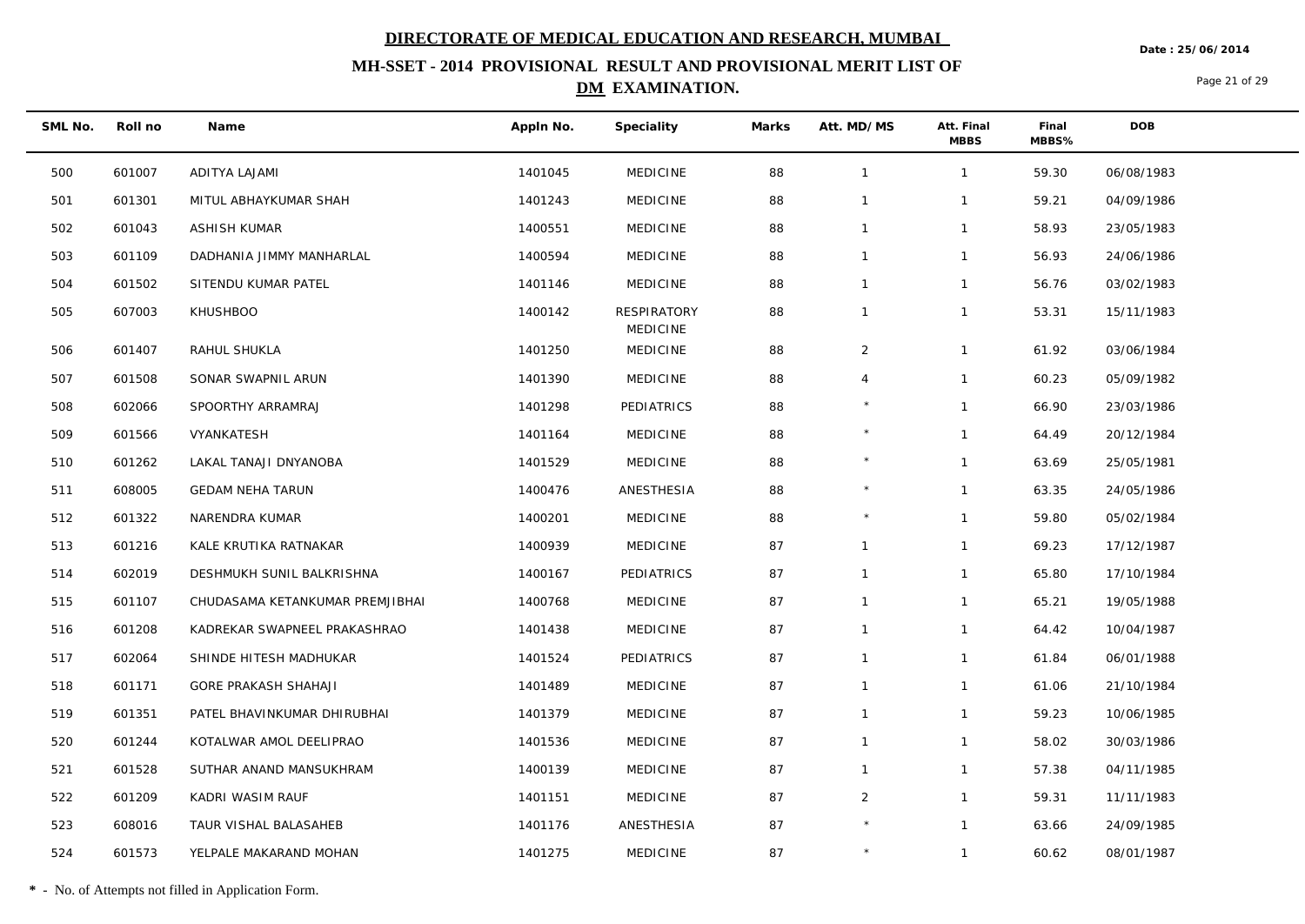**Date : 25/06/2014**

## **MH-SSET - 2014 PROVISIONAL RESULT AND PROVISIONAL MERIT LIST OF DM EXAMINATION.**

Page 21 of 29

| SML No. | Roll no | Name                            | Appln No. | Speciality                            | Marks | Att. MD/MS     | Att. Final<br><b>MBBS</b> | Final<br>MBBS% | DOB        |
|---------|---------|---------------------------------|-----------|---------------------------------------|-------|----------------|---------------------------|----------------|------------|
| 500     | 601007  | ADITYA LAJAMI                   | 1401045   | <b>MEDICINE</b>                       | 88    | $\overline{1}$ | $\mathbf{1}$              | 59.30          | 06/08/1983 |
| 501     | 601301  | MITUL ABHAYKUMAR SHAH           | 1401243   | <b>MEDICINE</b>                       | 88    | $\mathbf{1}$   | $\mathbf{1}$              | 59.21          | 04/09/1986 |
| 502     | 601043  | ASHISH KUMAR                    | 1400551   | <b>MEDICINE</b>                       | 88    | $\overline{1}$ | $\mathbf{1}$              | 58.93          | 23/05/1983 |
| 503     | 601109  | DADHANIA JIMMY MANHARLAL        | 1400594   | <b>MEDICINE</b>                       | 88    | $\overline{1}$ | $\mathbf{1}$              | 56.93          | 24/06/1986 |
| 504     | 601502  | SITENDU KUMAR PATEL             | 1401146   | <b>MEDICINE</b>                       | 88    | $\overline{1}$ | $\mathbf{1}$              | 56.76          | 03/02/1983 |
| 505     | 607003  | <b>KHUSHBOO</b>                 | 1400142   | <b>RESPIRATORY</b><br><b>MEDICINE</b> | 88    | $\mathbf{1}$   | $\mathbf{1}$              | 53.31          | 15/11/1983 |
| 506     | 601407  | RAHUL SHUKLA                    | 1401250   | <b>MEDICINE</b>                       | 88    | $\overline{a}$ | $\mathbf{1}$              | 61.92          | 03/06/1984 |
| 507     | 601508  | SONAR SWAPNIL ARUN              | 1401390   | <b>MEDICINE</b>                       | 88    | $\overline{4}$ | $\mathbf{1}$              | 60.23          | 05/09/1982 |
| 508     | 602066  | SPOORTHY ARRAMRAJ               | 1401298   | PEDIATRICS                            | 88    | $\star$        | $\mathbf{1}$              | 66.90          | 23/03/1986 |
| 509     | 601566  | VYANKATESH                      | 1401164   | <b>MEDICINE</b>                       | 88    | $\star$        | $\mathbf{1}$              | 64.49          | 20/12/1984 |
| 510     | 601262  | LAKAL TANAJI DNYANOBA           | 1401529   | <b>MEDICINE</b>                       | 88    | $\star$        | $\mathbf{1}$              | 63.69          | 25/05/1981 |
| 511     | 608005  | <b>GEDAM NEHA TARUN</b>         | 1400476   | ANESTHESIA                            | 88    |                | $\mathbf{1}$              | 63.35          | 24/05/1986 |
| 512     | 601322  | NARENDRA KUMAR                  | 1400201   | <b>MEDICINE</b>                       | 88    | $\star$        | $\mathbf{1}$              | 59.80          | 05/02/1984 |
| 513     | 601216  | KALE KRUTIKA RATNAKAR           | 1400939   | <b>MEDICINE</b>                       | 87    | $\mathbf{1}$   | $\mathbf{1}$              | 69.23          | 17/12/1987 |
| 514     | 602019  | DESHMUKH SUNIL BALKRISHNA       | 1400167   | PEDIATRICS                            | 87    | $\overline{1}$ | $\mathbf{1}$              | 65.80          | 17/10/1984 |
| 515     | 601107  | CHUDASAMA KETANKUMAR PREMJIBHAI | 1400768   | <b>MEDICINE</b>                       | 87    | $\mathbf{1}$   | $\mathbf{1}$              | 65.21          | 19/05/1988 |
| 516     | 601208  | KADREKAR SWAPNEEL PRAKASHRAO    | 1401438   | <b>MEDICINE</b>                       | 87    | $\mathbf{1}$   | $\mathbf{1}$              | 64.42          | 10/04/1987 |
| 517     | 602064  | SHINDE HITESH MADHUKAR          | 1401524   | PEDIATRICS                            | 87    | $\mathbf{1}$   | $\mathbf{1}$              | 61.84          | 06/01/1988 |
| 518     | 601171  | <b>GORE PRAKASH SHAHAJI</b>     | 1401489   | <b>MEDICINE</b>                       | 87    | $\mathbf{1}$   | $\mathbf{1}$              | 61.06          | 21/10/1984 |
| 519     | 601351  | PATEL BHAVINKUMAR DHIRUBHAI     | 1401379   | <b>MEDICINE</b>                       | 87    | $\overline{1}$ | $\mathbf{1}$              | 59.23          | 10/06/1985 |
| 520     | 601244  | KOTALWAR AMOL DEELIPRAO         | 1401536   | <b>MEDICINE</b>                       | 87    | $\mathbf{1}$   | $\mathbf{1}$              | 58.02          | 30/03/1986 |
| 521     | 601528  | SUTHAR ANAND MANSUKHRAM         | 1400139   | <b>MEDICINE</b>                       | 87    | $\mathbf{1}$   | $\mathbf{1}$              | 57.38          | 04/11/1985 |
| 522     | 601209  | KADRI WASIM RAUF                | 1401151   | <b>MEDICINE</b>                       | 87    | $\overline{2}$ | $\mathbf{1}$              | 59.31          | 11/11/1983 |
| 523     | 608016  | TAUR VISHAL BALASAHEB           | 1401176   | ANESTHESIA                            | 87    | $\star$        | $\mathbf{1}$              | 63.66          | 24/09/1985 |
| 524     | 601573  | YELPALE MAKARAND MOHAN          | 1401275   | <b>MEDICINE</b>                       | 87    |                | $\mathbf{1}$              | 60.62          | 08/01/1987 |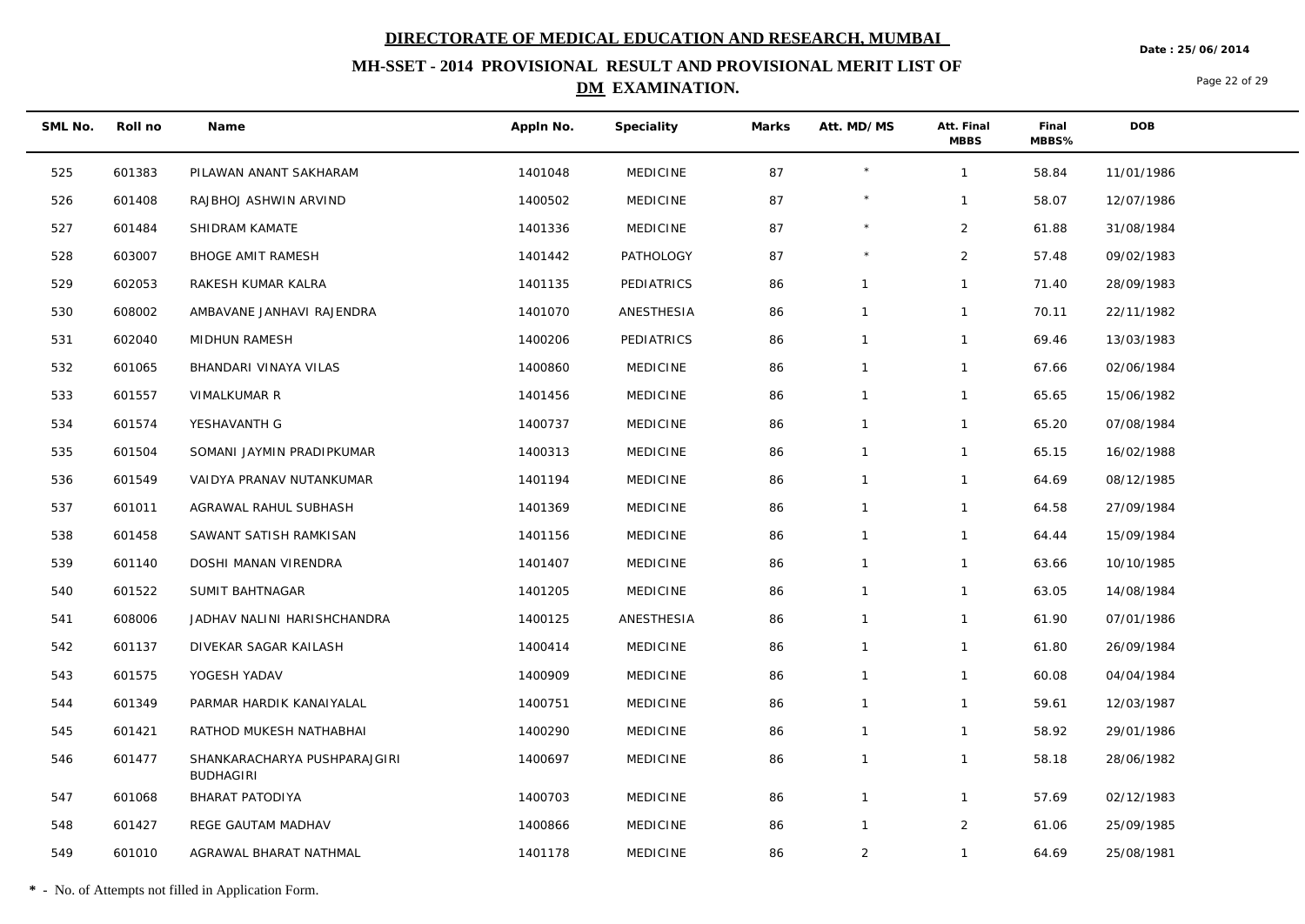**Date : 25/06/2014**

## **MH-SSET - 2014 PROVISIONAL RESULT AND PROVISIONAL MERIT LIST OF DM EXAMINATION.**

Page 22 of 29

| SML No. | Roll no | Name                                             | Appln No. | Speciality      | Marks | Att. MD/MS     | Att. Final<br><b>MBBS</b> | Final<br>MBBS% | <b>DOB</b> |
|---------|---------|--------------------------------------------------|-----------|-----------------|-------|----------------|---------------------------|----------------|------------|
| 525     | 601383  | PILAWAN ANANT SAKHARAM                           | 1401048   | <b>MEDICINE</b> | 87    | $\star$        | $\mathbf{1}$              | 58.84          | 11/01/1986 |
| 526     | 601408  | RAJBHOJ ASHWIN ARVIND                            | 1400502   | <b>MEDICINE</b> | 87    |                | $\mathbf{1}$              | 58.07          | 12/07/1986 |
| 527     | 601484  | SHIDRAM KAMATE                                   | 1401336   | <b>MEDICINE</b> | 87    | $\star$        | $\overline{2}$            | 61.88          | 31/08/1984 |
| 528     | 603007  | <b>BHOGE AMIT RAMESH</b>                         | 1401442   | PATHOLOGY       | 87    | $\star$        | $\overline{2}$            | 57.48          | 09/02/1983 |
| 529     | 602053  | RAKESH KUMAR KALRA                               | 1401135   | PEDIATRICS      | 86    | $\mathbf{1}$   | $\mathbf{1}$              | 71.40          | 28/09/1983 |
| 530     | 608002  | AMBAVANE JANHAVI RAJENDRA                        | 1401070   | ANESTHESIA      | 86    | $\mathbf{1}$   | $\mathbf{1}$              | 70.11          | 22/11/1982 |
| 531     | 602040  | MIDHUN RAMESH                                    | 1400206   | PEDIATRICS      | 86    | $\mathbf{1}$   | $\mathbf{1}$              | 69.46          | 13/03/1983 |
| 532     | 601065  | BHANDARI VINAYA VILAS                            | 1400860   | <b>MEDICINE</b> | 86    | $\mathbf{1}$   | $\mathbf{1}$              | 67.66          | 02/06/1984 |
| 533     | 601557  | VIMALKUMAR R                                     | 1401456   | <b>MEDICINE</b> | 86    | $\mathbf{1}$   | $\mathbf{1}$              | 65.65          | 15/06/1982 |
| 534     | 601574  | YESHAVANTH G                                     | 1400737   | <b>MEDICINE</b> | 86    | $\mathbf{1}$   | $\mathbf{1}$              | 65.20          | 07/08/1984 |
| 535     | 601504  | SOMANI JAYMIN PRADIPKUMAR                        | 1400313   | <b>MEDICINE</b> | 86    | $\mathbf{1}$   | $\mathbf{1}$              | 65.15          | 16/02/1988 |
| 536     | 601549  | VAIDYA PRANAV NUTANKUMAR                         | 1401194   | <b>MEDICINE</b> | 86    | $\mathbf{1}$   | $\mathbf{1}$              | 64.69          | 08/12/1985 |
| 537     | 601011  | AGRAWAL RAHUL SUBHASH                            | 1401369   | <b>MEDICINE</b> | 86    | $\mathbf{1}$   | $\mathbf{1}$              | 64.58          | 27/09/1984 |
| 538     | 601458  | SAWANT SATISH RAMKISAN                           | 1401156   | <b>MEDICINE</b> | 86    | $\mathbf{1}$   | $\mathbf{1}$              | 64.44          | 15/09/1984 |
| 539     | 601140  | DOSHI MANAN VIRENDRA                             | 1401407   | <b>MEDICINE</b> | 86    | $\mathbf{1}$   | $\mathbf{1}$              | 63.66          | 10/10/1985 |
| 540     | 601522  | SUMIT BAHTNAGAR                                  | 1401205   | <b>MEDICINE</b> | 86    | $\mathbf{1}$   | $\mathbf{1}$              | 63.05          | 14/08/1984 |
| 541     | 608006  | JADHAV NALINI HARISHCHANDRA                      | 1400125   | ANESTHESIA      | 86    | $\mathbf{1}$   | $\mathbf{1}$              | 61.90          | 07/01/1986 |
| 542     | 601137  | DIVEKAR SAGAR KAILASH                            | 1400414   | <b>MEDICINE</b> | 86    | $\mathbf{1}$   | $\mathbf{1}$              | 61.80          | 26/09/1984 |
| 543     | 601575  | YOGESH YADAV                                     | 1400909   | <b>MEDICINE</b> | 86    | $\mathbf{1}$   | $\mathbf{1}$              | 60.08          | 04/04/1984 |
| 544     | 601349  | PARMAR HARDIK KANAIYALAL                         | 1400751   | <b>MEDICINE</b> | 86    | $\mathbf{1}$   | $\mathbf{1}$              | 59.61          | 12/03/1987 |
| 545     | 601421  | RATHOD MUKESH NATHABHAI                          | 1400290   | <b>MEDICINE</b> | 86    | $\mathbf{1}$   | $\mathbf{1}$              | 58.92          | 29/01/1986 |
| 546     | 601477  | SHANKARACHARYA PUSHPARAJGIRI<br><b>BUDHAGIRI</b> | 1400697   | <b>MEDICINE</b> | 86    | $\mathbf{1}$   | $\mathbf{1}$              | 58.18          | 28/06/1982 |
| 547     | 601068  | BHARAT PATODIYA                                  | 1400703   | <b>MEDICINE</b> | 86    | $\mathbf{1}$   | $\mathbf{1}$              | 57.69          | 02/12/1983 |
| 548     | 601427  | REGE GAUTAM MADHAV                               | 1400866   | <b>MEDICINE</b> | 86    | $\mathbf{1}$   | $\overline{2}$            | 61.06          | 25/09/1985 |
| 549     | 601010  | AGRAWAL BHARAT NATHMAL                           | 1401178   | <b>MEDICINE</b> | 86    | $\overline{2}$ | $\mathbf{1}$              | 64.69          | 25/08/1981 |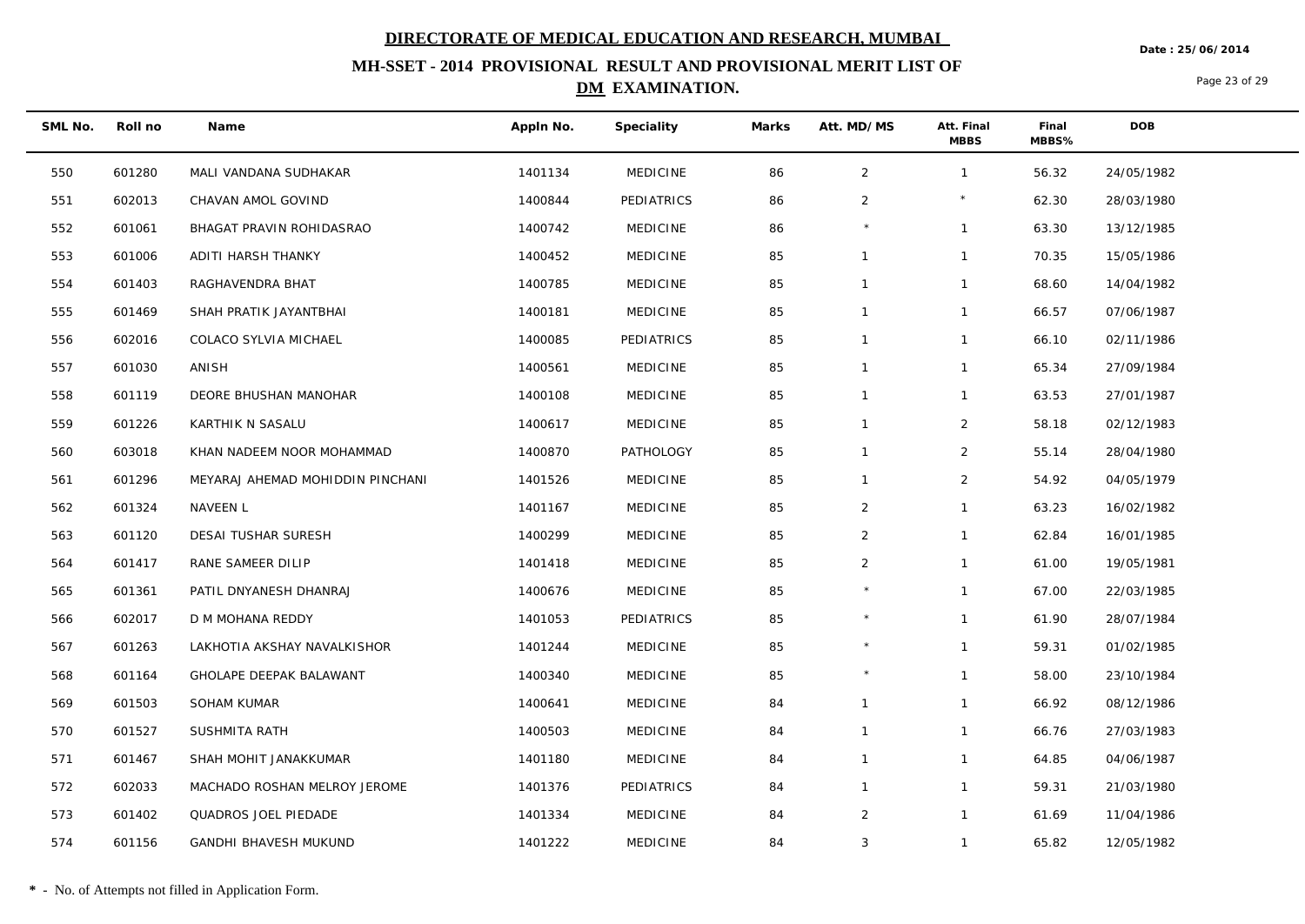**Date : 25/06/2014**

## **MH-SSET - 2014 PROVISIONAL RESULT AND PROVISIONAL MERIT LIST OF DM EXAMINATION.**

Page 23 of 29

| SML No. | Roll no | Name                             | Appln No. | Speciality      | Marks | Att. MD/MS     | Att. Final<br><b>MBBS</b> | Final<br>MBBS% | <b>DOB</b> |
|---------|---------|----------------------------------|-----------|-----------------|-------|----------------|---------------------------|----------------|------------|
| 550     | 601280  | MALI VANDANA SUDHAKAR            | 1401134   | <b>MEDICINE</b> | 86    | $\overline{2}$ | $\mathbf{1}$              | 56.32          | 24/05/1982 |
| 551     | 602013  | CHAVAN AMOL GOVIND               | 1400844   | PEDIATRICS      | 86    | $\overline{2}$ |                           | 62.30          | 28/03/1980 |
| 552     | 601061  | BHAGAT PRAVIN ROHIDASRAO         | 1400742   | <b>MEDICINE</b> | 86    |                | $\mathbf{1}$              | 63.30          | 13/12/1985 |
| 553     | 601006  | ADITI HARSH THANKY               | 1400452   | <b>MEDICINE</b> | 85    | $\mathbf{1}$   | $\mathbf{1}$              | 70.35          | 15/05/1986 |
| 554     | 601403  | RAGHAVENDRA BHAT                 | 1400785   | <b>MEDICINE</b> | 85    | $\mathbf{1}$   | $\mathbf{1}$              | 68.60          | 14/04/1982 |
| 555     | 601469  | SHAH PRATIK JAYANTBHAI           | 1400181   | <b>MEDICINE</b> | 85    | $\mathbf{1}$   | $\mathbf{1}$              | 66.57          | 07/06/1987 |
| 556     | 602016  | COLACO SYLVIA MICHAEL            | 1400085   | PEDIATRICS      | 85    | $\mathbf{1}$   | $\mathbf{1}$              | 66.10          | 02/11/1986 |
| 557     | 601030  | ANISH                            | 1400561   | <b>MEDICINE</b> | 85    | $\mathbf{1}$   | $\mathbf{1}$              | 65.34          | 27/09/1984 |
| 558     | 601119  | DEORE BHUSHAN MANOHAR            | 1400108   | <b>MEDICINE</b> | 85    | $\mathbf{1}$   | $\mathbf{1}$              | 63.53          | 27/01/1987 |
| 559     | 601226  | KARTHIK N SASALU                 | 1400617   | <b>MEDICINE</b> | 85    | $\mathbf{1}$   | $\overline{2}$            | 58.18          | 02/12/1983 |
| 560     | 603018  | KHAN NADEEM NOOR MOHAMMAD        | 1400870   | PATHOLOGY       | 85    | $\mathbf{1}$   | $\overline{2}$            | 55.14          | 28/04/1980 |
| 561     | 601296  | MEYARAJ AHEMAD MOHIDDIN PINCHANI | 1401526   | <b>MEDICINE</b> | 85    | $\mathbf{1}$   | $\overline{2}$            | 54.92          | 04/05/1979 |
| 562     | 601324  | NAVEEN L                         | 1401167   | <b>MEDICINE</b> | 85    | $\overline{2}$ | $\mathbf{1}$              | 63.23          | 16/02/1982 |
| 563     | 601120  | DESAI TUSHAR SURESH              | 1400299   | <b>MEDICINE</b> | 85    | $\overline{2}$ | $\mathbf{1}$              | 62.84          | 16/01/1985 |
| 564     | 601417  | RANE SAMEER DILIP                | 1401418   | <b>MEDICINE</b> | 85    | $\overline{2}$ | $\mathbf{1}$              | 61.00          | 19/05/1981 |
| 565     | 601361  | PATIL DNYANESH DHANRAJ           | 1400676   | <b>MEDICINE</b> | 85    | $\star$        | $\mathbf{1}$              | 67.00          | 22/03/1985 |
| 566     | 602017  | D M MOHANA REDDY                 | 1401053   | PEDIATRICS      | 85    |                | $\mathbf{1}$              | 61.90          | 28/07/1984 |
| 567     | 601263  | LAKHOTIA AKSHAY NAVALKISHOR      | 1401244   | <b>MEDICINE</b> | 85    | $\star$        | $\mathbf{1}$              | 59.31          | 01/02/1985 |
| 568     | 601164  | GHOLAPE DEEPAK BALAWANT          | 1400340   | <b>MEDICINE</b> | 85    | $\star$        | $\mathbf{1}$              | 58.00          | 23/10/1984 |
| 569     | 601503  | SOHAM KUMAR                      | 1400641   | <b>MEDICINE</b> | 84    | $\mathbf{1}$   | $\mathbf{1}$              | 66.92          | 08/12/1986 |
| 570     | 601527  | SUSHMITA RATH                    | 1400503   | <b>MEDICINE</b> | 84    | $\mathbf{1}$   | $\mathbf{1}$              | 66.76          | 27/03/1983 |
| 571     | 601467  | SHAH MOHIT JANAKKUMAR            | 1401180   | <b>MEDICINE</b> | 84    | $\mathbf{1}$   | $\mathbf{1}$              | 64.85          | 04/06/1987 |
| 572     | 602033  | MACHADO ROSHAN MELROY JEROME     | 1401376   | PEDIATRICS      | 84    | $\mathbf{1}$   | $\mathbf{1}$              | 59.31          | 21/03/1980 |
| 573     | 601402  | QUADROS JOEL PIEDADE             | 1401334   | <b>MEDICINE</b> | 84    | $\overline{2}$ | $\mathbf{1}$              | 61.69          | 11/04/1986 |
| 574     | 601156  | GANDHI BHAVESH MUKUND            | 1401222   | <b>MEDICINE</b> | 84    | 3              | $\mathbf{1}$              | 65.82          | 12/05/1982 |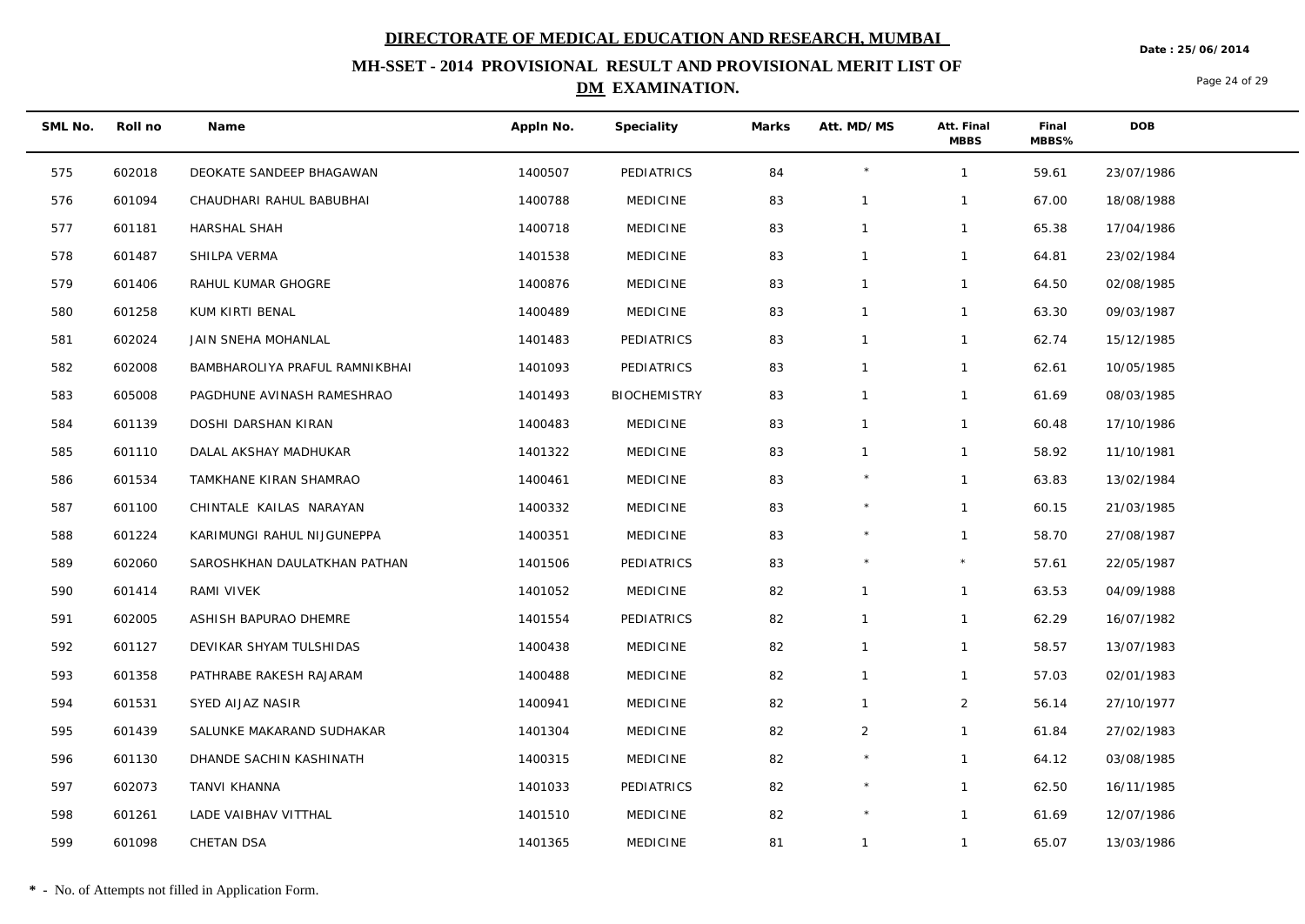**Date : 25/06/2014**

## **MH-SSET - 2014 PROVISIONAL RESULT AND PROVISIONAL MERIT LIST OF DM EXAMINATION.**

Page 24 of 29

| SML No. | Roll no | Name                           | Appln No. | Speciality          | Marks | Att. MD/MS   | Att. Final<br><b>MBBS</b> | Final<br>MBBS% | <b>DOB</b> |
|---------|---------|--------------------------------|-----------|---------------------|-------|--------------|---------------------------|----------------|------------|
| 575     | 602018  | DEOKATE SANDEEP BHAGAWAN       | 1400507   | PEDIATRICS          | 84    | $\star$      | $\mathbf{1}$              | 59.61          | 23/07/1986 |
| 576     | 601094  | CHAUDHARI RAHUL BABUBHAI       | 1400788   | <b>MEDICINE</b>     | 83    | $\mathbf{1}$ | $\mathbf{1}$              | 67.00          | 18/08/1988 |
| 577     | 601181  | <b>HARSHAL SHAH</b>            | 1400718   | <b>MEDICINE</b>     | 83    | $\mathbf{1}$ | $\mathbf{1}$              | 65.38          | 17/04/1986 |
| 578     | 601487  | SHILPA VERMA                   | 1401538   | <b>MEDICINE</b>     | 83    | $\mathbf{1}$ | $\mathbf{1}$              | 64.81          | 23/02/1984 |
| 579     | 601406  | RAHUL KUMAR GHOGRE             | 1400876   | <b>MEDICINE</b>     | 83    | $\mathbf{1}$ | $\mathbf{1}$              | 64.50          | 02/08/1985 |
| 580     | 601258  | KUM KIRTI BENAL                | 1400489   | <b>MEDICINE</b>     | 83    | $\mathbf{1}$ | $\mathbf{1}$              | 63.30          | 09/03/1987 |
| 581     | 602024  | JAIN SNEHA MOHANLAL            | 1401483   | PEDIATRICS          | 83    | $\mathbf{1}$ | $\mathbf{1}$              | 62.74          | 15/12/1985 |
| 582     | 602008  | BAMBHAROLIYA PRAFUL RAMNIKBHAI | 1401093   | PEDIATRICS          | 83    | $\mathbf{1}$ | $\mathbf{1}$              | 62.61          | 10/05/1985 |
| 583     | 605008  | PAGDHUNE AVINASH RAMESHRAO     | 1401493   | <b>BIOCHEMISTRY</b> | 83    | $\mathbf{1}$ | $\mathbf{1}$              | 61.69          | 08/03/1985 |
| 584     | 601139  | DOSHI DARSHAN KIRAN            | 1400483   | <b>MEDICINE</b>     | 83    | $\mathbf{1}$ | $\mathbf{1}$              | 60.48          | 17/10/1986 |
| 585     | 601110  | DALAL AKSHAY MADHUKAR          | 1401322   | <b>MEDICINE</b>     | 83    | $\mathbf{1}$ | $\mathbf{1}$              | 58.92          | 11/10/1981 |
| 586     | 601534  | TAMKHANE KIRAN SHAMRAO         | 1400461   | <b>MEDICINE</b>     | 83    |              | $\mathbf{1}$              | 63.83          | 13/02/1984 |
| 587     | 601100  | CHINTALE KAILAS NARAYAN        | 1400332   | <b>MEDICINE</b>     | 83    | $\star$      | $\mathbf{1}$              | 60.15          | 21/03/1985 |
| 588     | 601224  | KARIMUNGI RAHUL NIJGUNEPPA     | 1400351   | <b>MEDICINE</b>     | 83    | $\star$      | $\mathbf{1}$              | 58.70          | 27/08/1987 |
| 589     | 602060  | SAROSHKHAN DAULATKHAN PATHAN   | 1401506   | PEDIATRICS          | 83    | $\star$      | $\star$                   | 57.61          | 22/05/1987 |
| 590     | 601414  | RAMI VIVEK                     | 1401052   | <b>MEDICINE</b>     | 82    | $\mathbf{1}$ | $\mathbf{1}$              | 63.53          | 04/09/1988 |
| 591     | 602005  | ASHISH BAPURAO DHEMRE          | 1401554   | PEDIATRICS          | 82    | $\mathbf{1}$ | $\mathbf{1}$              | 62.29          | 16/07/1982 |
| 592     | 601127  | DEVIKAR SHYAM TULSHIDAS        | 1400438   | <b>MEDICINE</b>     | 82    | $\mathbf{1}$ | $\mathbf{1}$              | 58.57          | 13/07/1983 |
| 593     | 601358  | PATHRABE RAKESH RAJARAM        | 1400488   | <b>MEDICINE</b>     | 82    | $\mathbf{1}$ | $\mathbf{1}$              | 57.03          | 02/01/1983 |
| 594     | 601531  | SYED AIJAZ NASIR               | 1400941   | <b>MEDICINE</b>     | 82    | $\mathbf{1}$ | $\overline{2}$            | 56.14          | 27/10/1977 |
| 595     | 601439  | SALUNKE MAKARAND SUDHAKAR      | 1401304   | <b>MEDICINE</b>     | 82    | 2            | $\mathbf{1}$              | 61.84          | 27/02/1983 |
| 596     | 601130  | DHANDE SACHIN KASHINATH        | 1400315   | <b>MEDICINE</b>     | 82    |              | $\mathbf{1}$              | 64.12          | 03/08/1985 |
| 597     | 602073  | TANVI KHANNA                   | 1401033   | PEDIATRICS          | 82    | $\star$      | $\mathbf{1}$              | 62.50          | 16/11/1985 |
| 598     | 601261  | LADE VAIBHAV VITTHAL           | 1401510   | <b>MEDICINE</b>     | 82    | $\star$      | $\mathbf{1}$              | 61.69          | 12/07/1986 |
| 599     | 601098  | CHETAN DSA                     | 1401365   | <b>MEDICINE</b>     | 81    | $\mathbf{1}$ | $\mathbf{1}$              | 65.07          | 13/03/1986 |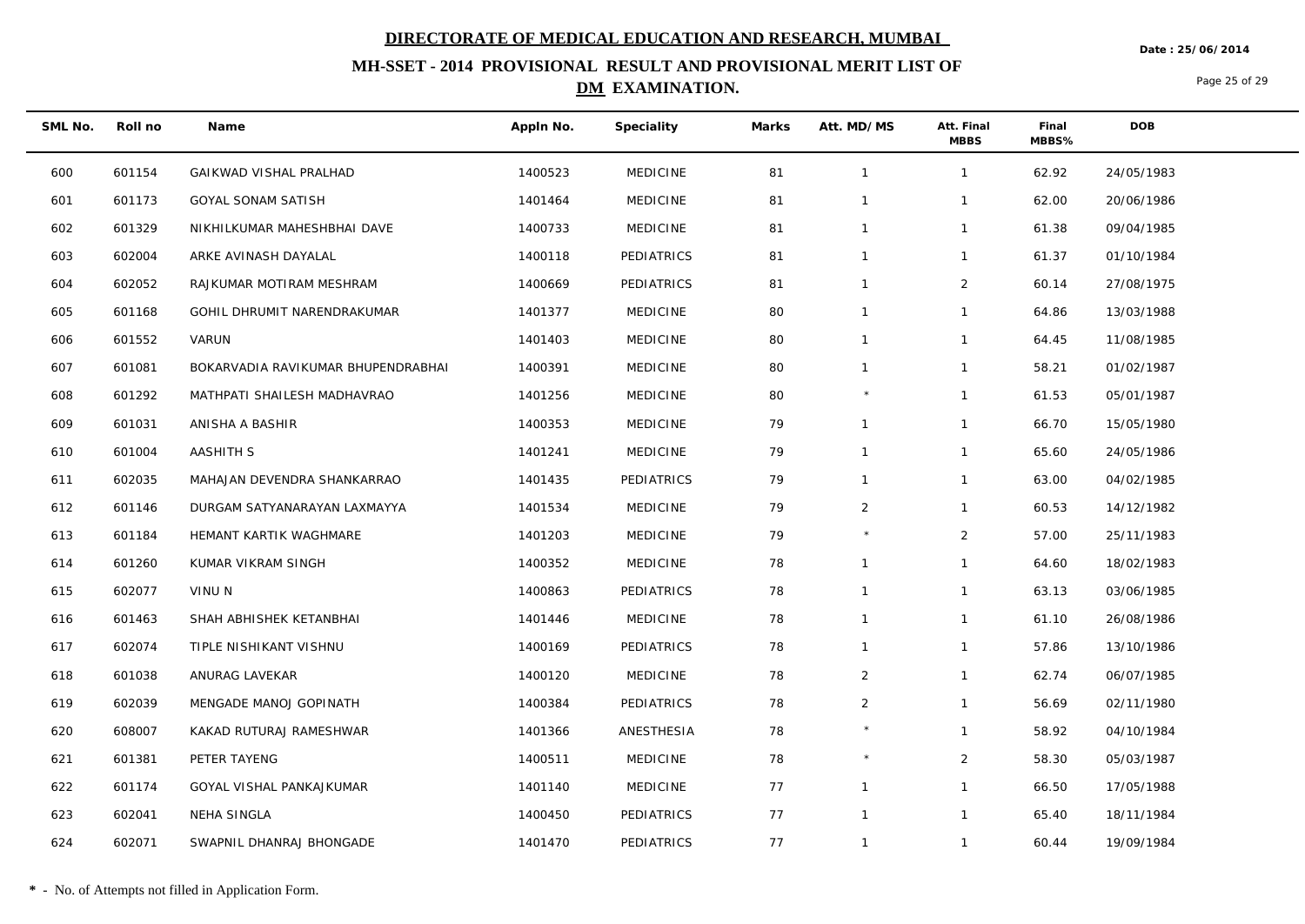**Date : 25/06/2014**

## **MH-SSET - 2014 PROVISIONAL RESULT AND PROVISIONAL MERIT LIST OF DM EXAMINATION.**

Page 25 of 29

| SML No. | Roll no | Name                               | Appln No. | Speciality      | Marks | Att. MD/MS     | Att. Final<br><b>MBBS</b> | Final<br>MBBS% | <b>DOB</b> |
|---------|---------|------------------------------------|-----------|-----------------|-------|----------------|---------------------------|----------------|------------|
| 600     | 601154  | GAIKWAD VISHAL PRALHAD             | 1400523   | MEDICINE        | 81    | $\mathbf{1}$   | $\mathbf{1}$              | 62.92          | 24/05/1983 |
| 601     | 601173  | GOYAL SONAM SATISH                 | 1401464   | <b>MEDICINE</b> | 81    | $\mathbf{1}$   | $\mathbf{1}$              | 62.00          | 20/06/1986 |
| 602     | 601329  | NIKHILKUMAR MAHESHBHAI DAVE        | 1400733   | <b>MEDICINE</b> | 81    | $\mathbf{1}$   | $\mathbf{1}$              | 61.38          | 09/04/1985 |
| 603     | 602004  | ARKE AVINASH DAYALAL               | 1400118   | PEDIATRICS      | 81    | $\mathbf{1}$   | $\mathbf{1}$              | 61.37          | 01/10/1984 |
| 604     | 602052  | RAJKUMAR MOTIRAM MESHRAM           | 1400669   | PEDIATRICS      | 81    | $\mathbf{1}$   | $\overline{2}$            | 60.14          | 27/08/1975 |
| 605     | 601168  | GOHIL DHRUMIT NARENDRAKUMAR        | 1401377   | <b>MEDICINE</b> | 80    | $\mathbf{1}$   | $\mathbf{1}$              | 64.86          | 13/03/1988 |
| 606     | 601552  | VARUN                              | 1401403   | <b>MEDICINE</b> | 80    | $\mathbf{1}$   | $\mathbf{1}$              | 64.45          | 11/08/1985 |
| 607     | 601081  | BOKARVADIA RAVIKUMAR BHUPENDRABHAI | 1400391   | <b>MEDICINE</b> | 80    | $\mathbf{1}$   | $\mathbf{1}$              | 58.21          | 01/02/1987 |
| 608     | 601292  | MATHPATI SHAILESH MADHAVRAO        | 1401256   | <b>MEDICINE</b> | 80    |                | $\mathbf{1}$              | 61.53          | 05/01/1987 |
| 609     | 601031  | ANISHA A BASHIR                    | 1400353   | <b>MEDICINE</b> | 79    |                | $\mathbf{1}$              | 66.70          | 15/05/1980 |
| 610     | 601004  | <b>AASHITH S</b>                   | 1401241   | <b>MEDICINE</b> | 79    | $\mathbf{1}$   | $\mathbf{1}$              | 65.60          | 24/05/1986 |
| 611     | 602035  | MAHAJAN DEVENDRA SHANKARRAO        | 1401435   | PEDIATRICS      | 79    | $\mathbf{1}$   | $\mathbf{1}$              | 63.00          | 04/02/1985 |
| 612     | 601146  | DURGAM SATYANARAYAN LAXMAYYA       | 1401534   | <b>MEDICINE</b> | 79    | $\overline{2}$ | $\mathbf{1}$              | 60.53          | 14/12/1982 |
| 613     | 601184  | HEMANT KARTIK WAGHMARE             | 1401203   | <b>MEDICINE</b> | 79    | $\star$        | $\overline{2}$            | 57.00          | 25/11/1983 |
| 614     | 601260  | KUMAR VIKRAM SINGH                 | 1400352   | MEDICINE        | 78    | $\mathbf 1$    | $\mathbf{1}$              | 64.60          | 18/02/1983 |
| 615     | 602077  | VINU N                             | 1400863   | PEDIATRICS      | 78    | $\mathbf{1}$   | $\mathbf{1}$              | 63.13          | 03/06/1985 |
| 616     | 601463  | SHAH ABHISHEK KETANBHAI            | 1401446   | <b>MEDICINE</b> | 78    | $\mathbf{1}$   | $\mathbf{1}$              | 61.10          | 26/08/1986 |
| 617     | 602074  | TIPLE NISHIKANT VISHNU             | 1400169   | PEDIATRICS      | 78    | $\mathbf{1}$   | $\mathbf{1}$              | 57.86          | 13/10/1986 |
| 618     | 601038  | ANURAG LAVEKAR                     | 1400120   | <b>MEDICINE</b> | 78    | 2              | $\mathbf{1}$              | 62.74          | 06/07/1985 |
| 619     | 602039  | MENGADE MANOJ GOPINATH             | 1400384   | PEDIATRICS      | 78    | 2              | $\mathbf{1}$              | 56.69          | 02/11/1980 |
| 620     | 608007  | KAKAD RUTURAJ RAMESHWAR            | 1401366   | ANESTHESIA      | 78    |                | $\mathbf{1}$              | 58.92          | 04/10/1984 |
| 621     | 601381  | PETER TAYENG                       | 1400511   | <b>MEDICINE</b> | 78    |                | $\overline{2}$            | 58.30          | 05/03/1987 |
| 622     | 601174  | GOYAL VISHAL PANKAJKUMAR           | 1401140   | <b>MEDICINE</b> | 77    | $\mathbf{1}$   | $\mathbf{1}$              | 66.50          | 17/05/1988 |
| 623     | 602041  | NEHA SINGLA                        | 1400450   | PEDIATRICS      | 77    | $\mathbf{1}$   | $\mathbf{1}$              | 65.40          | 18/11/1984 |
| 624     | 602071  | SWAPNIL DHANRAJ BHONGADE           | 1401470   | PEDIATRICS      | 77    | $\mathbf{1}$   | $\mathbf{1}$              | 60.44          | 19/09/1984 |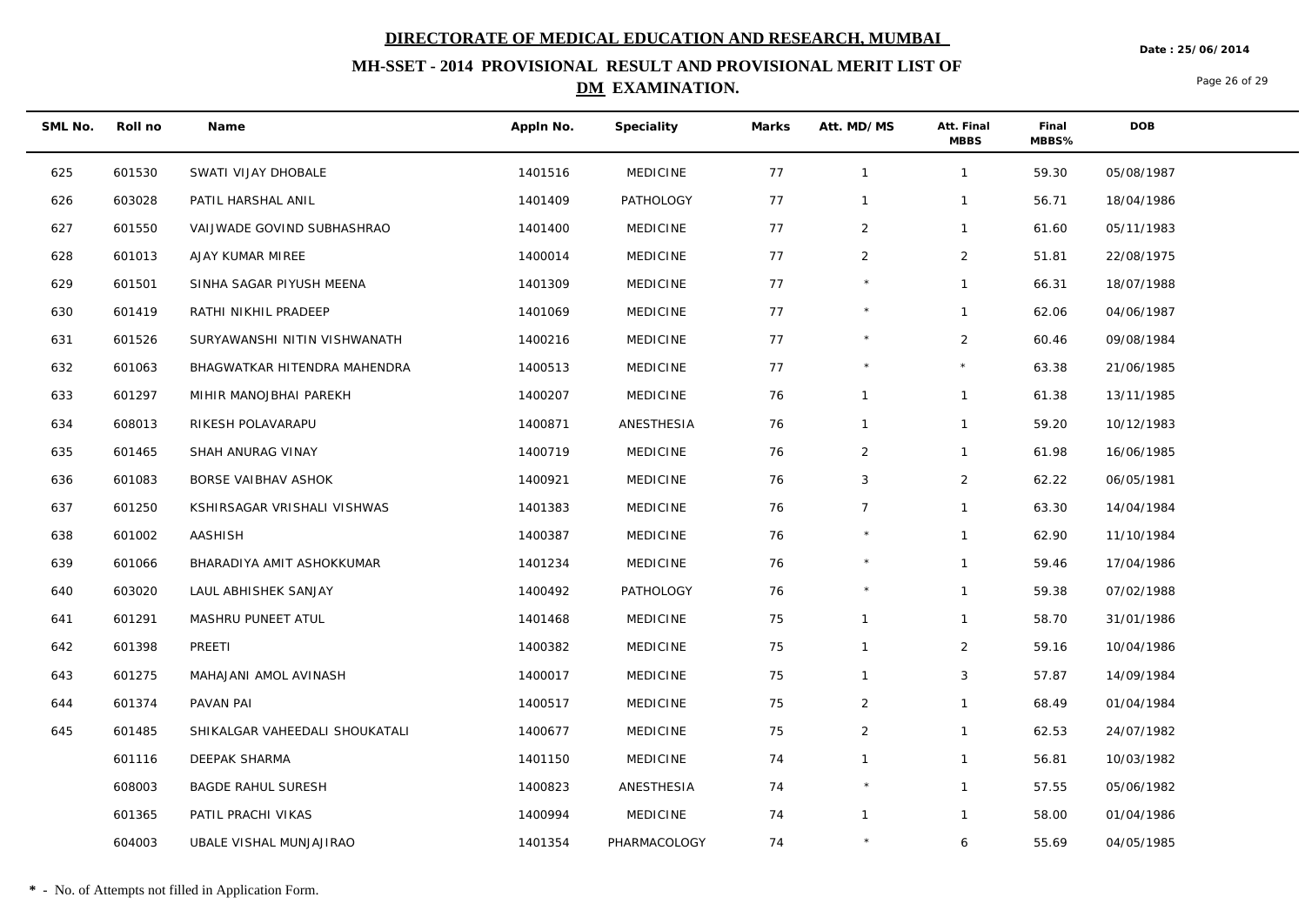**Date : 25/06/2014**

## **MH-SSET - 2014 PROVISIONAL RESULT AND PROVISIONAL MERIT LIST OF DM EXAMINATION.**

Page 26 of 29

| SML No. | Roll no | Name                           | Appln No. | Speciality       | Marks | Att. MD/MS     | Att. Final<br><b>MBBS</b> | Final<br>MBBS% | <b>DOB</b> |
|---------|---------|--------------------------------|-----------|------------------|-------|----------------|---------------------------|----------------|------------|
| 625     | 601530  | SWATI VIJAY DHOBALE            | 1401516   | <b>MEDICINE</b>  | 77    | $\overline{1}$ | $\mathbf{1}$              | 59.30          | 05/08/1987 |
| 626     | 603028  | PATIL HARSHAL ANIL             | 1401409   | PATHOLOGY        | 77    | $\mathbf{1}$   | $\mathbf{1}$              | 56.71          | 18/04/1986 |
| 627     | 601550  | VAIJWADE GOVIND SUBHASHRAO     | 1401400   | <b>MEDICINE</b>  | 77    | $\overline{2}$ | $\mathbf{1}$              | 61.60          | 05/11/1983 |
| 628     | 601013  | AJAY KUMAR MIREE               | 1400014   | <b>MEDICINE</b>  | 77    | 2              | $\overline{2}$            | 51.81          | 22/08/1975 |
| 629     | 601501  | SINHA SAGAR PIYUSH MEENA       | 1401309   | <b>MEDICINE</b>  | 77    |                | $\mathbf{1}$              | 66.31          | 18/07/1988 |
| 630     | 601419  | RATHI NIKHIL PRADEEP           | 1401069   | <b>MEDICINE</b>  | 77    | $\star$        | $\mathbf{1}$              | 62.06          | 04/06/1987 |
| 631     | 601526  | SURYAWANSHI NITIN VISHWANATH   | 1400216   | <b>MEDICINE</b>  | 77    |                | $\overline{2}$            | 60.46          | 09/08/1984 |
| 632     | 601063  | BHAGWATKAR HITENDRA MAHENDRA   | 1400513   | <b>MEDICINE</b>  | 77    | $\star$        | $\star$                   | 63.38          | 21/06/1985 |
| 633     | 601297  | MIHIR MANOJBHAI PAREKH         | 1400207   | <b>MEDICINE</b>  | 76    | $\mathbf{1}$   | $\mathbf{1}$              | 61.38          | 13/11/1985 |
| 634     | 608013  | RIKESH POLAVARAPU              | 1400871   | ANESTHESIA       | 76    | $\mathbf{1}$   | $\mathbf{1}$              | 59.20          | 10/12/1983 |
| 635     | 601465  | SHAH ANURAG VINAY              | 1400719   | <b>MEDICINE</b>  | 76    | 2              | $\mathbf{1}$              | 61.98          | 16/06/1985 |
| 636     | 601083  | BORSE VAIBHAV ASHOK            | 1400921   | <b>MEDICINE</b>  | 76    | 3              | $\overline{2}$            | 62.22          | 06/05/1981 |
| 637     | 601250  | KSHIRSAGAR VRISHALI VISHWAS    | 1401383   | <b>MEDICINE</b>  | 76    | $\overline{7}$ | $\mathbf{1}$              | 63.30          | 14/04/1984 |
| 638     | 601002  | AASHISH                        | 1400387   | <b>MEDICINE</b>  | 76    | $\star$        | $\mathbf{1}$              | 62.90          | 11/10/1984 |
| 639     | 601066  | BHARADIYA AMIT ASHOKKUMAR      | 1401234   | <b>MEDICINE</b>  | 76    |                | $\mathbf{1}$              | 59.46          | 17/04/1986 |
| 640     | 603020  | LAUL ABHISHEK SANJAY           | 1400492   | <b>PATHOLOGY</b> | 76    | $\star$        | $\mathbf{1}$              | 59.38          | 07/02/1988 |
| 641     | 601291  | MASHRU PUNEET ATUL             | 1401468   | <b>MEDICINE</b>  | 75    | $\mathbf{1}$   | $\mathbf{1}$              | 58.70          | 31/01/1986 |
| 642     | 601398  | PREETI                         | 1400382   | <b>MEDICINE</b>  | 75    | $\mathbf{1}$   | $\overline{2}$            | 59.16          | 10/04/1986 |
| 643     | 601275  | MAHAJANI AMOL AVINASH          | 1400017   | <b>MEDICINE</b>  | 75    | $\mathbf{1}$   | $\mathbf{3}$              | 57.87          | 14/09/1984 |
| 644     | 601374  | PAVAN PAI                      | 1400517   | <b>MEDICINE</b>  | 75    | 2              | $\mathbf{1}$              | 68.49          | 01/04/1984 |
| 645     | 601485  | SHIKALGAR VAHEEDALI SHOUKATALI | 1400677   | <b>MEDICINE</b>  | 75    | $\overline{2}$ | $\mathbf{1}$              | 62.53          | 24/07/1982 |
|         | 601116  | DEEPAK SHARMA                  | 1401150   | <b>MEDICINE</b>  | 74    | $\mathbf{1}$   | $\mathbf{1}$              | 56.81          | 10/03/1982 |
|         | 608003  | <b>BAGDE RAHUL SURESH</b>      | 1400823   | ANESTHESIA       | 74    | $\star$        | $\mathbf{1}$              | 57.55          | 05/06/1982 |
|         | 601365  | PATIL PRACHI VIKAS             | 1400994   | <b>MEDICINE</b>  | 74    | $\mathbf{1}$   | $\mathbf{1}$              | 58.00          | 01/04/1986 |
|         | 604003  | UBALE VISHAL MUNJAJIRAO        | 1401354   | PHARMACOLOGY     | 74    |                | 6                         | 55.69          | 04/05/1985 |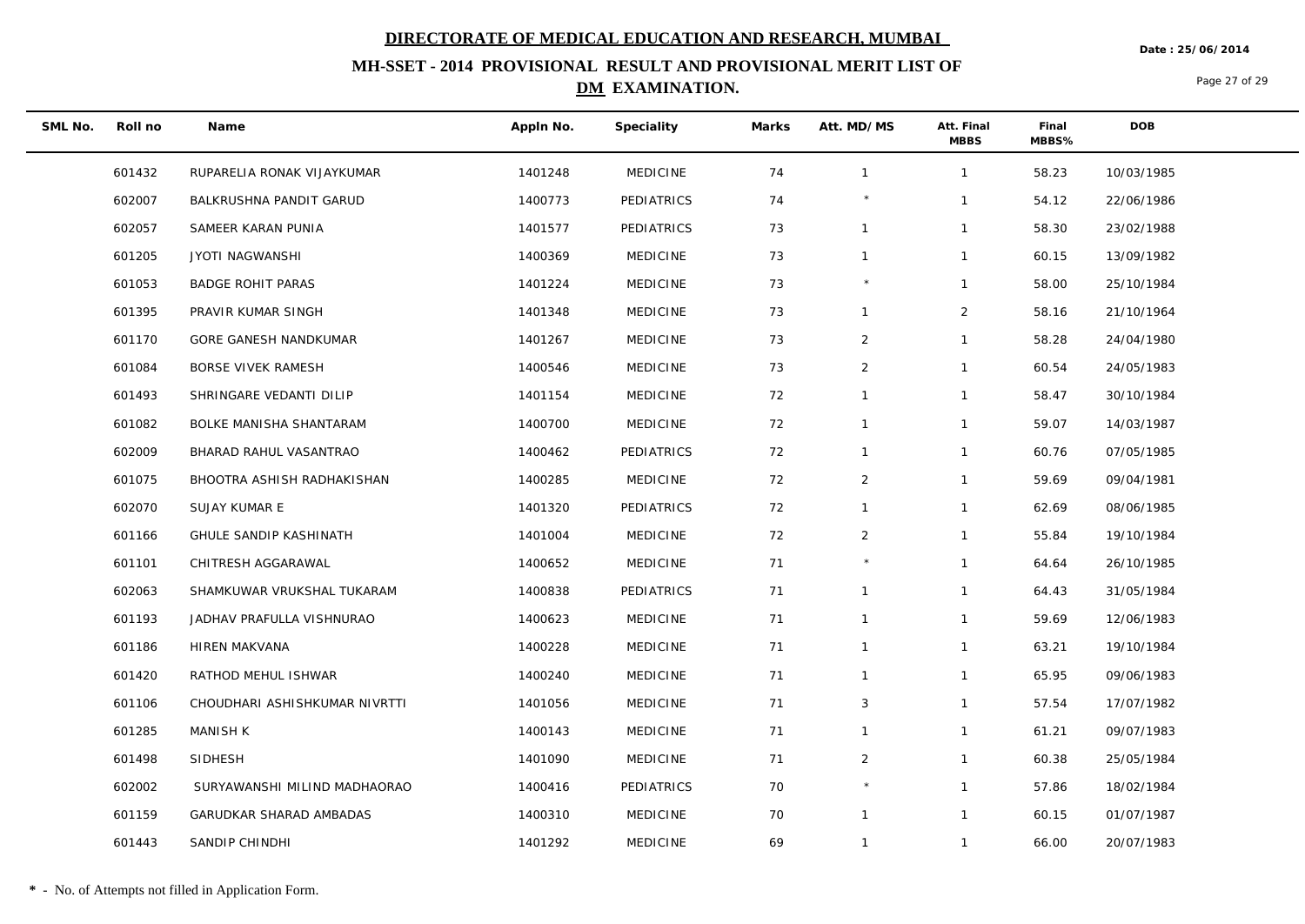**Date : 25/06/2014**

## **MH-SSET - 2014 PROVISIONAL RESULT AND PROVISIONAL MERIT LIST OF DM EXAMINATION.**

Page 27 of 29

| SML No. | Roll no | Name                          | Appln No. | Speciality      | Marks | Att. MD/MS     | Att. Final<br><b>MBBS</b> | Final<br>MBBS% | <b>DOB</b> |
|---------|---------|-------------------------------|-----------|-----------------|-------|----------------|---------------------------|----------------|------------|
|         | 601432  | RUPARELIA RONAK VIJAYKUMAR    | 1401248   | <b>MEDICINE</b> | 74    | $\mathbf{1}$   | $\mathbf{1}$              | 58.23          | 10/03/1985 |
|         | 602007  | BALKRUSHNA PANDIT GARUD       | 1400773   | PEDIATRICS      | 74    |                | $\mathbf{1}$              | 54.12          | 22/06/1986 |
|         | 602057  | SAMEER KARAN PUNIA            | 1401577   | PEDIATRICS      | 73    | $\mathbf{1}$   | $\mathbf{1}$              | 58.30          | 23/02/1988 |
|         | 601205  | <b>JYOTI NAGWANSHI</b>        | 1400369   | <b>MEDICINE</b> | 73    | $\mathbf{1}$   | $\mathbf{1}$              | 60.15          | 13/09/1982 |
|         | 601053  | <b>BADGE ROHIT PARAS</b>      | 1401224   | <b>MEDICINE</b> | 73    |                | $\mathbf{1}$              | 58.00          | 25/10/1984 |
|         | 601395  | PRAVIR KUMAR SINGH            | 1401348   | <b>MEDICINE</b> | 73    | $\mathbf{1}$   | $\overline{2}$            | 58.16          | 21/10/1964 |
|         | 601170  | GORE GANESH NANDKUMAR         | 1401267   | <b>MEDICINE</b> | 73    | $\overline{2}$ | $\mathbf{1}$              | 58.28          | 24/04/1980 |
|         | 601084  | BORSE VIVEK RAMESH            | 1400546   | <b>MEDICINE</b> | 73    | $\overline{2}$ | $\mathbf{1}$              | 60.54          | 24/05/1983 |
|         | 601493  | SHRINGARE VEDANTI DILIP       | 1401154   | <b>MEDICINE</b> | 72    | $\mathbf{1}$   | $\mathbf{1}$              | 58.47          | 30/10/1984 |
|         | 601082  | BOLKE MANISHA SHANTARAM       | 1400700   | <b>MEDICINE</b> | 72    | $\mathbf{1}$   | $\mathbf{1}$              | 59.07          | 14/03/1987 |
|         | 602009  | BHARAD RAHUL VASANTRAO        | 1400462   | PEDIATRICS      | 72    | $\mathbf{1}$   | $\mathbf{1}$              | 60.76          | 07/05/1985 |
|         | 601075  | BHOOTRA ASHISH RADHAKISHAN    | 1400285   | <b>MEDICINE</b> | 72    | $\overline{2}$ | $\mathbf{1}$              | 59.69          | 09/04/1981 |
|         | 602070  | SUJAY KUMAR E                 | 1401320   | PEDIATRICS      | 72    | $\mathbf{1}$   | $\mathbf{1}$              | 62.69          | 08/06/1985 |
|         | 601166  | GHULE SANDIP KASHINATH        | 1401004   | <b>MEDICINE</b> | 72    | $\overline{2}$ | $\mathbf{1}$              | 55.84          | 19/10/1984 |
|         | 601101  | CHITRESH AGGARAWAL            | 1400652   | <b>MEDICINE</b> | 71    |                | $\mathbf{1}$              | 64.64          | 26/10/1985 |
|         | 602063  | SHAMKUWAR VRUKSHAL TUKARAM    | 1400838   | PEDIATRICS      | 71    | $\mathbf{1}$   | $\mathbf{1}$              | 64.43          | 31/05/1984 |
|         | 601193  | JADHAV PRAFULLA VISHNURAO     | 1400623   | <b>MEDICINE</b> | 71    | $\mathbf 1$    | $\mathbf{1}$              | 59.69          | 12/06/1983 |
|         | 601186  | HIREN MAKVANA                 | 1400228   | <b>MEDICINE</b> | 71    | $\overline{1}$ | $\mathbf{1}$              | 63.21          | 19/10/1984 |
|         | 601420  | RATHOD MEHUL ISHWAR           | 1400240   | <b>MEDICINE</b> | 71    | $\mathbf{1}$   | $\mathbf{1}$              | 65.95          | 09/06/1983 |
|         | 601106  | CHOUDHARI ASHISHKUMAR NIVRTTI | 1401056   | <b>MEDICINE</b> | 71    | 3              | $\mathbf{1}$              | 57.54          | 17/07/1982 |
|         | 601285  | <b>MANISH K</b>               | 1400143   | <b>MEDICINE</b> | 71    | $\mathbf{1}$   | $\mathbf{1}$              | 61.21          | 09/07/1983 |
|         | 601498  | SIDHESH                       | 1401090   | <b>MEDICINE</b> | 71    | $\overline{2}$ | $\mathbf{1}$              | 60.38          | 25/05/1984 |
|         | 602002  | SURYAWANSHI MILIND MADHAORAO  | 1400416   | PEDIATRICS      | 70    | $\star$        | $\mathbf{1}$              | 57.86          | 18/02/1984 |
|         | 601159  | GARUDKAR SHARAD AMBADAS       | 1400310   | <b>MEDICINE</b> | 70    | $\mathbf 1$    | $\mathbf{1}$              | 60.15          | 01/07/1987 |
|         | 601443  | SANDIP CHINDHI                | 1401292   | <b>MEDICINE</b> | 69    | $\mathbf{1}$   | $\mathbf{1}$              | 66.00          | 20/07/1983 |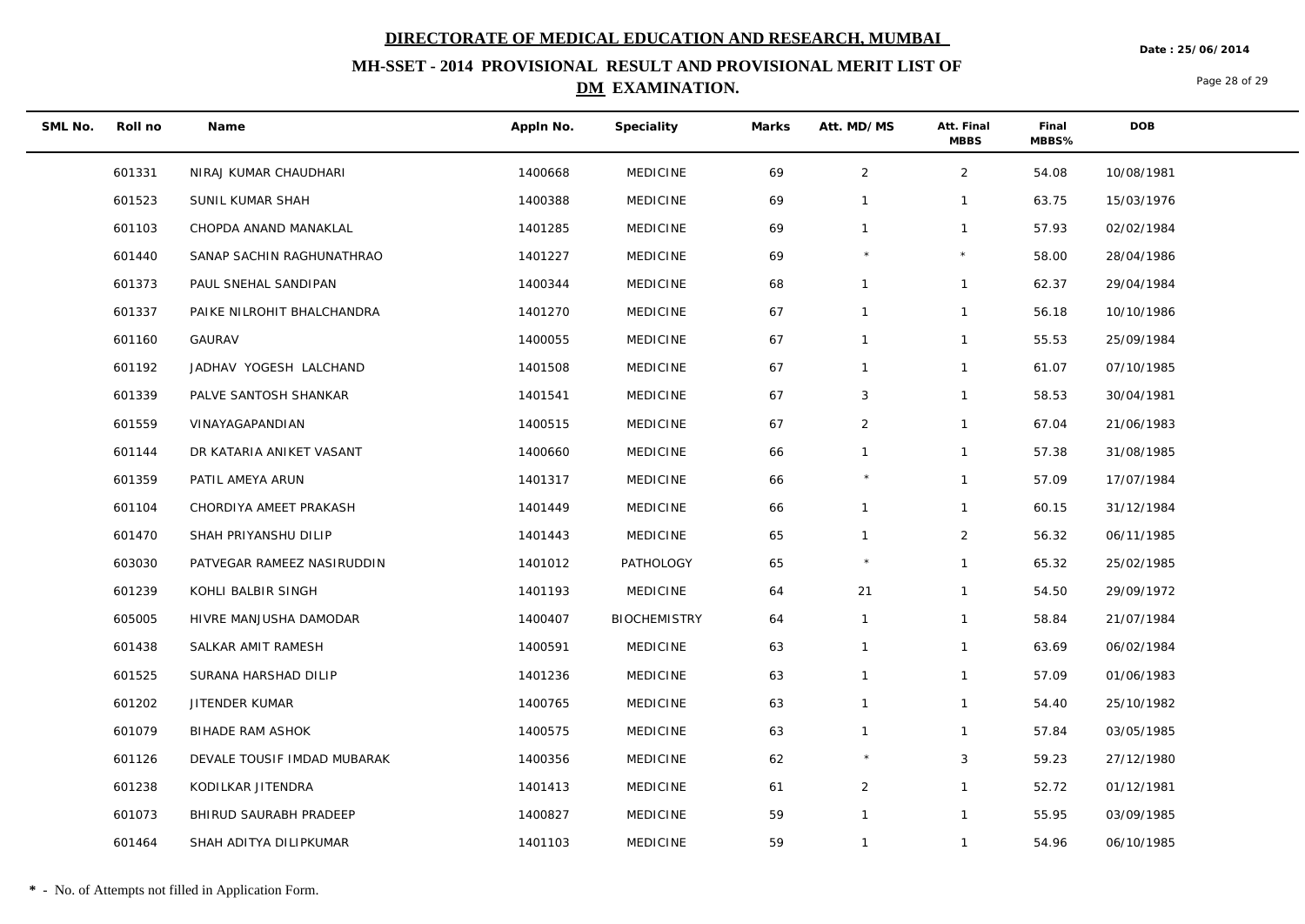**Date : 25/06/2014**

## **MH-SSET - 2014 PROVISIONAL RESULT AND PROVISIONAL MERIT LIST OF DM EXAMINATION.**

Page 28 of 29

| SML No. | Roll no | Name                        | Appln No. | Speciality          | Marks | Att. MD/MS     | Att. Final<br><b>MBBS</b> | Final<br>MBBS% | <b>DOB</b> |
|---------|---------|-----------------------------|-----------|---------------------|-------|----------------|---------------------------|----------------|------------|
|         | 601331  | NIRAJ KUMAR CHAUDHARI       | 1400668   | <b>MEDICINE</b>     | 69    | $\overline{2}$ | $\overline{2}$            | 54.08          | 10/08/1981 |
|         | 601523  | SUNIL KUMAR SHAH            | 1400388   | <b>MEDICINE</b>     | 69    | $\mathbf{1}$   | $\mathbf{1}$              | 63.75          | 15/03/1976 |
|         | 601103  | CHOPDA ANAND MANAKLAL       | 1401285   | <b>MEDICINE</b>     | 69    | $\mathbf{1}$   | $\mathbf{1}$              | 57.93          | 02/02/1984 |
|         | 601440  | SANAP SACHIN RAGHUNATHRAO   | 1401227   | <b>MEDICINE</b>     | 69    | $\star$        | $\star$                   | 58.00          | 28/04/1986 |
|         | 601373  | PAUL SNEHAL SANDIPAN        | 1400344   | <b>MEDICINE</b>     | 68    | $\mathbf{1}$   | $\mathbf{1}$              | 62.37          | 29/04/1984 |
|         | 601337  | PAIKE NILROHIT BHALCHANDRA  | 1401270   | <b>MEDICINE</b>     | 67    | $\mathbf{1}$   | $\mathbf{1}$              | 56.18          | 10/10/1986 |
|         | 601160  | <b>GAURAV</b>               | 1400055   | <b>MEDICINE</b>     | 67    | $\mathbf{1}$   | $\mathbf{1}$              | 55.53          | 25/09/1984 |
|         | 601192  | JADHAV YOGESH LALCHAND      | 1401508   | <b>MEDICINE</b>     | 67    | $\mathbf{1}$   | $\mathbf{1}$              | 61.07          | 07/10/1985 |
|         | 601339  | PALVE SANTOSH SHANKAR       | 1401541   | <b>MEDICINE</b>     | 67    | 3              | $\mathbf{1}$              | 58.53          | 30/04/1981 |
|         | 601559  | VINAYAGAPANDIAN             | 1400515   | <b>MEDICINE</b>     | 67    | $\overline{2}$ | $\mathbf{1}$              | 67.04          | 21/06/1983 |
|         | 601144  | DR KATARIA ANIKET VASANT    | 1400660   | <b>MEDICINE</b>     | 66    | $\mathbf{1}$   | $\mathbf{1}$              | 57.38          | 31/08/1985 |
|         | 601359  | PATIL AMEYA ARUN            | 1401317   | <b>MEDICINE</b>     | 66    |                | $\mathbf{1}$              | 57.09          | 17/07/1984 |
|         | 601104  | CHORDIYA AMEET PRAKASH      | 1401449   | <b>MEDICINE</b>     | 66    | $\mathbf{1}$   | $\mathbf{1}$              | 60.15          | 31/12/1984 |
|         | 601470  | SHAH PRIYANSHU DILIP        | 1401443   | <b>MEDICINE</b>     | 65    | $\mathbf{1}$   | $\overline{2}$            | 56.32          | 06/11/1985 |
|         | 603030  | PATVEGAR RAMEEZ NASIRUDDIN  | 1401012   | PATHOLOGY           | 65    |                | $\mathbf{1}$              | 65.32          | 25/02/1985 |
|         | 601239  | KOHLI BALBIR SINGH          | 1401193   | <b>MEDICINE</b>     | 64    | 21             | $\mathbf{1}$              | 54.50          | 29/09/1972 |
|         | 605005  | HIVRE MANJUSHA DAMODAR      | 1400407   | <b>BIOCHEMISTRY</b> | 64    | $\mathbf{1}$   | $\mathbf{1}$              | 58.84          | 21/07/1984 |
|         | 601438  | SALKAR AMIT RAMESH          | 1400591   | <b>MEDICINE</b>     | 63    | $\mathbf{1}$   | $\mathbf{1}$              | 63.69          | 06/02/1984 |
|         | 601525  | SURANA HARSHAD DILIP        | 1401236   | <b>MEDICINE</b>     | 63    | $\mathbf{1}$   | $\mathbf{1}$              | 57.09          | 01/06/1983 |
|         | 601202  | JITENDER KUMAR              | 1400765   | <b>MEDICINE</b>     | 63    | $\mathbf{1}$   | $\mathbf{1}$              | 54.40          | 25/10/1982 |
|         | 601079  | BIHADE RAM ASHOK            | 1400575   | <b>MEDICINE</b>     | 63    | $\mathbf{1}$   | $\mathbf{1}$              | 57.84          | 03/05/1985 |
|         | 601126  | DEVALE TOUSIF IMDAD MUBARAK | 1400356   | <b>MEDICINE</b>     | 62    |                | 3                         | 59.23          | 27/12/1980 |
|         | 601238  | KODILKAR JITENDRA           | 1401413   | <b>MEDICINE</b>     | 61    | $\overline{2}$ | $\mathbf{1}$              | 52.72          | 01/12/1981 |
|         | 601073  | BHIRUD SAURABH PRADEEP      | 1400827   | <b>MEDICINE</b>     | 59    | $\mathbf{1}$   | $\mathbf{1}$              | 55.95          | 03/09/1985 |
|         | 601464  | SHAH ADITYA DILIPKUMAR      | 1401103   | <b>MEDICINE</b>     | 59    | $\mathbf{1}$   | $\mathbf{1}$              | 54.96          | 06/10/1985 |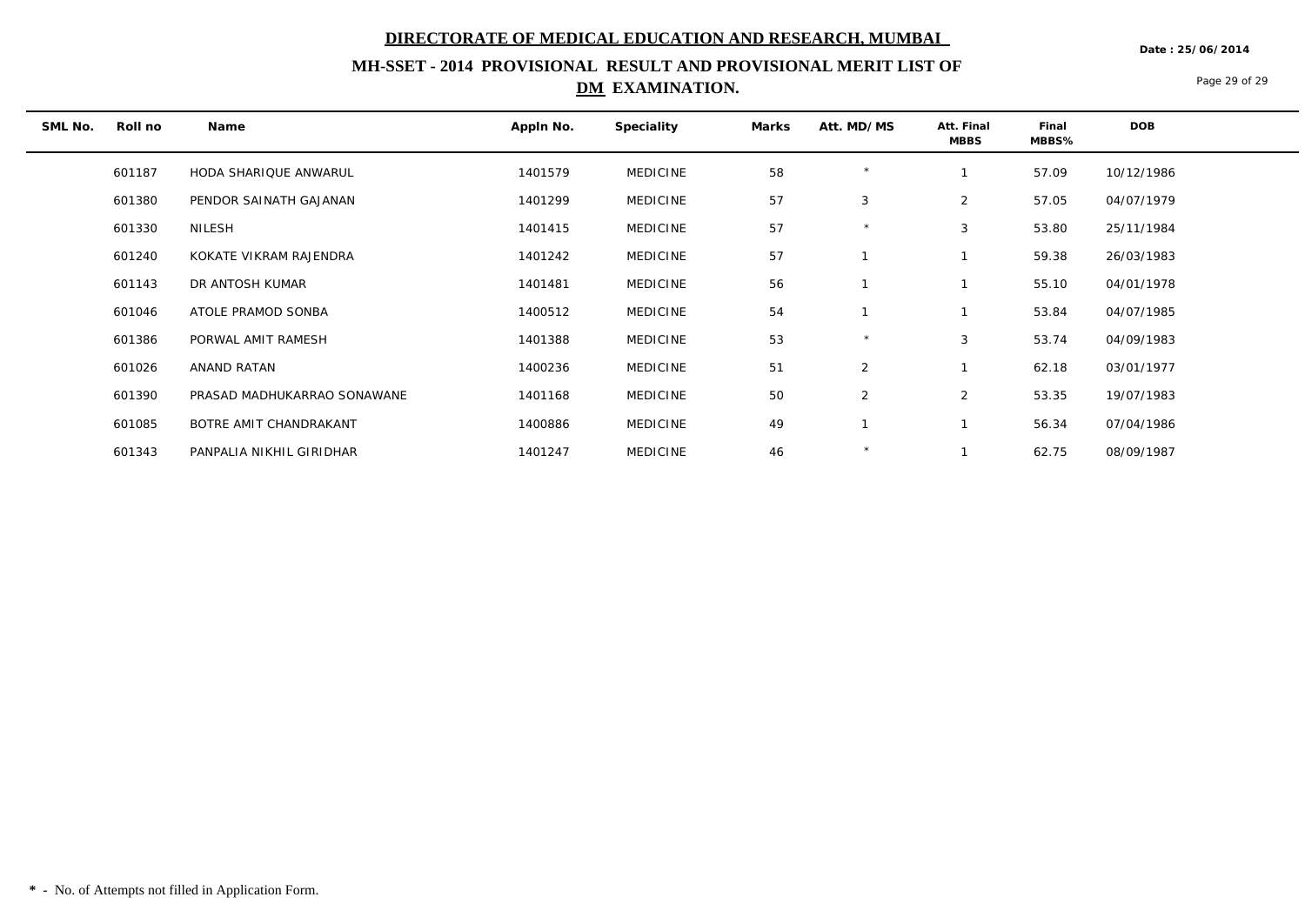**Date : 25/06/2014**

## **MH-SSET - 2014 PROVISIONAL RESULT AND PROVISIONAL MERIT LIST OF DM EXAMINATION.**

Page 29 of 29

| SML No. | Roll no | Name                        | Appln No. | Speciality      | Marks | Att. MD/MS | Att. Final<br><b>MBBS</b> | Final<br>MBBS% | <b>DOB</b> |
|---------|---------|-----------------------------|-----------|-----------------|-------|------------|---------------------------|----------------|------------|
|         | 601187  | HODA SHARIQUE ANWARUL       | 1401579   | <b>MEDICINE</b> | 58    | $\star$    |                           | 57.09          | 10/12/1986 |
|         | 601380  | PENDOR SAINATH GAJANAN      | 1401299   | <b>MEDICINE</b> | 57    | 3          | 2                         | 57.05          | 04/07/1979 |
|         | 601330  | NILESH                      | 1401415   | <b>MEDICINE</b> | 57    | $\star$    | 3                         | 53.80          | 25/11/1984 |
|         | 601240  | KOKATE VIKRAM RAJENDRA      | 1401242   | <b>MEDICINE</b> | 57    |            |                           | 59.38          | 26/03/1983 |
|         | 601143  | DR ANTOSH KUMAR             | 1401481   | <b>MEDICINE</b> | 56    |            |                           | 55.10          | 04/01/1978 |
|         | 601046  | ATOLE PRAMOD SONBA          | 1400512   | <b>MEDICINE</b> | 54    |            |                           | 53.84          | 04/07/1985 |
|         | 601386  | PORWAL AMIT RAMESH          | 1401388   | <b>MEDICINE</b> | 53    | $\star$    | 3                         | 53.74          | 04/09/1983 |
|         | 601026  | ANAND RATAN                 | 1400236   | <b>MEDICINE</b> | 51    | 2          |                           | 62.18          | 03/01/1977 |
|         | 601390  | PRASAD MADHUKARRAO SONAWANE | 1401168   | <b>MEDICINE</b> | 50    | 2          | $\overline{2}$            | 53.35          | 19/07/1983 |
|         | 601085  | BOTRE AMIT CHANDRAKANT      | 1400886   | <b>MEDICINE</b> | 49    |            |                           | 56.34          | 07/04/1986 |
|         | 601343  | PANPALIA NIKHIL GIRIDHAR    | 1401247   | <b>MEDICINE</b> | 46    | $\star$    |                           | 62.75          | 08/09/1987 |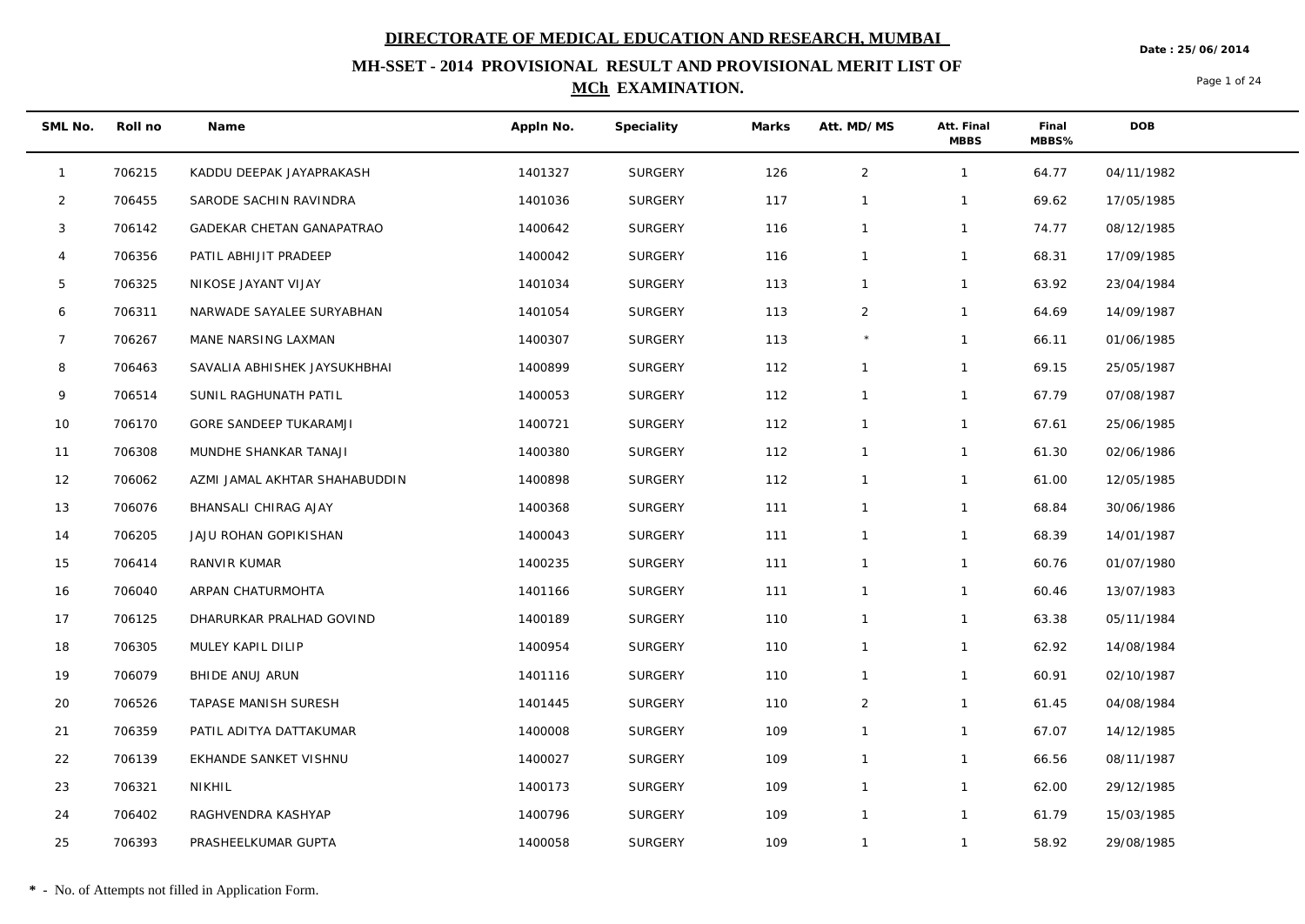**Date : 25/06/2014**

## **MH-SSET - 2014 PROVISIONAL RESULT AND PROVISIONAL MERIT LIST OF MCh EXAMINATION.**

Page 1 of 24

| SML No.        | Roll no | Name                          | Appln No. | Speciality     | Marks | Att. MD/MS     | Att. Final<br><b>MBBS</b> | Final<br>MBBS% | <b>DOB</b> |
|----------------|---------|-------------------------------|-----------|----------------|-------|----------------|---------------------------|----------------|------------|
| $\mathbf{1}$   | 706215  | KADDU DEEPAK JAYAPRAKASH      | 1401327   | <b>SURGERY</b> | 126   | $\overline{2}$ | $\mathbf{1}$              | 64.77          | 04/11/1982 |
| $\overline{2}$ | 706455  | SARODE SACHIN RAVINDRA        | 1401036   | SURGERY        | 117   | $\mathbf{1}$   | $\mathbf{1}$              | 69.62          | 17/05/1985 |
| 3              | 706142  | GADEKAR CHETAN GANAPATRAO     | 1400642   | <b>SURGERY</b> | 116   | $\mathbf{1}$   | $\mathbf{1}$              | 74.77          | 08/12/1985 |
| $\overline{4}$ | 706356  | PATIL ABHIJIT PRADEEP         | 1400042   | <b>SURGERY</b> | 116   | $\mathbf{1}$   | $\mathbf{1}$              | 68.31          | 17/09/1985 |
| 5              | 706325  | NIKOSE JAYANT VIJAY           | 1401034   | <b>SURGERY</b> | 113   | $\mathbf{1}$   | $\mathbf{1}$              | 63.92          | 23/04/1984 |
| 6              | 706311  | NARWADE SAYALEE SURYABHAN     | 1401054   | <b>SURGERY</b> | 113   | $\overline{2}$ | $\mathbf{1}$              | 64.69          | 14/09/1987 |
| 7              | 706267  | MANE NARSING LAXMAN           | 1400307   | <b>SURGERY</b> | 113   | $\star$        | $\mathbf{1}$              | 66.11          | 01/06/1985 |
| 8              | 706463  | SAVALIA ABHISHEK JAYSUKHBHAI  | 1400899   | <b>SURGERY</b> | 112   | $\mathbf{1}$   | $\mathbf{1}$              | 69.15          | 25/05/1987 |
| 9              | 706514  | SUNIL RAGHUNATH PATIL         | 1400053   | <b>SURGERY</b> | 112   | $\mathbf{1}$   | $\mathbf{1}$              | 67.79          | 07/08/1987 |
| 10             | 706170  | GORE SANDEEP TUKARAMJI        | 1400721   | <b>SURGERY</b> | 112   | $\mathbf{1}$   | $\mathbf{1}$              | 67.61          | 25/06/1985 |
| 11             | 706308  | MUNDHE SHANKAR TANAJI         | 1400380   | <b>SURGERY</b> | 112   | $\mathbf{1}$   | $\mathbf{1}$              | 61.30          | 02/06/1986 |
| 12             | 706062  | AZMI JAMAL AKHTAR SHAHABUDDIN | 1400898   | <b>SURGERY</b> | 112   | $\mathbf{1}$   | $\mathbf{1}$              | 61.00          | 12/05/1985 |
| 13             | 706076  | BHANSALI CHIRAG AJAY          | 1400368   | <b>SURGERY</b> | 111   | $\mathbf{1}$   | $\mathbf{1}$              | 68.84          | 30/06/1986 |
| 14             | 706205  | JAJU ROHAN GOPIKISHAN         | 1400043   | <b>SURGERY</b> | 111   | $\mathbf{1}$   | $\mathbf{1}$              | 68.39          | 14/01/1987 |
| 15             | 706414  | RANVIR KUMAR                  | 1400235   | <b>SURGERY</b> | 111   | $\mathbf{1}$   | $\mathbf{1}$              | 60.76          | 01/07/1980 |
| 16             | 706040  | ARPAN CHATURMOHTA             | 1401166   | <b>SURGERY</b> | 111   | $\mathbf{1}$   | $\mathbf{1}$              | 60.46          | 13/07/1983 |
| 17             | 706125  | DHARURKAR PRALHAD GOVIND      | 1400189   | <b>SURGERY</b> | 110   | $\mathbf{1}$   | $\mathbf{1}$              | 63.38          | 05/11/1984 |
| 18             | 706305  | MULEY KAPIL DILIP             | 1400954   | <b>SURGERY</b> | 110   | $\mathbf{1}$   | $\mathbf{1}$              | 62.92          | 14/08/1984 |
| 19             | 706079  | BHIDE ANUJ ARUN               | 1401116   | <b>SURGERY</b> | 110   | $\mathbf{1}$   | $\mathbf{1}$              | 60.91          | 02/10/1987 |
| 20             | 706526  | TAPASE MANISH SURESH          | 1401445   | <b>SURGERY</b> | 110   | $\overline{2}$ | $\mathbf{1}$              | 61.45          | 04/08/1984 |
| 21             | 706359  | PATIL ADITYA DATTAKUMAR       | 1400008   | <b>SURGERY</b> | 109   | $\mathbf{1}$   | $\mathbf{1}$              | 67.07          | 14/12/1985 |
| 22             | 706139  | EKHANDE SANKET VISHNU         | 1400027   | <b>SURGERY</b> | 109   | $\mathbf{1}$   | $\mathbf{1}$              | 66.56          | 08/11/1987 |
| 23             | 706321  | NIKHIL                        | 1400173   | <b>SURGERY</b> | 109   | $\mathbf{1}$   | $\mathbf{1}$              | 62.00          | 29/12/1985 |
| 24             | 706402  | RAGHVENDRA KASHYAP            | 1400796   | <b>SURGERY</b> | 109   | $\mathbf{1}$   | $\mathbf{1}$              | 61.79          | 15/03/1985 |
| 25             | 706393  | PRASHEELKUMAR GUPTA           | 1400058   | <b>SURGERY</b> | 109   | $\mathbf{1}$   | $\mathbf{1}$              | 58.92          | 29/08/1985 |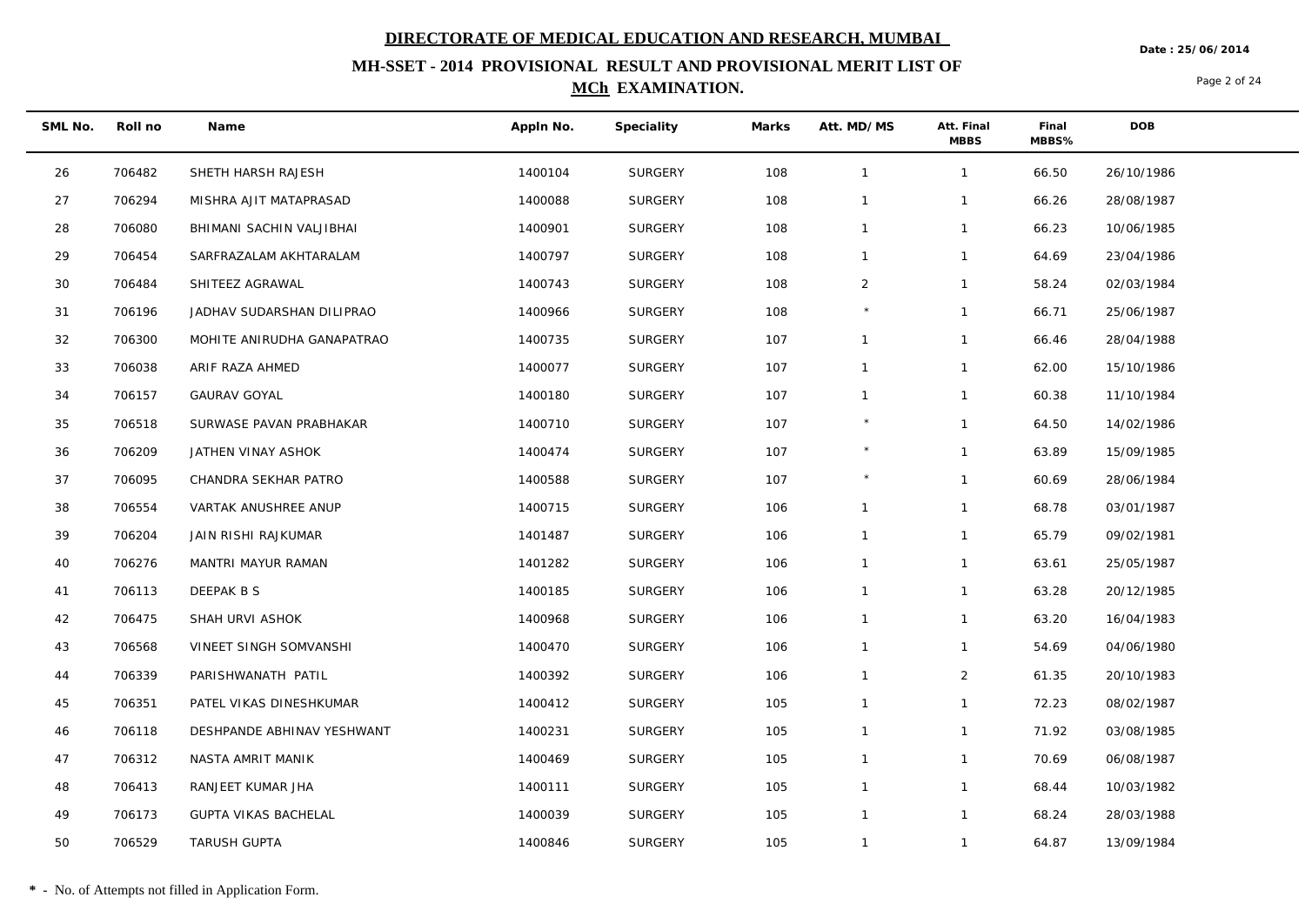**Date : 25/06/2014**

## **MH-SSET - 2014 PROVISIONAL RESULT AND PROVISIONAL MERIT LIST OF MCh EXAMINATION.**

Page 2 of 24

| SML No. | Roll no | Name                        | Appln No. | Speciality     | Marks | Att. MD/MS     | Att. Final<br><b>MBBS</b> | Final<br>MBBS% | <b>DOB</b> |
|---------|---------|-----------------------------|-----------|----------------|-------|----------------|---------------------------|----------------|------------|
| 26      | 706482  | SHETH HARSH RAJESH          | 1400104   | SURGERY        | 108   | $\overline{1}$ | $\mathbf{1}$              | 66.50          | 26/10/1986 |
| 27      | 706294  | MISHRA AJIT MATAPRASAD      | 1400088   | <b>SURGERY</b> | 108   | $\overline{1}$ | $\mathbf{1}$              | 66.26          | 28/08/1987 |
| 28      | 706080  | BHIMANI SACHIN VALJIBHAI    | 1400901   | <b>SURGERY</b> | 108   | $\mathbf{1}$   | $\mathbf{1}$              | 66.23          | 10/06/1985 |
| 29      | 706454  | SARFRAZALAM AKHTARALAM      | 1400797   | <b>SURGERY</b> | 108   | $\overline{1}$ | $\mathbf{1}$              | 64.69          | 23/04/1986 |
| 30      | 706484  | SHITEEZ AGRAWAL             | 1400743   | SURGERY        | 108   | $\overline{2}$ | $\mathbf{1}$              | 58.24          | 02/03/1984 |
| 31      | 706196  | JADHAV SUDARSHAN DILIPRAO   | 1400966   | <b>SURGERY</b> | 108   | $\star$        | $\mathbf{1}$              | 66.71          | 25/06/1987 |
| 32      | 706300  | MOHITE ANIRUDHA GANAPATRAO  | 1400735   | <b>SURGERY</b> | 107   | $\mathbf{1}$   | $\mathbf{1}$              | 66.46          | 28/04/1988 |
| 33      | 706038  | ARIF RAZA AHMED             | 1400077   | <b>SURGERY</b> | 107   | $\mathbf{1}$   | $\mathbf{1}$              | 62.00          | 15/10/1986 |
| 34      | 706157  | <b>GAURAV GOYAL</b>         | 1400180   | <b>SURGERY</b> | 107   | $\mathbf{1}$   | $\mathbf{1}$              | 60.38          | 11/10/1984 |
| 35      | 706518  | SURWASE PAVAN PRABHAKAR     | 1400710   | <b>SURGERY</b> | 107   |                | $\mathbf{1}$              | 64.50          | 14/02/1986 |
| 36      | 706209  | JATHEN VINAY ASHOK          | 1400474   | <b>SURGERY</b> | 107   | $\star$        | $\mathbf{1}$              | 63.89          | 15/09/1985 |
| 37      | 706095  | CHANDRA SEKHAR PATRO        | 1400588   | <b>SURGERY</b> | 107   | $\star$        | $\mathbf{1}$              | 60.69          | 28/06/1984 |
| 38      | 706554  | VARTAK ANUSHREE ANUP        | 1400715   | <b>SURGERY</b> | 106   | $\mathbf{1}$   | $\mathbf{1}$              | 68.78          | 03/01/1987 |
| 39      | 706204  | JAIN RISHI RAJKUMAR         | 1401487   | <b>SURGERY</b> | 106   | $\mathbf{1}$   | $\mathbf{1}$              | 65.79          | 09/02/1981 |
| 40      | 706276  | MANTRI MAYUR RAMAN          | 1401282   | <b>SURGERY</b> | 106   | $\overline{1}$ | $\mathbf{1}$              | 63.61          | 25/05/1987 |
| 41      | 706113  | DEEPAK B S                  | 1400185   | <b>SURGERY</b> | 106   | $\mathbf{1}$   | $\mathbf{1}$              | 63.28          | 20/12/1985 |
| 42      | 706475  | SHAH URVI ASHOK             | 1400968   | <b>SURGERY</b> | 106   | $\mathbf{1}$   | $\mathbf{1}$              | 63.20          | 16/04/1983 |
| 43      | 706568  | VINEET SINGH SOMVANSHI      | 1400470   | <b>SURGERY</b> | 106   | $\overline{1}$ | $\mathbf{1}$              | 54.69          | 04/06/1980 |
| 44      | 706339  | PARISHWANATH PATIL          | 1400392   | <b>SURGERY</b> | 106   | $\overline{1}$ | $\overline{2}$            | 61.35          | 20/10/1983 |
| 45      | 706351  | PATEL VIKAS DINESHKUMAR     | 1400412   | <b>SURGERY</b> | 105   | $\overline{1}$ | $\mathbf{1}$              | 72.23          | 08/02/1987 |
| 46      | 706118  | DESHPANDE ABHINAV YESHWANT  | 1400231   | SURGERY        | 105   | $\mathbf{1}$   | $\mathbf{1}$              | 71.92          | 03/08/1985 |
| 47      | 706312  | NASTA AMRIT MANIK           | 1400469   | <b>SURGERY</b> | 105   | $\overline{1}$ | $\mathbf{1}$              | 70.69          | 06/08/1987 |
| 48      | 706413  | RANJEET KUMAR JHA           | 1400111   | <b>SURGERY</b> | 105   | $\mathbf{1}$   | $\mathbf{1}$              | 68.44          | 10/03/1982 |
| 49      | 706173  | <b>GUPTA VIKAS BACHELAL</b> | 1400039   | SURGERY        | 105   | $\overline{1}$ | $\mathbf{1}$              | 68.24          | 28/03/1988 |
| 50      | 706529  | <b>TARUSH GUPTA</b>         | 1400846   | <b>SURGERY</b> | 105   | $\overline{1}$ | $\mathbf{1}$              | 64.87          | 13/09/1984 |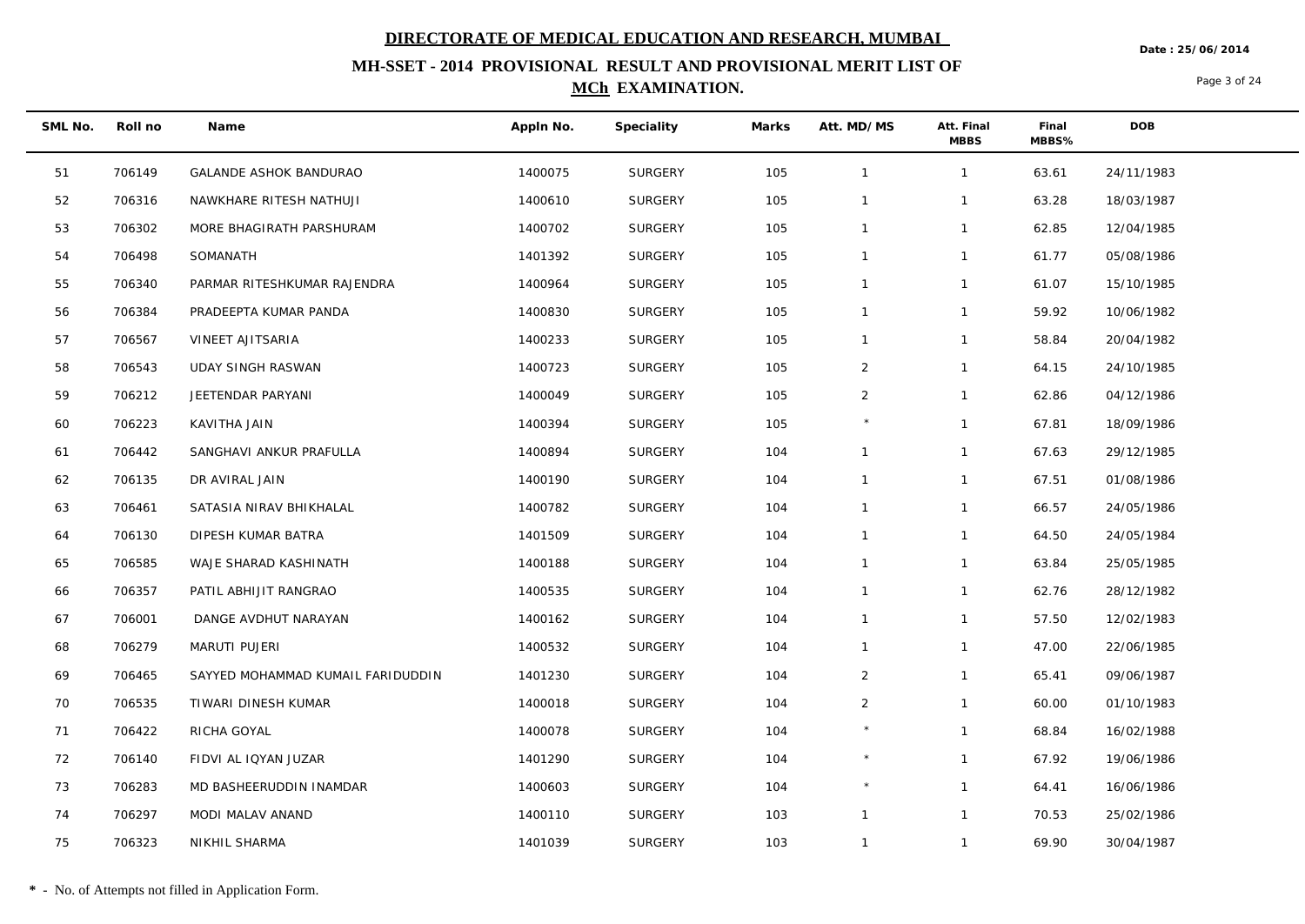**Date : 25/06/2014**

## **MH-SSET - 2014 PROVISIONAL RESULT AND PROVISIONAL MERIT LIST OF MCh EXAMINATION.**

Page 3 of 24

| SML No. | Roll no | Name                              | Appln No. | Speciality     | Marks | Att. MD/MS     | Att. Final<br><b>MBBS</b> | Final<br>MBBS% | <b>DOB</b> |
|---------|---------|-----------------------------------|-----------|----------------|-------|----------------|---------------------------|----------------|------------|
| 51      | 706149  | <b>GALANDE ASHOK BANDURAO</b>     | 1400075   | <b>SURGERY</b> | 105   | $\mathbf{1}$   | $\mathbf{1}$              | 63.61          | 24/11/1983 |
| 52      | 706316  | NAWKHARE RITESH NATHUJI           | 1400610   | <b>SURGERY</b> | 105   | $\mathbf{1}$   | $\mathbf{1}$              | 63.28          | 18/03/1987 |
| 53      | 706302  | MORE BHAGIRATH PARSHURAM          | 1400702   | <b>SURGERY</b> | 105   | $\overline{1}$ | $\mathbf{1}$              | 62.85          | 12/04/1985 |
| 54      | 706498  | SOMANATH                          | 1401392   | <b>SURGERY</b> | 105   | $\overline{1}$ | $\mathbf{1}$              | 61.77          | 05/08/1986 |
| 55      | 706340  | PARMAR RITESHKUMAR RAJENDRA       | 1400964   | <b>SURGERY</b> | 105   | $\overline{1}$ | $\mathbf{1}$              | 61.07          | 15/10/1985 |
| 56      | 706384  | PRADEEPTA KUMAR PANDA             | 1400830   | <b>SURGERY</b> | 105   | $\mathbf{1}$   | $\mathbf{1}$              | 59.92          | 10/06/1982 |
| 57      | 706567  | VINEET AJITSARIA                  | 1400233   | <b>SURGERY</b> | 105   | $\overline{1}$ | $\mathbf{1}$              | 58.84          | 20/04/1982 |
| 58      | 706543  | <b>UDAY SINGH RASWAN</b>          | 1400723   | <b>SURGERY</b> | 105   | 2              | $\mathbf{1}$              | 64.15          | 24/10/1985 |
| 59      | 706212  | JEETENDAR PARYANI                 | 1400049   | <b>SURGERY</b> | 105   | 2              | $\mathbf{1}$              | 62.86          | 04/12/1986 |
| 60      | 706223  | KAVITHA JAIN                      | 1400394   | <b>SURGERY</b> | 105   | $\star$        | $\mathbf{1}$              | 67.81          | 18/09/1986 |
| 61      | 706442  | SANGHAVI ANKUR PRAFULLA           | 1400894   | <b>SURGERY</b> | 104   | $\overline{1}$ | $\mathbf{1}$              | 67.63          | 29/12/1985 |
| 62      | 706135  | DR AVIRAL JAIN                    | 1400190   | <b>SURGERY</b> | 104   | $\overline{1}$ | $\mathbf{1}$              | 67.51          | 01/08/1986 |
| 63      | 706461  | SATASIA NIRAV BHIKHALAL           | 1400782   | <b>SURGERY</b> | 104   | $\overline{1}$ | $\mathbf{1}$              | 66.57          | 24/05/1986 |
| 64      | 706130  | DIPESH KUMAR BATRA                | 1401509   | <b>SURGERY</b> | 104   | $\mathbf{1}$   | $\mathbf{1}$              | 64.50          | 24/05/1984 |
| 65      | 706585  | WAJE SHARAD KASHINATH             | 1400188   | <b>SURGERY</b> | 104   | $\mathbf{1}$   | $\mathbf{1}$              | 63.84          | 25/05/1985 |
| 66      | 706357  | PATIL ABHIJIT RANGRAO             | 1400535   | <b>SURGERY</b> | 104   | $\overline{1}$ | $\mathbf{1}$              | 62.76          | 28/12/1982 |
| 67      | 706001  | DANGE AVDHUT NARAYAN              | 1400162   | <b>SURGERY</b> | 104   | $\overline{1}$ | $\mathbf{1}$              | 57.50          | 12/02/1983 |
| 68      | 706279  | MARUTI PUJERI                     | 1400532   | <b>SURGERY</b> | 104   | $\overline{1}$ | $\mathbf{1}$              | 47.00          | 22/06/1985 |
| 69      | 706465  | SAYYED MOHAMMAD KUMAIL FARIDUDDIN | 1401230   | <b>SURGERY</b> | 104   | $\overline{2}$ | $\mathbf{1}$              | 65.41          | 09/06/1987 |
| 70      | 706535  | TIWARI DINESH KUMAR               | 1400018   | <b>SURGERY</b> | 104   | $\overline{2}$ | $\mathbf{1}$              | 60.00          | 01/10/1983 |
| 71      | 706422  | RICHA GOYAL                       | 1400078   | <b>SURGERY</b> | 104   | $\star$        | $\mathbf{1}$              | 68.84          | 16/02/1988 |
| 72      | 706140  | FIDVI AL IQYAN JUZAR              | 1401290   | <b>SURGERY</b> | 104   |                | $\mathbf{1}$              | 67.92          | 19/06/1986 |
| 73      | 706283  | MD BASHEERUDDIN INAMDAR           | 1400603   | <b>SURGERY</b> | 104   |                | $\mathbf{1}$              | 64.41          | 16/06/1986 |
| 74      | 706297  | MODI MALAV ANAND                  | 1400110   | <b>SURGERY</b> | 103   | $\mathbf{1}$   | $\mathbf{1}$              | 70.53          | 25/02/1986 |
| 75      | 706323  | NIKHIL SHARMA                     | 1401039   | <b>SURGERY</b> | 103   | $\overline{1}$ | $\mathbf{1}$              | 69.90          | 30/04/1987 |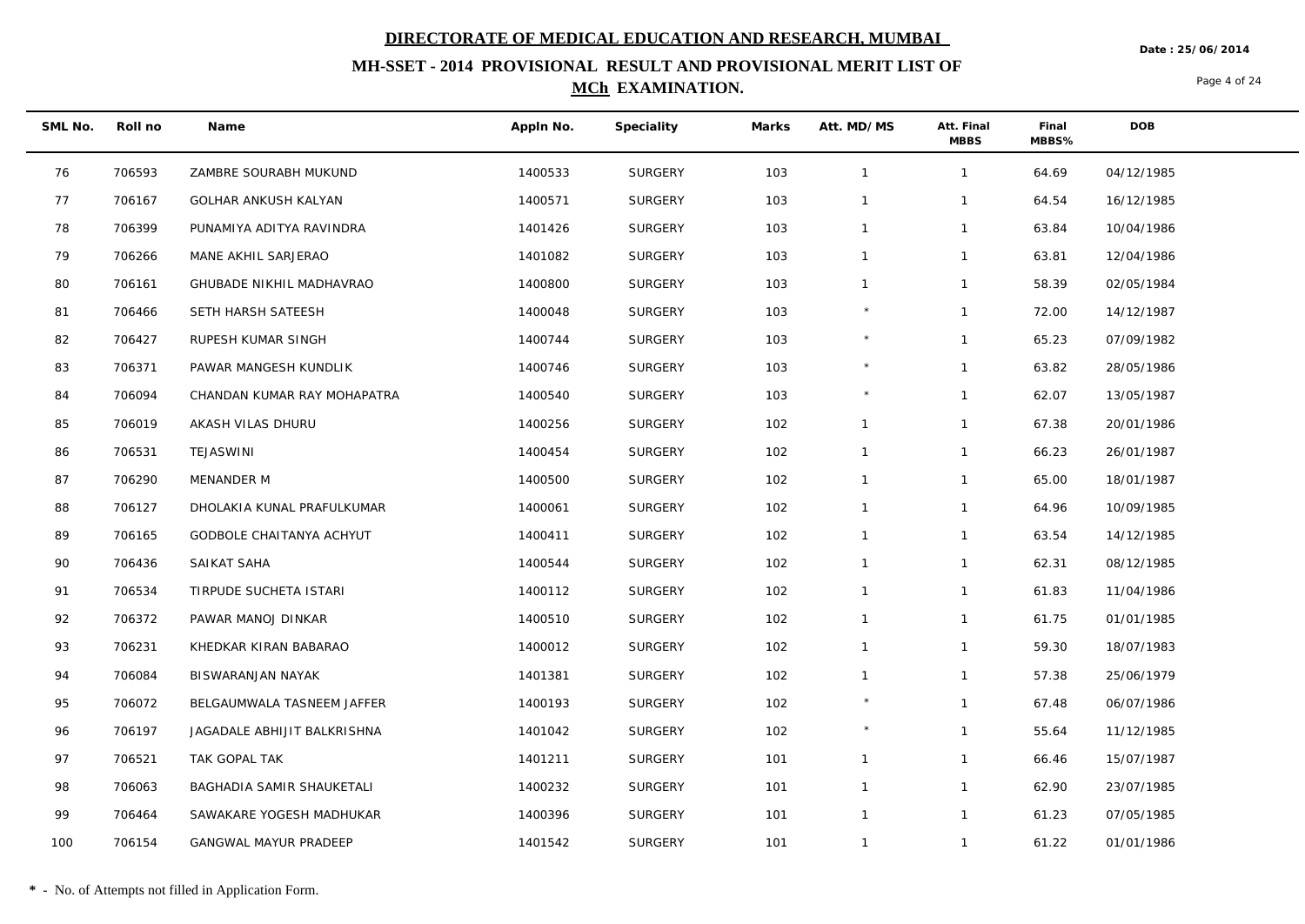**Date : 25/06/2014**

## **MH-SSET - 2014 PROVISIONAL RESULT AND PROVISIONAL MERIT LIST OF MCh EXAMINATION.**

Page 4 of 24

| SML No. | Roll no | Name                         | Appln No. | Speciality     | Marks | Att. MD/MS     | Att. Final<br><b>MBBS</b> | Final<br>MBBS% | <b>DOB</b> |
|---------|---------|------------------------------|-----------|----------------|-------|----------------|---------------------------|----------------|------------|
| 76      | 706593  | ZAMBRE SOURABH MUKUND        | 1400533   | <b>SURGERY</b> | 103   | $\mathbf{1}$   | $\mathbf{1}$              | 64.69          | 04/12/1985 |
| 77      | 706167  | <b>GOLHAR ANKUSH KALYAN</b>  | 1400571   | <b>SURGERY</b> | 103   | $\mathbf{1}$   | $\mathbf{1}$              | 64.54          | 16/12/1985 |
| 78      | 706399  | PUNAMIYA ADITYA RAVINDRA     | 1401426   | <b>SURGERY</b> | 103   | $\overline{1}$ | $\mathbf{1}$              | 63.84          | 10/04/1986 |
| 79      | 706266  | MANE AKHIL SARJERAO          | 1401082   | <b>SURGERY</b> | 103   | $\mathbf{1}$   | $\mathbf{1}$              | 63.81          | 12/04/1986 |
| 80      | 706161  | GHUBADE NIKHIL MADHAVRAO     | 1400800   | <b>SURGERY</b> | 103   | $\mathbf{1}$   | $\mathbf{1}$              | 58.39          | 02/05/1984 |
| 81      | 706466  | SETH HARSH SATEESH           | 1400048   | <b>SURGERY</b> | 103   | $\star$        | $\mathbf{1}$              | 72.00          | 14/12/1987 |
| 82      | 706427  | RUPESH KUMAR SINGH           | 1400744   | <b>SURGERY</b> | 103   |                | $\mathbf{1}$              | 65.23          | 07/09/1982 |
| 83      | 706371  | PAWAR MANGESH KUNDLIK        | 1400746   | <b>SURGERY</b> | 103   |                | $\mathbf{1}$              | 63.82          | 28/05/1986 |
| 84      | 706094  | CHANDAN KUMAR RAY MOHAPATRA  | 1400540   | <b>SURGERY</b> | 103   | $\star$        | $\mathbf{1}$              | 62.07          | 13/05/1987 |
| 85      | 706019  | AKASH VILAS DHURU            | 1400256   | <b>SURGERY</b> | 102   | $\mathbf{1}$   | $\mathbf{1}$              | 67.38          | 20/01/1986 |
| 86      | 706531  | TEJASWINI                    | 1400454   | <b>SURGERY</b> | 102   | $\mathbf{1}$   | $\mathbf{1}$              | 66.23          | 26/01/1987 |
| 87      | 706290  | MENANDER M                   | 1400500   | <b>SURGERY</b> | 102   | $\mathbf{1}$   | $\mathbf{1}$              | 65.00          | 18/01/1987 |
| 88      | 706127  | DHOLAKIA KUNAL PRAFULKUMAR   | 1400061   | <b>SURGERY</b> | 102   | $\mathbf{1}$   | $\mathbf{1}$              | 64.96          | 10/09/1985 |
| 89      | 706165  | GODBOLE CHAITANYA ACHYUT     | 1400411   | <b>SURGERY</b> | 102   | $\mathbf{1}$   | $\mathbf{1}$              | 63.54          | 14/12/1985 |
| 90      | 706436  | SAIKAT SAHA                  | 1400544   | <b>SURGERY</b> | 102   | $\overline{1}$ | $\mathbf{1}$              | 62.31          | 08/12/1985 |
| 91      | 706534  | TIRPUDE SUCHETA ISTARI       | 1400112   | <b>SURGERY</b> | 102   | $\mathbf{1}$   | $\mathbf{1}$              | 61.83          | 11/04/1986 |
| 92      | 706372  | PAWAR MANOJ DINKAR           | 1400510   | <b>SURGERY</b> | 102   | $\mathbf{1}$   | $\mathbf{1}$              | 61.75          | 01/01/1985 |
| 93      | 706231  | KHEDKAR KIRAN BABARAO        | 1400012   | <b>SURGERY</b> | 102   | $\overline{1}$ | $\mathbf{1}$              | 59.30          | 18/07/1983 |
| 94      | 706084  | BISWARANJAN NAYAK            | 1401381   | <b>SURGERY</b> | 102   | $\overline{1}$ | $\mathbf{1}$              | 57.38          | 25/06/1979 |
| 95      | 706072  | BELGAUMWALA TASNEEM JAFFER   | 1400193   | <b>SURGERY</b> | 102   |                | $\mathbf{1}$              | 67.48          | 06/07/1986 |
| 96      | 706197  | JAGADALE ABHIJIT BALKRISHNA  | 1401042   | <b>SURGERY</b> | 102   | $^{\star}$     | $\mathbf{1}$              | 55.64          | 11/12/1985 |
| 97      | 706521  | TAK GOPAL TAK                | 1401211   | <b>SURGERY</b> | 101   | $\mathbf{1}$   | $\mathbf{1}$              | 66.46          | 15/07/1987 |
| 98      | 706063  | BAGHADIA SAMIR SHAUKETALI    | 1400232   | <b>SURGERY</b> | 101   | $\overline{1}$ | $\mathbf{1}$              | 62.90          | 23/07/1985 |
| 99      | 706464  | SAWAKARE YOGESH MADHUKAR     | 1400396   | <b>SURGERY</b> | 101   | $\overline{1}$ | $\mathbf{1}$              | 61.23          | 07/05/1985 |
| 100     | 706154  | <b>GANGWAL MAYUR PRADEEP</b> | 1401542   | <b>SURGERY</b> | 101   | $\overline{1}$ | $\mathbf{1}$              | 61.22          | 01/01/1986 |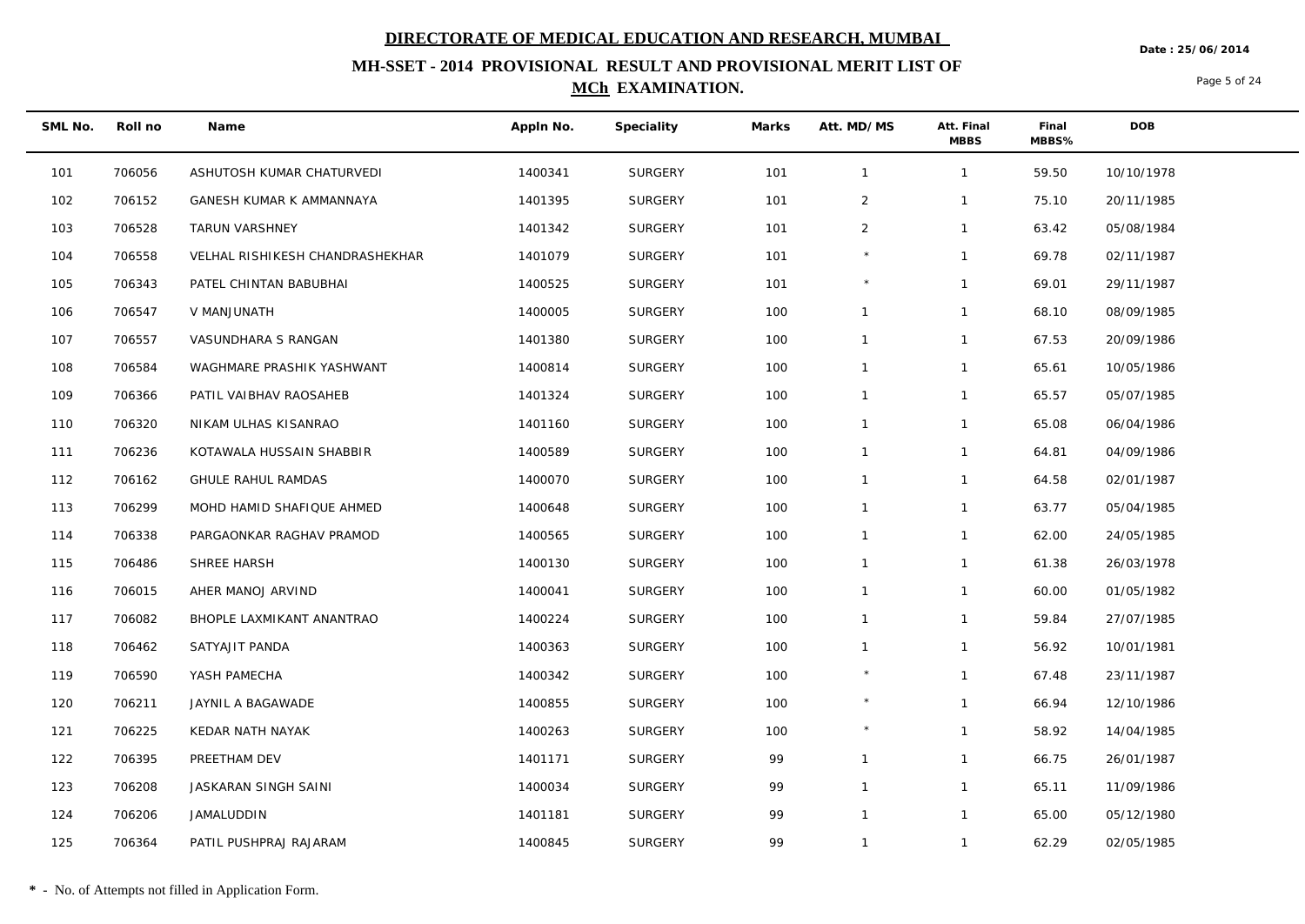**Date : 25/06/2014**

## **MH-SSET - 2014 PROVISIONAL RESULT AND PROVISIONAL MERIT LIST OF MCh EXAMINATION.**

Page 5 of 24

| SML No. | Roll no | Name                            | Appln No. | Speciality     | Marks | Att. MD/MS     | Att. Final<br><b>MBBS</b> | Final<br>MBBS% | <b>DOB</b> |  |
|---------|---------|---------------------------------|-----------|----------------|-------|----------------|---------------------------|----------------|------------|--|
| 101     | 706056  | ASHUTOSH KUMAR CHATURVEDI       | 1400341   | SURGERY        | 101   | $\mathbf{1}$   | $\mathbf{1}$              | 59.50          | 10/10/1978 |  |
| 102     | 706152  | GANESH KUMAR K AMMANNAYA        | 1401395   | <b>SURGERY</b> | 101   | $\overline{2}$ | $\mathbf{1}$              | 75.10          | 20/11/1985 |  |
| 103     | 706528  | TARUN VARSHNEY                  | 1401342   | <b>SURGERY</b> | 101   | 2              | $\mathbf{1}$              | 63.42          | 05/08/1984 |  |
| 104     | 706558  | VELHAL RISHIKESH CHANDRASHEKHAR | 1401079   | SURGERY        | 101   |                | $\mathbf{1}$              | 69.78          | 02/11/1987 |  |
| 105     | 706343  | PATEL CHINTAN BABUBHAI          | 1400525   | <b>SURGERY</b> | 101   |                | $\mathbf{1}$              | 69.01          | 29/11/1987 |  |
| 106     | 706547  | V MANJUNATH                     | 1400005   | <b>SURGERY</b> | 100   | $\mathbf{1}$   | $\mathbf{1}$              | 68.10          | 08/09/1985 |  |
| 107     | 706557  | VASUNDHARA S RANGAN             | 1401380   | SURGERY        | 100   | $\mathbf{1}$   | $\mathbf{1}$              | 67.53          | 20/09/1986 |  |
| 108     | 706584  | WAGHMARE PRASHIK YASHWANT       | 1400814   | SURGERY        | 100   | $\mathbf{1}$   | $\mathbf{1}$              | 65.61          | 10/05/1986 |  |
| 109     | 706366  | PATIL VAIBHAV RAOSAHEB          | 1401324   | <b>SURGERY</b> | 100   | $\mathbf{1}$   | $\mathbf{1}$              | 65.57          | 05/07/1985 |  |
| 110     | 706320  | NIKAM ULHAS KISANRAO            | 1401160   | SURGERY        | 100   | $\mathbf{1}$   | $\mathbf{1}$              | 65.08          | 06/04/1986 |  |
| 111     | 706236  | KOTAWALA HUSSAIN SHABBIR        | 1400589   | SURGERY        | 100   | $\mathbf{1}$   | $\mathbf{1}$              | 64.81          | 04/09/1986 |  |
| 112     | 706162  | <b>GHULE RAHUL RAMDAS</b>       | 1400070   | <b>SURGERY</b> | 100   | $\mathbf{1}$   | $\mathbf{1}$              | 64.58          | 02/01/1987 |  |
| 113     | 706299  | MOHD HAMID SHAFIQUE AHMED       | 1400648   | SURGERY        | 100   | $\mathbf{1}$   | $\mathbf{1}$              | 63.77          | 05/04/1985 |  |
| 114     | 706338  | PARGAONKAR RAGHAV PRAMOD        | 1400565   | <b>SURGERY</b> | 100   | $\mathbf{1}$   | $\mathbf{1}$              | 62.00          | 24/05/1985 |  |
| 115     | 706486  | SHREE HARSH                     | 1400130   | <b>SURGERY</b> | 100   | $\mathbf{1}$   | $\mathbf{1}$              | 61.38          | 26/03/1978 |  |
| 116     | 706015  | AHER MANOJ ARVIND               | 1400041   | SURGERY        | 100   | $\mathbf{1}$   | $\mathbf{1}$              | 60.00          | 01/05/1982 |  |
| 117     | 706082  | BHOPLE LAXMIKANT ANANTRAO       | 1400224   | <b>SURGERY</b> | 100   | $\mathbf{1}$   | $\mathbf{1}$              | 59.84          | 27/07/1985 |  |
| 118     | 706462  | SATYAJIT PANDA                  | 1400363   | <b>SURGERY</b> | 100   | $\mathbf{1}$   | $\mathbf{1}$              | 56.92          | 10/01/1981 |  |
| 119     | 706590  | YASH PAMECHA                    | 1400342   | SURGERY        | 100   | $\star$        | $\mathbf{1}$              | 67.48          | 23/11/1987 |  |
| 120     | 706211  | JAYNIL A BAGAWADE               | 1400855   | SURGERY        | 100   |                | $\mathbf{1}$              | 66.94          | 12/10/1986 |  |
| 121     | 706225  | KEDAR NATH NAYAK                | 1400263   | <b>SURGERY</b> | 100   | $\star$        | $\mathbf{1}$              | 58.92          | 14/04/1985 |  |
| 122     | 706395  | PREETHAM DEV                    | 1401171   | SURGERY        | 99    |                | $\mathbf{1}$              | 66.75          | 26/01/1987 |  |
| 123     | 706208  | JASKARAN SINGH SAINI            | 1400034   | SURGERY        | 99    | $\mathbf{1}$   | $\mathbf{1}$              | 65.11          | 11/09/1986 |  |
| 124     | 706206  | JAMALUDDIN                      | 1401181   | <b>SURGERY</b> | 99    | $\mathbf{1}$   | $\mathbf{1}$              | 65.00          | 05/12/1980 |  |
| 125     | 706364  | PATIL PUSHPRAJ RAJARAM          | 1400845   | <b>SURGERY</b> | 99    | $\mathbf{1}$   | $\mathbf{1}$              | 62.29          | 02/05/1985 |  |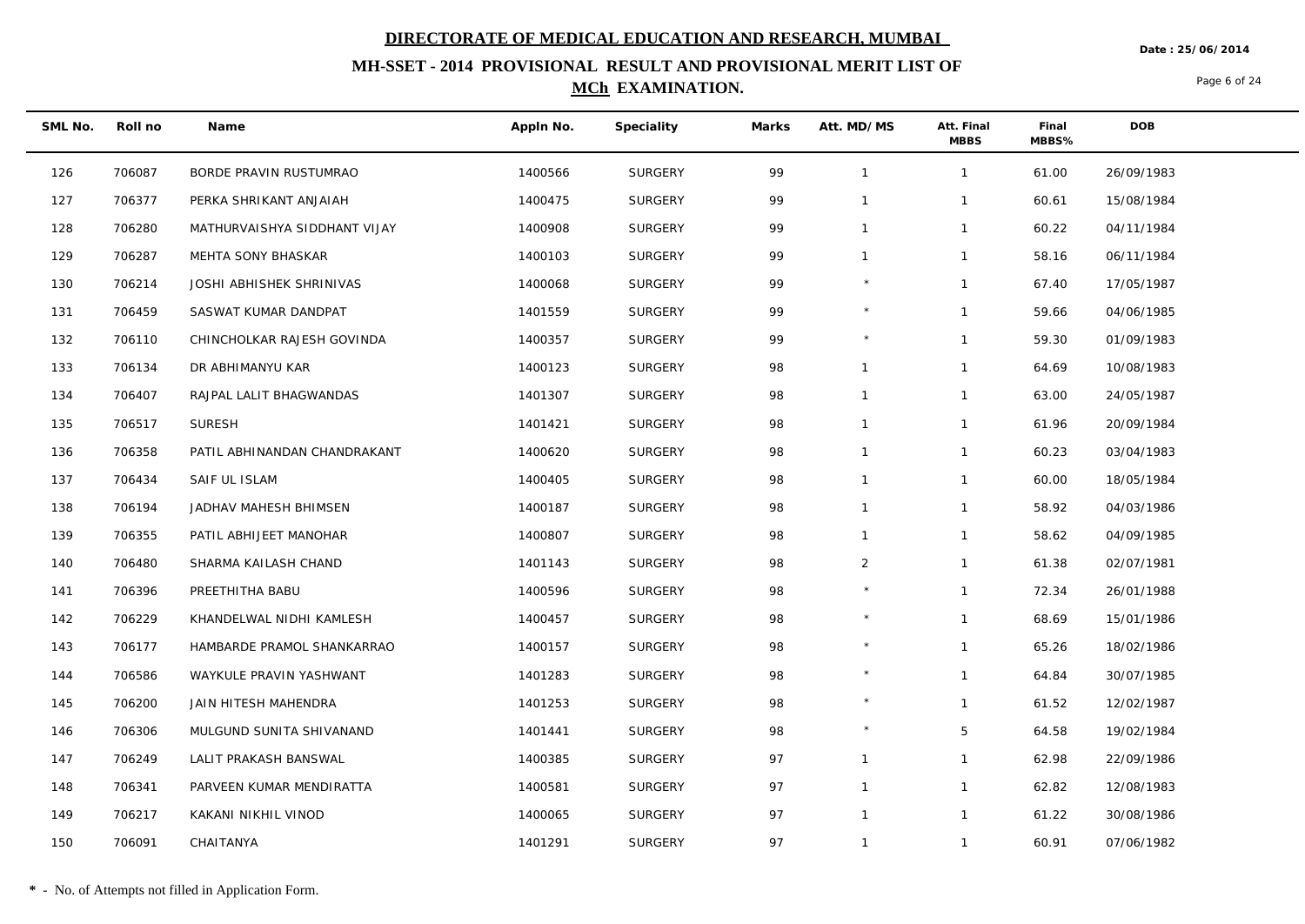**MH-SSET - 2014 PROVISIONAL RESULT AND PROVISIONAL MERIT LIST OF** 

### **MCh EXAMINATION.**

Page 6 of 24

**Date : 25/06/2014**

| SML No. | Roll no | Name                         | Appln No. | Speciality     | Marks | Att. MD/MS     | Att. Final<br><b>MBBS</b> | Final<br>MBBS% | <b>DOB</b> |
|---------|---------|------------------------------|-----------|----------------|-------|----------------|---------------------------|----------------|------------|
| 126     | 706087  | BORDE PRAVIN RUSTUMRAO       | 1400566   | <b>SURGERY</b> | 99    | $\mathbf{1}$   | $\mathbf{1}$              | 61.00          | 26/09/1983 |
| 127     | 706377  | PERKA SHRIKANT ANJAIAH       | 1400475   | <b>SURGERY</b> | 99    | $\mathbf{1}$   | $\mathbf{1}$              | 60.61          | 15/08/1984 |
| 128     | 706280  | MATHURVAISHYA SIDDHANT VIJAY | 1400908   | <b>SURGERY</b> | 99    | $\mathbf{1}$   | $\mathbf{1}$              | 60.22          | 04/11/1984 |
| 129     | 706287  | MEHTA SONY BHASKAR           | 1400103   | <b>SURGERY</b> | 99    | $\mathbf{1}$   | $\mathbf{1}$              | 58.16          | 06/11/1984 |
| 130     | 706214  | JOSHI ABHISHEK SHRINIVAS     | 1400068   | <b>SURGERY</b> | 99    |                | $\mathbf{1}$              | 67.40          | 17/05/1987 |
| 131     | 706459  | SASWAT KUMAR DANDPAT         | 1401559   | SURGERY        | 99    | $\star$        | $\mathbf{1}$              | 59.66          | 04/06/1985 |
| 132     | 706110  | CHINCHOLKAR RAJESH GOVINDA   | 1400357   | SURGERY        | 99    |                | $\mathbf{1}$              | 59.30          | 01/09/1983 |
| 133     | 706134  | DR ABHIMANYU KAR             | 1400123   | SURGERY        | 98    | $\mathbf{1}$   | $\mathbf{1}$              | 64.69          | 10/08/1983 |
| 134     | 706407  | RAJPAL LALIT BHAGWANDAS      | 1401307   | <b>SURGERY</b> | 98    | $\mathbf{1}$   | $\mathbf{1}$              | 63.00          | 24/05/1987 |
| 135     | 706517  | <b>SURESH</b>                | 1401421   | <b>SURGERY</b> | 98    | $\mathbf{1}$   | $\mathbf{1}$              | 61.96          | 20/09/1984 |
| 136     | 706358  | PATIL ABHINANDAN CHANDRAKANT | 1400620   | <b>SURGERY</b> | 98    | $\mathbf{1}$   | $\mathbf{1}$              | 60.23          | 03/04/1983 |
| 137     | 706434  | SAIF UL ISLAM                | 1400405   | SURGERY        | 98    | $\mathbf{1}$   | $\mathbf{1}$              | 60.00          | 18/05/1984 |
| 138     | 706194  | JADHAV MAHESH BHIMSEN        | 1400187   | <b>SURGERY</b> | 98    | $\mathbf{1}$   | $\mathbf{1}$              | 58.92          | 04/03/1986 |
| 139     | 706355  | PATIL ABHIJEET MANOHAR       | 1400807   | <b>SURGERY</b> | 98    | $\mathbf{1}$   | $\mathbf{1}$              | 58.62          | 04/09/1985 |
| 140     | 706480  | SHARMA KAILASH CHAND         | 1401143   | SURGERY        | 98    | $\overline{2}$ | $\mathbf{1}$              | 61.38          | 02/07/1981 |
| 141     | 706396  | PREETHITHA BABU              | 1400596   | SURGERY        | 98    | $\star$        | $\mathbf{1}$              | 72.34          | 26/01/1988 |
| 142     | 706229  | KHANDELWAL NIDHI KAMLESH     | 1400457   | <b>SURGERY</b> | 98    |                | $\mathbf{1}$              | 68.69          | 15/01/1986 |
| 143     | 706177  | HAMBARDE PRAMOL SHANKARRAO   | 1400157   | SURGERY        | 98    | $\star$        | $\mathbf{1}$              | 65.26          | 18/02/1986 |
| 144     | 706586  | WAYKULE PRAVIN YASHWANT      | 1401283   | <b>SURGERY</b> | 98    | $\star$        | $\mathbf{1}$              | 64.84          | 30/07/1985 |
| 145     | 706200  | JAIN HITESH MAHENDRA         | 1401253   | <b>SURGERY</b> | 98    | $\star$        | $\mathbf{1}$              | 61.52          | 12/02/1987 |
| 146     | 706306  | MULGUND SUNITA SHIVANAND     | 1401441   | <b>SURGERY</b> | 98    | $\star$        | 5                         | 64.58          | 19/02/1984 |
| 147     | 706249  | LALIT PRAKASH BANSWAL        | 1400385   | <b>SURGERY</b> | 97    | $\mathbf{1}$   | $\mathbf{1}$              | 62.98          | 22/09/1986 |
| 148     | 706341  | PARVEEN KUMAR MENDIRATTA     | 1400581   | SURGERY        | 97    | $\mathbf{1}$   | $\mathbf{1}$              | 62.82          | 12/08/1983 |
| 149     | 706217  | KAKANI NIKHIL VINOD          | 1400065   | <b>SURGERY</b> | 97    | $\mathbf{1}$   | $\mathbf{1}$              | 61.22          | 30/08/1986 |
| 150     | 706091  | CHAITANYA                    | 1401291   | <b>SURGERY</b> | 97    | $\mathbf{1}$   | $\mathbf{1}$              | 60.91          | 07/06/1982 |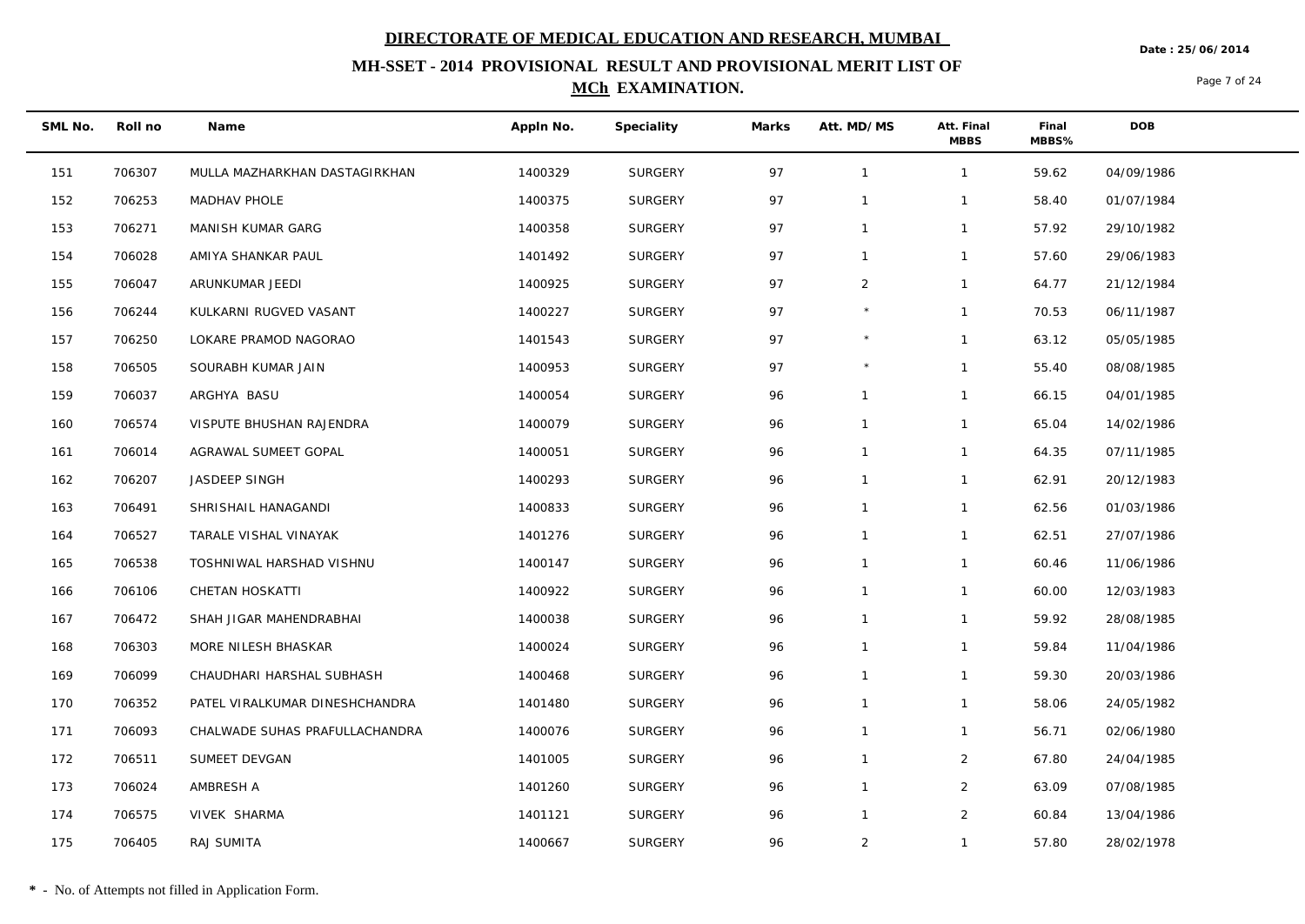**Date : 25/06/2014**

## **MH-SSET - 2014 PROVISIONAL RESULT AND PROVISIONAL MERIT LIST OF MCh EXAMINATION.**

Page 7 of 24

| SML No. | Roll no | Name                           | Appln No. | Speciality     | Marks | Att. MD/MS     | Att. Final<br><b>MBBS</b> | Final<br>MBBS% | DOB        |  |
|---------|---------|--------------------------------|-----------|----------------|-------|----------------|---------------------------|----------------|------------|--|
| 151     | 706307  | MULLA MAZHARKHAN DASTAGIRKHAN  | 1400329   | SURGERY        | 97    | $\overline{1}$ | $\mathbf{1}$              | 59.62          | 04/09/1986 |  |
| 152     | 706253  | MADHAV PHOLE                   | 1400375   | <b>SURGERY</b> | 97    | $\mathbf 1$    | 1                         | 58.40          | 01/07/1984 |  |
| 153     | 706271  | MANISH KUMAR GARG              | 1400358   | SURGERY        | 97    | $\mathbf{1}$   | $\mathbf{1}$              | 57.92          | 29/10/1982 |  |
| 154     | 706028  | AMIYA SHANKAR PAUL             | 1401492   | SURGERY        | 97    | $\mathbf{1}$   | $\mathbf{1}$              | 57.60          | 29/06/1983 |  |
| 155     | 706047  | ARUNKUMAR JEEDI                | 1400925   | <b>SURGERY</b> | 97    | $\overline{2}$ | $\mathbf{1}$              | 64.77          | 21/12/1984 |  |
| 156     | 706244  | KULKARNI RUGVED VASANT         | 1400227   | SURGERY        | 97    | $\star$        | $\mathbf{1}$              | 70.53          | 06/11/1987 |  |
| 157     | 706250  | LOKARE PRAMOD NAGORAO          | 1401543   | <b>SURGERY</b> | 97    | $\star$        | $\mathbf{1}$              | 63.12          | 05/05/1985 |  |
| 158     | 706505  | SOURABH KUMAR JAIN             | 1400953   | SURGERY        | 97    |                | $\mathbf{1}$              | 55.40          | 08/08/1985 |  |
| 159     | 706037  | ARGHYA BASU                    | 1400054   | <b>SURGERY</b> | 96    | $\mathbf 1$    | $\mathbf{1}$              | 66.15          | 04/01/1985 |  |
| 160     | 706574  | VISPUTE BHUSHAN RAJENDRA       | 1400079   | SURGERY        | 96    |                | $\mathbf{1}$              | 65.04          | 14/02/1986 |  |
| 161     | 706014  | AGRAWAL SUMEET GOPAL           | 1400051   | SURGERY        | 96    | $\mathbf{1}$   | $\mathbf{1}$              | 64.35          | 07/11/1985 |  |
| 162     | 706207  | JASDEEP SINGH                  | 1400293   | SURGERY        | 96    | $\mathbf 1$    | $\mathbf{1}$              | 62.91          | 20/12/1983 |  |
| 163     | 706491  | SHRISHAIL HANAGANDI            | 1400833   | SURGERY        | 96    | $\mathbf{1}$   | $\mathbf{1}$              | 62.56          | 01/03/1986 |  |
| 164     | 706527  | TARALE VISHAL VINAYAK          | 1401276   | <b>SURGERY</b> | 96    | $\mathbf{1}$   | $\mathbf{1}$              | 62.51          | 27/07/1986 |  |
| 165     | 706538  | TOSHNIWAL HARSHAD VISHNU       | 1400147   | <b>SURGERY</b> | 96    | $\mathbf{1}$   | $\mathbf{1}$              | 60.46          | 11/06/1986 |  |
| 166     | 706106  | CHETAN HOSKATTI                | 1400922   | SURGERY        | 96    | $\mathbf 1$    | $\mathbf{1}$              | 60.00          | 12/03/1983 |  |
| 167     | 706472  | SHAH JIGAR MAHENDRABHAI        | 1400038   | SURGERY        | 96    | $\mathbf{1}$   | $\mathbf{1}$              | 59.92          | 28/08/1985 |  |
| 168     | 706303  | MORE NILESH BHASKAR            | 1400024   | SURGERY        | 96    | -1             | $\mathbf{1}$              | 59.84          | 11/04/1986 |  |
| 169     | 706099  | CHAUDHARI HARSHAL SUBHASH      | 1400468   | <b>SURGERY</b> | 96    | $\mathbf{1}$   | $\mathbf{1}$              | 59.30          | 20/03/1986 |  |
| 170     | 706352  | PATEL VIRALKUMAR DINESHCHANDRA | 1401480   | SURGERY        | 96    | $\overline{1}$ | $\mathbf{1}$              | 58.06          | 24/05/1982 |  |
| 171     | 706093  | CHALWADE SUHAS PRAFULLACHANDRA | 1400076   | <b>SURGERY</b> | 96    | $\mathbf{1}$   | $\mathbf{1}$              | 56.71          | 02/06/1980 |  |
| 172     | 706511  | SUMEET DEVGAN                  | 1401005   | SURGERY        | 96    | $\mathbf 1$    | $\overline{2}$            | 67.80          | 24/04/1985 |  |
| 173     | 706024  | AMBRESH A                      | 1401260   | SURGERY        | 96    | $\mathbf{1}$   | $\overline{2}$            | 63.09          | 07/08/1985 |  |
| 174     | 706575  | VIVEK SHARMA                   | 1401121   | <b>SURGERY</b> | 96    | $\mathbf 1$    | $\overline{2}$            | 60.84          | 13/04/1986 |  |
| 175     | 706405  | RAJ SUMITA                     | 1400667   | SURGERY        | 96    | 2              | $\mathbf{1}$              | 57.80          | 28/02/1978 |  |

**\*** - No. of Attempts not filled in Application Form.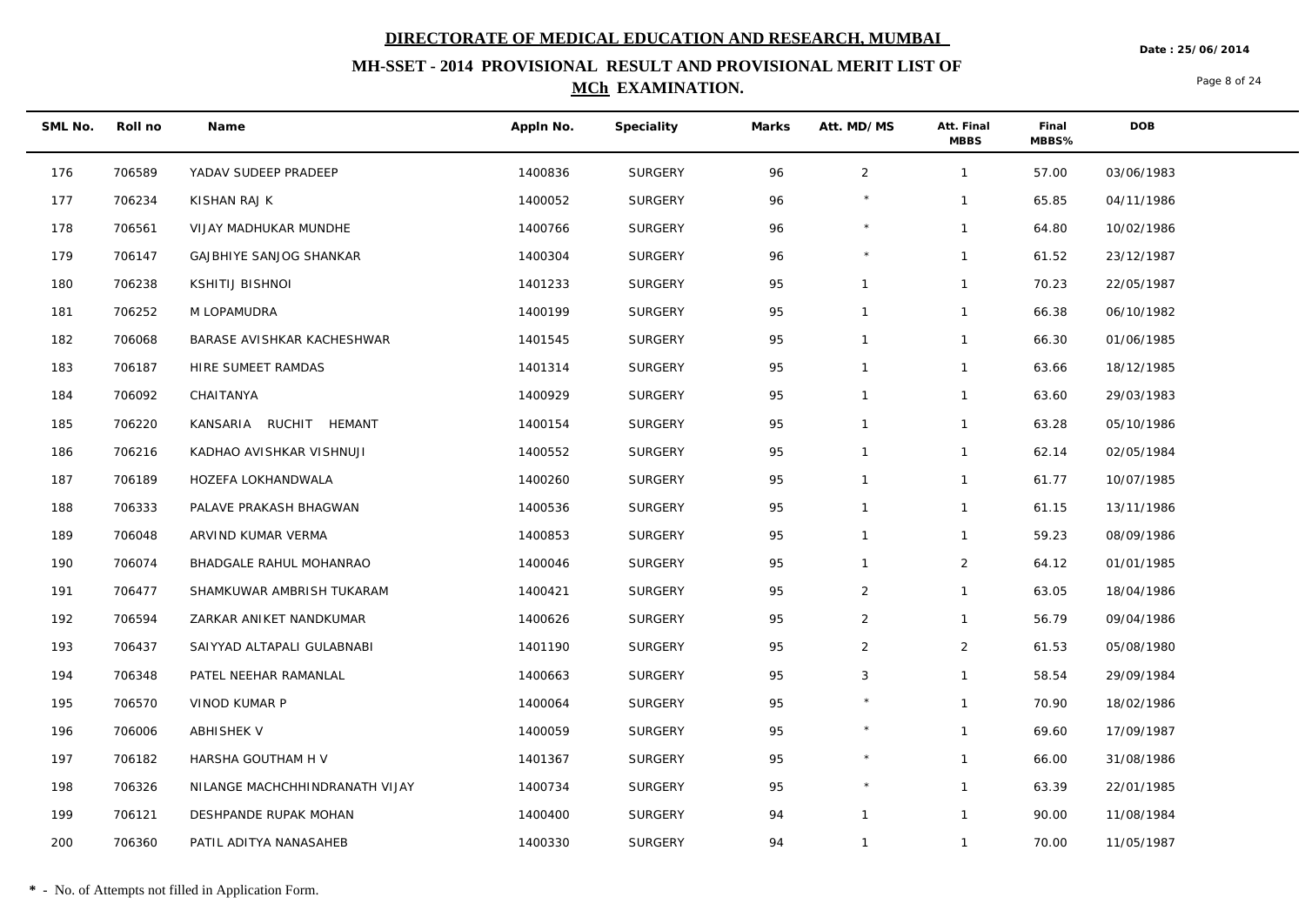**MH-SSET - 2014 PROVISIONAL RESULT AND PROVISIONAL MERIT LIST OF MCh EXAMINATION.**

#### **Date : 25/06/2014**

Page 8 of 24

| SML No. | Roll no | Name                           | Appln No. | Speciality     | Marks | Att. MD/MS     | Att. Final<br><b>MBBS</b> | Final<br>MBBS% | <b>DOB</b> |
|---------|---------|--------------------------------|-----------|----------------|-------|----------------|---------------------------|----------------|------------|
| 176     | 706589  | YADAV SUDEEP PRADEEP           | 1400836   | <b>SURGERY</b> | 96    | $\overline{2}$ | $\mathbf{1}$              | 57.00          | 03/06/1983 |
| 177     | 706234  | KISHAN RAJ K                   | 1400052   | SURGERY        | 96    |                | $\mathbf{1}$              | 65.85          | 04/11/1986 |
| 178     | 706561  | VIJAY MADHUKAR MUNDHE          | 1400766   | SURGERY        | 96    | $\star$        | $\mathbf{1}$              | 64.80          | 10/02/1986 |
| 179     | 706147  | <b>GAJBHIYE SANJOG SHANKAR</b> | 1400304   | <b>SURGERY</b> | 96    | $\star$        | $\mathbf{1}$              | 61.52          | 23/12/1987 |
| 180     | 706238  | <b>KSHITIJ BISHNOI</b>         | 1401233   | SURGERY        | 95    | $\mathbf{1}$   | $\mathbf{1}$              | 70.23          | 22/05/1987 |
| 181     | 706252  | M LOPAMUDRA                    | 1400199   | <b>SURGERY</b> | 95    | $\mathbf{1}$   | $\mathbf{1}$              | 66.38          | 06/10/1982 |
| 182     | 706068  | BARASE AVISHKAR KACHESHWAR     | 1401545   | <b>SURGERY</b> | 95    | $\mathbf{1}$   | $\mathbf{1}$              | 66.30          | 01/06/1985 |
| 183     | 706187  | HIRE SUMEET RAMDAS             | 1401314   | SURGERY        | 95    | $\mathbf{1}$   | $\mathbf{1}$              | 63.66          | 18/12/1985 |
| 184     | 706092  | CHAITANYA                      | 1400929   | <b>SURGERY</b> | 95    | $\mathbf{1}$   | $\mathbf{1}$              | 63.60          | 29/03/1983 |
| 185     | 706220  | KANSARIA RUCHIT HEMANT         | 1400154   | SURGERY        | 95    | $\mathbf{1}$   | $\mathbf{1}$              | 63.28          | 05/10/1986 |
| 186     | 706216  | KADHAO AVISHKAR VISHNUJI       | 1400552   | SURGERY        | 95    | $\mathbf{1}$   | $\mathbf{1}$              | 62.14          | 02/05/1984 |
| 187     | 706189  | HOZEFA LOKHANDWALA             | 1400260   | SURGERY        | 95    | $\mathbf{1}$   | $\mathbf{1}$              | 61.77          | 10/07/1985 |
| 188     | 706333  | PALAVE PRAKASH BHAGWAN         | 1400536   | <b>SURGERY</b> | 95    | $\mathbf{1}$   | $\mathbf{1}$              | 61.15          | 13/11/1986 |
| 189     | 706048  | ARVIND KUMAR VERMA             | 1400853   | SURGERY        | 95    | $\mathbf{1}$   | $\mathbf{1}$              | 59.23          | 08/09/1986 |
| 190     | 706074  | BHADGALE RAHUL MOHANRAO        | 1400046   | SURGERY        | 95    | $\mathbf{1}$   | $\overline{2}$            | 64.12          | 01/01/1985 |
| 191     | 706477  | SHAMKUWAR AMBRISH TUKARAM      | 1400421   | <b>SURGERY</b> | 95    | $\overline{2}$ | $\mathbf{1}$              | 63.05          | 18/04/1986 |
| 192     | 706594  | ZARKAR ANIKET NANDKUMAR        | 1400626   | <b>SURGERY</b> | 95    | $\overline{2}$ | $\mathbf{1}$              | 56.79          | 09/04/1986 |
| 193     | 706437  | SAIYYAD ALTAPALI GULABNABI     | 1401190   | <b>SURGERY</b> | 95    | 2              | $\overline{2}$            | 61.53          | 05/08/1980 |
| 194     | 706348  | PATEL NEEHAR RAMANLAL          | 1400663   | <b>SURGERY</b> | 95    | $\mathbf{3}$   | $\mathbf{1}$              | 58.54          | 29/09/1984 |
| 195     | 706570  | VINOD KUMAR P                  | 1400064   | SURGERY        | 95    |                | $\mathbf{1}$              | 70.90          | 18/02/1986 |
| 196     | 706006  | <b>ABHISHEK V</b>              | 1400059   | SURGERY        | 95    | $\star$        | $\mathbf{1}$              | 69.60          | 17/09/1987 |
| 197     | 706182  | HARSHA GOUTHAM H V             | 1401367   | <b>SURGERY</b> | 95    | $\star$        | $\mathbf{1}$              | 66.00          | 31/08/1986 |
| 198     | 706326  | NILANGE MACHCHHINDRANATH VIJAY | 1400734   | <b>SURGERY</b> | 95    | $\star$        | $\mathbf{1}$              | 63.39          | 22/01/1985 |
| 199     | 706121  | DESHPANDE RUPAK MOHAN          | 1400400   | <b>SURGERY</b> | 94    | $\mathbf{1}$   | $\mathbf{1}$              | 90.00          | 11/08/1984 |
| 200     | 706360  | PATIL ADITYA NANASAHEB         | 1400330   | SURGERY        | 94    | $\mathbf{1}$   | $\mathbf{1}$              | 70.00          | 11/05/1987 |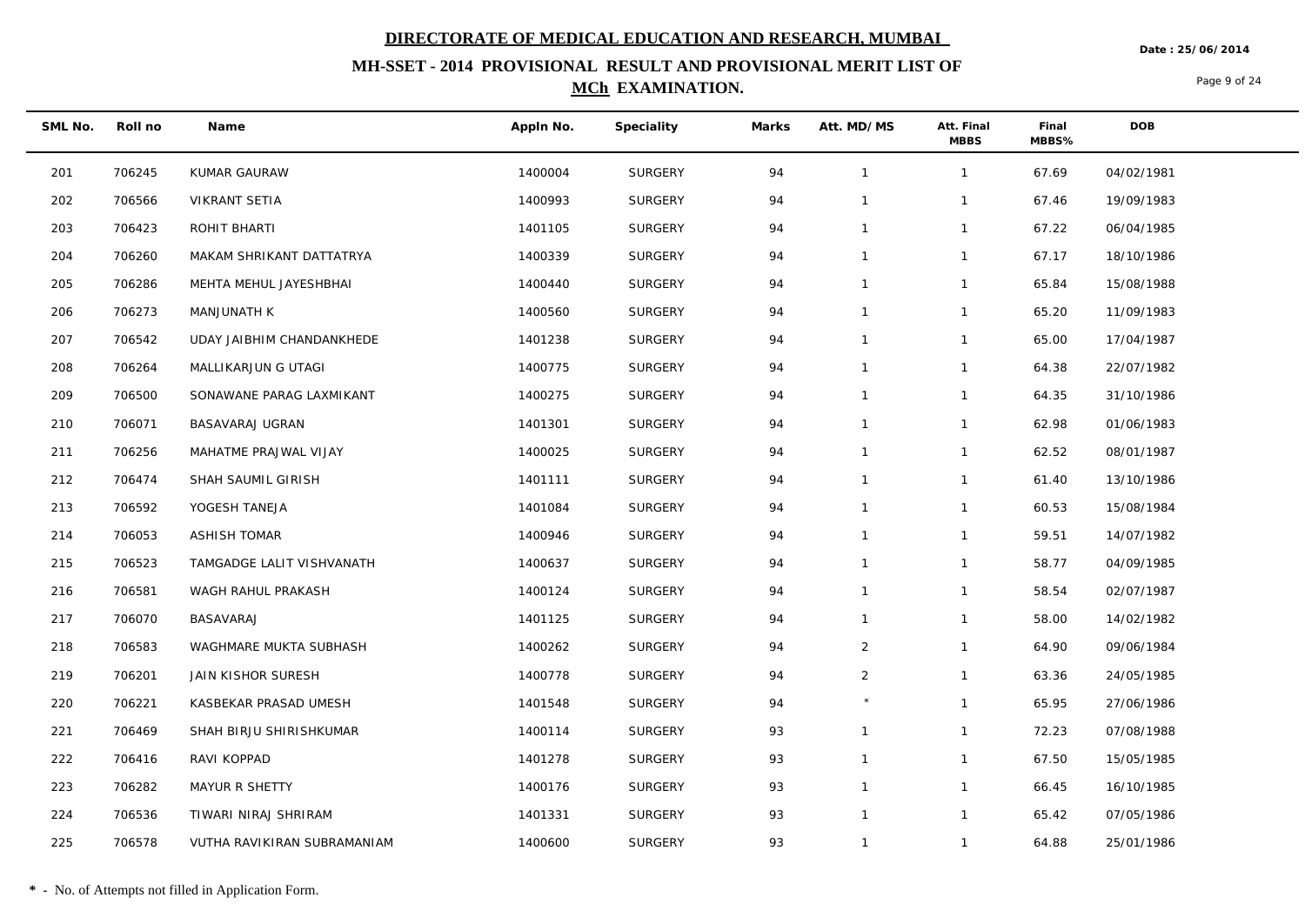**MH-SSET - 2014 PROVISIONAL RESULT AND PROVISIONAL MERIT LIST OF MCh EXAMINATION.**

**Date : 25/06/2014**

Page 9 of 24

| SML No. | Roll no | Name                        | Appln No. | Speciality     | Marks | Att. MD/MS     | Att. Final<br><b>MBBS</b> | Final<br>MBBS% | <b>DOB</b> |
|---------|---------|-----------------------------|-----------|----------------|-------|----------------|---------------------------|----------------|------------|
| 201     | 706245  | KUMAR GAURAW                | 1400004   | <b>SURGERY</b> | 94    | $\mathbf{1}$   | $\mathbf{1}$              | 67.69          | 04/02/1981 |
| 202     | 706566  | VIKRANT SETIA               | 1400993   | SURGERY        | 94    | $\mathbf{1}$   | $\mathbf{1}$              | 67.46          | 19/09/1983 |
| 203     | 706423  | ROHIT BHARTI                | 1401105   | SURGERY        | 94    | $\mathbf{1}$   | $\mathbf{1}$              | 67.22          | 06/04/1985 |
| 204     | 706260  | MAKAM SHRIKANT DATTATRYA    | 1400339   | SURGERY        | 94    | $\mathbf{1}$   | $\mathbf{1}$              | 67.17          | 18/10/1986 |
| 205     | 706286  | MEHTA MEHUL JAYESHBHAI      | 1400440   | SURGERY        | 94    | $\mathbf{1}$   | $\mathbf{1}$              | 65.84          | 15/08/1988 |
| 206     | 706273  | MANJUNATH K                 | 1400560   | <b>SURGERY</b> | 94    | $\mathbf{1}$   | $\mathbf{1}$              | 65.20          | 11/09/1983 |
| 207     | 706542  | UDAY JAIBHIM CHANDANKHEDE   | 1401238   | SURGERY        | 94    | $\mathbf{1}$   | $\mathbf{1}$              | 65.00          | 17/04/1987 |
| 208     | 706264  | MALLIKARJUN G UTAGI         | 1400775   | <b>SURGERY</b> | 94    | $\mathbf{1}$   | $\mathbf{1}$              | 64.38          | 22/07/1982 |
| 209     | 706500  | SONAWANE PARAG LAXMIKANT    | 1400275   | SURGERY        | 94    | $\mathbf{1}$   | $\mathbf{1}$              | 64.35          | 31/10/1986 |
| 210     | 706071  | BASAVARAJ UGRAN             | 1401301   | <b>SURGERY</b> | 94    | $\mathbf{1}$   | $\mathbf{1}$              | 62.98          | 01/06/1983 |
| 211     | 706256  | MAHATME PRAJWAL VIJAY       | 1400025   | <b>SURGERY</b> | 94    | $\mathbf{1}$   | $\mathbf{1}$              | 62.52          | 08/01/1987 |
| 212     | 706474  | SHAH SAUMIL GIRISH          | 1401111   | <b>SURGERY</b> | 94    | $\mathbf{1}$   | $\mathbf{1}$              | 61.40          | 13/10/1986 |
| 213     | 706592  | YOGESH TANEJA               | 1401084   | <b>SURGERY</b> | 94    | $\mathbf{1}$   | $\mathbf{1}$              | 60.53          | 15/08/1984 |
| 214     | 706053  | <b>ASHISH TOMAR</b>         | 1400946   | <b>SURGERY</b> | 94    | $\mathbf{1}$   | $\mathbf{1}$              | 59.51          | 14/07/1982 |
| 215     | 706523  | TAMGADGE LALIT VISHVANATH   | 1400637   | <b>SURGERY</b> | 94    | $\mathbf{1}$   | $\mathbf{1}$              | 58.77          | 04/09/1985 |
| 216     | 706581  | WAGH RAHUL PRAKASH          | 1400124   | SURGERY        | 94    | $\mathbf{1}$   | $\mathbf{1}$              | 58.54          | 02/07/1987 |
| 217     | 706070  | BASAVARAJ                   | 1401125   | <b>SURGERY</b> | 94    | $\mathbf{1}$   | $\mathbf{1}$              | 58.00          | 14/02/1982 |
| 218     | 706583  | WAGHMARE MUKTA SUBHASH      | 1400262   | <b>SURGERY</b> | 94    | $\overline{2}$ | $\mathbf{1}$              | 64.90          | 09/06/1984 |
| 219     | 706201  | JAIN KISHOR SURESH          | 1400778   | <b>SURGERY</b> | 94    | $\overline{2}$ | $\mathbf{1}$              | 63.36          | 24/05/1985 |
| 220     | 706221  | KASBEKAR PRASAD UMESH       | 1401548   | <b>SURGERY</b> | 94    |                | $\mathbf{1}$              | 65.95          | 27/06/1986 |
| 221     | 706469  | SHAH BIRJU SHIRISHKUMAR     | 1400114   | SURGERY        | 93    | $\mathbf{1}$   | $\mathbf{1}$              | 72.23          | 07/08/1988 |
| 222     | 706416  | RAVI KOPPAD                 | 1401278   | <b>SURGERY</b> | 93    | $\mathbf{1}$   | $\mathbf{1}$              | 67.50          | 15/05/1985 |
| 223     | 706282  | MAYUR R SHETTY              | 1400176   | SURGERY        | 93    | $\mathbf{1}$   | $\mathbf{1}$              | 66.45          | 16/10/1985 |
| 224     | 706536  | TIWARI NIRAJ SHRIRAM        | 1401331   | <b>SURGERY</b> | 93    | $\mathbf{1}$   | $\mathbf{1}$              | 65.42          | 07/05/1986 |
| 225     | 706578  | VUTHA RAVIKIRAN SUBRAMANIAM | 1400600   | SURGERY        | 93    | $\mathbf{1}$   | $\mathbf{1}$              | 64.88          | 25/01/1986 |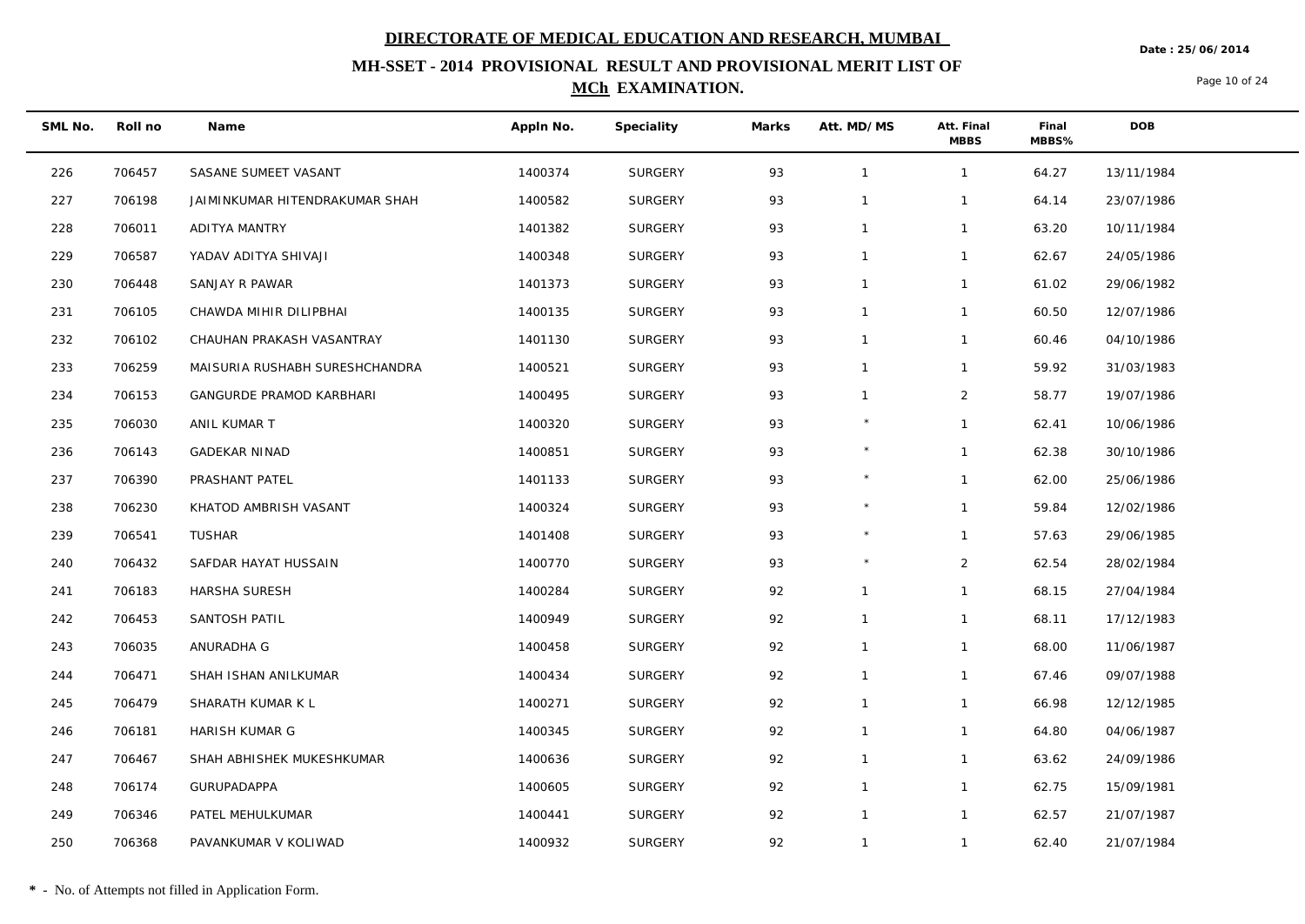**Date : 25/06/2014**

## **MH-SSET - 2014 PROVISIONAL RESULT AND PROVISIONAL MERIT LIST OF MCh EXAMINATION.**

Page 10 of 24

| SML No. | Roll no | Name                           | Appln No. | Speciality     | Marks | Att. MD/MS   | Att. Final<br><b>MBBS</b> | Final<br>MBBS% | DOB        |
|---------|---------|--------------------------------|-----------|----------------|-------|--------------|---------------------------|----------------|------------|
| 226     | 706457  | SASANE SUMEET VASANT           | 1400374   | <b>SURGERY</b> | 93    | $\mathbf{1}$ | $\mathbf{1}$              | 64.27          | 13/11/1984 |
| 227     | 706198  | JAIMINKUMAR HITENDRAKUMAR SHAH | 1400582   | <b>SURGERY</b> | 93    | $\mathbf 1$  | $\mathbf{1}$              | 64.14          | 23/07/1986 |
| 228     | 706011  | ADITYA MANTRY                  | 1401382   | <b>SURGERY</b> | 93    | $\mathbf{1}$ | $\mathbf{1}$              | 63.20          | 10/11/1984 |
| 229     | 706587  | YADAV ADITYA SHIVAJI           | 1400348   | <b>SURGERY</b> | 93    | $\mathbf 1$  | $\mathbf{1}$              | 62.67          | 24/05/1986 |
| 230     | 706448  | SANJAY R PAWAR                 | 1401373   | <b>SURGERY</b> | 93    | $\mathbf{1}$ | $\mathbf{1}$              | 61.02          | 29/06/1982 |
| 231     | 706105  | CHAWDA MIHIR DILIPBHAI         | 1400135   | <b>SURGERY</b> | 93    | $\mathbf{1}$ | $\mathbf{1}$              | 60.50          | 12/07/1986 |
| 232     | 706102  | CHAUHAN PRAKASH VASANTRAY      | 1401130   | <b>SURGERY</b> | 93    | $\mathbf{1}$ | $\mathbf{1}$              | 60.46          | 04/10/1986 |
| 233     | 706259  | MAISURIA RUSHABH SURESHCHANDRA | 1400521   | <b>SURGERY</b> | 93    | $\mathbf{1}$ | $\mathbf{1}$              | 59.92          | 31/03/1983 |
| 234     | 706153  | GANGURDE PRAMOD KARBHARI       | 1400495   | <b>SURGERY</b> | 93    | $\mathbf 1$  | $\overline{2}$            | 58.77          | 19/07/1986 |
| 235     | 706030  | ANIL KUMAR T                   | 1400320   | <b>SURGERY</b> | 93    |              | $\mathbf{1}$              | 62.41          | 10/06/1986 |
| 236     | 706143  | <b>GADEKAR NINAD</b>           | 1400851   | <b>SURGERY</b> | 93    |              | $\mathbf{1}$              | 62.38          | 30/10/1986 |
| 237     | 706390  | PRASHANT PATEL                 | 1401133   | SURGERY        | 93    |              | $\mathbf{1}$              | 62.00          | 25/06/1986 |
| 238     | 706230  | KHATOD AMBRISH VASANT          | 1400324   | <b>SURGERY</b> | 93    | $\star$      | $\mathbf{1}$              | 59.84          | 12/02/1986 |
| 239     | 706541  | TUSHAR                         | 1401408   | <b>SURGERY</b> | 93    | $\star$      | $\mathbf{1}$              | 57.63          | 29/06/1985 |
| 240     | 706432  | SAFDAR HAYAT HUSSAIN           | 1400770   | <b>SURGERY</b> | 93    |              | $\overline{2}$            | 62.54          | 28/02/1984 |
| 241     | 706183  | HARSHA SURESH                  | 1400284   | <b>SURGERY</b> | 92    | $\mathbf{1}$ | $\mathbf{1}$              | 68.15          | 27/04/1984 |
| 242     | 706453  | SANTOSH PATIL                  | 1400949   | <b>SURGERY</b> | 92    | $\mathbf{1}$ | $\mathbf{1}$              | 68.11          | 17/12/1983 |
| 243     | 706035  | ANURADHA G                     | 1400458   | <b>SURGERY</b> | 92    | $\mathbf{1}$ | $\mathbf{1}$              | 68.00          | 11/06/1987 |
| 244     | 706471  | SHAH ISHAN ANILKUMAR           | 1400434   | <b>SURGERY</b> | 92    | $\mathbf{1}$ | $\mathbf{1}$              | 67.46          | 09/07/1988 |
| 245     | 706479  | SHARATH KUMAR K L              | 1400271   | SURGERY        | 92    | $\mathbf{1}$ | $\mathbf{1}$              | 66.98          | 12/12/1985 |
| 246     | 706181  | HARISH KUMAR G                 | 1400345   | SURGERY        | 92    | $\mathbf{1}$ | $\mathbf{1}$              | 64.80          | 04/06/1987 |
| 247     | 706467  | SHAH ABHISHEK MUKESHKUMAR      | 1400636   | SURGERY        | 92    | $\mathbf{1}$ | $\mathbf{1}$              | 63.62          | 24/09/1986 |
| 248     | 706174  | GURUPADAPPA                    | 1400605   | SURGERY        | 92    | $\mathbf{1}$ | $\mathbf{1}$              | 62.75          | 15/09/1981 |
| 249     | 706346  | PATEL MEHULKUMAR               | 1400441   | SURGERY        | 92    | $\mathbf{1}$ | $\mathbf{1}$              | 62.57          | 21/07/1987 |
| 250     | 706368  | PAVANKUMAR V KOLIWAD           | 1400932   | SURGERY        | 92    | $\mathbf{1}$ | $\mathbf{1}$              | 62.40          | 21/07/1984 |

 $\overline{\phantom{a}}$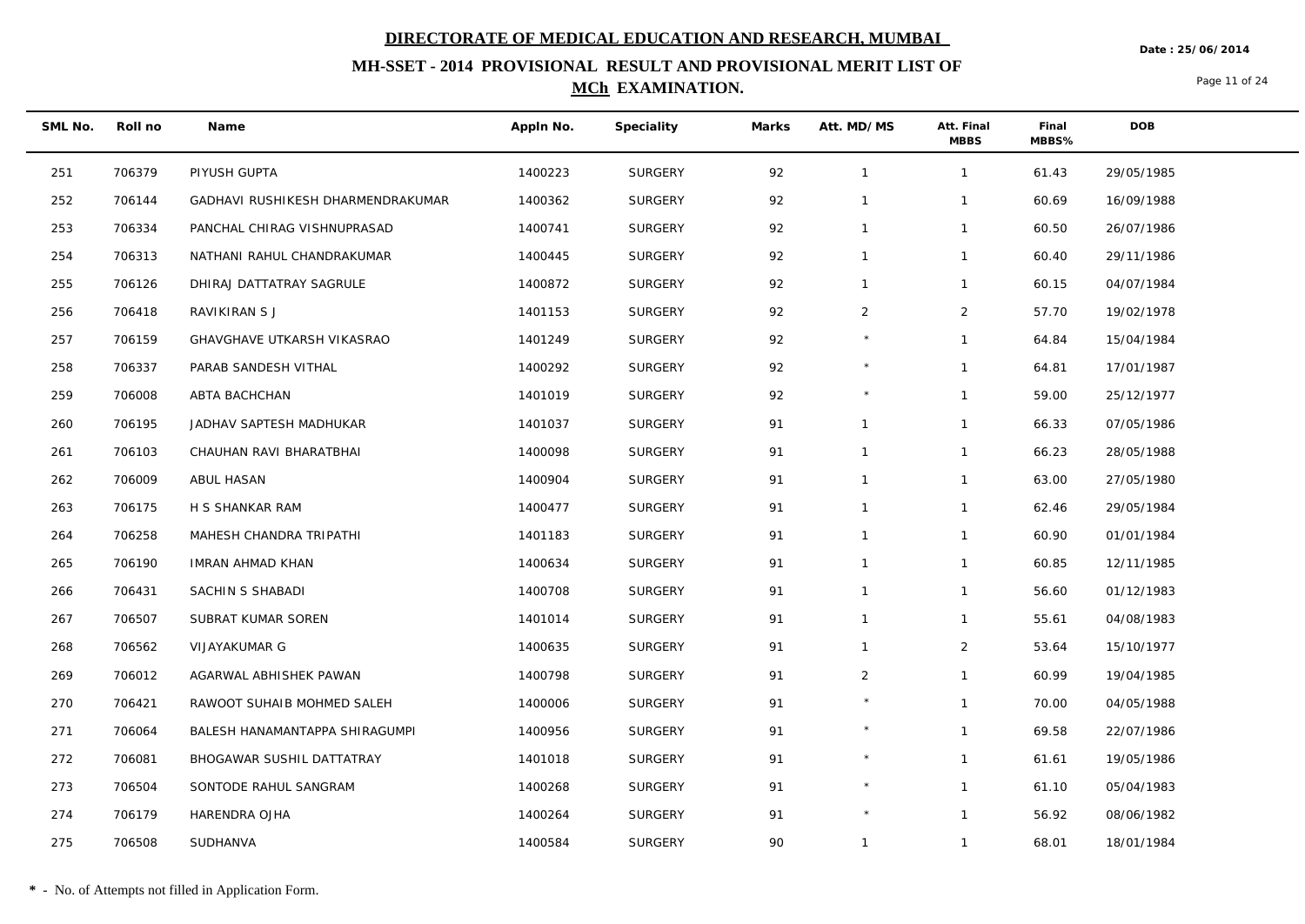**Date : 25/06/2014**

## **MH-SSET - 2014 PROVISIONAL RESULT AND PROVISIONAL MERIT LIST OF MCh EXAMINATION.**

Page 11 of 24

| SML No. | Roll no | Name                              | Appln No. | Speciality     | Marks | Att. MD/MS   | Att. Final<br><b>MBBS</b> | Final<br>MBBS% | <b>DOB</b> |
|---------|---------|-----------------------------------|-----------|----------------|-------|--------------|---------------------------|----------------|------------|
| 251     | 706379  | PIYUSH GUPTA                      | 1400223   | SURGERY        | 92    | $\mathbf{1}$ | $\mathbf{1}$              | 61.43          | 29/05/1985 |
| 252     | 706144  | GADHAVI RUSHIKESH DHARMENDRAKUMAR | 1400362   | <b>SURGERY</b> | 92    | $\mathbf{1}$ | $\mathbf{1}$              | 60.69          | 16/09/1988 |
| 253     | 706334  | PANCHAL CHIRAG VISHNUPRASAD       | 1400741   | SURGERY        | 92    | $\mathbf{1}$ | $\mathbf{1}$              | 60.50          | 26/07/1986 |
| 254     | 706313  | NATHANI RAHUL CHANDRAKUMAR        | 1400445   | <b>SURGERY</b> | 92    | $\mathbf{1}$ | $\mathbf{1}$              | 60.40          | 29/11/1986 |
| 255     | 706126  | DHIRAJ DATTATRAY SAGRULE          | 1400872   | SURGERY        | 92    | $\mathbf{1}$ | $\mathbf{1}$              | 60.15          | 04/07/1984 |
| 256     | 706418  | RAVIKIRAN S J                     | 1401153   | <b>SURGERY</b> | 92    | 2            | $\overline{2}$            | 57.70          | 19/02/1978 |
| 257     | 706159  | GHAVGHAVE UTKARSH VIKASRAO        | 1401249   | <b>SURGERY</b> | 92    |              | $\mathbf{1}$              | 64.84          | 15/04/1984 |
| 258     | 706337  | PARAB SANDESH VITHAL              | 1400292   | SURGERY        | 92    | $\star$      | $\mathbf{1}$              | 64.81          | 17/01/1987 |
| 259     | 706008  | ABTA BACHCHAN                     | 1401019   | <b>SURGERY</b> | 92    | $\star$      | $\mathbf{1}$              | 59.00          | 25/12/1977 |
| 260     | 706195  | JADHAV SAPTESH MADHUKAR           | 1401037   | SURGERY        | 91    | $\mathbf{1}$ | $\mathbf{1}$              | 66.33          | 07/05/1986 |
| 261     | 706103  | CHAUHAN RAVI BHARATBHAI           | 1400098   | <b>SURGERY</b> | 91    | $\mathbf{1}$ | $\mathbf{1}$              | 66.23          | 28/05/1988 |
| 262     | 706009  | ABUL HASAN                        | 1400904   | SURGERY        | 91    | $\mathbf{1}$ | $\mathbf{1}$              | 63.00          | 27/05/1980 |
| 263     | 706175  | H S SHANKAR RAM                   | 1400477   | SURGERY        | 91    | $\mathbf{1}$ | $\mathbf{1}$              | 62.46          | 29/05/1984 |
| 264     | 706258  | MAHESH CHANDRA TRIPATHI           | 1401183   | <b>SURGERY</b> | 91    | $\mathbf{1}$ | $\mathbf{1}$              | 60.90          | 01/01/1984 |
| 265     | 706190  | <b>IMRAN AHMAD KHAN</b>           | 1400634   | <b>SURGERY</b> | 91    | $\mathbf{1}$ | $\mathbf{1}$              | 60.85          | 12/11/1985 |
| 266     | 706431  | SACHIN S SHABADI                  | 1400708   | SURGERY        | 91    | $\mathbf{1}$ | $\mathbf{1}$              | 56.60          | 01/12/1983 |
| 267     | 706507  | SUBRAT KUMAR SOREN                | 1401014   | SURGERY        | 91    | $\mathbf{1}$ | $\mathbf{1}$              | 55.61          | 04/08/1983 |
| 268     | 706562  | VIJAYAKUMAR G                     | 1400635   | <b>SURGERY</b> | 91    | $\mathbf{1}$ | $\overline{2}$            | 53.64          | 15/10/1977 |
| 269     | 706012  | AGARWAL ABHISHEK PAWAN            | 1400798   | <b>SURGERY</b> | 91    | 2            | $\mathbf{1}$              | 60.99          | 19/04/1985 |
| 270     | 706421  | RAWOOT SUHAIB MOHMED SALEH        | 1400006   | SURGERY        | 91    | $\star$      | $\mathbf{1}$              | 70.00          | 04/05/1988 |
| 271     | 706064  | BALESH HANAMANTAPPA SHIRAGUMPI    | 1400956   | <b>SURGERY</b> | 91    | $\star$      | $\mathbf{1}$              | 69.58          | 22/07/1986 |
| 272     | 706081  | BHOGAWAR SUSHIL DATTATRAY         | 1401018   | <b>SURGERY</b> | 91    |              | $\mathbf{1}$              | 61.61          | 19/05/1986 |
| 273     | 706504  | SONTODE RAHUL SANGRAM             | 1400268   | <b>SURGERY</b> | 91    | $\star$      | $\mathbf{1}$              | 61.10          | 05/04/1983 |
| 274     | 706179  | HARENDRA OJHA                     | 1400264   | SURGERY        | 91    | $\star$      | $\mathbf{1}$              | 56.92          | 08/06/1982 |
| 275     | 706508  | SUDHANVA                          | 1400584   | SURGERY        | 90    | $\mathbf{1}$ | $\mathbf{1}$              | 68.01          | 18/01/1984 |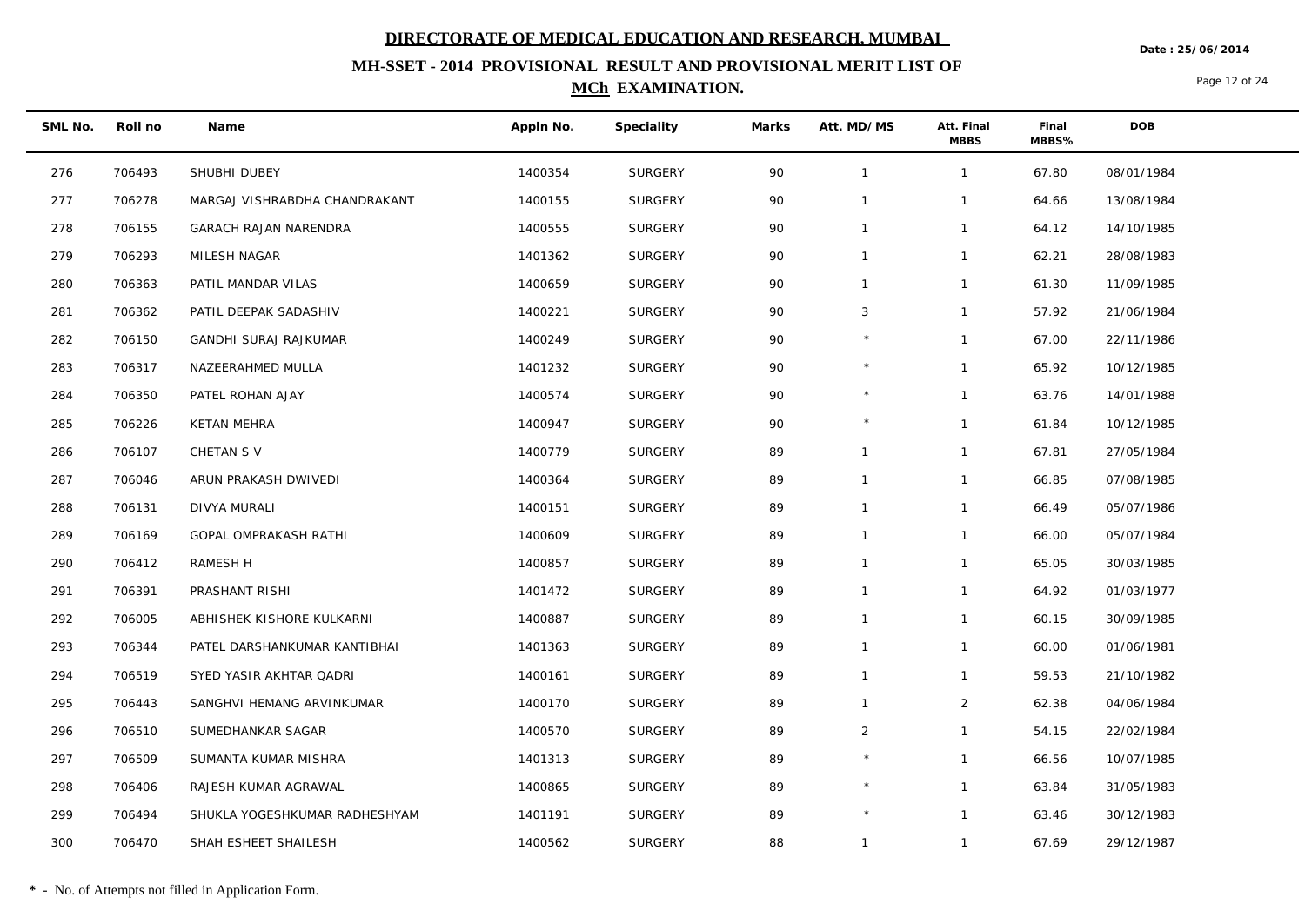**MH-SSET - 2014 PROVISIONAL RESULT AND PROVISIONAL MERIT LIST OF MCh EXAMINATION.**

**Date : 25/06/2014**

Page 12 of 24

**Roll no Name Appln No. Speciality Marks Att. MD/MS Att. Final MBBS MBBS% Final SML No. DOB** 276 706493 SHUBHI DUBEY 1400354 SURGERY 90 1 1 67.80 08/01/1984 277 706278 MARGAJ VISHRABDHA CHANDRAKANT 1400155 SURGERY 90 1 1 64.66 13/08/1984 278 706155 GARACH RAJAN NARENDRA 1400555 SURGERY 90 1 1 64.12 14/10/1985

 279 706293 MILESH NAGAR 1401362 SURGERY 90 1 1 62.21 28/08/1983 280 706363 PATIL MANDAR VILAS 1400659 SURGERY 90 1 1 61.30 11/09/1985 281 706362 PATIL DEEPAK SADASHIV 1400221 SURGERY 90 3 1 57.92 21/06/1984 282 706150 GANDHI SURAJ RAJKUMAR 1400249 SURGERY 90 \* 1 67.00 22/11/1986 283 706317 NAZEERAHMED MULLA 1401232 SURGERY 90 \* 1 65.92 10/12/1985 284 706350 PATEL ROHAN AJAY 1400574 SURGERY 90 \* 1 63.76 14/01/1988 285 706226 KETAN MEHRA 1400947 SURGERY 90 \* 1 61.84 10/12/1985 286 706107 CHETAN S V 1400779 SURGERY 89 1 1 67.81 27/05/1984 287 706046 ARUN PRAKASH DWIVEDI 1400364 SURGERY 89 1 1 66.85 07/08/1985 288 706131 DIVYA MURALI 1400151 SURGERY 89 1 1 66.49 05/07/1986 289 706169 GOPAL OMPRAKASH RATHI 1400609 SURGERY 89 1 1 66.00 05/07/1984 290 706412 RAMESH H 1400857 SURGERY 89 1 1 65.05 30/03/1985 291 706391 PRASHANT RISHI 1401472 SURGERY 89 1 1 64.92 01/03/1977 292 706005 ABHISHEK KISHORE KULKARNI 1400887 SURGERY 89 1 1 60.15 30/09/1985 293 706344 PATEL DARSHANKUMAR KANTIBHAI 1401363 SURGERY 89 1 1 60.00 01/06/1981 294 706519 SYED YASIR AKHTAR QADRI 1400161 SURGERY 89 1 1 59.53 21/10/1982 295 706443 SANGHVI HEMANG ARVINKUMAR 1400170 SURGERY 89 1 2 62.38 04/06/1984 296 706510 SUMEDHANKAR SAGAR 1400570 SURGERY 89 2 1 54.15 22/02/1984 297 706509 SUMANTA KUMAR MISHRA 1401313 SURGERY 89 \* 1 66.56 10/07/1985 298 706406 RAJESH KUMAR AGRAWAL 1400865 SURGERY 89 \* 1 63.84 31/05/1983 299 706494 SHUKLA YOGESHKUMAR RADHESHYAM 1401191 SURGERY 89 \* 1 63.46 30/12/1983 300 706470 SHAH ESHEET SHAILESH 1400562 SURGERY 88 1 1 67.69 29/12/1987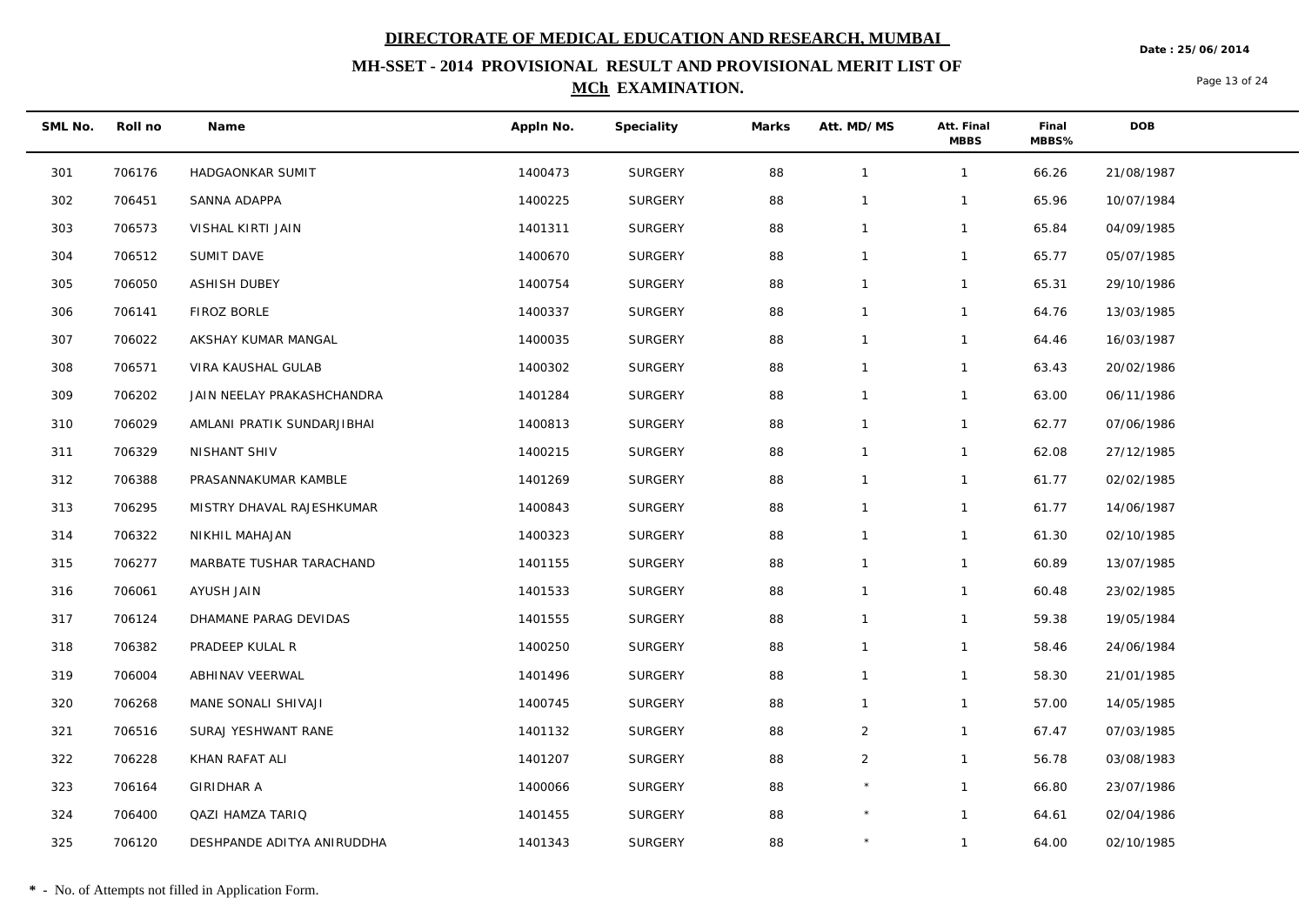**MH-SSET - 2014 PROVISIONAL RESULT AND PROVISIONAL MERIT LIST OF** 

### **MCh EXAMINATION.**

Page 13 of 24

**Date : 25/06/2014**

| SML No. | Roll no | Name                       | Appln No. | Speciality     | Marks | Att. MD/MS     | Att. Final<br><b>MBBS</b> | Final<br>MBBS% | <b>DOB</b> |
|---------|---------|----------------------------|-----------|----------------|-------|----------------|---------------------------|----------------|------------|
| 301     | 706176  | HADGAONKAR SUMIT           | 1400473   | <b>SURGERY</b> | 88    | $\overline{1}$ | $\mathbf{1}$              | 66.26          | 21/08/1987 |
| 302     | 706451  | SANNA ADAPPA               | 1400225   | <b>SURGERY</b> | 88    | $\overline{1}$ | $\mathbf{1}$              | 65.96          | 10/07/1984 |
| 303     | 706573  | VISHAL KIRTI JAIN          | 1401311   | <b>SURGERY</b> | 88    | $\mathbf{1}$   | $\mathbf{1}$              | 65.84          | 04/09/1985 |
| 304     | 706512  | SUMIT DAVE                 | 1400670   | <b>SURGERY</b> | 88    | $\overline{1}$ | $\mathbf{1}$              | 65.77          | 05/07/1985 |
| 305     | 706050  | <b>ASHISH DUBEY</b>        | 1400754   | <b>SURGERY</b> | 88    | $\mathbf{1}$   | $\mathbf{1}$              | 65.31          | 29/10/1986 |
| 306     | 706141  | FIROZ BORLE                | 1400337   | <b>SURGERY</b> | 88    | $\mathbf{1}$   | $\mathbf{1}$              | 64.76          | 13/03/1985 |
| 307     | 706022  | AKSHAY KUMAR MANGAL        | 1400035   | <b>SURGERY</b> | 88    | $\overline{1}$ | $\mathbf{1}$              | 64.46          | 16/03/1987 |
| 308     | 706571  | VIRA KAUSHAL GULAB         | 1400302   | <b>SURGERY</b> | 88    | $\overline{1}$ | $\mathbf{1}$              | 63.43          | 20/02/1986 |
| 309     | 706202  | JAIN NEELAY PRAKASHCHANDRA | 1401284   | <b>SURGERY</b> | 88    | $\mathbf{1}$   | $\mathbf{1}$              | 63.00          | 06/11/1986 |
| 310     | 706029  | AMLANI PRATIK SUNDARJIBHAI | 1400813   | <b>SURGERY</b> | 88    | $\overline{1}$ | $\mathbf{1}$              | 62.77          | 07/06/1986 |
| 311     | 706329  | NISHANT SHIV               | 1400215   | <b>SURGERY</b> | 88    | $\overline{1}$ | $\mathbf{1}$              | 62.08          | 27/12/1985 |
| 312     | 706388  | PRASANNAKUMAR KAMBLE       | 1401269   | <b>SURGERY</b> | 88    | $\mathbf{1}$   | $\mathbf{1}$              | 61.77          | 02/02/1985 |
| 313     | 706295  | MISTRY DHAVAL RAJESHKUMAR  | 1400843   | <b>SURGERY</b> | 88    | $\mathbf{1}$   | $\mathbf{1}$              | 61.77          | 14/06/1987 |
| 314     | 706322  | NIKHIL MAHAJAN             | 1400323   | <b>SURGERY</b> | 88    | $\mathbf{1}$   | $\mathbf{1}$              | 61.30          | 02/10/1985 |
| 315     | 706277  | MARBATE TUSHAR TARACHAND   | 1401155   | <b>SURGERY</b> | 88    | $\mathbf{1}$   | $\mathbf{1}$              | 60.89          | 13/07/1985 |
| 316     | 706061  | AYUSH JAIN                 | 1401533   | <b>SURGERY</b> | 88    | $\mathbf{1}$   | $\mathbf{1}$              | 60.48          | 23/02/1985 |
| 317     | 706124  | DHAMANE PARAG DEVIDAS      | 1401555   | <b>SURGERY</b> | 88    | $\overline{1}$ | $\mathbf{1}$              | 59.38          | 19/05/1984 |
| 318     | 706382  | PRADEEP KULAL R            | 1400250   | <b>SURGERY</b> | 88    | $\overline{1}$ | $\mathbf{1}$              | 58.46          | 24/06/1984 |
| 319     | 706004  | ABHINAV VEERWAL            | 1401496   | <b>SURGERY</b> | 88    | $\overline{1}$ | $\mathbf{1}$              | 58.30          | 21/01/1985 |
| 320     | 706268  | MANE SONALI SHIVAJI        | 1400745   | <b>SURGERY</b> | 88    | $\mathbf{1}$   | $\mathbf{1}$              | 57.00          | 14/05/1985 |
| 321     | 706516  | SURAJ YESHWANT RANE        | 1401132   | SURGERY        | 88    | $\overline{2}$ | $\mathbf{1}$              | 67.47          | 07/03/1985 |
| 322     | 706228  | KHAN RAFAT ALI             | 1401207   | <b>SURGERY</b> | 88    | $\overline{2}$ | $\mathbf{1}$              | 56.78          | 03/08/1983 |
| 323     | 706164  | <b>GIRIDHAR A</b>          | 1400066   | <b>SURGERY</b> | 88    |                | $\mathbf{1}$              | 66.80          | 23/07/1986 |
| 324     | 706400  | <b>QAZI HAMZA TARIQ</b>    | 1401455   | <b>SURGERY</b> | 88    | $\star$        | $\mathbf{1}$              | 64.61          | 02/04/1986 |
| 325     | 706120  | DESHPANDE ADITYA ANIRUDDHA | 1401343   | <b>SURGERY</b> | 88    | $\star$        | $\overline{1}$            | 64.00          | 02/10/1985 |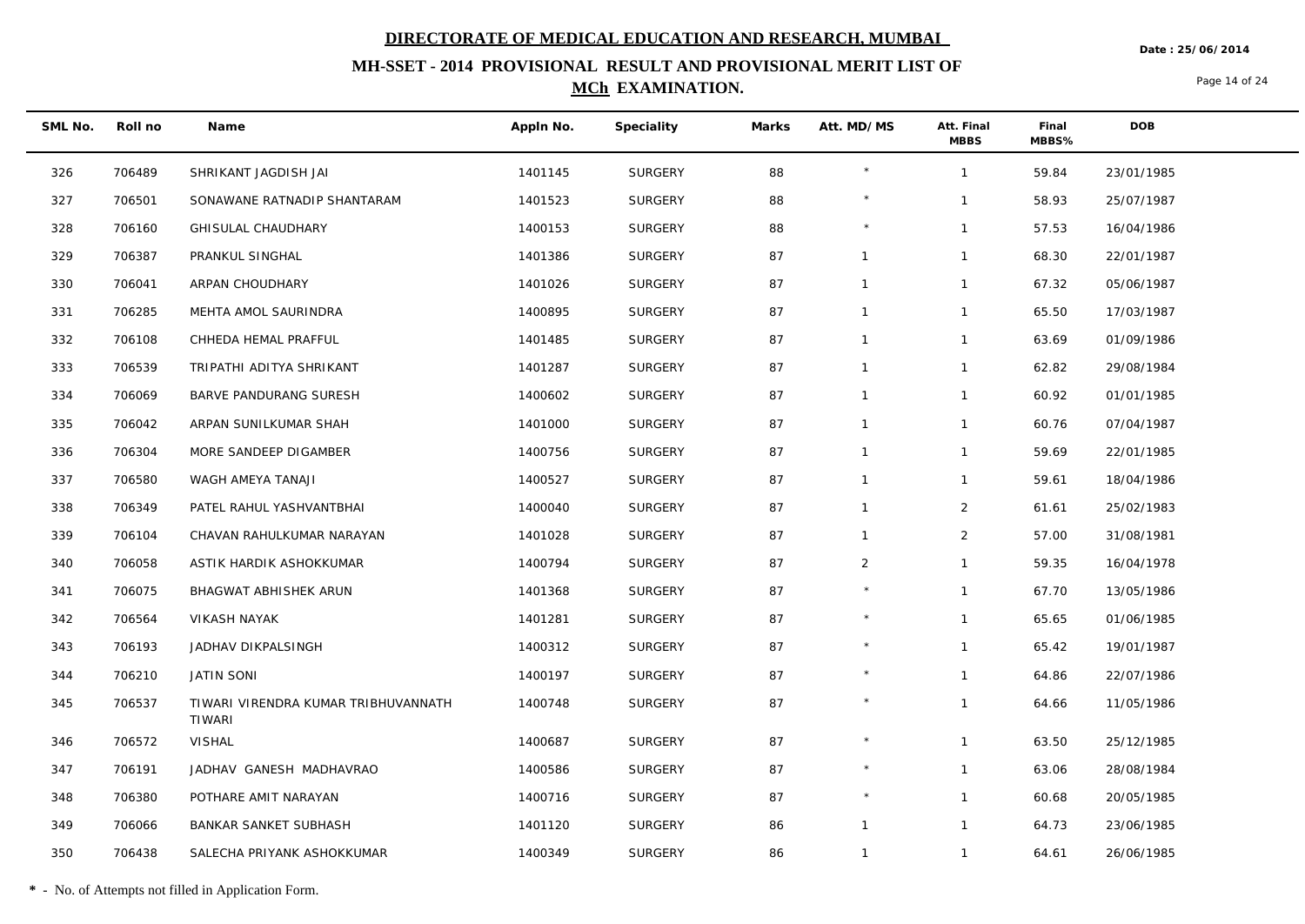**Date : 25/06/2014**

## **MH-SSET - 2014 PROVISIONAL RESULT AND PROVISIONAL MERIT LIST OF MCh EXAMINATION.**

Page 14 of 24

| SML No. | Roll no | Name                                                 | Appln No. | Speciality     | Marks | Att. MD/MS     | Att. Final<br><b>MBBS</b> | Final<br>MBBS% | <b>DOB</b> |
|---------|---------|------------------------------------------------------|-----------|----------------|-------|----------------|---------------------------|----------------|------------|
| 326     | 706489  | SHRIKANT JAGDISH JAI                                 | 1401145   | SURGERY        | 88    |                | $\mathbf{1}$              | 59.84          | 23/01/1985 |
| 327     | 706501  | SONAWANE RATNADIP SHANTARAM                          | 1401523   | SURGERY        | 88    | $\star$        | $\mathbf{1}$              | 58.93          | 25/07/1987 |
| 328     | 706160  | GHISULAL CHAUDHARY                                   | 1400153   | <b>SURGERY</b> | 88    |                | 1                         | 57.53          | 16/04/1986 |
| 329     | 706387  | PRANKUL SINGHAL                                      | 1401386   | SURGERY        | 87    | $\overline{1}$ | $\mathbf{1}$              | 68.30          | 22/01/1987 |
| 330     | 706041  | ARPAN CHOUDHARY                                      | 1401026   | SURGERY        | 87    | $\mathbf{1}$   | 1                         | 67.32          | 05/06/1987 |
| 331     | 706285  | MEHTA AMOL SAURINDRA                                 | 1400895   | SURGERY        | 87    | $\mathbf{1}$   | $\mathbf{1}$              | 65.50          | 17/03/1987 |
| 332     | 706108  | CHHEDA HEMAL PRAFFUL                                 | 1401485   | <b>SURGERY</b> | 87    | $\overline{1}$ | 1                         | 63.69          | 01/09/1986 |
| 333     | 706539  | TRIPATHI ADITYA SHRIKANT                             | 1401287   | SURGERY        | 87    | $\mathbf{1}$   | $\mathbf{1}$              | 62.82          | 29/08/1984 |
| 334     | 706069  | BARVE PANDURANG SURESH                               | 1400602   | <b>SURGERY</b> | 87    | $\overline{1}$ | $\mathbf{1}$              | 60.92          | 01/01/1985 |
| 335     | 706042  | ARPAN SUNILKUMAR SHAH                                | 1401000   | SURGERY        | 87    | $\mathbf{1}$   | $\mathbf{1}$              | 60.76          | 07/04/1987 |
| 336     | 706304  | MORE SANDEEP DIGAMBER                                | 1400756   | <b>SURGERY</b> | 87    | $\overline{1}$ | 1                         | 59.69          | 22/01/1985 |
| 337     | 706580  | WAGH AMEYA TANAJI                                    | 1400527   | SURGERY        | 87    | $\overline{1}$ | $\mathbf{1}$              | 59.61          | 18/04/1986 |
| 338     | 706349  | PATEL RAHUL YASHVANTBHAI                             | 1400040   | SURGERY        | 87    | $\mathbf{1}$   | $\overline{a}$            | 61.61          | 25/02/1983 |
| 339     | 706104  | CHAVAN RAHULKUMAR NARAYAN                            | 1401028   | SURGERY        | 87    | $\overline{1}$ | $\overline{2}$            | 57.00          | 31/08/1981 |
| 340     | 706058  | ASTIK HARDIK ASHOKKUMAR                              | 1400794   | <b>SURGERY</b> | 87    | $\overline{2}$ | 1                         | 59.35          | 16/04/1978 |
| 341     | 706075  | BHAGWAT ABHISHEK ARUN                                | 1401368   | SURGERY        | 87    |                | $\mathbf{1}$              | 67.70          | 13/05/1986 |
| 342     | 706564  | <b>VIKASH NAYAK</b>                                  | 1401281   | <b>SURGERY</b> | 87    |                | $\mathbf{1}$              | 65.65          | 01/06/1985 |
| 343     | 706193  | JADHAV DIKPALSINGH                                   | 1400312   | SURGERY        | 87    |                | $\mathbf{1}$              | 65.42          | 19/01/1987 |
| 344     | 706210  | <b>JATIN SONI</b>                                    | 1400197   | <b>SURGERY</b> | 87    | $\star$        | 1                         | 64.86          | 22/07/1986 |
| 345     | 706537  | TIWARI VIRENDRA KUMAR TRIBHUVANNATH<br><b>TIWARI</b> | 1400748   | SURGERY        | 87    |                | $\mathbf{1}$              | 64.66          | 11/05/1986 |
| 346     | 706572  | <b>VISHAL</b>                                        | 1400687   | <b>SURGERY</b> | 87    |                | $\mathbf{1}$              | 63.50          | 25/12/1985 |
| 347     | 706191  | JADHAV GANESH MADHAVRAO                              | 1400586   | <b>SURGERY</b> | 87    |                | $\mathbf{1}$              | 63.06          | 28/08/1984 |
| 348     | 706380  | POTHARE AMIT NARAYAN                                 | 1400716   | <b>SURGERY</b> | 87    | $\star$        | $\mathbf{1}$              | 60.68          | 20/05/1985 |
| 349     | 706066  | <b>BANKAR SANKET SUBHASH</b>                         | 1401120   | <b>SURGERY</b> | 86    | $\overline{1}$ | $\mathbf{1}$              | 64.73          | 23/06/1985 |
| 350     | 706438  | SALECHA PRIYANK ASHOKKUMAR                           | 1400349   | <b>SURGERY</b> | 86    | $\mathbf{1}$   | $\mathbf{1}$              | 64.61          | 26/06/1985 |

**\*** - No. of Attempts not filled in Application Form.

 $\overline{\phantom{0}}$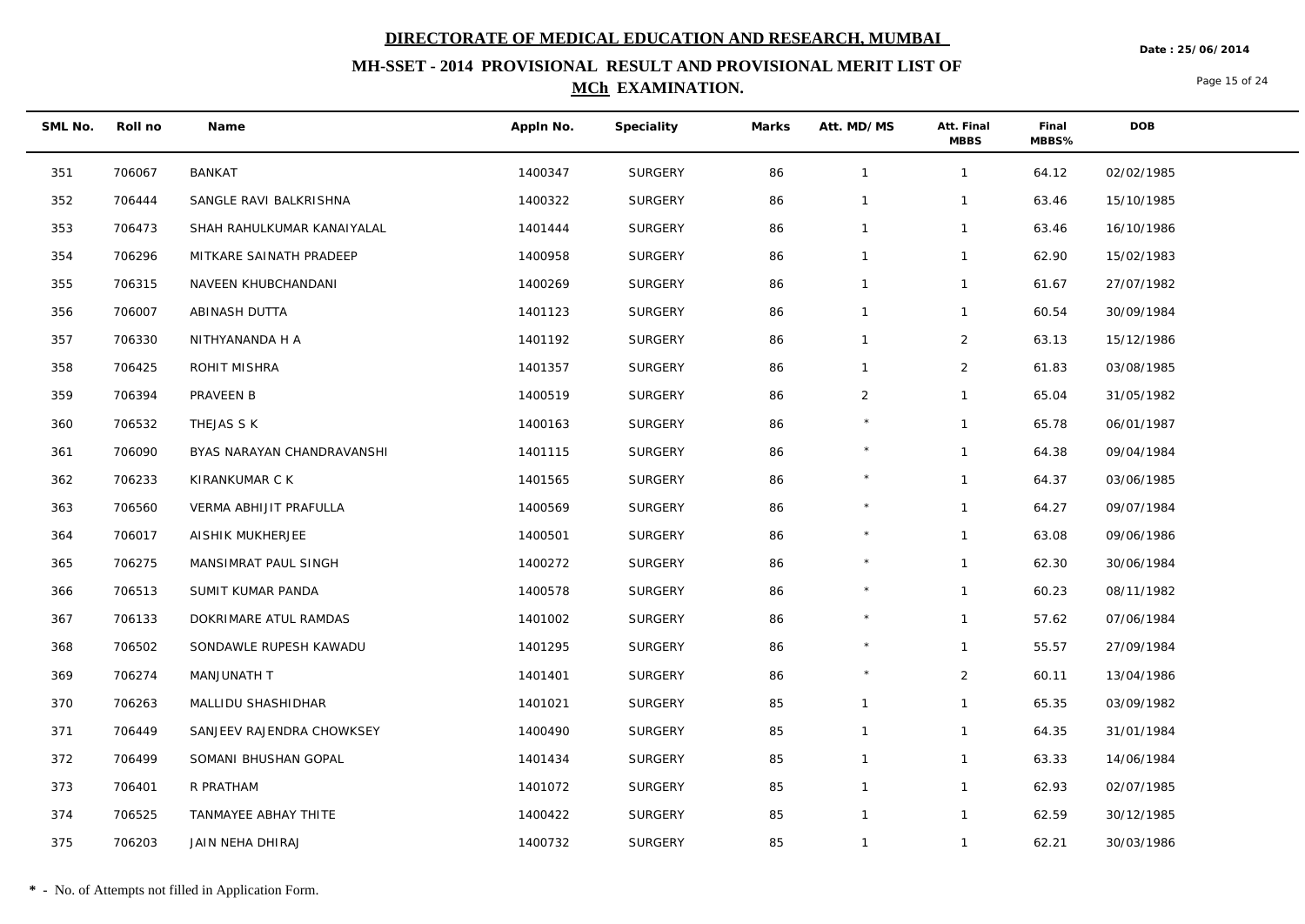**Date : 25/06/2014**

## **MH-SSET - 2014 PROVISIONAL RESULT AND PROVISIONAL MERIT LIST OF MCh EXAMINATION.**

Page 15 of 24

| SML No. | Roll no | Name                       | Appln No. | Speciality     | Marks | Att. MD/MS     | Att. Final<br><b>MBBS</b> | Final<br>MBBS% | <b>DOB</b> |
|---------|---------|----------------------------|-----------|----------------|-------|----------------|---------------------------|----------------|------------|
| 351     | 706067  | BANKAT                     | 1400347   | SURGERY        | 86    | $\mathbf{1}$   | $\mathbf{1}$              | 64.12          | 02/02/1985 |
| 352     | 706444  | SANGLE RAVI BALKRISHNA     | 1400322   | <b>SURGERY</b> | 86    | $\mathbf{1}$   | $\mathbf{1}$              | 63.46          | 15/10/1985 |
| 353     | 706473  | SHAH RAHULKUMAR KANAIYALAL | 1401444   | SURGERY        | 86    | $\mathbf{1}$   | $\mathbf{1}$              | 63.46          | 16/10/1986 |
| 354     | 706296  | MITKARE SAINATH PRADEEP    | 1400958   | SURGERY        | 86    | $\mathbf{1}$   | $\mathbf{1}$              | 62.90          | 15/02/1983 |
| 355     | 706315  | NAVEEN KHUBCHANDANI        | 1400269   | SURGERY        | 86    | $\mathbf{1}$   | $\mathbf{1}$              | 61.67          | 27/07/1982 |
| 356     | 706007  | ABINASH DUTTA              | 1401123   | <b>SURGERY</b> | 86    | $\mathbf{1}$   | $\mathbf{1}$              | 60.54          | 30/09/1984 |
| 357     | 706330  | NITHYANANDA H A            | 1401192   | <b>SURGERY</b> | 86    | $\mathbf{1}$   | $\overline{2}$            | 63.13          | 15/12/1986 |
| 358     | 706425  | ROHIT MISHRA               | 1401357   | SURGERY        | 86    | $\mathbf{1}$   | $\overline{2}$            | 61.83          | 03/08/1985 |
| 359     | 706394  | PRAVEEN B                  | 1400519   | <b>SURGERY</b> | 86    | $\overline{2}$ | $\mathbf{1}$              | 65.04          | 31/05/1982 |
| 360     | 706532  | THEJAS S K                 | 1400163   | SURGERY        | 86    | $\star$        | $\mathbf{1}$              | 65.78          | 06/01/1987 |
| 361     | 706090  | BYAS NARAYAN CHANDRAVANSHI | 1401115   | <b>SURGERY</b> | 86    | $\star$        | $\mathbf{1}$              | 64.38          | 09/04/1984 |
| 362     | 706233  | KIRANKUMAR C K             | 1401565   | SURGERY        | 86    |                | $\mathbf{1}$              | 64.37          | 03/06/1985 |
| 363     | 706560  | VERMA ABHIJIT PRAFULLA     | 1400569   | SURGERY        | 86    | $\star$        | $\mathbf{1}$              | 64.27          | 09/07/1984 |
| 364     | 706017  | AISHIK MUKHERJEE           | 1400501   | <b>SURGERY</b> | 86    | $\star$        | $\mathbf{1}$              | 63.08          | 09/06/1986 |
| 365     | 706275  | MANSIMRAT PAUL SINGH       | 1400272   | <b>SURGERY</b> | 86    |                | $\mathbf{1}$              | 62.30          | 30/06/1984 |
| 366     | 706513  | SUMIT KUMAR PANDA          | 1400578   | SURGERY        | 86    | $\star$        | $\mathbf{1}$              | 60.23          | 08/11/1982 |
| 367     | 706133  | DOKRIMARE ATUL RAMDAS      | 1401002   | SURGERY        | 86    |                | $\mathbf{1}$              | 57.62          | 07/06/1984 |
| 368     | 706502  | SONDAWLE RUPESH KAWADU     | 1401295   | <b>SURGERY</b> | 86    | $\star$        | $\mathbf{1}$              | 55.57          | 27/09/1984 |
| 369     | 706274  | MANJUNATH T                | 1401401   | <b>SURGERY</b> | 86    | $\star$        | $\overline{2}$            | 60.11          | 13/04/1986 |
| 370     | 706263  | MALLIDU SHASHIDHAR         | 1401021   | SURGERY        | 85    | $\mathbf{1}$   | $\mathbf{1}$              | 65.35          | 03/09/1982 |
| 371     | 706449  | SANJEEV RAJENDRA CHOWKSEY  | 1400490   | SURGERY        | 85    | $\mathbf{1}$   | $\mathbf{1}$              | 64.35          | 31/01/1984 |
| 372     | 706499  | SOMANI BHUSHAN GOPAL       | 1401434   | SURGERY        | 85    | $\mathbf{1}$   | $\mathbf{1}$              | 63.33          | 14/06/1984 |
| 373     | 706401  | R PRATHAM                  | 1401072   | <b>SURGERY</b> | 85    | $\mathbf{1}$   | $\mathbf{1}$              | 62.93          | 02/07/1985 |
| 374     | 706525  | TANMAYEE ABHAY THITE       | 1400422   | <b>SURGERY</b> | 85    | $\mathbf{1}$   | $\mathbf{1}$              | 62.59          | 30/12/1985 |
| 375     | 706203  | JAIN NEHA DHIRAJ           | 1400732   | <b>SURGERY</b> | 85    | $\mathbf{1}$   | $\mathbf{1}$              | 62.21          | 30/03/1986 |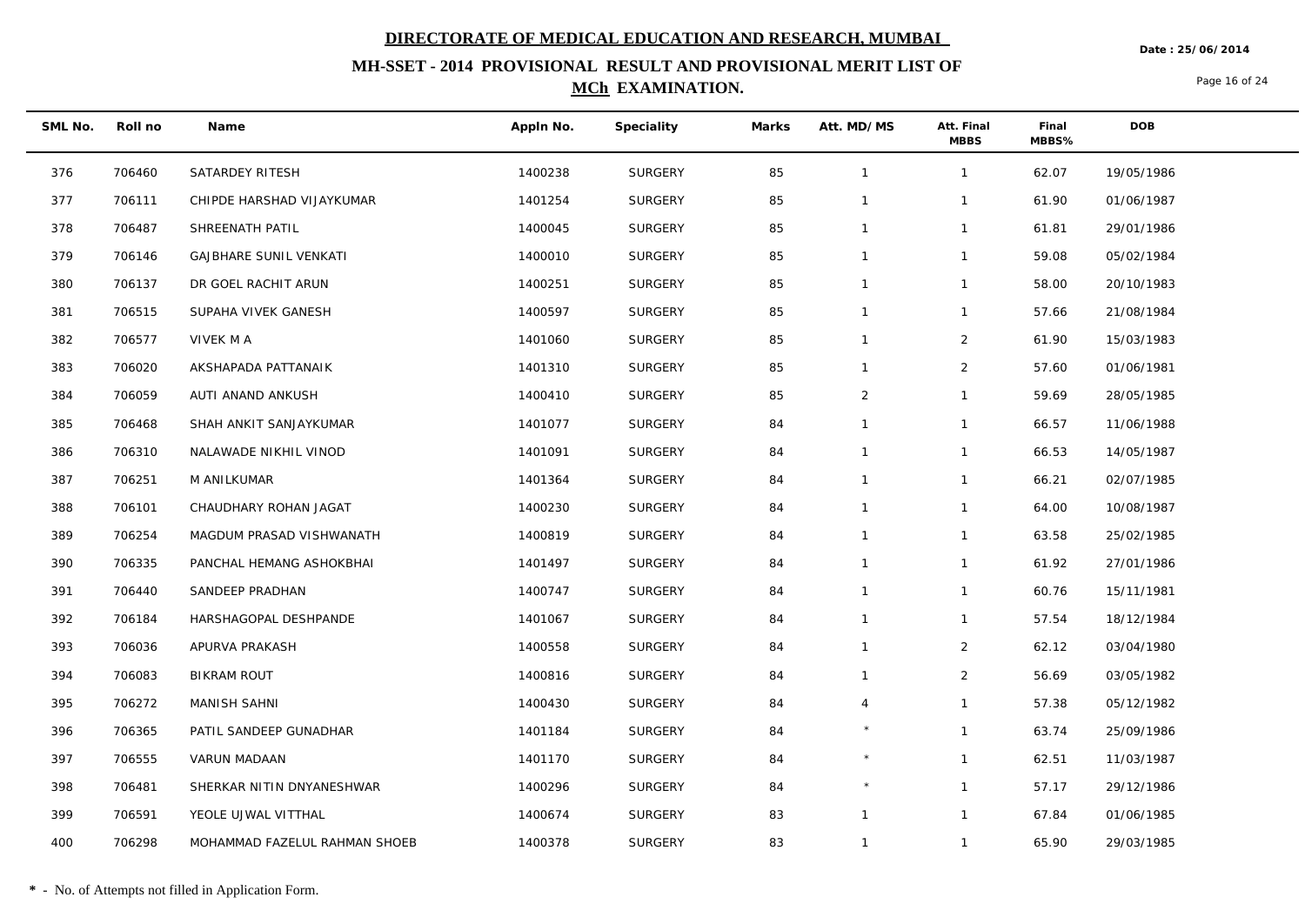**Date : 25/06/2014**

## **MH-SSET - 2014 PROVISIONAL RESULT AND PROVISIONAL MERIT LIST OF MCh EXAMINATION.**

Page 16 of 24

| SML No. | Roll no | Name                          | Appln No. | Speciality     | Marks | Att. MD/MS     | Att. Final<br><b>MBBS</b> | Final<br>MBBS% | DOB        |
|---------|---------|-------------------------------|-----------|----------------|-------|----------------|---------------------------|----------------|------------|
| 376     | 706460  | SATARDEY RITESH               | 1400238   | SURGERY        | 85    | $\overline{1}$ | $\mathbf{1}$              | 62.07          | 19/05/1986 |
| 377     | 706111  | CHIPDE HARSHAD VIJAYKUMAR     | 1401254   | SURGERY        | 85    | $\mathbf 1$    | 1                         | 61.90          | 01/06/1987 |
| 378     | 706487  | SHREENATH PATIL               | 1400045   | SURGERY        | 85    | $\overline{1}$ | $\mathbf{1}$              | 61.81          | 29/01/1986 |
| 379     | 706146  | <b>GAJBHARE SUNIL VENKATI</b> | 1400010   | SURGERY        | 85    | $\overline{1}$ | $\mathbf{1}$              | 59.08          | 05/02/1984 |
| 380     | 706137  | DR GOEL RACHIT ARUN           | 1400251   | SURGERY        | 85    | $\overline{1}$ | $\mathbf{1}$              | 58.00          | 20/10/1983 |
| 381     | 706515  | SUPAHA VIVEK GANESH           | 1400597   | SURGERY        | 85    | $\overline{1}$ | $\mathbf{1}$              | 57.66          | 21/08/1984 |
| 382     | 706577  | VIVEK M A                     | 1401060   | SURGERY        | 85    | $\mathbf 1$    | $\overline{a}$            | 61.90          | 15/03/1983 |
| 383     | 706020  | AKSHAPADA PATTANAIK           | 1401310   | SURGERY        | 85    | $\mathbf{1}$   | $\overline{2}$            | 57.60          | 01/06/1981 |
| 384     | 706059  | AUTI ANAND ANKUSH             | 1400410   | SURGERY        | 85    | $\overline{2}$ | $\mathbf{1}$              | 59.69          | 28/05/1985 |
| 385     | 706468  | SHAH ANKIT SANJAYKUMAR        | 1401077   | SURGERY        | 84    | $\mathbf{1}$   | $\mathbf{1}$              | 66.57          | 11/06/1988 |
| 386     | 706310  | NALAWADE NIKHIL VINOD         | 1401091   | <b>SURGERY</b> | 84    | $\mathbf{1}$   | $\mathbf{1}$              | 66.53          | 14/05/1987 |
| 387     | 706251  | M ANILKUMAR                   | 1401364   | SURGERY        | 84    | $\mathbf 1$    | $\mathbf{1}$              | 66.21          | 02/07/1985 |
| 388     | 706101  | CHAUDHARY ROHAN JAGAT         | 1400230   | SURGERY        | 84    | $\overline{1}$ | $\mathbf{1}$              | 64.00          | 10/08/1987 |
| 389     | 706254  | MAGDUM PRASAD VISHWANATH      | 1400819   | SURGERY        | 84    | $\overline{1}$ | $\mathbf{1}$              | 63.58          | 25/02/1985 |
| 390     | 706335  | PANCHAL HEMANG ASHOKBHAI      | 1401497   | SURGERY        | 84    | $\mathbf{1}$   | $\mathbf{1}$              | 61.92          | 27/01/1986 |
| 391     | 706440  | SANDEEP PRADHAN               | 1400747   | <b>SURGERY</b> | 84    | $\overline{1}$ | $\mathbf{1}$              | 60.76          | 15/11/1981 |
| 392     | 706184  | HARSHAGOPAL DESHPANDE         | 1401067   | <b>SURGERY</b> | 84    | $\mathbf{1}$   | $\mathbf{1}$              | 57.54          | 18/12/1984 |
| 393     | 706036  | APURVA PRAKASH                | 1400558   | SURGERY        | 84    | $\mathbf{1}$   | $\overline{2}$            | 62.12          | 03/04/1980 |
| 394     | 706083  | <b>BIKRAM ROUT</b>            | 1400816   | SURGERY        | 84    | $\overline{1}$ | $\overline{2}$            | 56.69          | 03/05/1982 |
| 395     | 706272  | MANISH SAHNI                  | 1400430   | SURGERY        | 84    | $\overline{4}$ | $\mathbf{1}$              | 57.38          | 05/12/1982 |
| 396     | 706365  | PATIL SANDEEP GUNADHAR        | 1401184   | SURGERY        | 84    |                | $\mathbf{1}$              | 63.74          | 25/09/1986 |
| 397     | 706555  | VARUN MADAAN                  | 1401170   | <b>SURGERY</b> | 84    |                | $\mathbf{1}$              | 62.51          | 11/03/1987 |
| 398     | 706481  | SHERKAR NITIN DNYANESHWAR     | 1400296   | SURGERY        | 84    |                | $\mathbf{1}$              | 57.17          | 29/12/1986 |
| 399     | 706591  | YEOLE UJWAL VITTHAL           | 1400674   | <b>SURGERY</b> | 83    | $\overline{1}$ | $\mathbf{1}$              | 67.84          | 01/06/1985 |
| 400     | 706298  | MOHAMMAD FAZELUL RAHMAN SHOEB | 1400378   | SURGERY        | 83    | $\overline{1}$ | $\mathbf{1}$              | 65.90          | 29/03/1985 |

 $\overline{\phantom{a}}$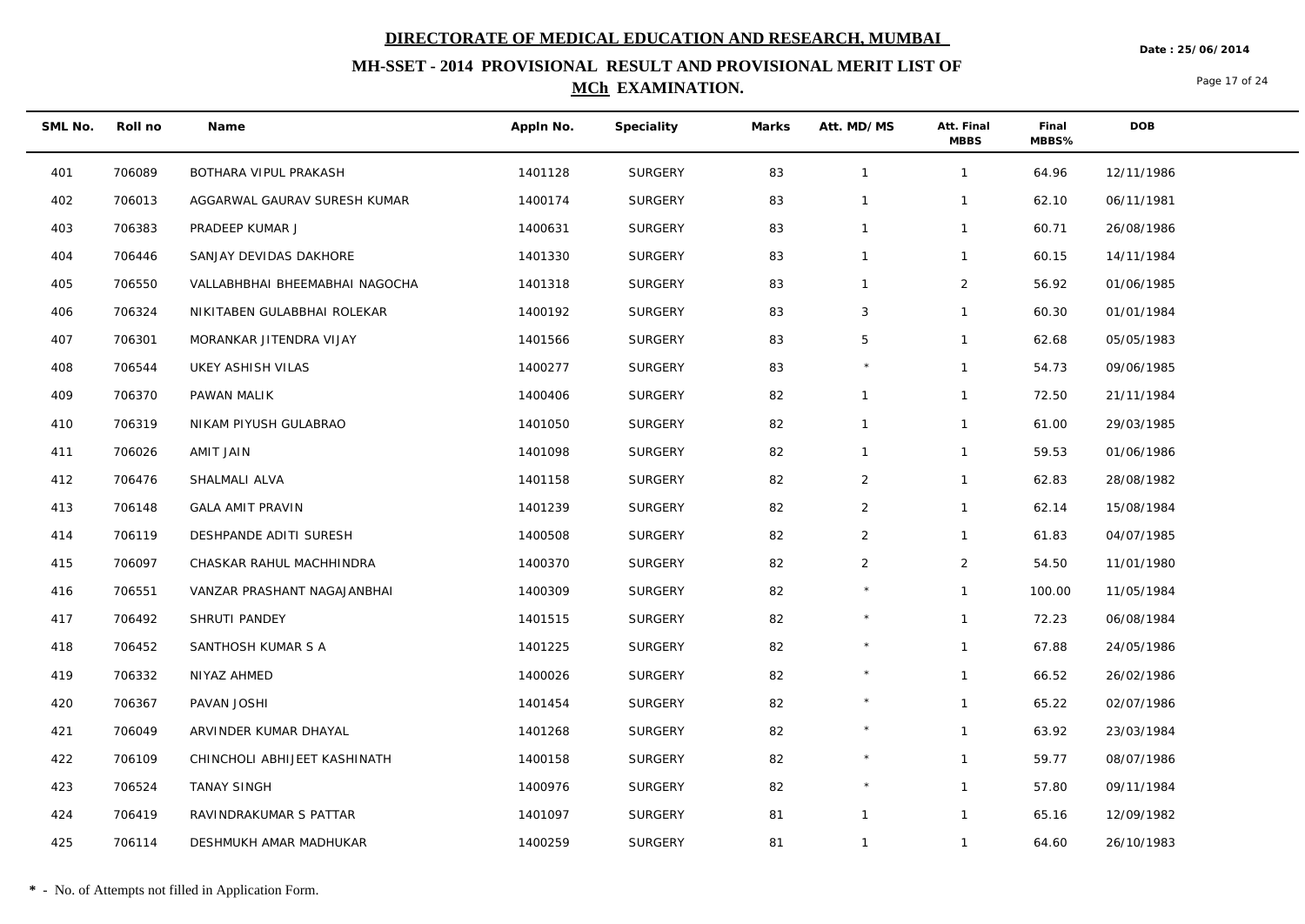**Date : 25/06/2014**

## **MH-SSET - 2014 PROVISIONAL RESULT AND PROVISIONAL MERIT LIST OF MCh EXAMINATION.**

Page 17 of 24

| SML No. | Roll no | Name                           | Appln No. | Speciality     | Marks | Att. MD/MS     | Att. Final<br><b>MBBS</b> | Final<br>MBBS% | <b>DOB</b> |
|---------|---------|--------------------------------|-----------|----------------|-------|----------------|---------------------------|----------------|------------|
| 401     | 706089  | BOTHARA VIPUL PRAKASH          | 1401128   | SURGERY        | 83    | $\mathbf{1}$   | $\mathbf{1}$              | 64.96          | 12/11/1986 |
| 402     | 706013  | AGGARWAL GAURAV SURESH KUMAR   | 1400174   | <b>SURGERY</b> | 83    | $\mathbf{1}$   | $\mathbf{1}$              | 62.10          | 06/11/1981 |
| 403     | 706383  | PRADEEP KUMAR J                | 1400631   | SURGERY        | 83    | $\mathbf{1}$   | $\mathbf{1}$              | 60.71          | 26/08/1986 |
| 404     | 706446  | SANJAY DEVIDAS DAKHORE         | 1401330   | <b>SURGERY</b> | 83    | $\mathbf{1}$   | $\mathbf{1}$              | 60.15          | 14/11/1984 |
| 405     | 706550  | VALLABHBHAI BHEEMABHAI NAGOCHA | 1401318   | <b>SURGERY</b> | 83    | $\mathbf{1}$   | $\overline{2}$            | 56.92          | 01/06/1985 |
| 406     | 706324  | NIKITABEN GULABBHAI ROLEKAR    | 1400192   | SURGERY        | 83    | 3              | $\mathbf{1}$              | 60.30          | 01/01/1984 |
| 407     | 706301  | MORANKAR JITENDRA VIJAY        | 1401566   | SURGERY        | 83    | 5              | $\mathbf{1}$              | 62.68          | 05/05/1983 |
| 408     | 706544  | UKEY ASHISH VILAS              | 1400277   | <b>SURGERY</b> | 83    |                | $\mathbf{1}$              | 54.73          | 09/06/1985 |
| 409     | 706370  | PAWAN MALIK                    | 1400406   | <b>SURGERY</b> | 82    | $\mathbf{1}$   | $\mathbf{1}$              | 72.50          | 21/11/1984 |
| 410     | 706319  | NIKAM PIYUSH GULABRAO          | 1401050   | SURGERY        | 82    | $\mathbf{1}$   | $\mathbf{1}$              | 61.00          | 29/03/1985 |
| 411     | 706026  | AMIT JAIN                      | 1401098   | <b>SURGERY</b> | 82    | $\mathbf{1}$   | $\mathbf{1}$              | 59.53          | 01/06/1986 |
| 412     | 706476  | SHALMALI ALVA                  | 1401158   | <b>SURGERY</b> | 82    | $\overline{2}$ | $\mathbf{1}$              | 62.83          | 28/08/1982 |
| 413     | 706148  | <b>GALA AMIT PRAVIN</b>        | 1401239   | <b>SURGERY</b> | 82    | $\overline{2}$ | $\mathbf{1}$              | 62.14          | 15/08/1984 |
| 414     | 706119  | DESHPANDE ADITI SURESH         | 1400508   | <b>SURGERY</b> | 82    | $\overline{2}$ | $\mathbf{1}$              | 61.83          | 04/07/1985 |
| 415     | 706097  | CHASKAR RAHUL MACHHINDRA       | 1400370   | <b>SURGERY</b> | 82    | $\overline{2}$ | $\overline{2}$            | 54.50          | 11/01/1980 |
| 416     | 706551  | VANZAR PRASHANT NAGAJANBHAI    | 1400309   | <b>SURGERY</b> | 82    | $\star$        | $\mathbf{1}$              | 100.00         | 11/05/1984 |
| 417     | 706492  | SHRUTI PANDEY                  | 1401515   | SURGERY        | 82    |                | $\mathbf{1}$              | 72.23          | 06/08/1984 |
| 418     | 706452  | SANTHOSH KUMAR S A             | 1401225   | <b>SURGERY</b> | 82    | $\star$        | $\mathbf{1}$              | 67.88          | 24/05/1986 |
| 419     | 706332  | NIYAZ AHMED                    | 1400026   | <b>SURGERY</b> | 82    | $\star$        | $\mathbf{1}$              | 66.52          | 26/02/1986 |
| 420     | 706367  | PAVAN JOSHI                    | 1401454   | <b>SURGERY</b> | 82    |                | $\mathbf{1}$              | 65.22          | 02/07/1986 |
| 421     | 706049  | ARVINDER KUMAR DHAYAL          | 1401268   | SURGERY        | 82    | $\star$        | $\mathbf{1}$              | 63.92          | 23/03/1984 |
| 422     | 706109  | CHINCHOLI ABHIJEET KASHINATH   | 1400158   | <b>SURGERY</b> | 82    |                | $\mathbf{1}$              | 59.77          | 08/07/1986 |
| 423     | 706524  | TANAY SINGH                    | 1400976   | <b>SURGERY</b> | 82    | $\star$        | $\mathbf{1}$              | 57.80          | 09/11/1984 |
| 424     | 706419  | RAVINDRAKUMAR S PATTAR         | 1401097   | <b>SURGERY</b> | 81    | $\mathbf{1}$   | $\mathbf{1}$              | 65.16          | 12/09/1982 |
| 425     | 706114  | DESHMUKH AMAR MADHUKAR         | 1400259   | <b>SURGERY</b> | 81    | $\mathbf{1}$   | $\mathbf{1}$              | 64.60          | 26/10/1983 |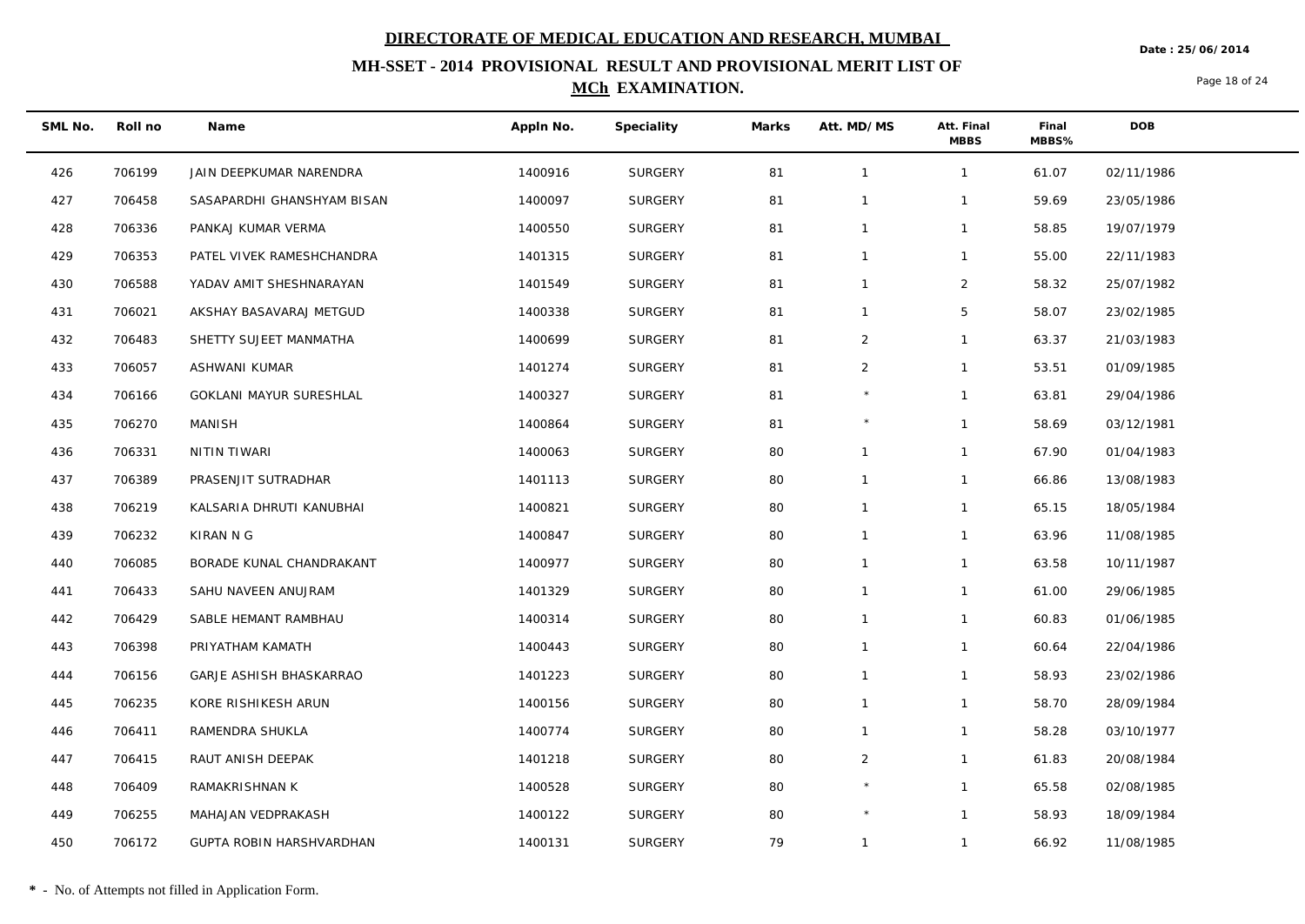**Date : 25/06/2014**

## **MH-SSET - 2014 PROVISIONAL RESULT AND PROVISIONAL MERIT LIST OF MCh EXAMINATION.**

Page 18 of 24

| SML No. | Roll no | Name                           | Appln No. | Speciality     | Marks | Att. MD/MS     | Att. Final<br><b>MBBS</b> | Final<br>MBBS% | <b>DOB</b> |
|---------|---------|--------------------------------|-----------|----------------|-------|----------------|---------------------------|----------------|------------|
| 426     | 706199  | JAIN DEEPKUMAR NARENDRA        | 1400916   | SURGERY        | 81    | $\overline{1}$ | $\mathbf{1}$              | 61.07          | 02/11/1986 |
| 427     | 706458  | SASAPARDHI GHANSHYAM BISAN     | 1400097   | <b>SURGERY</b> | 81    | $\mathbf{1}$   | $\mathbf{1}$              | 59.69          | 23/05/1986 |
| 428     | 706336  | PANKAJ KUMAR VERMA             | 1400550   | SURGERY        | 81    | $\mathbf{1}$   | $\mathbf{1}$              | 58.85          | 19/07/1979 |
| 429     | 706353  | PATEL VIVEK RAMESHCHANDRA      | 1401315   | <b>SURGERY</b> | 81    | $\mathbf{1}$   | $\mathbf{1}$              | 55.00          | 22/11/1983 |
| 430     | 706588  | YADAV AMIT SHESHNARAYAN        | 1401549   | <b>SURGERY</b> | 81    | $\mathbf{1}$   | $\overline{2}$            | 58.32          | 25/07/1982 |
| 431     | 706021  | AKSHAY BASAVARAJ METGUD        | 1400338   | <b>SURGERY</b> | 81    | $\mathbf{1}$   | $\overline{5}$            | 58.07          | 23/02/1985 |
| 432     | 706483  | SHETTY SUJEET MANMATHA         | 1400699   | <b>SURGERY</b> | 81    | $\overline{2}$ | $\mathbf{1}$              | 63.37          | 21/03/1983 |
| 433     | 706057  | ASHWANI KUMAR                  | 1401274   | <b>SURGERY</b> | 81    | 2              | $\mathbf{1}$              | 53.51          | 01/09/1985 |
| 434     | 706166  | <b>GOKLANI MAYUR SURESHLAL</b> | 1400327   | <b>SURGERY</b> | 81    | $\star$        | $\mathbf{1}$              | 63.81          | 29/04/1986 |
| 435     | 706270  | MANISH                         | 1400864   | SURGERY        | 81    | $\star$        | $\mathbf{1}$              | 58.69          | 03/12/1981 |
| 436     | 706331  | NITIN TIWARI                   | 1400063   | <b>SURGERY</b> | 80    | $\mathbf{1}$   | $\mathbf{1}$              | 67.90          | 01/04/1983 |
| 437     | 706389  | PRASENJIT SUTRADHAR            | 1401113   | <b>SURGERY</b> | 80    | $\mathbf{1}$   | $\mathbf{1}$              | 66.86          | 13/08/1983 |
| 438     | 706219  | KALSARIA DHRUTI KANUBHAI       | 1400821   | <b>SURGERY</b> | 80    | $\mathbf{1}$   | $\mathbf{1}$              | 65.15          | 18/05/1984 |
| 439     | 706232  | KIRAN N G                      | 1400847   | <b>SURGERY</b> | 80    | $\mathbf{1}$   | $\mathbf{1}$              | 63.96          | 11/08/1985 |
| 440     | 706085  | BORADE KUNAL CHANDRAKANT       | 1400977   | SURGERY        | 80    | $\mathbf{1}$   | $\mathbf{1}$              | 63.58          | 10/11/1987 |
| 441     | 706433  | SAHU NAVEEN ANUJRAM            | 1401329   | <b>SURGERY</b> | 80    | $\mathbf{1}$   | $\mathbf{1}$              | 61.00          | 29/06/1985 |
| 442     | 706429  | SABLE HEMANT RAMBHAU           | 1400314   | SURGERY        | 80    | $\mathbf{1}$   | $\mathbf{1}$              | 60.83          | 01/06/1985 |
| 443     | 706398  | PRIYATHAM KAMATH               | 1400443   | <b>SURGERY</b> | 80    | $\mathbf{1}$   | $\mathbf{1}$              | 60.64          | 22/04/1986 |
| 444     | 706156  | GARJE ASHISH BHASKARRAO        | 1401223   | <b>SURGERY</b> | 80    | $\mathbf{1}$   | $\mathbf{1}$              | 58.93          | 23/02/1986 |
| 445     | 706235  | KORE RISHIKESH ARUN            | 1400156   | <b>SURGERY</b> | 80    | $\mathbf{1}$   | $\mathbf{1}$              | 58.70          | 28/09/1984 |
| 446     | 706411  | RAMENDRA SHUKLA                | 1400774   | SURGERY        | 80    | $\mathbf{1}$   | $\mathbf{1}$              | 58.28          | 03/10/1977 |
| 447     | 706415  | RAUT ANISH DEEPAK              | 1401218   | SURGERY        | 80    | $\overline{2}$ | $\mathbf{1}$              | 61.83          | 20/08/1984 |
| 448     | 706409  | RAMAKRISHNAN K                 | 1400528   | <b>SURGERY</b> | 80    | $\star$        | $\mathbf{1}$              | 65.58          | 02/08/1985 |
| 449     | 706255  | MAHAJAN VEDPRAKASH             | 1400122   | <b>SURGERY</b> | 80    | $\star$        | $\mathbf{1}$              | 58.93          | 18/09/1984 |
| 450     | 706172  | GUPTA ROBIN HARSHVARDHAN       | 1400131   | SURGERY        | 79    | $\mathbf{1}$   | $\mathbf{1}$              | 66.92          | 11/08/1985 |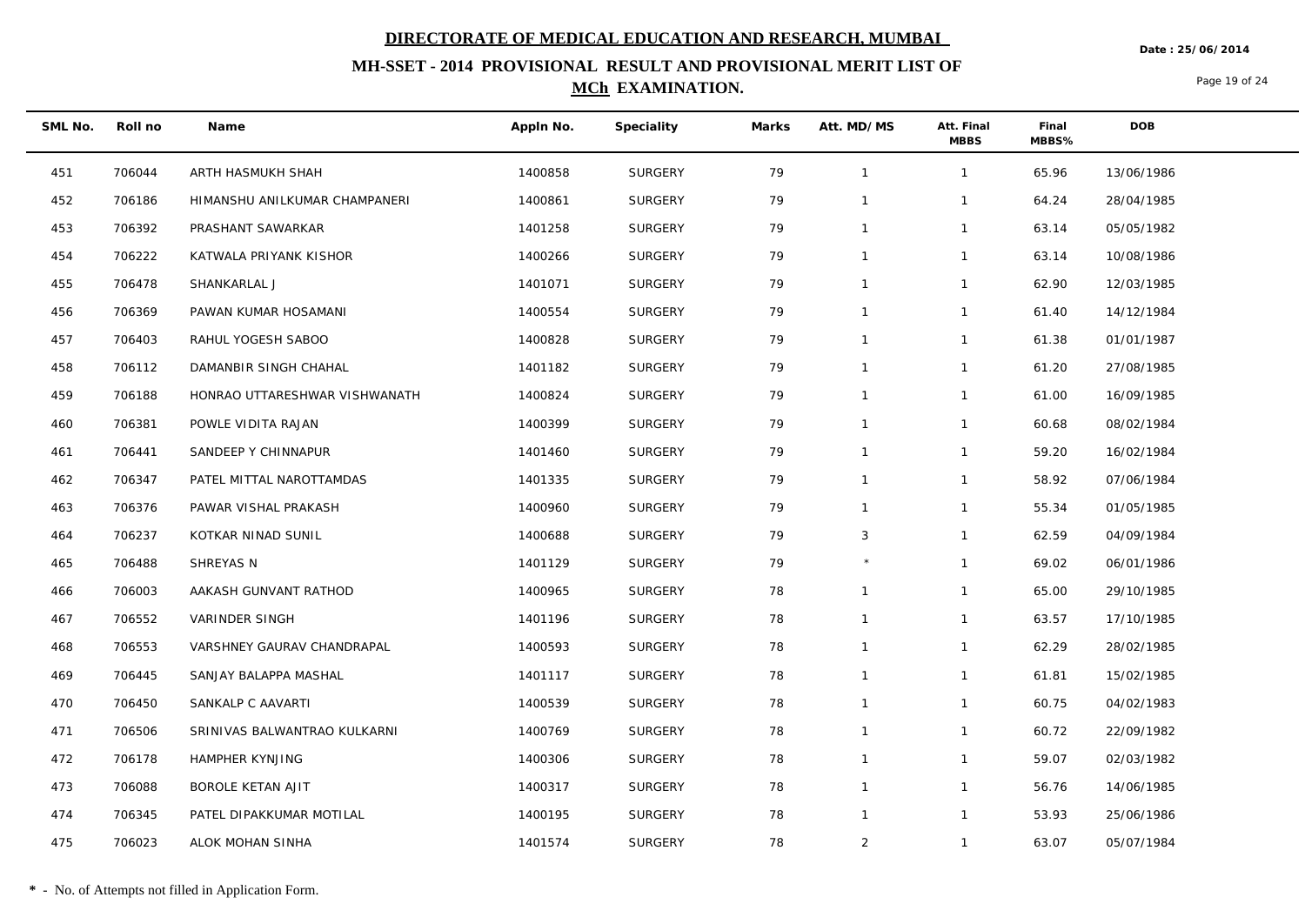**Date : 25/06/2014**

## **MH-SSET - 2014 PROVISIONAL RESULT AND PROVISIONAL MERIT LIST OF MCh EXAMINATION.**

Page 19 of 24

| SML No. | Roll no | Name                          | Appln No. | Speciality     | Marks | Att. MD/MS     | Att. Final<br><b>MBBS</b> | Final<br>MBBS% | DOB        |
|---------|---------|-------------------------------|-----------|----------------|-------|----------------|---------------------------|----------------|------------|
| 451     | 706044  | ARTH HASMUKH SHAH             | 1400858   | SURGERY        | 79    | $\overline{1}$ | $\mathbf{1}$              | 65.96          | 13/06/1986 |
| 452     | 706186  | HIMANSHU ANILKUMAR CHAMPANERI | 1400861   | SURGERY        | 79    | $\mathbf 1$    | 1                         | 64.24          | 28/04/1985 |
| 453     | 706392  | PRASHANT SAWARKAR             | 1401258   | SURGERY        | 79    | $\overline{1}$ | $\mathbf{1}$              | 63.14          | 05/05/1982 |
| 454     | 706222  | KATWALA PRIYANK KISHOR        | 1400266   | <b>SURGERY</b> | 79    | $\overline{1}$ | $\mathbf{1}$              | 63.14          | 10/08/1986 |
| 455     | 706478  | SHANKARLAL J                  | 1401071   | SURGERY        | 79    | $\overline{1}$ | $\mathbf{1}$              | 62.90          | 12/03/1985 |
| 456     | 706369  | PAWAN KUMAR HOSAMANI          | 1400554   | SURGERY        | 79    | $\mathbf{1}$   | $\mathbf{1}$              | 61.40          | 14/12/1984 |
| 457     | 706403  | RAHUL YOGESH SABOO            | 1400828   | SURGERY        | 79    | $\mathbf 1$    | $\mathbf{1}$              | 61.38          | 01/01/1987 |
| 458     | 706112  | DAMANBIR SINGH CHAHAL         | 1401182   | SURGERY        | 79    | $\overline{1}$ | $\mathbf{1}$              | 61.20          | 27/08/1985 |
| 459     | 706188  | HONRAO UTTARESHWAR VISHWANATH | 1400824   | <b>SURGERY</b> | 79    | $\overline{1}$ | 1                         | 61.00          | 16/09/1985 |
| 460     | 706381  | POWLE VIDITA RAJAN            | 1400399   | SURGERY        | 79    | $\mathbf{1}$   | $\mathbf{1}$              | 60.68          | 08/02/1984 |
| 461     | 706441  | SANDEEP Y CHINNAPUR           | 1401460   | SURGERY        | 79    | $\mathbf{1}$   | $\mathbf{1}$              | 59.20          | 16/02/1984 |
| 462     | 706347  | PATEL MITTAL NAROTTAMDAS      | 1401335   | SURGERY        | 79    | $\mathbf 1$    | $\mathbf{1}$              | 58.92          | 07/06/1984 |
| 463     | 706376  | PAWAR VISHAL PRAKASH          | 1400960   | SURGERY        | 79    | $\overline{1}$ | $\mathbf{1}$              | 55.34          | 01/05/1985 |
| 464     | 706237  | KOTKAR NINAD SUNIL            | 1400688   | <b>SURGERY</b> | 79    | 3              | 1                         | 62.59          | 04/09/1984 |
| 465     | 706488  | SHREYAS N                     | 1401129   | SURGERY        | 79    |                | $\mathbf{1}$              | 69.02          | 06/01/1986 |
| 466     | 706003  | AAKASH GUNVANT RATHOD         | 1400965   | SURGERY        | 78    | $\mathbf 1$    | $\mathbf{1}$              | 65.00          | 29/10/1985 |
| 467     | 706552  | VARINDER SINGH                | 1401196   | SURGERY        | 78    | $\mathbf 1$    | $\mathbf{1}$              | 63.57          | 17/10/1985 |
| 468     | 706553  | VARSHNEY GAURAV CHANDRAPAL    | 1400593   | SURGERY        | 78    | $\overline{1}$ | $\mathbf{1}$              | 62.29          | 28/02/1985 |
| 469     | 706445  | SANJAY BALAPPA MASHAL         | 1401117   | SURGERY        | 78    | $\mathbf 1$    | 1                         | 61.81          | 15/02/1985 |
| 470     | 706450  | SANKALP C AAVARTI             | 1400539   | SURGERY        | 78    | $\mathbf{1}$   | $\mathbf{1}$              | 60.75          | 04/02/1983 |
| 471     | 706506  | SRINIVAS BALWANTRAO KULKARNI  | 1400769   | SURGERY        | 78    | $\mathbf{1}$   | $\mathbf{1}$              | 60.72          | 22/09/1982 |
| 472     | 706178  | HAMPHER KYNJING               | 1400306   | SURGERY        | 78    | $\mathbf 1$    | $\mathbf{1}$              | 59.07          | 02/03/1982 |
| 473     | 706088  | BOROLE KETAN AJIT             | 1400317   | SURGERY        | 78    | $\mathbf{1}$   | $\mathbf{1}$              | 56.76          | 14/06/1985 |
| 474     | 706345  | PATEL DIPAKKUMAR MOTILAL      | 1400195   | <b>SURGERY</b> | 78    | $\mathbf 1$    | $\mathbf{1}$              | 53.93          | 25/06/1986 |
| 475     | 706023  | ALOK MOHAN SINHA              | 1401574   | SURGERY        | 78    | 2              | $\mathbf{1}$              | 63.07          | 05/07/1984 |

 $\overline{\phantom{a}}$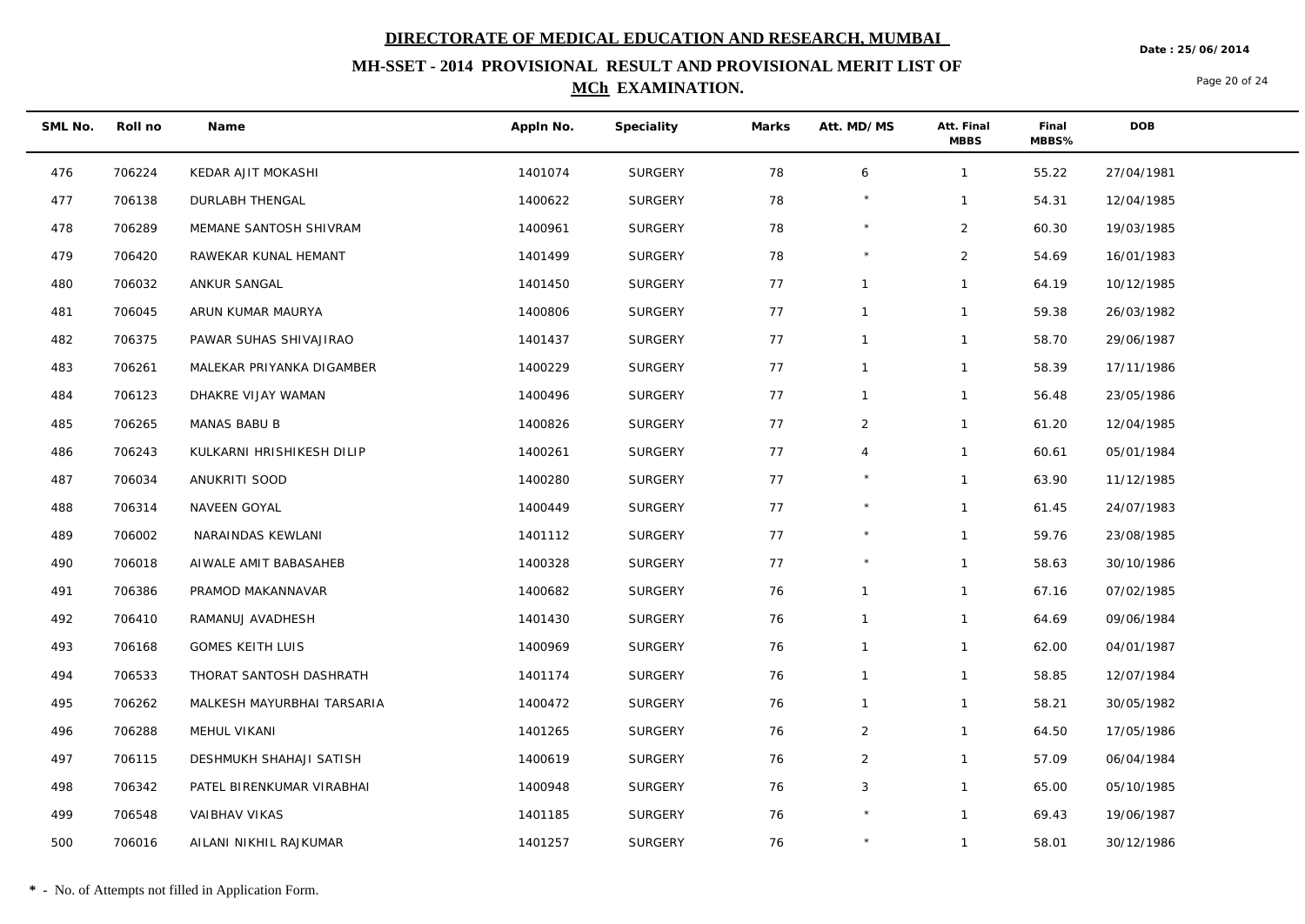**Date : 25/06/2014**

## **MH-SSET - 2014 PROVISIONAL RESULT AND PROVISIONAL MERIT LIST OF MCh EXAMINATION.**

Page 20 of 24

| SML No. | Roll no | Name                       | Appln No. | Speciality     | Marks | Att. MD/MS     | Att. Final<br><b>MBBS</b> | Final<br>MBBS% | <b>DOB</b> |
|---------|---------|----------------------------|-----------|----------------|-------|----------------|---------------------------|----------------|------------|
| 476     | 706224  | KEDAR AJIT MOKASHI         | 1401074   | SURGERY        | 78    | 6              | $\mathbf{1}$              | 55.22          | 27/04/1981 |
| 477     | 706138  | <b>DURLABH THENGAL</b>     | 1400622   | <b>SURGERY</b> | 78    |                | $\mathbf{1}$              | 54.31          | 12/04/1985 |
| 478     | 706289  | MEMANE SANTOSH SHIVRAM     | 1400961   | SURGERY        | 78    |                | $\overline{2}$            | 60.30          | 19/03/1985 |
| 479     | 706420  | RAWEKAR KUNAL HEMANT       | 1401499   | <b>SURGERY</b> | 78    | $\star$        | $\overline{2}$            | 54.69          | 16/01/1983 |
| 480     | 706032  | ANKUR SANGAL               | 1401450   | <b>SURGERY</b> | 77    | $\mathbf{1}$   | $\mathbf{1}$              | 64.19          | 10/12/1985 |
| 481     | 706045  | ARUN KUMAR MAURYA          | 1400806   | SURGERY        | 77    | $\mathbf{1}$   | $\mathbf{1}$              | 59.38          | 26/03/1982 |
| 482     | 706375  | PAWAR SUHAS SHIVAJIRAO     | 1401437   | SURGERY        | 77    | $\mathbf{1}$   | $\mathbf{1}$              | 58.70          | 29/06/1987 |
| 483     | 706261  | MALEKAR PRIYANKA DIGAMBER  | 1400229   | SURGERY        | 77    | $\mathbf{1}$   | $\mathbf{1}$              | 58.39          | 17/11/1986 |
| 484     | 706123  | DHAKRE VIJAY WAMAN         | 1400496   | <b>SURGERY</b> | 77    | $\mathbf{1}$   | $\mathbf{1}$              | 56.48          | 23/05/1986 |
| 485     | 706265  | MANAS BABU B               | 1400826   | SURGERY        | 77    | $\overline{2}$ | $\mathbf{1}$              | 61.20          | 12/04/1985 |
| 486     | 706243  | KULKARNI HRISHIKESH DILIP  | 1400261   | SURGERY        | 77    | $\overline{4}$ | $\mathbf{1}$              | 60.61          | 05/01/1984 |
| 487     | 706034  | ANUKRITI SOOD              | 1400280   | SURGERY        | 77    |                | $\mathbf{1}$              | 63.90          | 11/12/1985 |
| 488     | 706314  | NAVEEN GOYAL               | 1400449   | <b>SURGERY</b> | 77    | $\star$        | $\mathbf{1}$              | 61.45          | 24/07/1983 |
| 489     | 706002  | NARAINDAS KEWLANI          | 1401112   | <b>SURGERY</b> | 77    | $\star$        | $\mathbf{1}$              | 59.76          | 23/08/1985 |
| 490     | 706018  | AIWALE AMIT BABASAHEB      | 1400328   | SURGERY        | 77    |                | $\mathbf{1}$              | 58.63          | 30/10/1986 |
| 491     | 706386  | PRAMOD MAKANNAVAR          | 1400682   | <b>SURGERY</b> | 76    | $\mathbf{1}$   | $\mathbf{1}$              | 67.16          | 07/02/1985 |
| 492     | 706410  | RAMANUJ AVADHESH           | 1401430   | SURGERY        | 76    | $\mathbf{1}$   | $\mathbf{1}$              | 64.69          | 09/06/1984 |
| 493     | 706168  | <b>GOMES KEITH LUIS</b>    | 1400969   | SURGERY        | 76    | $\mathbf{1}$   | $\mathbf{1}$              | 62.00          | 04/01/1987 |
| 494     | 706533  | THORAT SANTOSH DASHRATH    | 1401174   | <b>SURGERY</b> | 76    | $\mathbf{1}$   | $\mathbf{1}$              | 58.85          | 12/07/1984 |
| 495     | 706262  | MALKESH MAYURBHAI TARSARIA | 1400472   | <b>SURGERY</b> | 76    | $\mathbf{1}$   | $\mathbf{1}$              | 58.21          | 30/05/1982 |
| 496     | 706288  | MEHUL VIKANI               | 1401265   | SURGERY        | 76    | $\overline{2}$ | $\mathbf{1}$              | 64.50          | 17/05/1986 |
| 497     | 706115  | DESHMUKH SHAHAJI SATISH    | 1400619   | SURGERY        | 76    | $\overline{2}$ | $\mathbf{1}$              | 57.09          | 06/04/1984 |
| 498     | 706342  | PATEL BIRENKUMAR VIRABHAI  | 1400948   | <b>SURGERY</b> | 76    | 3              | $\mathbf{1}$              | 65.00          | 05/10/1985 |
| 499     | 706548  | VAIBHAV VIKAS              | 1401185   | <b>SURGERY</b> | 76    | $\star$        | $\mathbf{1}$              | 69.43          | 19/06/1987 |
| 500     | 706016  | AILANI NIKHIL RAJKUMAR     | 1401257   | SURGERY        | 76    |                | $\mathbf{1}$              | 58.01          | 30/12/1986 |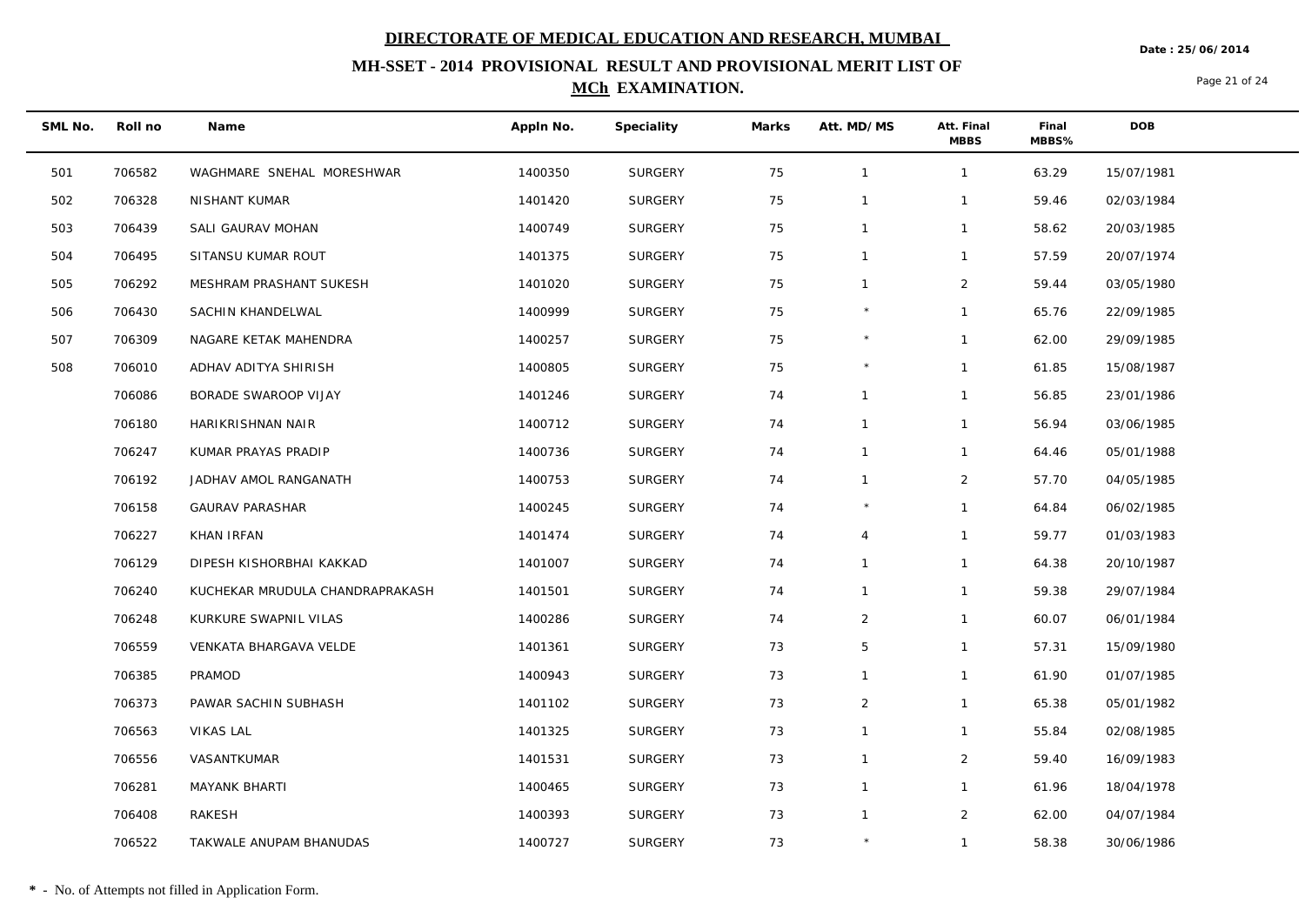**Date : 25/06/2014**

## **MH-SSET - 2014 PROVISIONAL RESULT AND PROVISIONAL MERIT LIST OF MCh EXAMINATION.**

Page 21 of 24

| SML No. | Roll no | Name                            | Appln No. | Speciality     | Marks | Att. MD/MS     | Att. Final<br><b>MBBS</b> | Final<br>MBBS% | DOB        |
|---------|---------|---------------------------------|-----------|----------------|-------|----------------|---------------------------|----------------|------------|
| 501     | 706582  | WAGHMARE SNEHAL MORESHWAR       | 1400350   | SURGERY        | 75    | $\overline{1}$ | $\mathbf{1}$              | 63.29          | 15/07/1981 |
| 502     | 706328  | NISHANT KUMAR                   | 1401420   | SURGERY        | 75    | $\mathbf 1$    | 1                         | 59.46          | 02/03/1984 |
| 503     | 706439  | SALI GAURAV MOHAN               | 1400749   | SURGERY        | 75    | $\overline{1}$ | $\mathbf{1}$              | 58.62          | 20/03/1985 |
| 504     | 706495  | SITANSU KUMAR ROUT              | 1401375   | SURGERY        | 75    | $\mathbf{1}$   | $\mathbf{1}$              | 57.59          | 20/07/1974 |
| 505     | 706292  | MESHRAM PRASHANT SUKESH         | 1401020   | SURGERY        | 75    | $\overline{1}$ | $\overline{a}$            | 59.44          | 03/05/1980 |
| 506     | 706430  | SACHIN KHANDELWAL               | 1400999   | SURGERY        | 75    |                | $\mathbf{1}$              | 65.76          | 22/09/1985 |
| 507     | 706309  | NAGARE KETAK MAHENDRA           | 1400257   | SURGERY        | 75    |                | $\mathbf{1}$              | 62.00          | 29/09/1985 |
| 508     | 706010  | ADHAV ADITYA SHIRISH            | 1400805   | SURGERY        | 75    |                | $\mathbf{1}$              | 61.85          | 15/08/1987 |
|         | 706086  | BORADE SWAROOP VIJAY            | 1401246   | SURGERY        | 74    | $\mathbf{1}$   | $\mathbf{1}$              | 56.85          | 23/01/1986 |
|         | 706180  | HARIKRISHNAN NAIR               | 1400712   | SURGERY        | 74    | $\mathbf{1}$   | $\mathbf{1}$              | 56.94          | 03/06/1985 |
|         | 706247  | KUMAR PRAYAS PRADIP             | 1400736   | SURGERY        | 74    | $\mathbf 1$    | $\mathbf{1}$              | 64.46          | 05/01/1988 |
|         | 706192  | JADHAV AMOL RANGANATH           | 1400753   | SURGERY        | 74    | $\mathbf 1$    | $\overline{2}$            | 57.70          | 04/05/1985 |
|         | 706158  | <b>GAURAV PARASHAR</b>          | 1400245   | SURGERY        | 74    |                | $\mathbf{1}$              | 64.84          | 06/02/1985 |
|         | 706227  | KHAN IRFAN                      | 1401474   | SURGERY        | 74    | $\overline{4}$ | $\mathbf{1}$              | 59.77          | 01/03/1983 |
|         | 706129  | DIPESH KISHORBHAI KAKKAD        | 1401007   | SURGERY        | 74    | $\overline{1}$ | $\mathbf{1}$              | 64.38          | 20/10/1987 |
|         | 706240  | KUCHEKAR MRUDULA CHANDRAPRAKASH | 1401501   | SURGERY        | 74    | $\mathbf{1}$   | $\mathbf{1}$              | 59.38          | 29/07/1984 |
|         | 706248  | KURKURE SWAPNIL VILAS           | 1400286   | SURGERY        | 74    | $\overline{2}$ | $\mathbf{1}$              | 60.07          | 06/01/1984 |
|         | 706559  | VENKATA BHARGAVA VELDE          | 1401361   | SURGERY        | 73    | 5              | $\mathbf{1}$              | 57.31          | 15/09/1980 |
|         | 706385  | PRAMOD                          | 1400943   | SURGERY        | 73    | -1             | $\mathbf{1}$              | 61.90          | 01/07/1985 |
|         | 706373  | PAWAR SACHIN SUBHASH            | 1401102   | SURGERY        | 73    | 2              | $\mathbf{1}$              | 65.38          | 05/01/1982 |
|         | 706563  | <b>VIKAS LAL</b>                | 1401325   | SURGERY        | 73    | $\mathbf 1$    | $\mathbf{1}$              | 55.84          | 02/08/1985 |
|         | 706556  | VASANTKUMAR                     | 1401531   | SURGERY        | 73    | $\mathbf 1$    | $\overline{a}$            | 59.40          | 16/09/1983 |
|         | 706281  | <b>MAYANK BHARTI</b>            | 1400465   | SURGERY        | 73    | $\mathbf{1}$   | $\mathbf{1}$              | 61.96          | 18/04/1978 |
|         | 706408  | RAKESH                          | 1400393   | <b>SURGERY</b> | 73    | $\overline{1}$ | $\overline{a}$            | 62.00          | 04/07/1984 |
|         | 706522  | TAKWALE ANUPAM BHANUDAS         | 1400727   | SURGERY        | 73    |                | $\mathbf{1}$              | 58.38          | 30/06/1986 |

 $\overline{\phantom{a}}$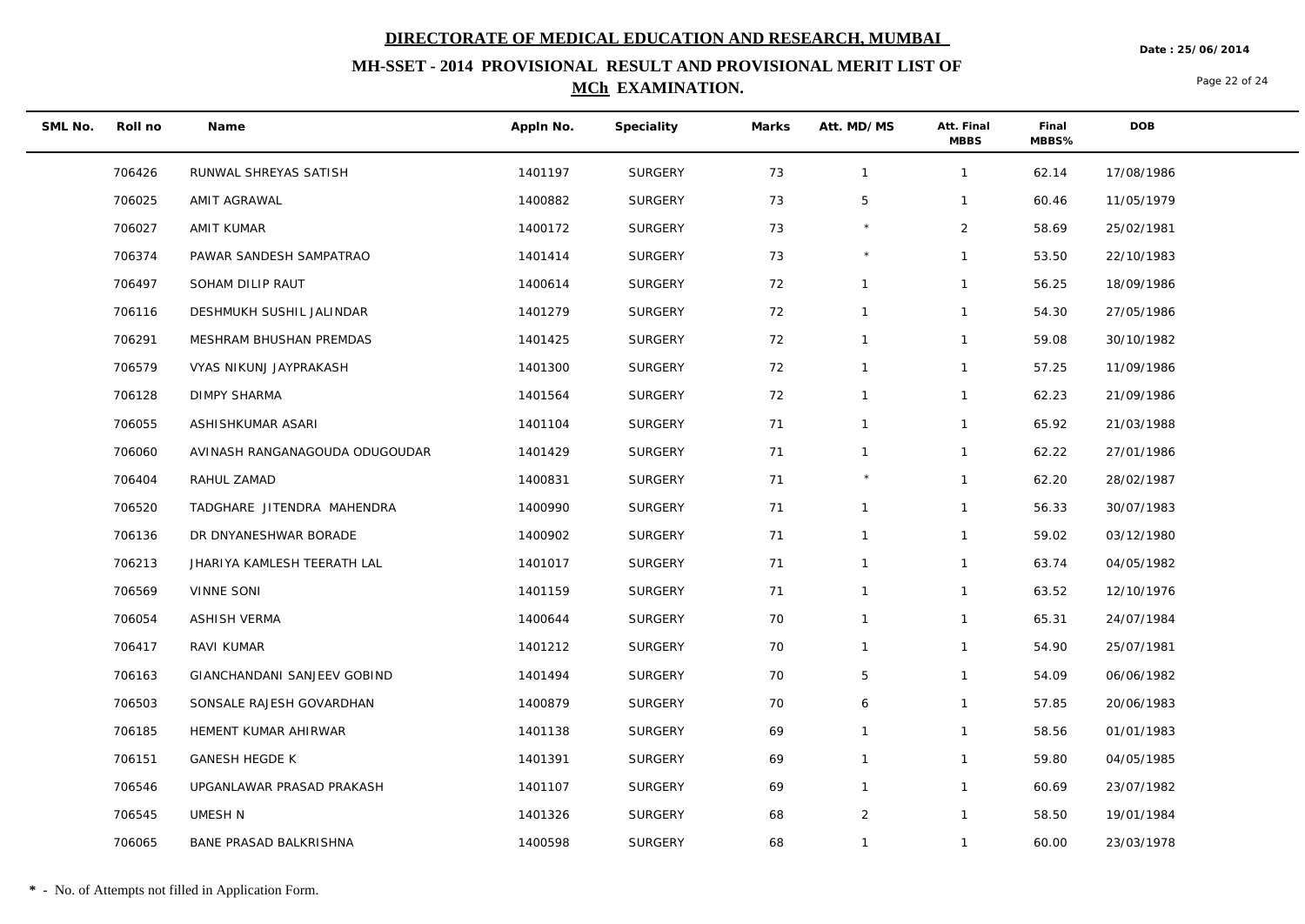**Date : 25/06/2014**

## **MH-SSET - 2014 PROVISIONAL RESULT AND PROVISIONAL MERIT LIST OF MCh EXAMINATION.**

Page 22 of 24

| SML No. | Roll no | Name                           | Appln No. | Speciality     | Marks | Att. MD/MS     | Att. Final<br><b>MBBS</b> | Final<br>MBBS% | <b>DOB</b> |
|---------|---------|--------------------------------|-----------|----------------|-------|----------------|---------------------------|----------------|------------|
|         | 706426  | RUNWAL SHREYAS SATISH          | 1401197   | SURGERY        | 73    | $\mathbf{1}$   | $\mathbf{1}$              | 62.14          | 17/08/1986 |
|         | 706025  | AMIT AGRAWAL                   | 1400882   | <b>SURGERY</b> | 73    | 5              | $\mathbf{1}$              | 60.46          | 11/05/1979 |
|         | 706027  | AMIT KUMAR                     | 1400172   | <b>SURGERY</b> | 73    |                | $\overline{2}$            | 58.69          | 25/02/1981 |
|         | 706374  | PAWAR SANDESH SAMPATRAO        | 1401414   | <b>SURGERY</b> | 73    | $\star$        | $\mathbf{1}$              | 53.50          | 22/10/1983 |
|         | 706497  | SOHAM DILIP RAUT               | 1400614   | <b>SURGERY</b> | 72    | $\mathbf{1}$   | $\mathbf{1}$              | 56.25          | 18/09/1986 |
|         | 706116  | DESHMUKH SUSHIL JALINDAR       | 1401279   | <b>SURGERY</b> | 72    | $\overline{1}$ | $\mathbf{1}$              | 54.30          | 27/05/1986 |
|         | 706291  | MESHRAM BHUSHAN PREMDAS        | 1401425   | <b>SURGERY</b> | 72    | $\mathbf{1}$   | $\mathbf{1}$              | 59.08          | 30/10/1982 |
|         | 706579  | VYAS NIKUNJ JAYPRAKASH         | 1401300   | <b>SURGERY</b> | 72    | $\mathbf{1}$   | $\mathbf{1}$              | 57.25          | 11/09/1986 |
|         | 706128  | <b>DIMPY SHARMA</b>            | 1401564   | <b>SURGERY</b> | 72    | $\mathbf{1}$   | $\mathbf{1}$              | 62.23          | 21/09/1986 |
|         | 706055  | ASHISHKUMAR ASARI              | 1401104   | <b>SURGERY</b> | 71    | $\mathbf{1}$   | $\mathbf{1}$              | 65.92          | 21/03/1988 |
|         | 706060  | AVINASH RANGANAGOUDA ODUGOUDAR | 1401429   | <b>SURGERY</b> | 71    | $\mathbf{1}$   | $\mathbf{1}$              | 62.22          | 27/01/1986 |
|         | 706404  | RAHUL ZAMAD                    | 1400831   | <b>SURGERY</b> | 71    |                | $\mathbf{1}$              | 62.20          | 28/02/1987 |
|         | 706520  | TADGHARE JITENDRA MAHENDRA     | 1400990   | <b>SURGERY</b> | 71    | $\mathbf{1}$   | $\mathbf{1}$              | 56.33          | 30/07/1983 |
|         | 706136  | DR DNYANESHWAR BORADE          | 1400902   | <b>SURGERY</b> | 71    | $\mathbf{1}$   | 1                         | 59.02          | 03/12/1980 |
|         | 706213  | JHARIYA KAMLESH TEERATH LAL    | 1401017   | <b>SURGERY</b> | 71    | $\mathbf{1}$   | $\mathbf{1}$              | 63.74          | 04/05/1982 |
|         | 706569  | <b>VINNE SONI</b>              | 1401159   | <b>SURGERY</b> | 71    | $\mathbf{1}$   | $\mathbf{1}$              | 63.52          | 12/10/1976 |
|         | 706054  | <b>ASHISH VERMA</b>            | 1400644   | <b>SURGERY</b> | 70    | $\mathbf{1}$   | $\mathbf{1}$              | 65.31          | 24/07/1984 |
|         | 706417  | RAVI KUMAR                     | 1401212   | <b>SURGERY</b> | 70    | $\mathbf{1}$   | $\mathbf{1}$              | 54.90          | 25/07/1981 |
|         | 706163  | GIANCHANDANI SANJEEV GOBIND    | 1401494   | <b>SURGERY</b> | 70    | 5              | $\mathbf{1}$              | 54.09          | 06/06/1982 |
|         | 706503  | SONSALE RAJESH GOVARDHAN       | 1400879   | <b>SURGERY</b> | 70    | 6              | $\mathbf{1}$              | 57.85          | 20/06/1983 |
|         | 706185  | HEMENT KUMAR AHIRWAR           | 1401138   | <b>SURGERY</b> | 69    | $\mathbf{1}$   | $\mathbf{1}$              | 58.56          | 01/01/1983 |
|         | 706151  | <b>GANESH HEGDE K</b>          | 1401391   | <b>SURGERY</b> | 69    | $\mathbf{1}$   | $\mathbf{1}$              | 59.80          | 04/05/1985 |
|         | 706546  | UPGANLAWAR PRASAD PRAKASH      | 1401107   | <b>SURGERY</b> | 69    | $\mathbf{1}$   | $\mathbf{1}$              | 60.69          | 23/07/1982 |
|         | 706545  | UMESH N                        | 1401326   | <b>SURGERY</b> | 68    | $\overline{2}$ | $\mathbf{1}$              | 58.50          | 19/01/1984 |
|         | 706065  | BANE PRASAD BALKRISHNA         | 1400598   | <b>SURGERY</b> | 68    | $\mathbf{1}$   | $\mathbf{1}$              | 60.00          | 23/03/1978 |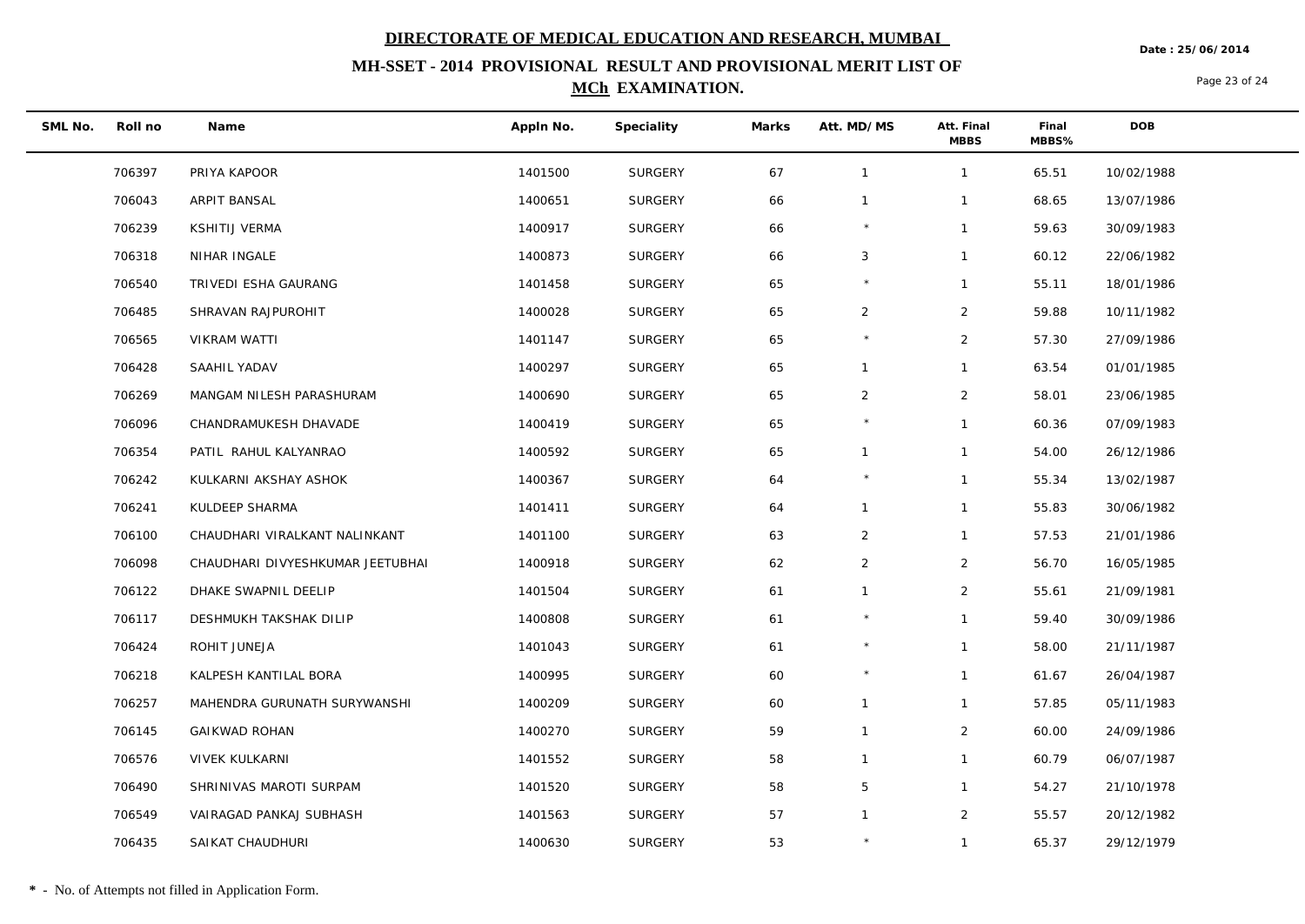**MH-SSET - 2014 PROVISIONAL RESULT AND PROVISIONAL MERIT LIST OF MCh EXAMINATION.**

**Date : 25/06/2014**

Page 23 of 24

| SML No. | Roll no | Name                             | Appln No. | Speciality     | Marks | Att. MD/MS     | Att. Final<br><b>MBBS</b> | Final<br>MBBS% | <b>DOB</b> |
|---------|---------|----------------------------------|-----------|----------------|-------|----------------|---------------------------|----------------|------------|
|         | 706397  | PRIYA KAPOOR                     | 1401500   | SURGERY        | 67    | $\mathbf{1}$   | $\mathbf{1}$              | 65.51          | 10/02/1988 |
|         | 706043  | ARPIT BANSAL                     | 1400651   | <b>SURGERY</b> | 66    | $\mathbf{1}$   | $\mathbf{1}$              | 68.65          | 13/07/1986 |
|         | 706239  | KSHITIJ VERMA                    | 1400917   | <b>SURGERY</b> | 66    | $\star$        | $\mathbf{1}$              | 59.63          | 30/09/1983 |
|         | 706318  | NIHAR INGALE                     | 1400873   | <b>SURGERY</b> | 66    | 3              | $\mathbf{1}$              | 60.12          | 22/06/1982 |
|         | 706540  | TRIVEDI ESHA GAURANG             | 1401458   | <b>SURGERY</b> | 65    |                | $\mathbf{1}$              | 55.11          | 18/01/1986 |
|         | 706485  | SHRAVAN RAJPUROHIT               | 1400028   | <b>SURGERY</b> | 65    | $\overline{2}$ | $\overline{2}$            | 59.88          | 10/11/1982 |
|         | 706565  | VIKRAM WATTI                     | 1401147   | <b>SURGERY</b> | 65    |                | $\overline{2}$            | 57.30          | 27/09/1986 |
|         | 706428  | SAAHIL YADAV                     | 1400297   | <b>SURGERY</b> | 65    | $\mathbf{1}$   | $\mathbf{1}$              | 63.54          | 01/01/1985 |
|         | 706269  | MANGAM NILESH PARASHURAM         | 1400690   | <b>SURGERY</b> | 65    | $\overline{2}$ | $\overline{2}$            | 58.01          | 23/06/1985 |
|         | 706096  | CHANDRAMUKESH DHAVADE            | 1400419   | SURGERY        | 65    |                | $\mathbf{1}$              | 60.36          | 07/09/1983 |
|         | 706354  | PATIL RAHUL KALYANRAO            | 1400592   | <b>SURGERY</b> | 65    | $\mathbf{1}$   | $\mathbf{1}$              | 54.00          | 26/12/1986 |
|         | 706242  | KULKARNI AKSHAY ASHOK            | 1400367   | <b>SURGERY</b> | 64    |                | $\mathbf{1}$              | 55.34          | 13/02/1987 |
|         | 706241  | KULDEEP SHARMA                   | 1401411   | <b>SURGERY</b> | 64    | $\mathbf{1}$   | $\mathbf{1}$              | 55.83          | 30/06/1982 |
|         | 706100  | CHAUDHARI VIRALKANT NALINKANT    | 1401100   | <b>SURGERY</b> | 63    | $\overline{2}$ | $\mathbf{1}$              | 57.53          | 21/01/1986 |
|         | 706098  | CHAUDHARI DIVYESHKUMAR JEETUBHAI | 1400918   | SURGERY        | 62    | $\overline{2}$ | $\overline{2}$            | 56.70          | 16/05/1985 |
|         | 706122  | DHAKE SWAPNIL DEELIP             | 1401504   | <b>SURGERY</b> | 61    | $\mathbf{1}$   | $\overline{2}$            | 55.61          | 21/09/1981 |
|         | 706117  | DESHMUKH TAKSHAK DILIP           | 1400808   | <b>SURGERY</b> | 61    |                | $\mathbf{1}$              | 59.40          | 30/09/1986 |
|         | 706424  | ROHIT JUNEJA                     | 1401043   | <b>SURGERY</b> | 61    | $\star$        | $\mathbf{1}$              | 58.00          | 21/11/1987 |
|         | 706218  | KALPESH KANTILAL BORA            | 1400995   | <b>SURGERY</b> | 60    | $\star$        | $\mathbf{1}$              | 61.67          | 26/04/1987 |
|         | 706257  | MAHENDRA GURUNATH SURYWANSHI     | 1400209   | <b>SURGERY</b> | 60    | $\mathbf{1}$   | $\mathbf{1}$              | 57.85          | 05/11/1983 |
|         | 706145  | <b>GAIKWAD ROHAN</b>             | 1400270   | <b>SURGERY</b> | 59    | $\mathbf{1}$   | $\overline{2}$            | 60.00          | 24/09/1986 |
|         | 706576  | VIVEK KULKARNI                   | 1401552   | <b>SURGERY</b> | 58    | $\mathbf{1}$   | $\mathbf{1}$              | 60.79          | 06/07/1987 |
|         | 706490  | SHRINIVAS MAROTI SURPAM          | 1401520   | <b>SURGERY</b> | 58    | 5              | $\mathbf{1}$              | 54.27          | 21/10/1978 |
|         | 706549  | VAIRAGAD PANKAJ SUBHASH          | 1401563   | <b>SURGERY</b> | 57    | $\mathbf{1}$   | $\overline{2}$            | 55.57          | 20/12/1982 |
|         | 706435  | SAIKAT CHAUDHURI                 | 1400630   | SURGERY        | 53    |                | $\mathbf{1}$              | 65.37          | 29/12/1979 |